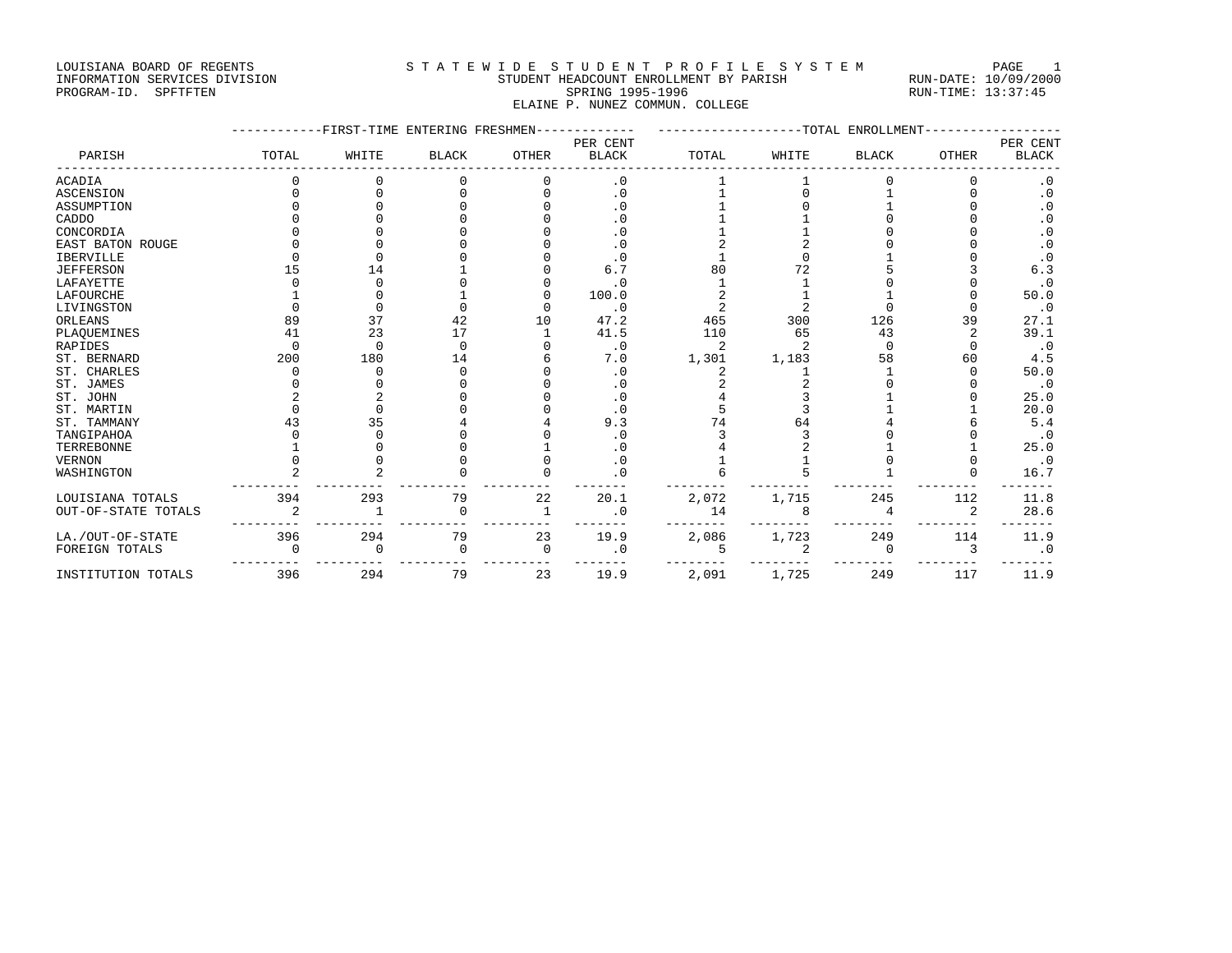#### LOUISIANA BOARD OF REGENTS STATEWIDE STUDENT PROFILE SYSTEM PAGE 1 INFORMATION SERVICES DIVISION STUDENT HEADCOUNT ENROLLMENT BY PARISH RUN-DATE: 10/09/2000 PROGRAM-ID. SPFTFTEN SARE SERING 1995-1996 SPRING 1995-1996 RUN-TIME: 13:37:45

ELAINE P. NUNEZ COMMUN. COLLEGE

|                     | FIRST-TIME<br>ENTERING FRESHMEN |          |              |              |              |       | -TOTAL<br><b>ENROLLMENT</b> |              |                |                        |  |  |
|---------------------|---------------------------------|----------|--------------|--------------|--------------|-------|-----------------------------|--------------|----------------|------------------------|--|--|
|                     |                                 |          |              |              | PER CENT     |       |                             |              |                | PER CENT               |  |  |
| PARISH              | TOTAL                           | WHITE    | <b>BLACK</b> | <b>OTHER</b> | <b>BLACK</b> | TOTAL | WHITE                       | <b>BLACK</b> | <b>OTHER</b>   | <b>BLACK</b>           |  |  |
| <b>ACADIA</b>       |                                 |          |              |              | $\cdot$ 0    |       |                             |              |                | . 0                    |  |  |
| <b>ASCENSION</b>    |                                 |          |              |              | $\cdot$ 0    |       |                             |              |                | $\cdot$ 0              |  |  |
| ASSUMPTION          |                                 |          |              |              | $\cdot$ 0    |       |                             |              |                | $\cdot$ 0              |  |  |
| CADDO               |                                 |          |              |              | $\cdot$ 0    |       |                             |              |                | $\boldsymbol{\cdot}$ 0 |  |  |
| CONCORDIA           |                                 |          |              |              | $\cdot$ 0    |       |                             |              |                | $\cdot$ 0              |  |  |
| EAST BATON ROUGE    |                                 |          |              |              | $\cdot$ 0    |       |                             |              |                | $\cdot$ 0              |  |  |
| <b>IBERVILLE</b>    |                                 |          |              |              | $\cdot$ 0    |       |                             |              |                | $\cdot$ 0              |  |  |
| <b>JEFFERSON</b>    | 15                              | 14       |              |              | 6.7          | 80    | 72                          |              |                | 6.3                    |  |  |
| LAFAYETTE           |                                 | U        |              |              | $\cdot$ 0    |       |                             |              |                | $\cdot$ 0              |  |  |
| LAFOURCHE           |                                 |          |              |              | 100.0        |       |                             |              |                | 50.0                   |  |  |
| LIVINGSTON          |                                 | $\cap$   |              |              | $\cdot$ 0    |       |                             |              |                | $\cdot$ 0              |  |  |
| ORLEANS             | 89                              | 37       | 42           | 10           | 47.2         | 465   | 300                         | 126          | 39             | 27.1                   |  |  |
| PLAQUEMINES         | 41                              | 23       | 17           |              | 41.5         | 110   | 65                          | 43           | $\overline{2}$ | 39.1                   |  |  |
| <b>RAPIDES</b>      |                                 | U        | $\Omega$     |              | $\cdot$ 0    | 2     |                             | $\cap$       | $\Omega$       | $\cdot$ 0              |  |  |
| ST. BERNARD         | 200                             | 180      | 14           |              | 7.0          | 1,301 | 1,183                       | 58           | 60             | 4.5                    |  |  |
| ST. CHARLES         |                                 |          | $\cap$       |              | $\cdot$ 0    |       |                             |              |                | 50.0                   |  |  |
| ST. JAMES           |                                 |          |              |              | $\cdot$ 0    |       |                             |              |                | $\cdot$ 0              |  |  |
| ST. JOHN            |                                 |          |              |              | $\cdot$ 0    |       |                             |              |                | 25.0                   |  |  |
| ST. MARTIN          |                                 |          |              |              | $\cdot$ 0    |       |                             |              |                | 20.0                   |  |  |
| ST. TAMMANY         | 43                              | 35       |              |              | 9.3          |       | 64                          |              |                | 5.4                    |  |  |
| TANGIPAHOA          |                                 |          |              |              | $\cdot$ 0    |       |                             |              |                | $\cdot$ 0              |  |  |
| TERREBONNE          |                                 |          |              |              | $\cdot$ 0    |       |                             |              |                | 25.0                   |  |  |
| <b>VERNON</b>       |                                 |          |              |              | $\cdot$ 0    |       |                             |              | 0              | $\cdot$ 0              |  |  |
| WASHINGTON          |                                 |          |              |              | $\cdot$ 0    |       |                             |              | $\Omega$       | 16.7                   |  |  |
| LOUISIANA TOTALS    | 394                             | 293      | 79           | 22           | 20.1         | 2,072 | 1,715                       | 245          | 112            | 11.8                   |  |  |
| OUT-OF-STATE TOTALS |                                 |          | $\Omega$     |              | $\cdot$ 0    | 14    | 8                           |              | $\overline{2}$ | 28.6                   |  |  |
| LA./OUT-OF-STATE    | 396                             | 294      | 79           | 23           | 19.9         | 2,086 | 1,723                       | 249          | 114            | 11.9                   |  |  |
| FOREIGN TOTALS      |                                 | $\Omega$ | $\Omega$     | $\Omega$     | $\cdot$ 0    |       |                             | $\Omega$     | 3              | $\cdot$ 0              |  |  |
| INSTITUTION TOTALS  | 396                             | 294      | 79           | 23           | 19.9         | 2,091 | 1,725                       | 249          | 117            | 11.9                   |  |  |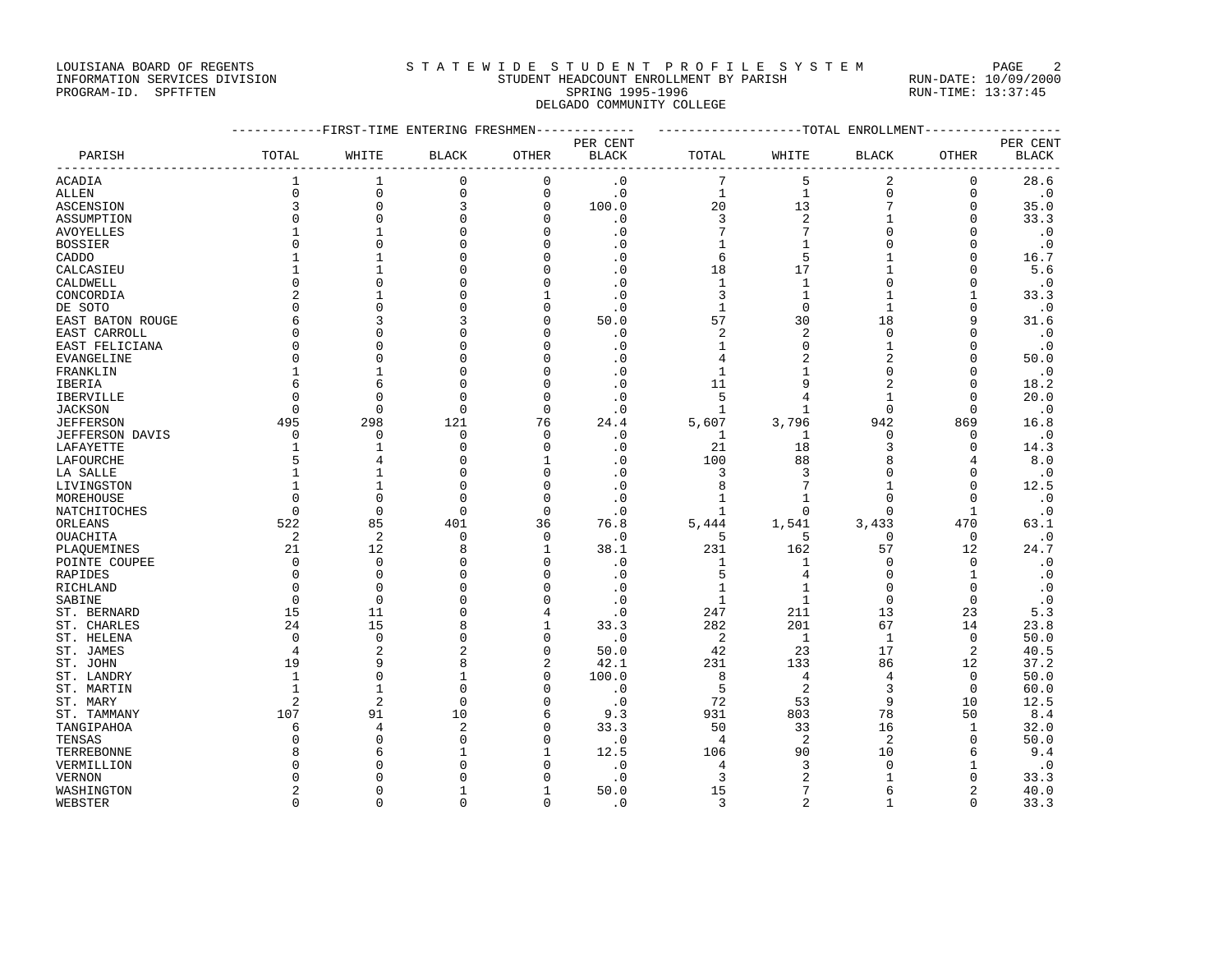### LOUISIANA BOARD OF REGENTS STATEWIDE STUDENT PROFILE SYSTEM PAGE 2 INFORMATION SERVICES DIVISION STUDENT HEADCOUNT ENROLLMENT BY PARISH RUN-DATE: 10/09/2000

# PROGRAM-ID. SPFTFTEN SARE SERING 1995-1996 SPRING 1995-1996 RUN-TIME: 13:37:45 DELGADO COMMUNITY COLLEGE

|                         | -----------FIRST-TIME ENTERING FRESHMEN------------- |                |              |                     |                   | ------------------TOTAL ENROLLMENT----------------- |                |                   |                |              |
|-------------------------|------------------------------------------------------|----------------|--------------|---------------------|-------------------|-----------------------------------------------------|----------------|-------------------|----------------|--------------|
|                         |                                                      |                |              |                     | PER CENT          |                                                     |                |                   |                | PER CENT     |
| PARISH                  | TOTAL                                                | WHITE          | <b>BLACK</b> | OTHER               | <b>BLACK</b>      | TOTAL                                               | WHITE          | BLACK             | OTHER          | <b>BLACK</b> |
| ACADIA                  | 1                                                    | 1              | 0            | 0                   | $\cdot$ 0         | 7                                                   | 5              | 2                 | 0              | 28.6         |
| ALLEN                   | 0                                                    | $\mathbf 0$    | $\mathbf 0$  | $\mathsf{O}\xspace$ | $\cdot$ 0         | 1                                                   | $\mathbf{1}$   | $\mathbf 0$       | $\mathbf 0$    | $\cdot$ 0    |
| ASCENSION               | 3                                                    | $\mathbf 0$    | 3            | $\mathbf 0$         | 100.0             | 20                                                  | 13             | 7                 | $\mathbf 0$    | 35.0         |
| ASSUMPTION              | $\mathbf 0$                                          | $\mathbf 0$    | <sup>0</sup> | $\mathbf{0}$        | $\cdot$ 0         | 3                                                   | $\overline{2}$ |                   | $\mathbf 0$    | 33.3         |
| AVOYELLES               | 1                                                    | 1              | <sup>0</sup> | $\mathbf{0}$        | $\cdot$ 0         | 7                                                   | 7              | $\Omega$          | $\mathbf 0$    | $\cdot$ 0    |
| <b>BOSSIER</b>          | $\Omega$                                             | $\Omega$       | ∩            | $\mathbf 0$         | $\cdot$ 0         | $\mathbf{1}$                                        | $\mathbf{1}$   |                   | $\Omega$       | $\cdot$ 0    |
| CADDO                   | 1                                                    |                |              | $\Omega$            | $\cdot$ 0         | 6                                                   | 5              |                   | $\Omega$       | 16.7         |
| CALCASIEU               | $\mathbf{1}$                                         | $\mathbf{1}$   |              | $\Omega$            | $\cdot$ 0         | 18                                                  | 17             |                   | $\Omega$       | 5.6          |
| CALDWELL                | $\mathbf 0$                                          | $\Omega$       |              | $\mathbf{0}$        | $\cdot$ 0         | 1                                                   | $\mathbf{1}$   | C                 | $\Omega$       | $\cdot$ 0    |
| CONCORDIA               | $\overline{a}$                                       | -1             |              | $\mathbf{1}$        | $\cdot$ 0         | 3                                                   | 1              |                   | 1              | 33.3         |
| DE SOTO                 | $\Omega$                                             | $\Omega$       |              | $\mathbf{0}$        | . 0               | 1                                                   | $\mathbf 0$    |                   | $\Omega$       | $\cdot$ 0    |
| EAST BATON ROUGE        | 6                                                    | 3              | 3            | $\mathbf{0}$        | 50.0              | 57                                                  | 30             | 18                | 9              | 31.6         |
| EAST CARROLL            | $\mathbf 0$                                          | $\mathbf 0$    | <sup>0</sup> | $\mathbf{0}$        | $\cdot$ 0         | $\overline{c}$                                      | $\overline{2}$ | $\Omega$          | $\Omega$       | $\cdot$ 0    |
| EAST FELICIANA          | 0                                                    | $\Omega$       | <sup>0</sup> | $\mathbf 0$         | $\cdot$ 0         | 1                                                   | $\mathbf 0$    |                   | $\Omega$       | $\cdot$ 0    |
| EVANGELINE              | $\Omega$                                             | $\Omega$       | ∩            | $\Omega$            | $\cdot$ 0         | 4                                                   | 2              | $\overline{c}$    | $\Omega$       | 50.0         |
| FRANKLIN                | 1                                                    | $\mathbf{1}$   |              | $\Omega$            | $\cdot$ 0         | 1                                                   | $\mathbf 1$    | $\Omega$          | $\Omega$       | $\cdot$ 0    |
| IBERIA                  | 6                                                    | 6              | n            | $\Omega$            | $\cdot$ 0         | 11                                                  | 9              | $\mathfrak{D}$    | $\Omega$       | 18.2         |
| <b>IBERVILLE</b>        | $\Omega$                                             | $\Omega$       | $\Omega$     | $\mathbf{0}$        | $\cdot$ 0         | 5                                                   | 4              |                   | $\Omega$       | 20.0         |
| <b>JACKSON</b>          | $\Omega$                                             | $\Omega$       | $\Omega$     | $\mathbf 0$         | $\cdot$ 0         | 1                                                   | 1              | $\Omega$          | $\Omega$       | $\cdot$ 0    |
| <b>JEFFERSON</b>        | 495                                                  | 298            | 121          | 76                  | 24.4              | 5,607                                               | 3,796          | 942               | 869            | 16.8         |
| <b>JEFFERSON DAVIS</b>  | 0                                                    | $\mathbf 0$    | 0            | $\mathbf 0$         | $\cdot$ 0         | 1                                                   | 1              | 0                 | 0              | $\cdot$ 0    |
| LAFAYETTE               | 1                                                    | 1              | $\Omega$     | $\mathbf{0}$        | $\cdot$ 0         | 21                                                  | 18             | 3                 | $\mathbf{0}$   | 14.3         |
|                         | 5                                                    |                | <sup>0</sup> | $\mathbf{1}$        | $\cdot$ 0         | 100                                                 | 88             |                   | 4              | 8.0          |
| LAFOURCHE<br>LA SALLE   | $\mathbf{1}$                                         |                | n            | $\mathbf{0}$        | $\cdot$ 0         | 3                                                   | 3              | $\Omega$          | $\Omega$       | $\cdot$ 0    |
|                         | 1                                                    | -1             |              | $\Omega$            | . 0               | 8                                                   |                |                   | $\Omega$       | 12.5         |
| LIVINGSTON<br>MOREHOUSE | $\Omega$                                             | $\Omega$       | <sup>0</sup> | $\mathbf 0$         | $\cdot$ 0         | 1                                                   | 1              | $\Omega$          | 0              | $\cdot$ 0    |
|                         | $\Omega$                                             | $\Omega$       | $\Omega$     | $\mathbf{0}$        |                   | 1                                                   | $\Omega$       |                   | $\mathbf{1}$   | $\cdot$ 0    |
| NATCHITOCHES            | 522                                                  | 85             | 401          | 36                  | $\cdot$ 0         |                                                     |                |                   | 470            | 63.1         |
| ORLEANS                 | 2                                                    | $\overline{2}$ | $\Omega$     | 0                   | 76.8              | 5,444<br>5                                          | 1,541<br>5     | 3,433<br>$\Omega$ | $\mathbf 0$    | $\cdot$ 0    |
| OUACHITA<br>PLAOUEMINES | 21                                                   | 12             | 8            | 1                   | $\cdot$ 0<br>38.1 | 231                                                 | 162            | 57                | 12             | 24.7         |
| POINTE COUPEE           | $\mathbf 0$                                          | $\mathbf 0$    | <sup>0</sup> | $\mathbf{0}$        | $\cdot$ 0         | 1                                                   | $\mathbf{1}$   | $\Omega$          | $\mathbf 0$    | $\cdot$ 0    |
|                         | $\mathbf 0$                                          | $\mathbf 0$    |              | $\mathbf 0$         |                   |                                                     | $\overline{4}$ | $\Omega$          | $\mathbf 1$    |              |
| RAPIDES                 | $\Omega$                                             | $\Omega$       |              | $\Omega$            | $\cdot$ 0         | 5<br>$\mathbf{1}$                                   | $\mathbf{1}$   | $\Omega$          | $\Omega$       | $\cdot$ 0    |
| RICHLAND                | $\Omega$                                             | $\Omega$       |              | $\Omega$            | $\cdot$ 0         |                                                     |                | $\Omega$          | $\Omega$       | $\cdot$ 0    |
| SABINE                  |                                                      |                | n            |                     | $\cdot$ 0         | 1                                                   | $\mathbf{1}$   |                   |                | $\cdot$ 0    |
| ST. BERNARD             | 15                                                   | 11<br>15       |              | 4                   | $\cdot$ 0         | 247                                                 | 211<br>201     | 13                | 23             | 5.3<br>23.8  |
| ST. CHARLES             | 24                                                   |                | n            | 1                   | 33.3              | 282                                                 |                | 67                | 14             |              |
| ST. HELENA              | $\Omega$                                             | $\mathbf 0$    |              | $\Omega$            | $\cdot$ 0         | 2                                                   | 1              | 1                 | $\Omega$       | 50.0         |
| ST. JAMES               | 4                                                    | $\overline{c}$ | 2            | $\mathbf{0}$        | 50.0              | 42                                                  | 23             | 17                | $\overline{2}$ | 40.5         |
| ST. JOHN                | 19                                                   | 9              | 8            | 2                   | 42.1              | 231                                                 | 133            | 86                | 12             | 37.2         |
| ST. LANDRY              | $\mathbf{1}$                                         | $\mathbf 0$    |              | $\mathbf{0}$        | 100.0             | 8                                                   | $\overline{4}$ | 4                 | $\mathbf{0}$   | 50.0         |
| ST. MARTIN              | 1                                                    | 1              | $\Omega$     | $\mathbf{0}$        | $\cdot$ 0         | 5                                                   | $\overline{2}$ | 3                 | $\mathbf 0$    | 60.0         |
| ST. MARY                | $\overline{2}$                                       | $\overline{2}$ | $\Omega$     | $\mathbf{0}$        | $\cdot$ 0         | 72                                                  | 53             | 9                 | 10             | 12.5         |
| ST. TAMMANY             | 107                                                  | 91             | 10           | 6                   | 9.3               | 931                                                 | 803            | 78                | 50             | 8.4          |
| TANGIPAHOA              | 6                                                    | 4              | 2            | $\mathbf 0$         | 33.3              | 50                                                  | 33             | 16                | 1              | 32.0         |
| TENSAS                  | 0                                                    | $\Omega$       | $\Omega$     | $\mathbf{0}$        | $\cdot$ 0         | 4                                                   | $\overline{2}$ | 2                 | $\mathbf 0$    | 50.0         |
| TERREBONNE              | 8                                                    | 6              |              | $\mathbf{1}$        | 12.5              | 106                                                 | 90             | 10                | 6              | 9.4          |
| VERMILLION              | $\Omega$                                             | n              |              | O                   | . 0               | 4                                                   | 3              | $\cap$            | 1              | $\cdot$ 0    |
| <b>VERNON</b>           | 0                                                    | n              |              | 0                   | $\cdot$ 0         | 3                                                   | $\overline{c}$ |                   | 0              | 33.3         |
| WASHINGTON              | 2                                                    | $\Omega$       |              | 1                   | 50.0              | 15                                                  | 7              | 6                 | $\overline{2}$ | 40.0         |
| WEBSTER                 | $\Omega$                                             | $\Omega$       | $\Omega$     | $\mathbf 0$         | $\cdot$ 0         | 3                                                   | $\overline{2}$ | 1                 | $\Omega$       | 33.3         |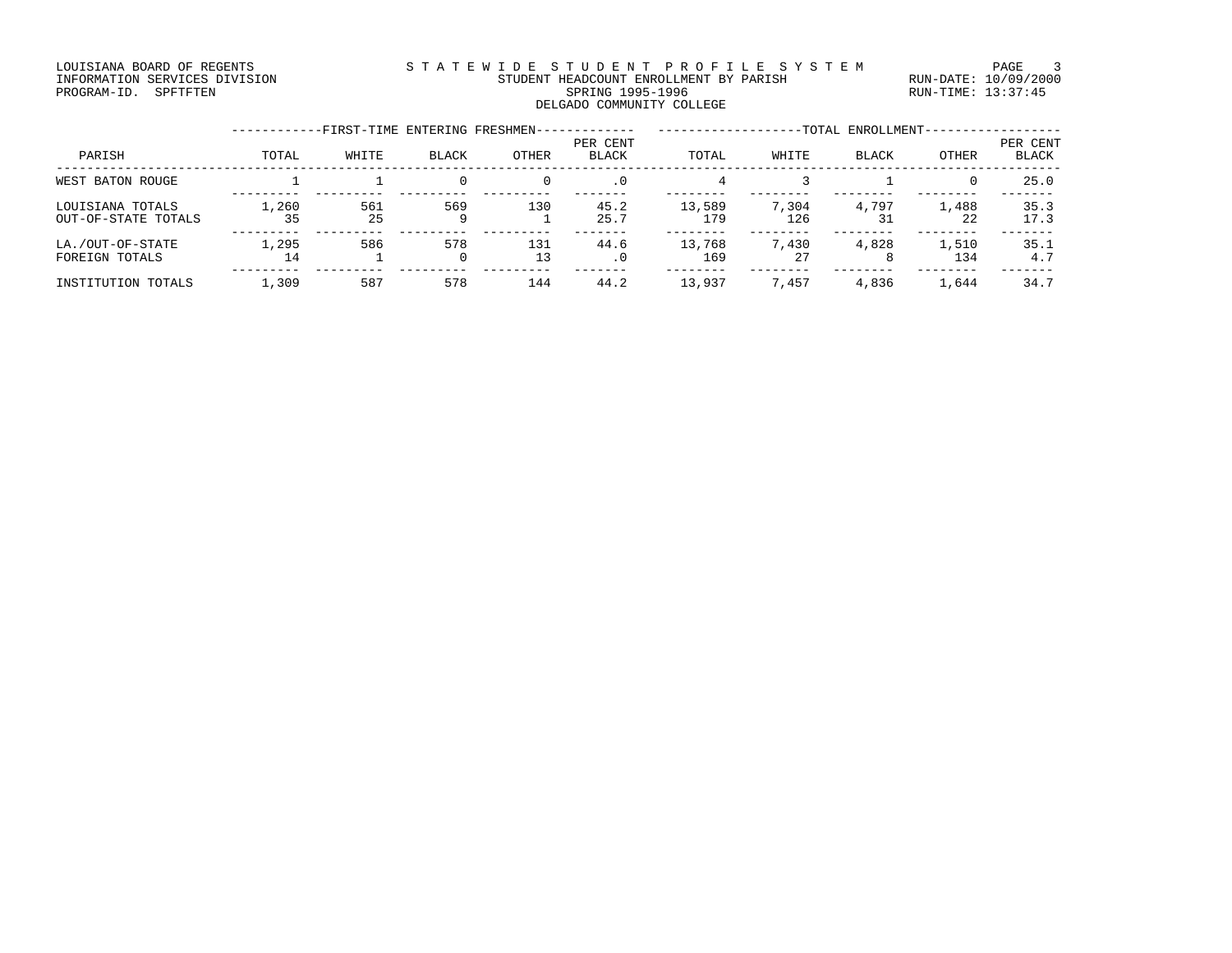#### LOUISIANA BOARD OF REGENTS STATEWIDE STUDENT PROFILE SYSTEM PAGE 3 INFORMATION SERVICES DIVISION STUDENT HEADCOUNT ENROLLMENT BY PARISH RUN-DATE: 10/09/2000 PROGRAM-ID. SPFTFTEN SARE SERING 1995-1996 SPRING 1995-1996 RUN-TIME: 13:37:45 DELGADO COMMUNITY COLLEGE

|                                         |             | -FIRST-TIME ENTERING FRESHMEN- |              |           |                          |               |              | -TOTAL ENROLLMENT- |              |                   |
|-----------------------------------------|-------------|--------------------------------|--------------|-----------|--------------------------|---------------|--------------|--------------------|--------------|-------------------|
| PARISH                                  | TOTAL       | WHITE                          | BLACK        | OTHER     | PER CENT<br><b>BLACK</b> | TOTAL         | WHITE        | BLACK              | OTHER        | PER CENT<br>BLACK |
| WEST BATON ROUGE                        |             |                                | $\mathbf{0}$ |           | $\cdot$ 0                | 4             |              |                    | $\Omega$     | 25.0              |
| LOUISIANA TOTALS<br>OUT-OF-STATE TOTALS | 1,260<br>35 | 561<br>25                      | 569<br>9     | 130       | 45.2<br>25.7             | 13,589<br>179 | 7,304<br>126 | 4,797<br>31        | 1,488<br>22  | 35.3<br>17.3      |
| LA./OUT-OF-STATE<br>FOREIGN TOTALS      | 1,295<br>14 | 586                            | 578<br>0     | 131<br>13 | 44.6<br>$\cdot$ 0        | 13,768<br>169 | 7,430<br>27  | 4,828              | 1,510<br>134 | 35.1<br>4.7       |
| INSTITUTION TOTALS                      | 1,309       | 587                            | 578          | 144       | 44.2                     | 13,937        | 7,457        | 4,836              | 1,644        | 34.7              |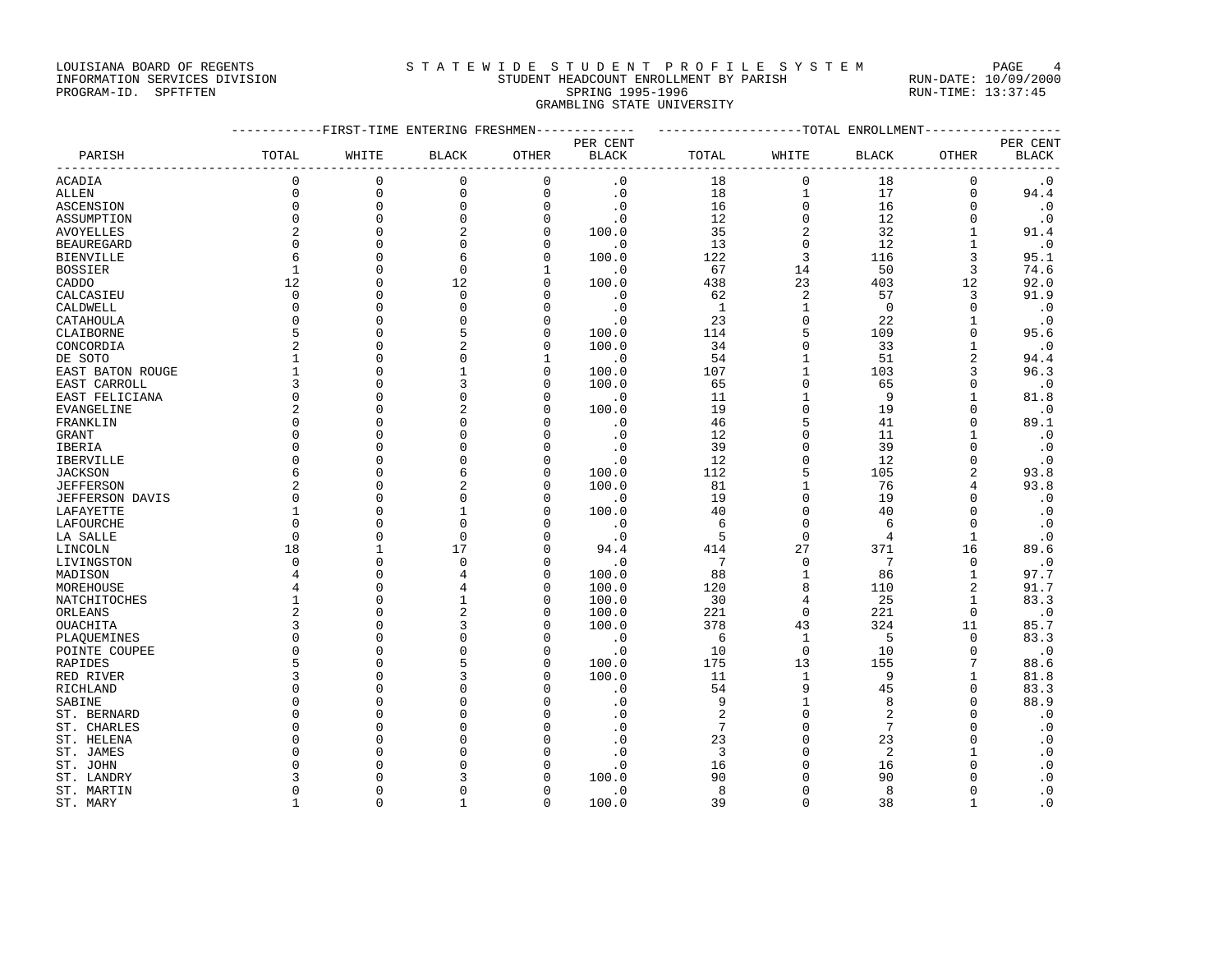#### LOUISIANA BOARD OF REGENTS STA TEWIDE STUDENT PROFILE SYSTEM PAGE 4 INFORMATION SERVICES DIVISION STUDENT HEADCOUNT ENROLLMENT BY PARISH RUN-DATE: 10/09/2000

PROGRAM-ID. SPFTFTEN SARE SERING 1995-1996 SPRING 1995-1996 RUN-TIME: 13:37:45 GRAMBLING STATE UNIVERSITY

|                              | -----------FIRST-TIME ENTERING FRESHMEN------------- | -------------------TOTAL ENROLLMENT--------------- |                |                      |                             |                 |                         |                 |                      |                   |
|------------------------------|------------------------------------------------------|----------------------------------------------------|----------------|----------------------|-----------------------------|-----------------|-------------------------|-----------------|----------------------|-------------------|
|                              |                                                      |                                                    |                |                      | PER CENT                    |                 |                         |                 |                      | PER CENT          |
| PARISH                       | TOTAL                                                | WHITE                                              | BLACK          | OTHER                | BLACK                       | TOTAL           | WHITE                   | <b>BLACK</b>    | OTHER                | BLACK             |
| <b>ACADIA</b>                | $\Omega$                                             | $\mathbf 0$                                        | 0              | $\mathbf 0$          | $\cdot$ 0                   | 18              | $\mathsf 0$             | 18              | $\mathbf 0$          | $\cdot$ 0         |
| ALLEN                        | $\Omega$                                             | $\mathbf 0$                                        | $\mathbf 0$    | $\mathsf{O}$         | $\cdot$ 0                   | 18              | $\mathbf 1$             | 17              | $\mathbf 0$          | 94.4              |
| <b>ASCENSION</b>             | $\Omega$                                             | $\mathbf 0$                                        | $\mathbf 0$    | $\mathbf 0$          | $\cdot$ 0                   | 16              | $\mathbf 0$             | 16              | $\mathbf 0$          | $\cdot$ 0         |
| ASSUMPTION                   | $\mathbf 0$                                          | $\mathbf 0$                                        | $\mathbf 0$    | $\mathbf 0$          | $\cdot$ .0                  | 12              | $\mathsf{O}\xspace$     | 12              | $\mathbf 0$          | $\cdot$ 0         |
| AVOYELLES                    | 2                                                    | $\mathbf 0$                                        | 2              | $\mathbf 0$          | 100.0                       | 35              | $\sqrt{2}$              | 32              | $\mathbf{1}$         | 91.4              |
| <b>BEAUREGARD</b>            | $\Omega$                                             | $\Omega$                                           | $\Omega$       | $\Omega$             | $\cdot$ 0                   | 13              | $\mathsf{O}$            | 12              | $\mathbf{1}$         | $\cdot$ 0         |
| <b>BIENVILLE</b>             | 6                                                    | $\Omega$                                           | 6              | $\Omega$             | 100.0                       | 122             | $\overline{3}$          | 116             | $\overline{3}$       | 95.1              |
| <b>BOSSIER</b>               | $\mathbf{1}$                                         | $\mathbf 0$                                        | $\mathbf 0$    | 1                    | $\overline{\phantom{0}}$ .0 | 67              | 14                      | 50              | 3                    | 74.6              |
| CADDO                        | 12                                                   | $\mathbf 0$                                        | 12             | $\Omega$             | 100.0                       | 438             | 23                      | 403             | 12                   | 92.0              |
| CALCASIEU                    | $\Omega$                                             | $\Omega$                                           | $\Omega$       | $\Omega$             | $\cdot$ 0                   | 62              | 2                       | 57              | 3                    | 91.9              |
| CALDWELL                     | $\Omega$                                             | $\Omega$                                           | $\Omega$       | $\Omega$             | $\cdot$ 0                   | $\overline{1}$  | $\mathbf{1}$            | $\overline{0}$  | $\Omega$             | $\cdot$ 0         |
| CATAHOULA                    | $\mathbf 0$                                          | $\mathbf 0$                                        | 0              | $\mathbf 0$          | $\cdot$ 0                   | 23              | $\mathsf 0$             | 22              | $\mathbf{1}$         | $\cdot$ 0         |
| CLAIBORNE                    | 5                                                    | $\Omega$                                           |                | $\Omega$             | 100.0                       | 114             | 5                       | 109             | $\Omega$             | 95.6              |
| CONCORDIA                    | $\overline{2}$                                       | $\Omega$                                           | $\overline{2}$ | $\Omega$             | 100.0                       | 34              | $\mathbf 0$             | 33              | $\mathbf{1}$         | $\cdot$ 0         |
| DE SOTO                      | $\mathbf{1}$                                         | $\Omega$                                           | $\Omega$       | $\mathbf{1}$         | $\overline{\phantom{0}}$ .0 | 54              | $\mathbf{1}$            | 51              | 2                    | 94.4              |
| EAST BATON ROUGE             | $\mathbf{1}$                                         | $\mathbf 0$                                        | $\mathbf{1}$   | 0                    | 100.0                       | 107             | $1\,$                   | 103             | 3                    | 96.3              |
| EAST CARROLL                 | 3                                                    | $\Omega$                                           | 3              | $\Omega$             | 100.0                       | 65              | $\mathbf 0$             | 65              | $\Omega$             | $\cdot$ 0         |
| EAST FELICIANA               | $\Omega$                                             | $\Omega$                                           | $\Omega$       | 0                    | $\overline{\phantom{0}}$ .0 | 11              | $\mathbf{1}$            | 9               | $\mathbf{1}$         | 81.8              |
| EVANGELINE                   | $\overline{a}$                                       | $\Omega$                                           | 2              | $\Omega$             | 100.0                       | 19              | $\mathbf 0$             | 19              | $\Omega$             | $\cdot$ 0         |
| FRANKLIN                     | $\Omega$                                             | $\Omega$                                           | $\Omega$       | U                    | $\overline{\phantom{0}}$ .0 | 46              | 5                       | 41              | $\Omega$             | 89.1              |
| <b>GRANT</b>                 | $\Omega$                                             | $\Omega$                                           | $\Omega$       | $\Omega$             | $\cdot$ 0                   | 12              | $\overline{0}$          | 11              | $\mathbf{1}$         | $\cdot$ 0         |
| IBERIA                       | $\Omega$                                             | $\Omega$                                           | $\Omega$       | $\Omega$             | $\cdot$ 0                   | 39              | $\mathbf 0$             | 39              | $\Omega$             | $\cdot$ 0         |
| IBERVILLE                    | $\mathbf 0$                                          | $\Omega$                                           | $\Omega$       | $\mathbf 0$          | $\cdot$ 0                   | 12              | $\mathbf 0$             | 12              | $\mathbf 0$          | $\cdot$ 0         |
| <b>JACKSON</b>               | 6                                                    | $\Omega$                                           | 6              | $\mathbf 0$          | 100.0                       | 112             | 5                       | 105             | $\overline{2}$       | 93.8              |
| <b>JEFFERSON</b>             | $\overline{2}$                                       | $\Omega$                                           |                | $\Omega$             | 100.0                       | 81              | $\mathbf{1}$            | 76              | 4                    | 93.8              |
| JEFFERSON DAVIS              | $\mathbf 0$                                          | $\Omega$                                           | 0              | 0                    | $\cdot$ 0                   | 19              | $\mathbb O$             | 19              | $\Omega$             | $\cdot$ 0         |
| LAFAYETTE                    | $\mathbf{1}$                                         | $\Omega$                                           | $\mathbf{1}$   | $\Omega$             | 100.0                       | 40              | $\Omega$                | 40              | $\Omega$             | $\cdot$ 0         |
| LAFOURCHE                    | $\Omega$                                             | $\Omega$                                           | $\Omega$       | $\Omega$             | $\overline{\phantom{0}}$ .0 | 6               | $\mathsf 0$             | 6               | $\mathbf{0}$         | $\cdot$ 0         |
| LA SALLE                     | $\Omega$                                             | $\mathbf{0}$                                       | $\mathbf 0$    | O                    | $\cdot$ 0                   | 5               | $\mathsf 0$             | 4               | $\mathbf{1}$         | $\cdot$ 0         |
| LINCOLN                      | 18                                                   | $\mathbf{1}$                                       | 17             | $\Omega$             | 94.4                        | 414             | 27                      | 371             | 16                   | 89.6              |
| LIVINGSTON                   | $\Omega$                                             | $\Omega$                                           | $\Omega$       | $\Omega$             | $\cdot$ 0                   | $7\phantom{.0}$ | $\mathbf 0$             | $7\phantom{.0}$ | $\Omega$             | $\cdot$ 0         |
| MADISON                      | 4                                                    | $\mathbf{0}$                                       |                | $\mathbf 0$          | 100.0                       | 88              | $\mathbf{1}$            | 86              | $\mathbf{1}$         | 97.7              |
| MOREHOUSE                    | 4                                                    | $\Omega$                                           |                | $\mathbf 0$          | 100.0                       | 120             | 8                       | 110             | $\overline{a}$       | 91.7              |
| NATCHITOCHES                 | $\mathbf{1}$                                         | $\Omega$                                           | $\mathbf{1}$   | $\Omega$             | 100.0                       | 30              | $\overline{4}$          | 25              | $\mathbf{1}$         | 83.3              |
| ORLEANS                      | $\overline{a}$                                       | $\Omega$                                           |                | $\Omega$             | 100.0                       | 221             | $\Omega$                | 221             | $\Omega$             | $\cdot$ 0         |
| OUACHITA                     | 3                                                    | $\Omega$                                           |                | 0                    | 100.0                       | 378             | 43                      | 324             | 11                   | 85.7              |
|                              | $\Omega$                                             | $\Omega$                                           |                | $\Omega$             | $\cdot$ 0                   | 6               | $\mathbf{1}$            | $-5$            | $\Omega$             | 83.3              |
| PLAQUEMINES<br>POINTE COUPEE | $\Omega$                                             | $\Omega$                                           | $\Omega$       | $\Omega$             | $\cdot$ 0                   | 10              | $\Omega$                | 10              | $\Omega$             |                   |
|                              | 5                                                    | $\Omega$                                           | 5              | $\Omega$             | 100.0                       | 175             | 13                      | 155             | 7                    | $\cdot$ 0<br>88.6 |
| RAPIDES                      | 3                                                    | $\Omega$                                           |                |                      |                             |                 |                         |                 |                      |                   |
| RED RIVER                    | $\Omega$                                             | $\Omega$                                           | 3              | 0<br>$\Omega$        | 100.0                       | 11              | 1<br>9                  | 9<br>45         | 1<br>$\Omega$        | 81.8              |
| RICHLAND                     |                                                      |                                                    |                |                      | $\cdot$ 0                   | 54              |                         | 8               |                      | 83.3              |
| SABINE                       | $\Omega$                                             | $\Omega$<br>$\Omega$                               | $\Omega$       | $\Omega$             | $\cdot$ 0                   | 9               | $\mathbf{1}$            |                 | $\Omega$<br>$\Omega$ | 88.9              |
| ST. BERNARD                  | $\Omega$                                             | $\Omega$                                           | $\Omega$       | $\Omega$<br>$\Omega$ | $\cdot$ 0                   | 2               | $\mathbf 0$<br>$\Omega$ | 2<br>7          | $\Omega$             | $\cdot$ 0         |
| ST. CHARLES                  | $\Omega$<br>$\Omega$                                 | $\Omega$                                           | <sup>0</sup>   |                      | $\cdot$ 0                   | 7               |                         |                 | $\Omega$             | $\cdot$ 0         |
| ST. HELENA                   |                                                      |                                                    |                | $\Omega$             | $\cdot$ 0                   | 23              | $\mathbf 0$             | 23              |                      | $\cdot$ 0         |
| ST. JAMES                    | $\Omega$                                             | $\Omega$                                           |                | $\Omega$             | $\cdot$ 0                   | $\overline{3}$  | $\mathbf 0$             | 2               | $\mathbf{1}$         | $\cdot$ 0         |
| ST. JOHN                     | $\Omega$                                             | $\Omega$                                           |                | <sup>0</sup>         | $\cdot$ 0                   | 16              | $\Omega$                | 16              | $\Omega$             | $\cdot$ 0         |
| ST. LANDRY                   | ζ                                                    | $\Omega$                                           |                | O                    | 100.0                       | 90              | $\mathbf 0$             | 90              | $\Omega$             | $\cdot$ 0         |
| ST. MARTIN                   | $\Omega$                                             | $\Omega$                                           | $\Omega$       | 0                    | $\cdot$ 0                   | 8               | $\mathbf 0$             | 8               | $\Omega$             | $\cdot$ 0         |
| ST. MARY                     | $\mathbf{1}$                                         | $\Omega$                                           | $\mathbf{1}$   | $\Omega$             | 100.0                       | 39              | $\Omega$                | 38              | $\mathbf{1}$         | $\cdot$ 0         |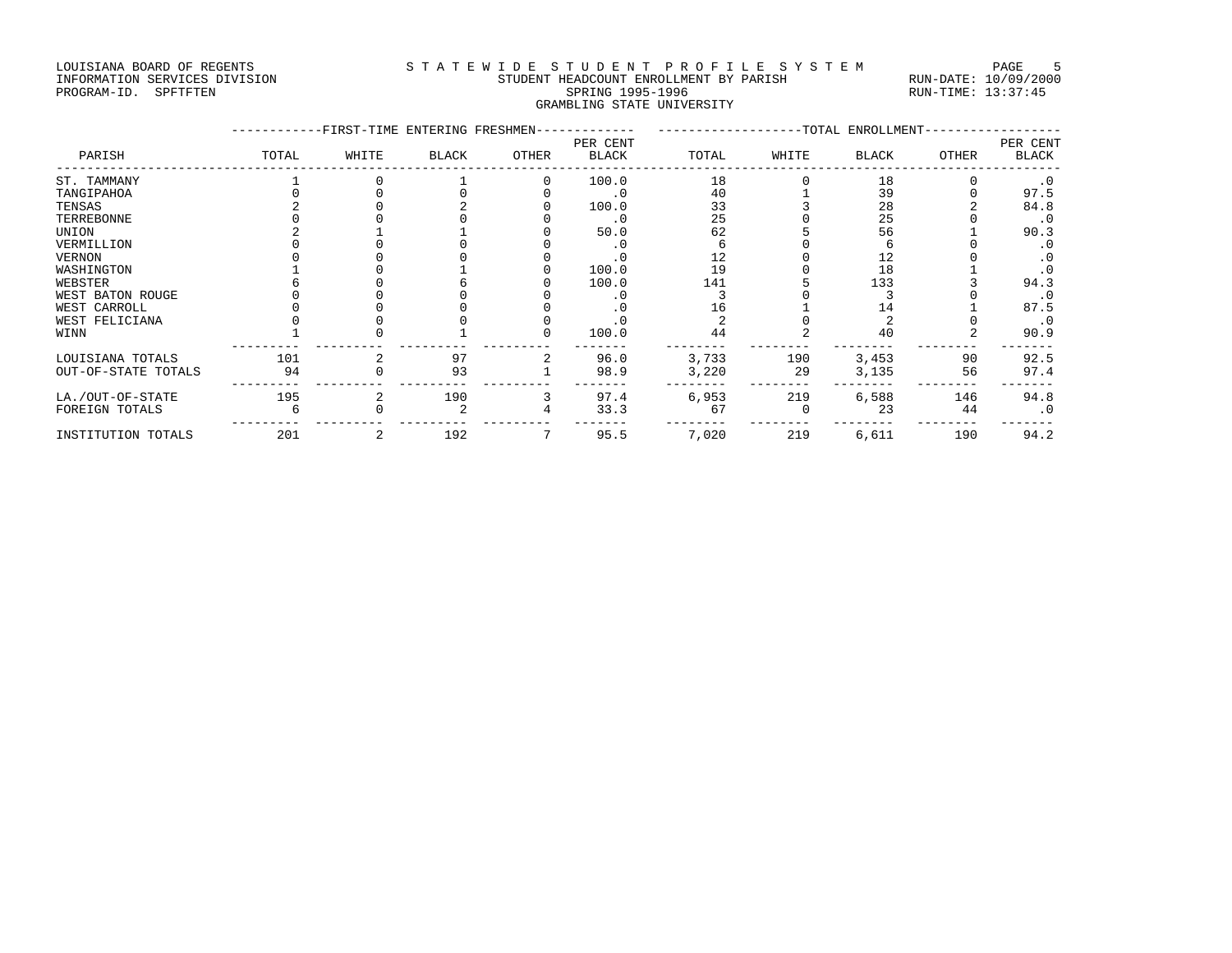## LOUISIANA BOARD OF REGENTS STATEWIDE STUDENT PROFILE SYSTEM PAGE 5 INFORMATION SERVICES DIVISION STUDENT HEADCOUNT ENROLLMENT BY PARISH RUN-DATE: 10/09/2000

# PROGRAM-ID. SPFTFTEN SARE SERING 1995-1996 SPRING 1995-1996 RUN-TIME: 13:37:45 GRAMBLING STATE UNIVERSITY

|                     | -FIRST-TIME ENTERING FRESHMEN- | ------------------TOTAL ENROLLMENT- |              |              |                          |       |       |       |              |                          |
|---------------------|--------------------------------|-------------------------------------|--------------|--------------|--------------------------|-------|-------|-------|--------------|--------------------------|
| PARISH              | TOTAL                          | WHITE                               | <b>BLACK</b> | <b>OTHER</b> | PER CENT<br><b>BLACK</b> | TOTAL | WHITE | BLACK | <b>OTHER</b> | PER CENT<br><b>BLACK</b> |
| ST. TAMMANY         |                                |                                     |              |              | 100.0                    | 18    |       | 18    |              | $\cdot$ 0                |
| TANGIPAHOA          |                                |                                     |              |              | . 0                      | 40    |       | 39    |              | 97.5                     |
| TENSAS              |                                |                                     |              |              | 100.0                    | 33    |       | 28    |              | 84.8                     |
| TERREBONNE          |                                |                                     |              |              | . 0                      | 25    |       | 25    |              | . 0                      |
| UNION               |                                |                                     |              |              | 50.0                     | 62    |       | 56    |              | 90.3                     |
| VERMILLION          |                                |                                     |              |              | . 0                      |       |       |       |              | . 0                      |
| VERNON              |                                |                                     |              |              | . 0                      | 12    |       | 12    |              | . 0                      |
| WASHINGTON          |                                |                                     |              |              | 100.0                    | 19    |       | 18    |              | $\cdot$ 0                |
| WEBSTER             |                                |                                     |              |              | 100.0                    | 141   |       | 133   |              | 94.3                     |
| WEST BATON ROUGE    |                                |                                     |              |              |                          |       |       |       |              | . 0                      |
| WEST CARROLL        |                                |                                     |              |              | . 0                      |       |       | 14    |              | 87.5                     |
| WEST FELICIANA      |                                |                                     |              |              |                          |       |       |       |              | $\cdot$ 0                |
| WINN                |                                |                                     |              |              | 100.0                    | 44    |       | 40    |              | 90.9                     |
| LOUISIANA TOTALS    | 101                            |                                     | 97           |              | 96.0                     | 3,733 | 190   | 3,453 | 90           | 92.5                     |
| OUT-OF-STATE TOTALS | 94                             |                                     | 93           |              | 98.9                     | 3,220 | 29    | 3,135 | 56           | 97.4                     |
| LA./OUT-OF-STATE    | 195                            |                                     | 190          |              | 97.4                     | 6,953 | 219   | 6,588 | 146          | 94.8                     |
| FOREIGN TOTALS      |                                |                                     |              |              | 33.3                     | 67    |       | 23    | 44           | $\cdot$ 0                |
| INSTITUTION TOTALS  | 201                            | 2                                   | 192          |              | 95.5                     | 7,020 | 219   | 6,611 | 190          | 94.2                     |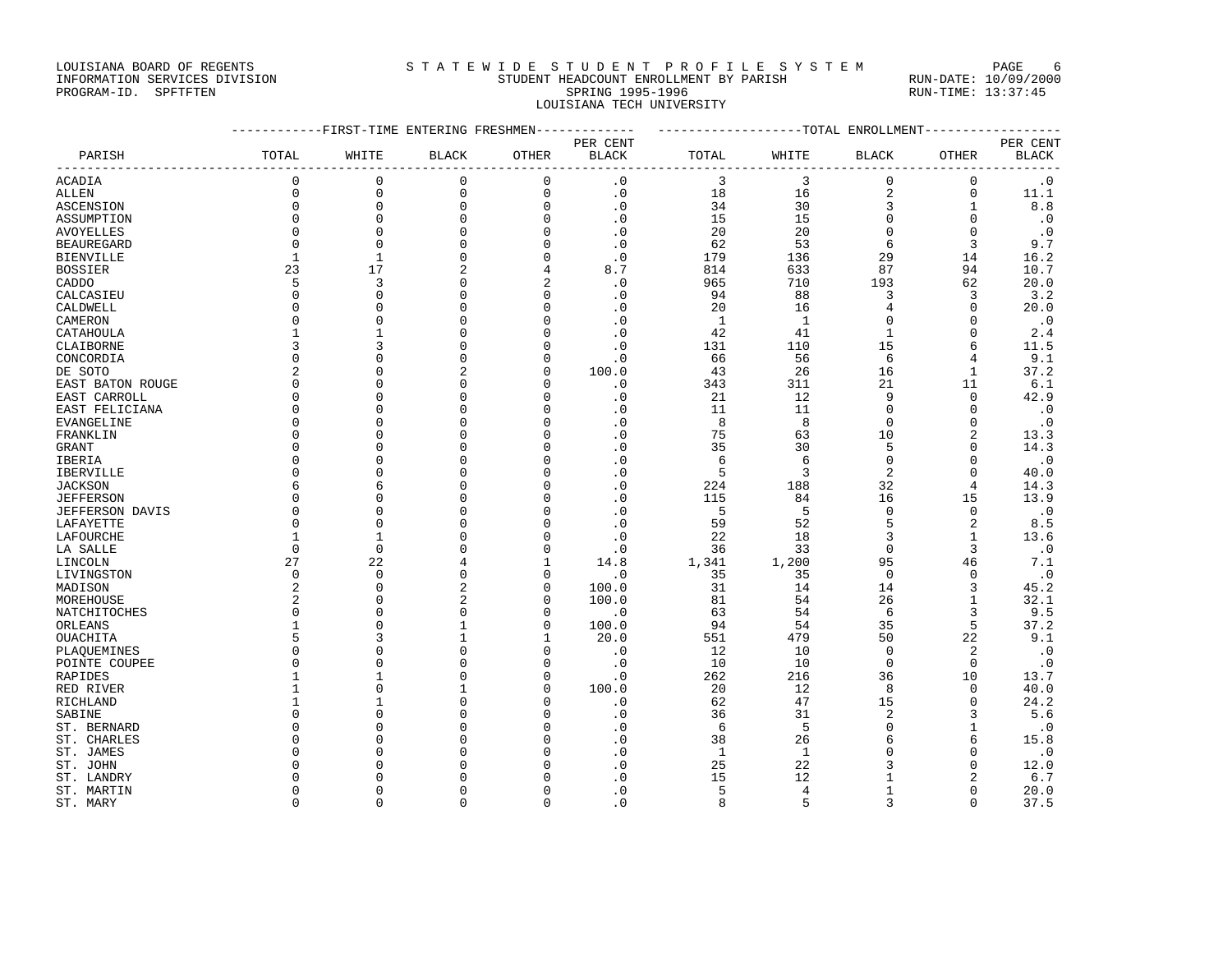### LOUISIANA BOARD OF REGENTS STATEWIDE STUDENT PROFILE SYSTEM PAGE 6 INFORMATION SERVICES DIVISION STUDENT HEADCOUNT ENROLLMENT BY PARISH RUN-DATE: 10/09/2000

# PROGRAM-ID. SPFTFTEN SARE SERING 1995-1996 SPRING 1995-1996 RUN-TIME: 13:37:45 LOUISIANA TECH UNIVERSITY

|                        | -----------FIRST-TIME ENTERING FRESHMEN------------- |              |              |             |                | ------------------TOTAL ENROLLMENT----------------- |                |                         |                |              |
|------------------------|------------------------------------------------------|--------------|--------------|-------------|----------------|-----------------------------------------------------|----------------|-------------------------|----------------|--------------|
|                        |                                                      |              |              |             | PER CENT       |                                                     |                |                         |                | PER CENT     |
| PARISH                 | TOTAL                                                | WHITE        | <b>BLACK</b> | OTHER       | <b>BLACK</b>   | TOTAL                                               | WHITE          | <b>BLACK</b>            | OTHER          | <b>BLACK</b> |
| ACADIA                 | $\mathbf 0$                                          | $\mathbf 0$  | 0            | 0           | $\cdot$ 0      | 3                                                   | 3              | $\mathbf 0$             | $\mathbf 0$    | $\cdot$ 0    |
| ALLEN                  | $\mathbf 0$                                          | $\mathbf{0}$ | $\mathbf{0}$ | $\mathsf 0$ | $\cdot$ 0      | 18                                                  | 16             | $\overline{\mathbf{c}}$ | $\mathbf 0$    | 11.1         |
| ASCENSION              | $\mathbf 0$                                          | $\mathbf{0}$ | $\Omega$     | $\mathbf 0$ | $\cdot$ 0      | 34                                                  | 30             | 3                       | $\mathbf{1}$   | 8.8          |
| ASSUMPTION             | $\mathbf{0}$                                         | $\Omega$     | 0            | $\mathbf 0$ | $\cdot$ 0      | 15                                                  | 15             | $\mathbf 0$             | $\mathbf 0$    | $\cdot$ 0    |
| AVOYELLES              | $\Omega$                                             | $\Omega$     | $\Omega$     | $\Omega$    | $\cdot$ 0      | 20                                                  | 20             | $\Omega$                | $\Omega$       | $\cdot$ 0    |
| <b>BEAUREGARD</b>      | $\Omega$                                             | $\Omega$     | $\Omega$     | 0           | $\cdot$ 0      | 62                                                  | 53             | 6                       | 3              | 9.7          |
| <b>BIENVILLE</b>       | $\mathbf{1}$                                         | $\mathbf{1}$ | U            | $\Omega$    | $\cdot$ 0      | 179                                                 | 136            | 29                      | 14             | 16.2         |
| <b>BOSSIER</b>         | 23                                                   | 17           |              | 4           | 8.7            | 814                                                 | 633            | 87                      | 94             | 10.7         |
| CADDO                  | 5                                                    | 3            | 0            | 2           | $\cdot$ 0      | 965                                                 | 710            | 193                     | 62             | 20.0         |
| CALCASIEU              | $\Omega$                                             | $\Omega$     | $\Omega$     | $\Omega$    | $\cdot$ 0      | 94                                                  | 88             | 3                       | 3              | 3.2          |
| CALDWELL               | $\Omega$                                             | ∩            | U            | 0           | $\cdot$ 0      | 20                                                  | 16             | 4                       | $\mathbf 0$    | 20.0         |
| CAMERON                | $\Omega$                                             | $\cap$       | n            | $\Omega$    | $\cdot$ 0      | 1                                                   | 1              | $\cap$                  | $\Omega$       | $\cdot$ 0    |
| CATAHOULA              | 1                                                    | 1            | U            | 0           | $\cdot$ 0      | 42                                                  | 41             | 1                       | $\mathbf 0$    | 2.4          |
| CLAIBORNE              | 3                                                    | 3            |              | U           | $\cdot$ 0      | 131                                                 | 110            | 15                      | 6              | 11.5         |
| CONCORDIA              | $\Omega$                                             |              | n            | U           | $\cdot$ 0      | 66                                                  | 56             | 6                       | 4              | 9.1          |
| DE SOTO                | $\overline{2}$                                       | ∩            |              | $\Omega$    | 100.0          | 43                                                  | 26             | 16                      | $\mathbf{1}$   | 37.2         |
| EAST BATON ROUGE       | $\Omega$                                             | $\Omega$     | n            | O           | $\cdot$ 0      | 343                                                 | 311            | 21                      | 11             | 6.1          |
| EAST CARROLL           | $\Omega$                                             | $\cap$       |              | U           | $\cdot$ 0      | 21                                                  | 12             | 9                       | $\Omega$       | 42.9         |
| EAST FELICIANA         | $\mathbf 0$                                          | $\cap$       |              | O           | $\cdot$ 0      | 11                                                  | 11             | $\Omega$                | $\mathbf 0$    | $\cdot$ 0    |
| EVANGELINE             | 0                                                    | ∩            |              | O           | $\cdot$ 0      | 8                                                   | 8              | $\Omega$                | $\mathbf 0$    | $\cdot$ 0    |
| FRANKLIN               | $\Omega$                                             |              |              | O           | $\overline{0}$ | 75                                                  | 63             | 10                      | $\overline{2}$ | 13.3         |
| GRANT                  | 0                                                    | O            |              | 0           | $\cdot$ 0      | 35                                                  | 30             | 5                       | 0              | 14.3         |
| IBERIA                 | $\Omega$                                             |              |              | O           | $\overline{0}$ | 6                                                   | 6              | $\Omega$                | $\Omega$       | $\cdot$ 0    |
| IBERVILLE              | $\Omega$                                             | $\cap$       |              | U           | $\cdot$ 0      | 5                                                   | 3              | 2                       | $\mathbf 0$    | 40.0         |
| <b>JACKSON</b>         | 6                                                    | 6            |              | O           | $\cdot$ 0      | 224                                                 | 188            | 32                      | 4              | 14.3         |
| <b>JEFFERSON</b>       | 0                                                    | $\Omega$     | U            | U           | $\cdot$ 0      | 115                                                 | 84             | 16                      | 15             | 13.9         |
| <b>JEFFERSON DAVIS</b> | $\Omega$                                             | $\cap$       |              | $\Omega$    | $\cdot$ 0      | 5                                                   | 5              | $\Omega$                | $\Omega$       | $\cdot$ 0    |
| LAFAYETTE              | $\Omega$                                             | $\Omega$     |              | O           | $\cdot$ 0      | 59                                                  | 52             | 5                       | $\overline{2}$ | 8.5          |
| LAFOURCHE              | 1                                                    | $\mathbf{1}$ |              | O           | $\cdot$ 0      | 22                                                  | 18             | 3                       | 1              | 13.6         |
| LA SALLE               | $\Omega$                                             | $\Omega$     | n            | $\Omega$    | $\cdot$ 0      | 36                                                  | 33             | $\mathbf 0$             | 3              | $\cdot$ 0    |
| LINCOLN                | 27                                                   | 22           |              | 1           | 14.8           | 1,341                                               | 1,200          | 95                      | 46             | 7.1          |
| LIVINGSTON             | $\mathbf 0$                                          | $\Omega$     |              | $\mathbf 0$ | $\cdot$ 0      | 35                                                  | 35             | $\mathbf 0$             | $\Omega$       | $\cdot$ 0    |
| MADISON                | $\overline{a}$                                       | $\Omega$     |              | $\Omega$    | 100.0          | 31                                                  | 14             | 14                      | 3              | 45.2         |
| MOREHOUSE              | $\overline{2}$                                       | $\cap$       |              | $\Omega$    | 100.0          | 81                                                  | 54             | 26                      | $\mathbf{1}$   | 32.1         |
| NATCHITOCHES           | $\Omega$                                             | $\Omega$     | U            | 0           | $\cdot$ 0      | 63                                                  | 54             | 6                       | 3              | 9.5          |
| ORLEANS                | 1                                                    | $\Omega$     |              | $\mathbf 0$ | 100.0          | 94                                                  | 54             | 35                      | 5              | 37.2         |
| OUACHITA               | 5                                                    | 3            |              | 1           | 20.0           | 551                                                 | 479            | 50                      | 22             | 9.1          |
| PLAOUEMINES            | $\Omega$                                             |              |              | U           | $\cdot$ 0      | 12                                                  | 10             | $\Omega$                | 2              | $\cdot$ 0    |
| POINTE COUPEE          | $\Omega$                                             | $\Omega$     | n            | O           | $\cdot$ 0      | 10                                                  | 10             | $\mathbf 0$             | $\mathbf 0$    | $\cdot$ 0    |
| RAPIDES                |                                                      |              |              | 0           | . 0            | 262                                                 | 216            | 36                      | 10             | 13.7         |
| RED RIVER              | 1                                                    |              |              | U           | 100.0          | 20                                                  | 12             | 8                       | $\mathbf 0$    | 40.0         |
| RICHLAND               | 1                                                    |              |              | U           | $\cdot$ 0      | 62                                                  | 47             | 15                      | $\Omega$       | 24.2         |
| SABINE                 | $\Omega$                                             | $\cap$       |              | O           | $\cdot$ 0      | 36                                                  | 31             | $\overline{2}$          | 3              | 5.6          |
| ST. BERNARD            | $\Omega$                                             |              |              | U           | $\cdot$ 0      | 6                                                   | 5              | $\Omega$                | 1              | $\cdot$ 0    |
| ST. CHARLES            | $\Omega$                                             |              |              | O           | $\cdot$ 0      | 38                                                  | 26             | 6                       | 6              | 15.8         |
| ST. JAMES              | $\Omega$                                             |              |              |             | $\cdot$ 0      | $\mathbf{1}$                                        | $\mathbf{1}$   |                         | $\Omega$       | $\cdot$ 0    |
| ST. JOHN               | $\cap$                                               |              |              | U           | $\cdot$ 0      | 25                                                  | 22             |                         | $\Omega$       | 12.0         |
| ST. LANDRY             | U                                                    |              |              |             | $\Omega$       | 15                                                  | 12             |                         | 2              | 6.7          |
| ST. MARTIN             | $\Omega$                                             | $\cap$       |              | U           | $\cdot$ 0      | 5                                                   | $\overline{4}$ |                         | $\mathbf 0$    | 20.0         |
| ST. MARY               | $\Omega$                                             | $\Omega$     | $\cap$       | $\Omega$    | $\Omega$       | 8                                                   | 5              | κ                       | $\Omega$       | 37.5         |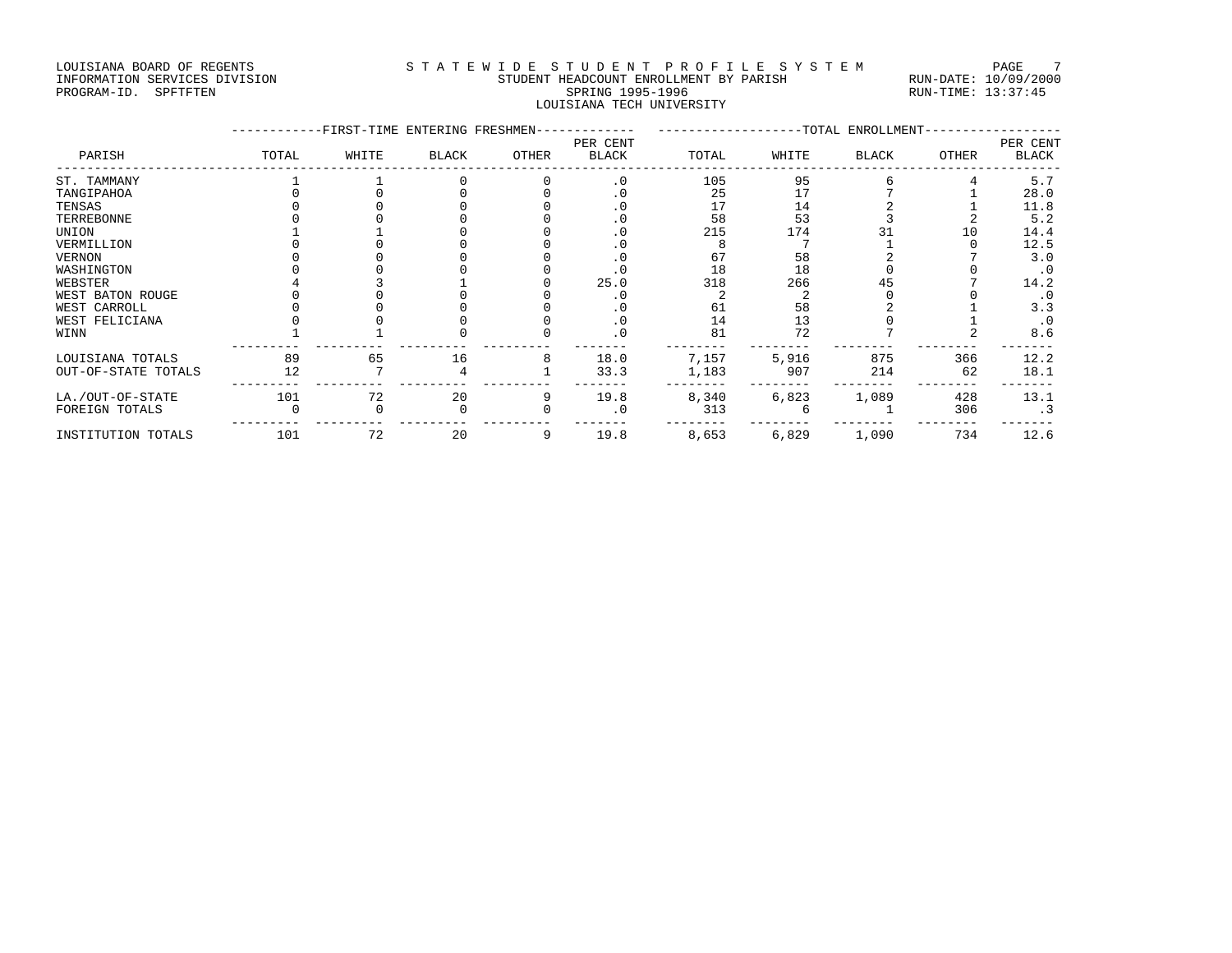#### LOUISIANA BOARD OF REGENTS STA TEWIDE STUDENT PROFILE SYSTEM PAGE 7 INFORMATION SERVICES DIVISION STUDENT HEADCOUNT ENROLLMENT BY PARISH RUN-DATE: 10/09/2000 PROGRAM-ID. SPFTFTEN SARE SERING 1995-1996 SPRING 1995-1996 RUN-TIME: 13:37:45 LOUISIANA TECH UNIVERSITY

|                     |       | -FIRST-TIME ENTERING FRESHMEN- |              |       |                          | -TOTAL ENROLLMENT |       |       |       |                          |
|---------------------|-------|--------------------------------|--------------|-------|--------------------------|-------------------|-------|-------|-------|--------------------------|
| PARISH              | TOTAL | WHITE                          | <b>BLACK</b> | OTHER | PER CENT<br><b>BLACK</b> | TOTAL             | WHITE | BLACK | OTHER | PER CENT<br><b>BLACK</b> |
| ST. TAMMANY         |       |                                |              |       | $\cdot$ 0                | 105               | 95    |       |       | 5.7                      |
| TANGIPAHOA          |       |                                |              |       |                          | 25                | 17    |       |       | 28.0                     |
| TENSAS              |       |                                |              |       |                          | 17                | 14    |       |       | 11.8                     |
| TERREBONNE          |       |                                |              |       |                          | 58                | 53    |       |       | 5.2                      |
| UNION               |       |                                |              |       |                          | 215               | 174   |       | 10    | 14.4                     |
| VERMILLION          |       |                                |              |       |                          |                   |       |       |       | 12.5                     |
| VERNON              |       |                                |              |       |                          | 67                | 58    |       |       | 3.0                      |
| WASHINGTON          |       |                                |              |       |                          | 18                | 18    |       |       | $\cdot$ 0                |
| WEBSTER             |       |                                |              |       | 25.0                     | 318               | 266   | 45    |       | 14.2                     |
| WEST BATON ROUGE    |       |                                |              |       |                          |                   |       |       |       | $\cdot$ 0                |
| WEST CARROLL        |       |                                |              |       | . U                      | 61                | 58    |       |       | 3.3                      |
| WEST FELICIANA      |       |                                |              |       | . ∪                      | 14                | 13    |       |       | $\cdot$ 0                |
| WINN                |       |                                |              |       | $\cdot$ 0                | 81                | 72    |       |       | 8.6                      |
| LOUISIANA TOTALS    | 89    | 65                             | 16           |       | 18.0                     | 7,157             | 5,916 | 875   | 366   | 12.2                     |
| OUT-OF-STATE TOTALS | 12    |                                |              |       | 33.3                     | 1,183             | 907   | 214   | 62    | 18.1                     |
| LA./OUT-OF-STATE    | 101   | 72                             | 20           | 9     | 19.8                     | 8,340             | 6,823 | 1,089 | 428   | 13.1                     |
| FOREIGN TOTALS      |       |                                |              |       | . 0                      | 313               |       |       | 306   | $\cdot$ 3                |
| INSTITUTION TOTALS  | 101   | 72                             | 20           | 9     | 19.8                     | 8,653             | 6,829 | 1,090 | 734   | 12.6                     |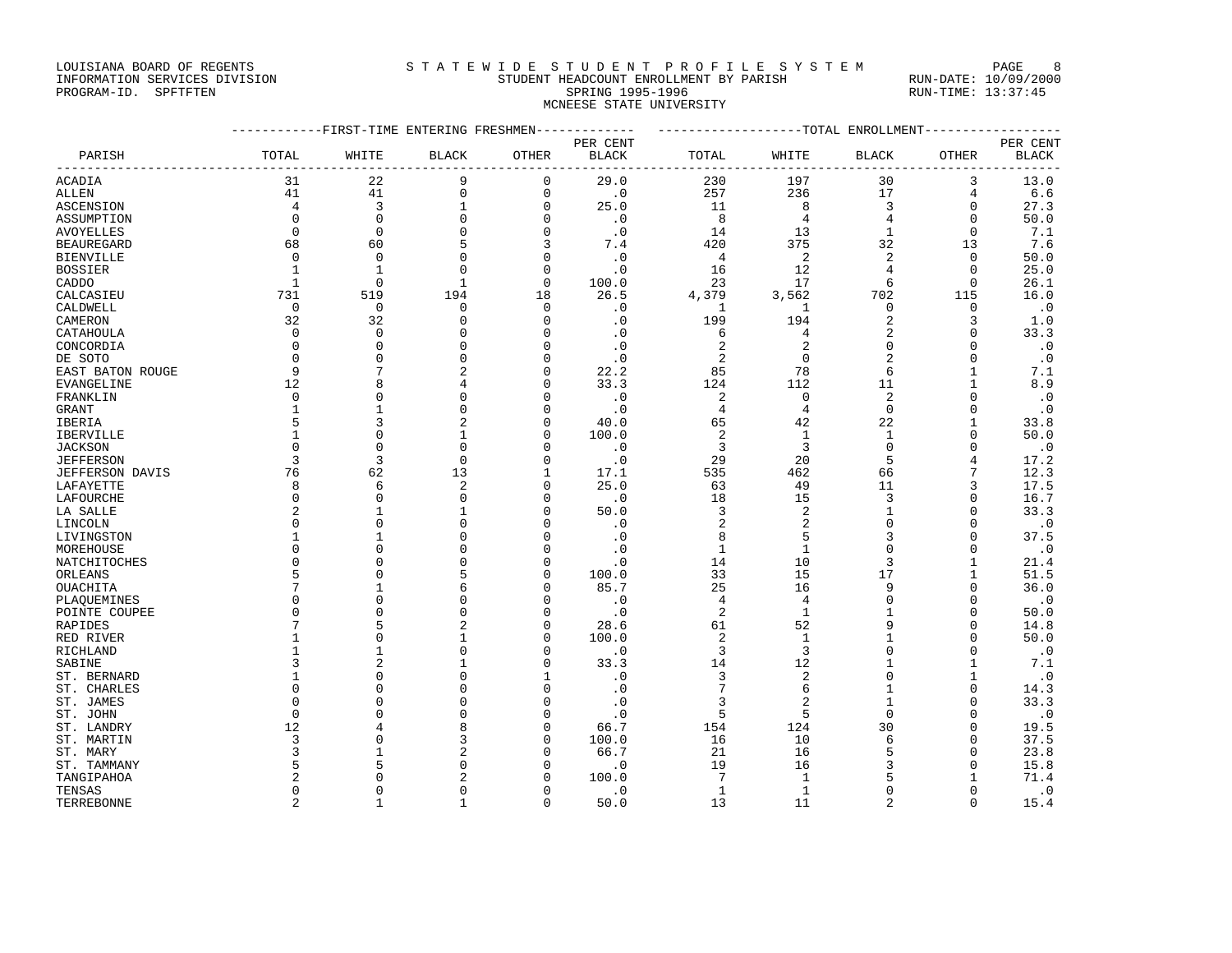### LOUISIANA BOARD OF REGENTS STATEWIDE STUDENT PROFILE SYSTEM PAGE 8 INFORMATION SERVICES DIVISION STUDENT HEADCOUNT ENROLLMENT BY PARISH RUN-DATE: 10/09/2000

# PROGRAM-ID. SPFTFTEN SARE SERING 1995-1996 SPRING 1995-1996 RUN-TIME: 13:37:45 MCNEESE STATE UNIVERSITY

|                        |                | ---------FIRST-TIME ENTERING FRESHMEN- |                |              |                               |                         | -------------------TOTAL ENROLLMENT- |                |                   |              |  |  |
|------------------------|----------------|----------------------------------------|----------------|--------------|-------------------------------|-------------------------|--------------------------------------|----------------|-------------------|--------------|--|--|
|                        |                |                                        |                |              | PER CENT                      |                         |                                      |                |                   | PER CENT     |  |  |
| PARISH                 | TOTAL          | WHITE                                  | <b>BLACK</b>   | OTHER        | <b>BLACK</b><br>$- - - - - -$ | TOTAL                   | WHITE                                | BLACK          | OTHER<br>-------- | <b>BLACK</b> |  |  |
| ACADIA                 | 31             | 22                                     | 9              | 0            | 29.0                          | 230                     | 197                                  | 30             | 3                 | 13.0         |  |  |
| <b>ALLEN</b>           | 41             | 41                                     | $\mathsf 0$    | $\mathsf{O}$ | $\cdot$ 0                     | 257                     | 236                                  | 17             | $\overline{4}$    | 6.6          |  |  |
| <b>ASCENSION</b>       | $\overline{4}$ | 3                                      | $\mathbf{1}$   | 0            | 25.0                          | 11                      | 8                                    | 3              | $\mathbf 0$       | 27.3         |  |  |
| ASSUMPTION             | $\Omega$       | $\Omega$                               | $\Omega$       | $\Omega$     | $\cdot$ 0                     | 8                       | $\overline{4}$                       | $\overline{4}$ | $\Omega$          | 50.0         |  |  |
| AVOYELLES              | $\mathbf 0$    | $\mathbf 0$                            | $\mathbf 0$    | $\mathsf{O}$ | $\cdot$ 0                     | 14                      | 13                                   | $\mathbf{1}$   | $\mathbf 0$       | 7.1          |  |  |
| <b>BEAUREGARD</b>      | 68             | 60                                     | 5              | 3            | 7.4                           | 420                     | 375                                  | 32             | 13                | 7.6          |  |  |
| <b>BIENVILLE</b>       | $\mathbf 0$    | $\mathbf{0}$                           | $\Omega$       | $\mathbf 0$  | $\cdot$ 0                     | $\overline{4}$          | $\overline{c}$                       | $\overline{2}$ | $\mathbf 0$       | 50.0         |  |  |
| <b>BOSSIER</b>         | $\mathbf{1}$   | $\mathbf{1}$                           | $\Omega$       | $\mathbf 0$  | $\cdot$ 0                     | 16                      | 12                                   | 4              | $\Omega$          | 25.0         |  |  |
| CADDO                  | $\mathbf{1}$   | $\Omega$                               | $\mathbf{1}$   | $\mathbf 0$  | 100.0                         | 23                      | 17                                   | 6              | $\Omega$          | 26.1         |  |  |
| CALCASIEU              | 731            | 519                                    | 194            | 18           | 26.5                          | 4,379                   | 3,562                                | 702            | 115               | 16.0         |  |  |
| CALDWELL               | $\overline{0}$ | $\mathbf 0$                            | $\Omega$       | $\mathbf 0$  | $\cdot$ 0                     | 1                       | 1                                    | $\mathbf 0$    | $\mathbf 0$       | $\cdot$ 0    |  |  |
| CAMERON                | 32             | 32                                     | $\Omega$       | $\Omega$     | $\cdot$ 0                     | 199                     | 194                                  | $\overline{2}$ | 3                 | 1.0          |  |  |
| CATAHOULA              | $\Omega$       | $\Omega$                               | U              | $\Omega$     | $\cdot$ 0                     | 6                       | 4                                    | $\overline{c}$ | $\Omega$          | 33.3         |  |  |
| CONCORDIA              | $\mathbf 0$    | $\mathbf 0$                            | 0              | 0            | $\cdot$ 0                     | $\overline{\mathbf{c}}$ | $\overline{c}$                       | $\mathbf 0$    | $\mathbf 0$       | $\cdot$ 0    |  |  |
| DE SOTO                | $\Omega$       | $\Omega$                               | $\Omega$       | $\Omega$     | $\cdot$ 0                     | $\overline{a}$          | $\mathbf 0$                          | $\overline{2}$ | $\mathbf 0$       | $\cdot$ 0    |  |  |
| EAST BATON ROUGE       | 9              | 7                                      | $\overline{2}$ | 0            | 22.2                          | 85                      | 78                                   | 6              | $\mathbf{1}$      | 7.1          |  |  |
| EVANGELINE             | 12             | 8                                      | 4              | $\Omega$     | 33.3                          | 124                     | 112                                  | 11             | 1                 | 8.9          |  |  |
| FRANKLIN               | $\mathbf 0$    | $\mathbf{0}$                           | $\Omega$       | 0            | $\cdot$ 0                     | 2                       | $\mathbf 0$                          | $\overline{2}$ | 0                 | $\cdot$ 0    |  |  |
| GRANT                  |                | $\mathbf{1}$                           | $\Omega$       | $\Omega$     | $\cdot$ 0                     | 4                       | $\overline{4}$                       | $\Omega$       | $\Omega$          | $\cdot$ 0    |  |  |
| IBERIA                 |                | 3                                      | $\overline{2}$ | $\Omega$     | 40.0                          | 65                      | 42                                   | 22             | $\mathbf{1}$      | 33.8         |  |  |
| IBERVILLE              | $\mathbf{1}$   | $\Omega$                               | $\mathbf{1}$   | $\Omega$     | 100.0                         | 2                       | $\mathbf{1}$                         | $\mathbf{1}$   | $\Omega$          | 50.0         |  |  |
| <b>JACKSON</b>         | $\Omega$       | $\Omega$                               | $\Omega$       | $\Omega$     | $\cdot$ 0                     | 3                       | 3                                    | $\Omega$       | $\Omega$          | $\cdot$ 0    |  |  |
| <b>JEFFERSON</b>       | 3              | 3                                      | $\mathbf 0$    | 0            | $\cdot$ 0                     | 29                      | 20                                   | 5              | $\overline{4}$    | 17.2         |  |  |
| <b>JEFFERSON DAVIS</b> | 76             | 62                                     | 13             | 1            | 17.1                          | 535                     | 462                                  | 66             | 7                 | 12.3         |  |  |
| LAFAYETTE              | 8              | 6                                      | $\overline{2}$ | $\mathbf 0$  | 25.0                          | 63                      | 49                                   | 11             | 3                 | 17.5         |  |  |
| LAFOURCHE              | $\Omega$       | $\Omega$                               | U              | $\Omega$     | $\cdot$ 0                     | 18                      | 15                                   | 3              | $\Omega$          | 16.7         |  |  |
| LA SALLE               | $\overline{2}$ | $\mathbf{1}$                           | $\mathbf{1}$   | 0            | 50.0                          | 3                       | $\overline{2}$                       | $\mathbf{1}$   | $\Omega$          | 33.3         |  |  |
| LINCOLN                | $\Omega$       | $\Omega$                               | $\cap$         | $\Omega$     | $\cdot$ 0                     | 2                       | $\overline{2}$                       | $\Omega$       | $\Omega$          | $\cdot$ 0    |  |  |
| LIVINGSTON             | $\mathbf{1}$   | $\mathbf{1}$                           | $\Omega$       | $\Omega$     | $\cdot$ 0                     | 8                       | 5                                    | 3              | $\Omega$          | 37.5         |  |  |
| MOREHOUSE              | $\Omega$       | $\Omega$                               | U              | $\Omega$     | $\cdot$ 0                     | $\mathbf{1}$            | $\mathbf{1}$                         | $\Omega$       | $\Omega$          | $\cdot$ 0    |  |  |
| NATCHITOCHES           | $\Omega$       | $\mathbf{0}$                           |                | $\mathbf 0$  | $\cdot$ 0                     | 14                      | 10                                   | 3              | $\mathbf{1}$      | 21.4         |  |  |
| ORLEANS                | 5              | $\Omega$                               | 5              | 0            | 100.0                         | 33                      | 15                                   | 17             | $\mathbf 1$       | 51.5         |  |  |
| OUACHITA               | 7              | $\mathbf{1}$                           | 6              | $\Omega$     | 85.7                          | 25                      | 16                                   | 9              | $\Omega$          | 36.0         |  |  |
| PLAQUEMINES            | $\Omega$       | $\Omega$                               | Ω              | 0            | $\cdot$ 0                     | $\overline{4}$          | $\overline{4}$                       | $\Omega$       | $\Omega$          | $\cdot$ .0   |  |  |
| POINTE COUPEE          | $\Omega$       | $\Omega$                               | $\Omega$       | $\Omega$     | $\cdot$ 0                     | 2                       | $\mathbf{1}$                         | $\mathbf{1}$   | $\Omega$          | 50.0         |  |  |
| RAPIDES                |                | 5                                      | $\overline{2}$ | $\mathbf 0$  | 28.6                          | 61                      | 52                                   | 9              | $\Omega$          | 14.8         |  |  |
| RED RIVER              |                | $\Omega$                               | $\mathbf{1}$   | $\Omega$     | 100.0                         | 2                       | $\mathbf{1}$                         | -1             | $\Omega$          | 50.0         |  |  |
| RICHLAND               |                | $\mathbf{1}$                           | $\Omega$       | $\Omega$     | $\cdot$ 0                     | 3                       | 3                                    | $\Omega$       | $\Omega$          | $\cdot$ 0    |  |  |
| SABINE                 | 3              | $\overline{a}$                         | $\mathbf{1}$   | $\Omega$     | 33.3                          | 14                      | 12                                   | $\mathbf{1}$   | 1                 | 7.1          |  |  |
| ST. BERNARD            | $\mathbf{1}$   | $\Omega$                               | $\Omega$       | $\mathbf{1}$ | $\cdot$ 0                     | $\overline{3}$          | $\overline{2}$                       | $\Omega$       | $\mathbf{1}$      | $\cdot$ 0    |  |  |
| ST. CHARLES            | $\Omega$       | $\Omega$                               | U              | $\mathbf 0$  | $\cdot$ 0                     | $\overline{7}$          | 6                                    | $\mathbf{1}$   | 0                 | 14.3         |  |  |
| ST. JAMES              | $\Omega$       | $\Omega$                               |                | $\Omega$     | $\cdot$ 0                     | 3                       | $\overline{2}$                       | $\overline{1}$ | $\Omega$          | 33.3         |  |  |
| ST. JOHN               | $\Omega$       | $\Omega$                               | n              | 0            | $\cdot$ 0                     | 5                       | 5                                    | $\Omega$       | $\Omega$          | $\cdot$ 0    |  |  |
| ST. LANDRY             | 12             | 4                                      | 8              | $\Omega$     | 66.7                          | 154                     | 124                                  | 30             | $\Omega$          | 19.5         |  |  |
| ST. MARTIN             | 3              | $\Omega$                               | 3              | 0            | 100.0                         | 16                      | 10                                   | 6              | $\Omega$          | 37.5         |  |  |
| ST. MARY               | 3              | $\mathbf{1}$                           |                | $\Omega$     | 66.7                          | 21                      | 16                                   | 5              | $\Omega$          | 23.8         |  |  |
| ST. TAMMANY            |                | 5                                      | $\Omega$       | $\Omega$     | $\cdot$ 0                     | 19                      | 16                                   | 3              | $\Omega$          | 15.8         |  |  |
| TANGIPAHOA             | 2              | $\Omega$                               | 2              | O            | 100.0                         | 7                       | 1                                    | 5              | 1                 | 71.4         |  |  |
| TENSAS                 | $\Omega$       | $\Omega$                               | $\Omega$       | $\Omega$     | $\cdot$ 0                     | $\mathbf{1}$            | $\mathbf{1}$                         | $\Omega$       | $\Omega$          | $\cdot$ 0    |  |  |
| TERREBONNE             | $\overline{2}$ | $\mathbf{1}$                           | $\mathbf{1}$   | $\Omega$     | 50.0                          | 13                      | 11                                   | $\mathfrak{D}$ | $\Omega$          | 15.4         |  |  |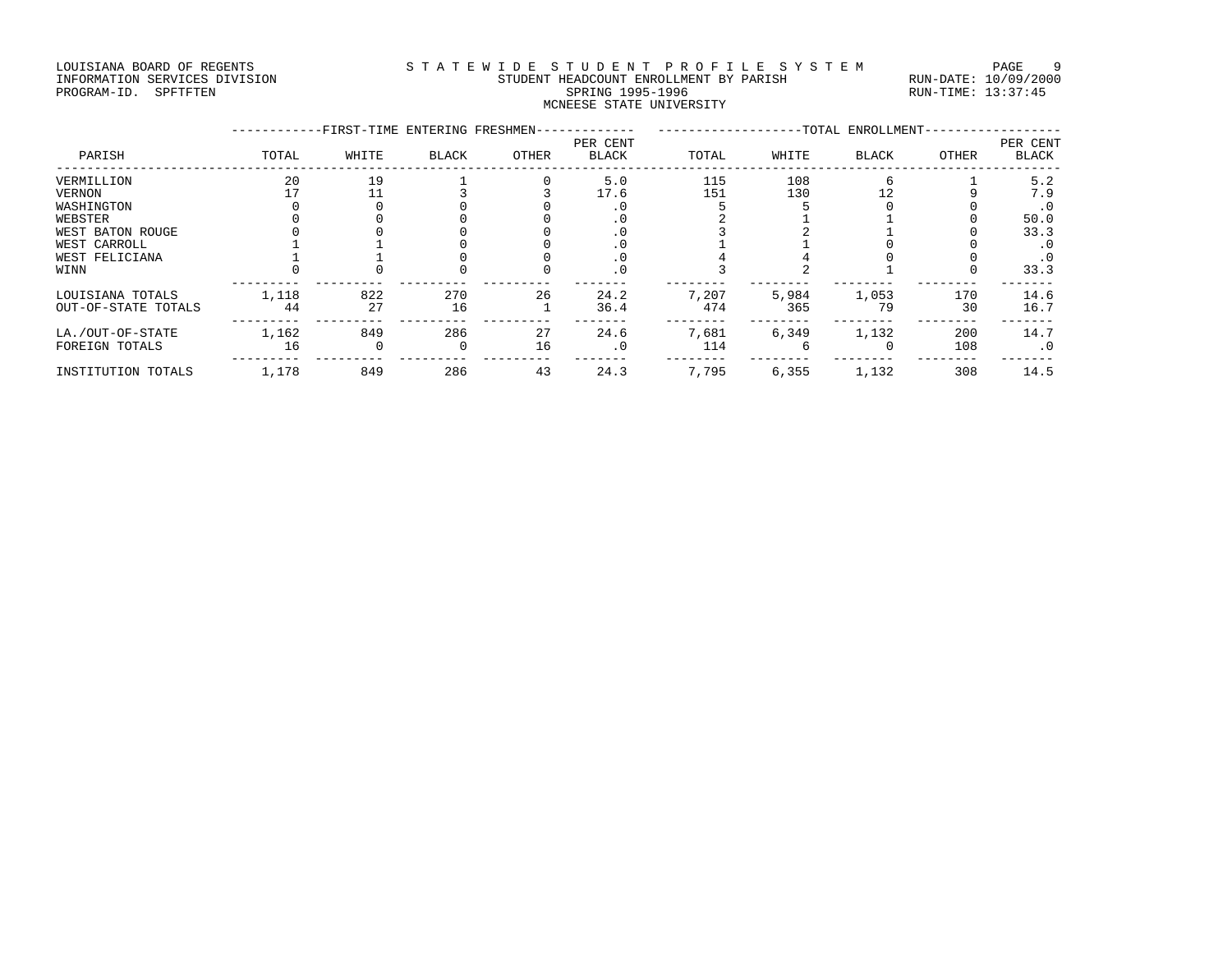#### LOUISIANA BOARD OF REGENTS STA TEWIDE STUDENT PROFILE SYSTEM PAGE 9 INFORMATION SERVICES DIVISION STUDENT HEADCOUNT ENROLLMENT BY PARISH RUN-DATE: 10/09/2000 PROGRAM-ID. SPFTFTEN SARE SERING 1995-1996 SPRING 1995-1996 RUN-TIME: 13:37:45 MCNEESE STATE UNIVERSITY

|                     |       | -FIRST-TIME ENTERING FRESHMEN- |              |       |                          |       |       | -TOTAL ENROLLMENT- |       |                          |
|---------------------|-------|--------------------------------|--------------|-------|--------------------------|-------|-------|--------------------|-------|--------------------------|
| PARISH              | TOTAL | WHITE                          | <b>BLACK</b> | OTHER | PER CENT<br><b>BLACK</b> | TOTAL | WHITE | BLACK              | OTHER | PER CENT<br><b>BLACK</b> |
| VERMILLION          | 20    | 19                             |              |       | 5.0                      | 115   | 108   |                    |       | 5.2                      |
| VERNON              |       |                                |              |       | 17.6                     | 151   | 130   |                    |       | 7.9                      |
| WASHINGTON          |       |                                |              |       | . 0                      |       |       |                    |       | . 0                      |
| WEBSTER             |       |                                |              |       | . 0                      |       |       |                    |       | 50.0                     |
| WEST BATON ROUGE    |       |                                |              |       |                          |       |       |                    |       | 33.3                     |
| WEST CARROLL        |       |                                |              |       | . 0                      |       |       |                    |       |                          |
| WEST FELICIANA      |       |                                |              |       | . 0                      |       |       |                    |       | . 0                      |
| WINN                |       |                                |              |       | $\cdot$ 0                |       |       |                    |       | 33.3                     |
| LOUISIANA TOTALS    | 1,118 | 822                            | 270          | 26    | 24.2                     | 7,207 | 5,984 | 1,053              | 170   | 14.6                     |
| OUT-OF-STATE TOTALS | 44    | 27                             | 16           |       | 36.4                     | 474   | 365   | 79                 | 30    | 16.7                     |
| LA./OUT-OF-STATE    | 1,162 | 849                            | 286          | 27    | 24.6                     | 7,681 | 6,349 | 1,132              | 200   | 14.7                     |
| FOREIGN TOTALS      | 16    |                                |              | 16    | . 0                      | 114   |       |                    | 108   | . 0                      |
| INSTITUTION TOTALS  | 1,178 | 849                            | 286          | 43    | 24.3                     | 7,795 | 6,355 | 1,132              | 308   | 14.5                     |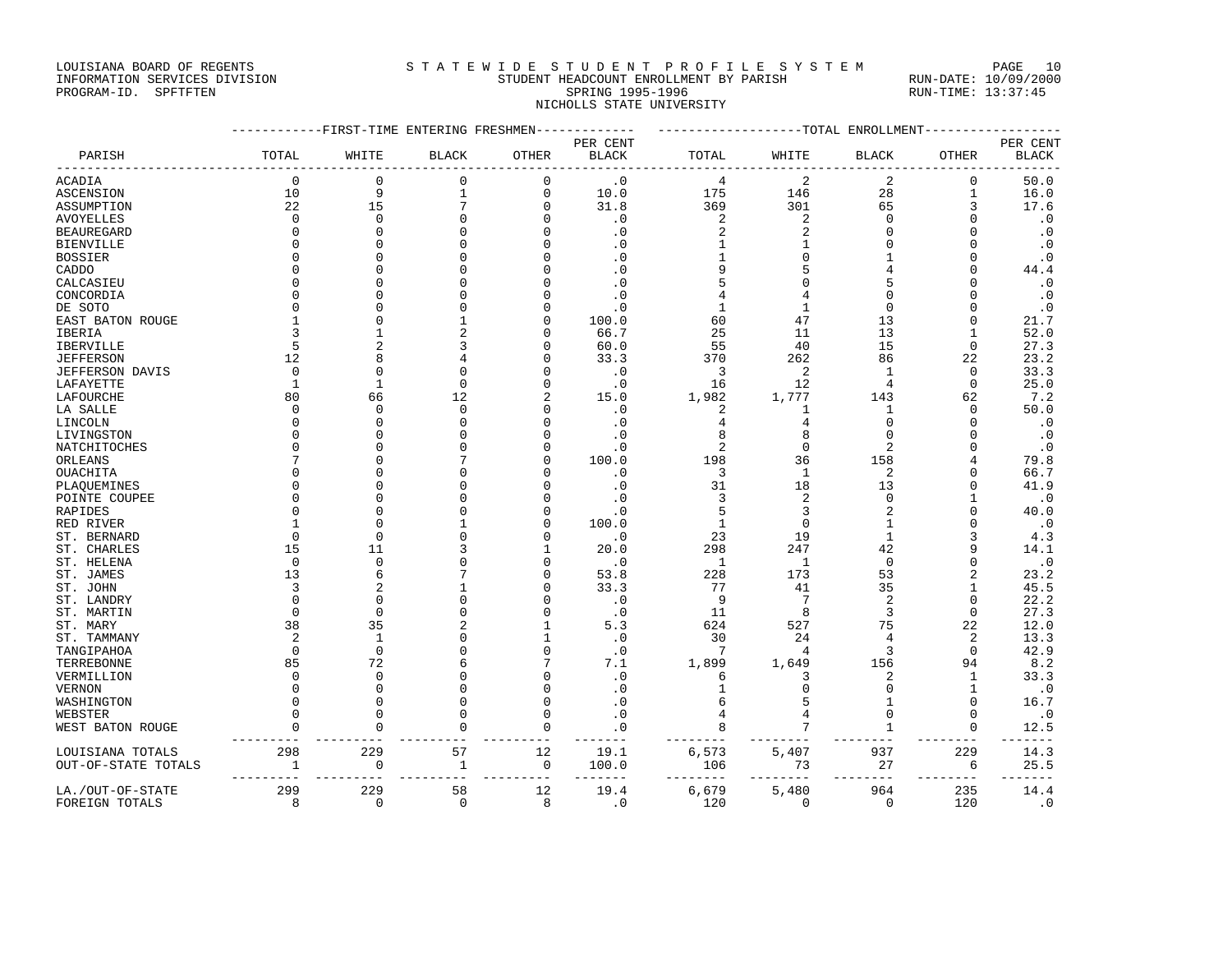#### LOUISIANA BOARD OF REGENTS STATEWIDE STUDENT PROFILE SYSTEM PAGE 10 INFORMATION SERVICES DIVISION STUDENT HEADCOUNT ENROLLMENT BY PARISH RUN-DATE: 10/09/2000 PROGRAM-ID. SPFTFTEN SARE SERING 1995-1996 SPRING 1995-1996 RUN-TIME: 13:37:45

NICHOLLS STATE UNIVERSITY

|                     | ---------FIRST-TIME ENTERING FRESHMEN------------- | ------------------TOTAL ENROLLMENT- |                |              |                    |                |                |                |              |                   |
|---------------------|----------------------------------------------------|-------------------------------------|----------------|--------------|--------------------|----------------|----------------|----------------|--------------|-------------------|
| PARISH              | TOTAL                                              | WHITE                               | <b>BLACK</b>   | OTHER        | PER CENT<br>BLACK  | TOTAL          | WHITE          | <b>BLACK</b>   | OTHER        | PER CENT<br>BLACK |
| ACADIA              | $\overline{0}$                                     | $\Omega$                            | $\Omega$       | $\mathbf 0$  | $\cdot$ 0          | $\overline{4}$ | $\overline{2}$ | 2              | $\Omega$     | 50.0              |
| ASCENSION           | 10                                                 | 9                                   | $\mathbf{1}$   | $\mathbf{0}$ | 10.0               | 175            | 146            | 28             | $\mathbf{1}$ | 16.0              |
| ASSUMPTION          | 22                                                 | 15                                  | 7              | $\Omega$     | 31.8               | 369            | 301            | 65             | 3            | 17.6              |
| AVOYELLES           | $\mathbf 0$                                        | $\Omega$                            | $\Omega$       | $\Omega$     | $\cdot$ 0          | 2              | 2              | 0              |              | $\cdot$ 0         |
| BEAUREGARD          | $\Omega$                                           | $\Omega$                            | $\cap$         | ∩            | $\cdot$ 0          | 2              | 2              | U              |              | $\cdot$ 0         |
| BIENVILLE           | $\Omega$                                           | $\cap$                              | $\Omega$       | $\cap$       | $\cdot$ 0          |                |                | $\Omega$       |              | $\cdot$ 0         |
| BOSSIER             | $\Omega$                                           | $\Omega$                            | $\Omega$       | O            | $\cdot$ 0          | 1              | O              |                | <sup>0</sup> | $\cdot$ 0         |
| CADDO               | $\Omega$                                           | $\cap$                              | $\Omega$       |              | $\cdot$ 0          | 9              | 5              |                |              | 44.4              |
| CALCASIEU           | $\Omega$                                           | $\Omega$                            | $\Omega$       | $\cap$       | $\cdot$ 0          |                |                |                |              | $\cdot$ 0         |
| CONCORDIA           | <sup>0</sup>                                       | $\Omega$                            | $\Omega$       | $\Omega$     | $\cdot$ 0          | 4              | 4              | $\Omega$       |              | $\cdot$ 0         |
| DE SOTO             | $\Omega$                                           | $\Omega$                            | $\Omega$       | $\Omega$     | $\cdot$ 0          | $\mathbf{1}$   | $\mathbf{1}$   | $\mathbf 0$    | <sup>0</sup> | $\cdot$ 0         |
| EAST BATON ROUGE    |                                                    |                                     | 1              | $\Omega$     | 100.0              | 60             | 47             | 13             | $\Omega$     | 21.7              |
| IBERIA              | 3                                                  |                                     | $\overline{2}$ | $\Omega$     | 66.7               | 25             | 11             | 13             | 1            | 52.0              |
| IBERVILLE           | 5                                                  |                                     | ζ              | $\cap$       | 60.0               | 55             | 40             | 15             | $\Omega$     | 27.3              |
| JEFFERSON           | 12                                                 |                                     | 4              | O            | 33.3               | 370            | 262            | 86             | 22           | 23.2              |
| JEFFERSON DAVIS     | $\Omega$                                           | $\Omega$                            | $\Omega$       | O            | $\cdot$ 0          | 3              | 2              | 1              | $\Omega$     | 33.3              |
| LAFAYETTE           | $\mathbf{1}$                                       | $\mathbf{1}$                        | $\Omega$       | $\cap$       | $\cdot$ 0          | 16             | 12             | $\overline{4}$ | $\Omega$     | 25.0              |
| LAFOURCHE           | 80                                                 | 66                                  | 12             |              | 15.0               | 1,982          | 1,777          | 143            | 62           | 7.2               |
| LA SALLE            | $\Omega$                                           | $\Omega$                            | $\Omega$       | ∩            | $\cdot$ 0          | 2              | 1              | 1              | <sup>0</sup> | 50.0              |
| LINCOLN             | $\Omega$                                           | $\Omega$                            | $\Omega$       | $\sqrt{ }$   | $\cdot$ 0          | 4              | 4              | $\Omega$       |              | $\cdot$ 0         |
|                     | $\Omega$                                           | $\Omega$                            | $\Omega$       |              |                    | 8              | 8              | $\Omega$       |              |                   |
| LIVINGSTON          |                                                    | $\Omega$                            | $\cap$         | ∩            | $\cdot$ 0          | 2              | $\Omega$       | 2              |              | $\cdot$ 0         |
| NATCHITOCHES        |                                                    | $\Omega$                            | 7              | $\Omega$     | $\cdot$ 0<br>100.0 | 198            |                | 158            | 4            | $\cdot$ 0<br>79.8 |
| ORLEANS             |                                                    |                                     |                |              |                    |                | 36             |                |              |                   |
| OUACHITA            | <sup>0</sup>                                       | $\Omega$                            | $\Omega$       | C            | $\cdot$ 0          | 3              | 1              | $\overline{c}$ | 0            | 66.7              |
| PLAOUEMINES         | n                                                  | ∩                                   | $\Omega$       | $\cap$       | $\cdot$ 0          | 31             | 18             | 13             | n            | 41.9              |
| POINTE COUPEE       | n                                                  | $\Omega$                            | $\Omega$       |              | $\cdot$ 0          | 3              | 2              | $\Omega$       | -1           | $\cdot$ 0         |
| RAPIDES             | O                                                  | $\Omega$                            | $\Omega$       | $\Omega$     | $\cdot$ 0          | 5              | 3              |                | O            | 40.0              |
| RED RIVER           |                                                    | $\Omega$                            | 1              | $\Omega$     | 100.0              | 1              | $\Omega$       | 1              |              | $\cdot$ 0         |
| ST. BERNARD         | $\Omega$                                           | $\Omega$                            | $\Omega$       |              | $\cdot$ 0          | 23             | 19             | 1              |              | 4.3               |
| ST. CHARLES         | 15                                                 | 11                                  | 3              |              | 20.0               | 298            | 247            | 42             | 9            | 14.1              |
| ST. HELENA          | $\Omega$                                           | $\Omega$                            | $\Omega$       | $\Omega$     | $\cdot$ 0          | $\mathbf{1}$   | $\mathbf{1}$   | $\Omega$       | $\Omega$     | $\cdot$ 0         |
| ST. JAMES           | 13                                                 | 6                                   | 7              | $\Omega$     | 53.8               | 228            | 173            | 53             |              | 23.2              |
| ST. JOHN            | 3                                                  |                                     | 1              |              | 33.3               | 77             | 41             | 35             | $\mathbf{1}$ | 45.5              |
| ST. LANDRY          | $\Omega$                                           | $\Omega$                            | $\Omega$       | $\cap$       | $\cdot$ 0          | 9              | 7              | $\overline{2}$ | $\Omega$     | 22.2              |
| ST. MARTIN          | $\Omega$                                           | $\Omega$                            | $\Omega$       | $\Omega$     | $\cdot$ 0          | 11             | 8              | 3              | $\Omega$     | 27.3              |
| ST. MARY            | 38                                                 | 35                                  | $\overline{a}$ |              | 5.3                | 624            | 527            | 75             | 22           | 12.0              |
| ST. TAMMANY         | 2                                                  | $\mathbf{1}$                        | $\Omega$       | -1           | $\cdot$ 0          | 30             | 24             | 4              | 2            | 13.3              |
| TANGIPAHOA          | $\Omega$                                           | $\Omega$                            | $\Omega$       | $\Omega$     | $\cdot$ 0          | 7              | 4              | 3              | $\Omega$     | 42.9              |
| TERREBONNE          | 85                                                 | 72                                  | 6              |              | 7.1                | 1,899          | 1,649          | 156            | 94           | 8.2               |
| VERMILLION          | $\Omega$                                           | $\Omega$                            | $\Omega$       | $\Omega$     | $\cdot$ 0          | 6              | 3              | $\overline{c}$ | 1            | 33.3              |
| VERNON              | $\Omega$                                           | $\Omega$                            | $\Omega$       | $\Omega$     | $\cdot$ 0          | 1              | $\mathbf 0$    | 0              | 1            | $\cdot$ 0         |
| WASHINGTON          | $\Omega$                                           | $\Omega$                            | $\cap$         | $\cap$       | $\cdot$ 0          | 6              | 5              | 1              | $\Omega$     | 16.7              |
| WEBSTER             | $\Omega$                                           | $\Omega$                            | $\cap$         | $\cap$       | $\cdot$ 0          | 4              | $\overline{4}$ | $\Omega$       | $\Omega$     | $\cdot$ 0         |
| WEST BATON ROUGE    | $\Omega$                                           | $\mathbf{0}$                        | $\Omega$       | $\mathbf{0}$ | $\cdot$ 0          | 8              | 7              | $\mathbf{1}$   | 0            | 12.5              |
| LOUISIANA TOTALS    | 298                                                | 229                                 | 57             | 12           | 19.1               | 6,573          | 5,407          | 937            | 229          | 14.3              |
| OUT-OF-STATE TOTALS | 1                                                  | 0                                   | 1              | 0            | 100.0              | 106            | 73             | 27             | 6            | 25.5              |
| LA./OUT-OF-STATE    | 299                                                | 229                                 | 58             | 12           | 19.4               | 6,679          | 5,480          | 964            | 235          | 14.4              |
| FOREIGN TOTALS      | 8                                                  | $\Omega$                            | $\Omega$       | 8            | $\cdot$ 0          | 120            | $\Omega$       | $\mathbf 0$    | 120          | $\cdot$ 0         |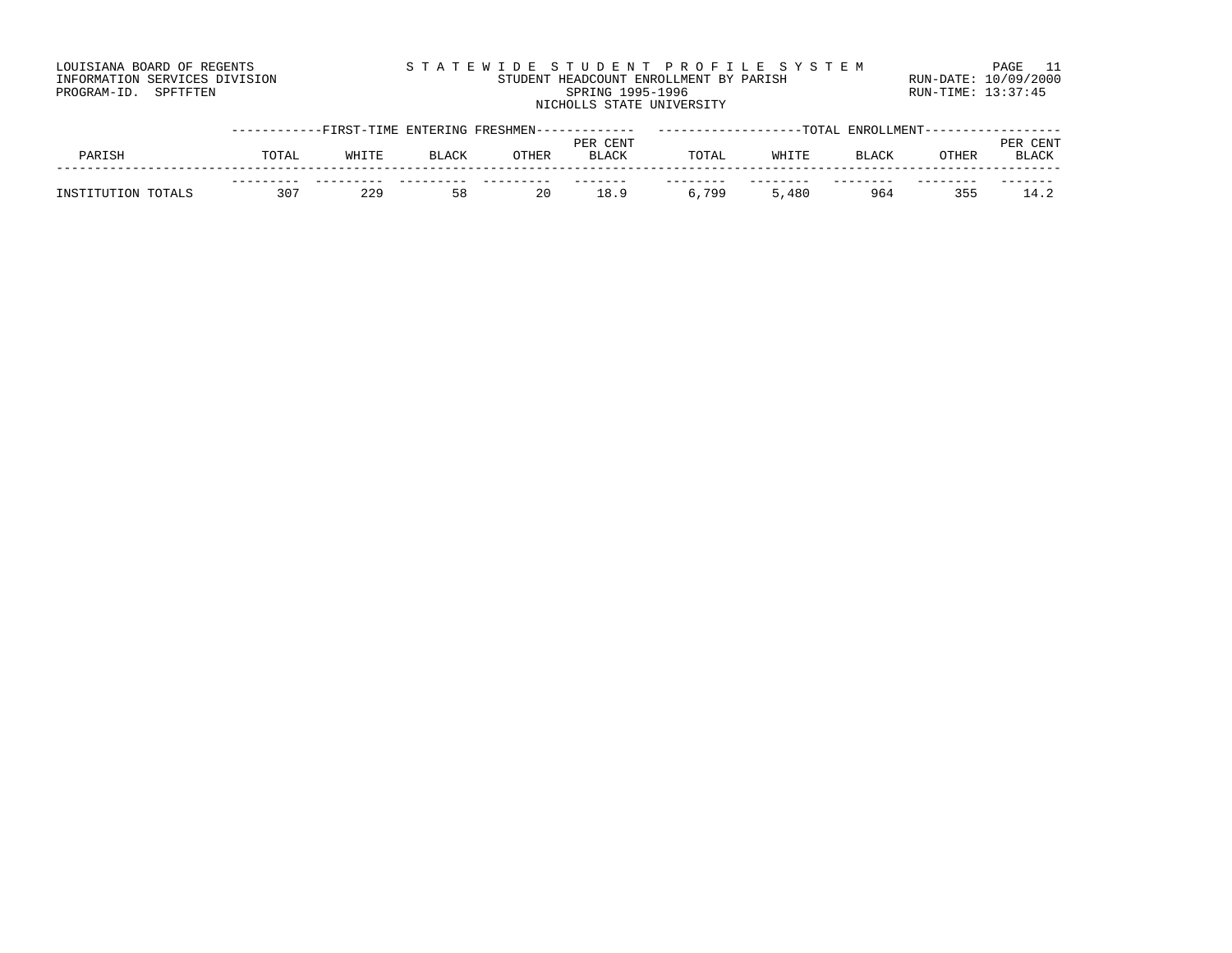| LOUISIANA BOARD OF REGENTS    | STATEWIDE STUDENT PROFILE SYSTEM       | PAGE                 |
|-------------------------------|----------------------------------------|----------------------|
| INFORMATION SERVICES DIVISION | STUDENT HEADCOUNT ENROLLMENT BY PARISH | RUN-DATE: 10/09/2000 |
| PROGRAM-ID. SPFTFTEN          | SPRING 1995-1996                       | RUN-TIME: 13:37:45   |
|                               | NICHOLLS STATE UNIVERSITY              |                      |

|                    |       |       |              | ---------FIRST-TIME ENTERING FRESHMEN------- |              |       |       | -TOTAL ENROLLMENT- |       |              |
|--------------------|-------|-------|--------------|----------------------------------------------|--------------|-------|-------|--------------------|-------|--------------|
|                    |       |       |              |                                              | PER CENT     |       |       |                    |       | CENT<br>PF.R |
| PARISH             | TOTAL | WHITE | <b>BLACK</b> | OTHER                                        | <b>BLACK</b> | TOTAL | WHITE | ⊿LACK              | OTHER | BLACK        |
|                    |       |       |              |                                              |              |       |       |                    |       |              |
|                    |       |       |              |                                              |              |       |       |                    |       |              |
| INSTITUTION TOTALS | つのつ   | 229   | 58           | 20                                           | ⊥8.9         | 6,799 | 480   | 964                | つにに   |              |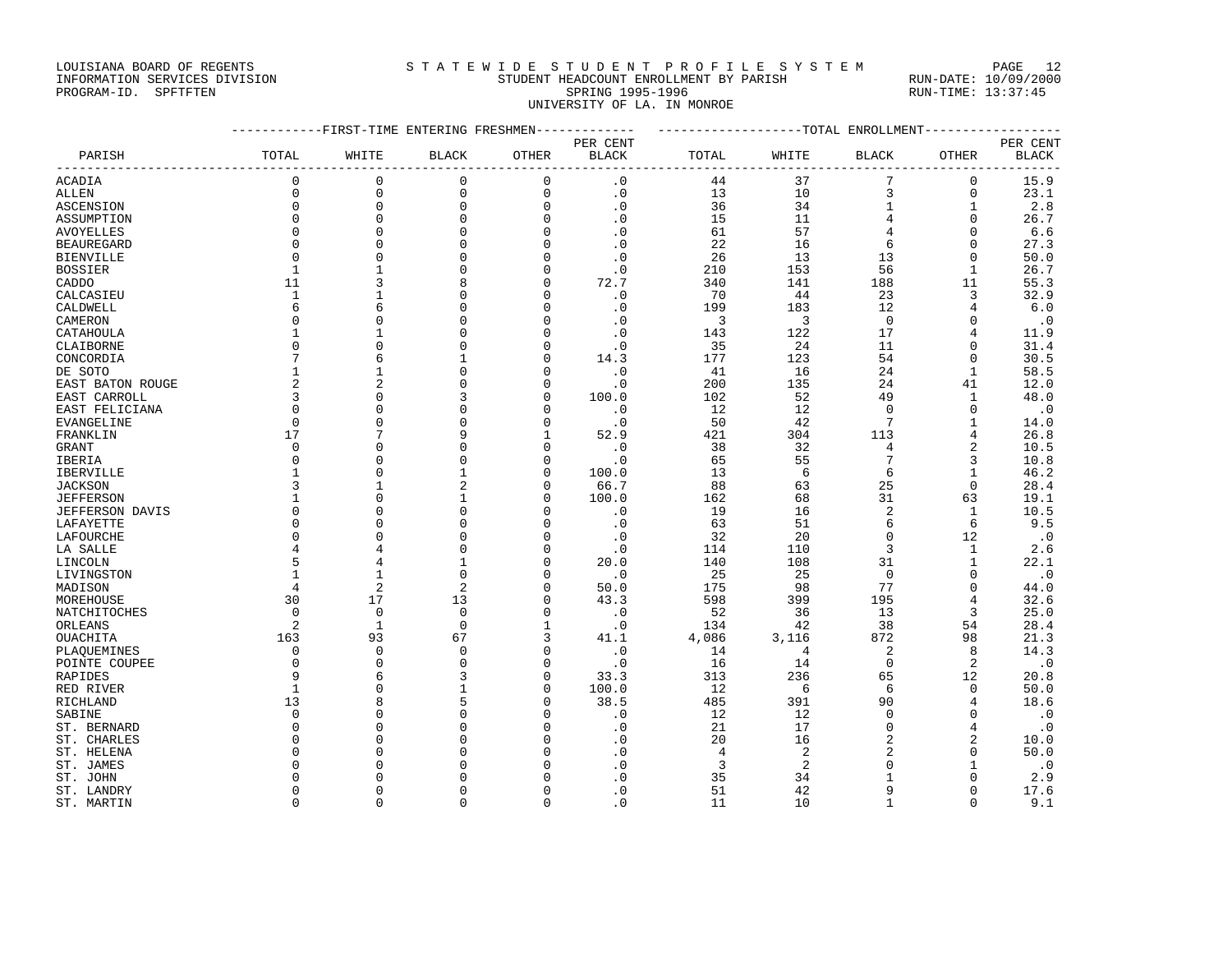#### LOUISIANA BOARD OF REGENTS STATEWIDE STUDENT PROFILE SYSTEM PAGE 12 INFORMATION SERVICES DIVISION STUDENT HEADCOUNT ENROLLMENT BY PARISH RUN-DATE: 10/09/2000

# PROGRAM-ID. SPFTFTEN SARE SERING 1995-1996 SPRING 1995-1996 RUN-TIME: 13:37:45 UNIVERSITY OF LA. IN MONROE

|                        |                  | ---------FIRST-TIME ENTERING FRESHMEN------------- |                |               |              | -------------------TOTAL ENROLLMENT--------- |                |                  |              |              |
|------------------------|------------------|----------------------------------------------------|----------------|---------------|--------------|----------------------------------------------|----------------|------------------|--------------|--------------|
|                        |                  |                                                    |                |               | PER CENT     |                                              |                |                  |              | PER CENT     |
| PARISH                 | TOTAL            | WHITE                                              | <b>BLACK</b>   | OTHER         | <b>BLACK</b> | TOTAL                                        | WHITE          | <b>BLACK</b>     | OTHER        | <b>BLACK</b> |
| ACADIA                 | 0                | 0                                                  | 0              | 0             | $\cdot$ 0    | 44                                           | 37             | 7                | 0            | 15.9         |
| ALLEN                  | $\mathbf 0$      | $\mathbf{0}$                                       | $\mathbf 0$    | $\mathbf 0$   | $\cdot$ 0    | 13                                           | 10             | 3                | 0            | 23.1         |
| ASCENSION              | $\mathbf 0$      | $\mathbf 0$                                        | 0              | 0             | $\cdot$ 0    | 36                                           | 34             | $\mathbf 1$      | 1            | 2.8          |
| ASSUMPTION             | $\Omega$         | $\Omega$                                           | $\Omega$       | $\Omega$      | $\cdot$ 0    | 15                                           | 11             | 4                | $\Omega$     | 26.7         |
| <b>AVOYELLES</b>       | $\mathbf 0$      | $\Omega$                                           | $\Omega$       | $\mathbf 0$   | $\cdot$ 0    | 61                                           | 57             | 4                | $\mathbf 0$  | 6.6          |
| <b>BEAUREGARD</b>      | $\Omega$         | $\Omega$                                           | $\Omega$       | $\mathbf 0$   | $\cdot$ 0    | 22                                           | 16             | 6                | $\mathbf 0$  | 27.3         |
| <b>BIENVILLE</b>       | $\Omega$         | $\Omega$                                           | $\Omega$       | $\Omega$      | $\cdot$ 0    | 26                                           | 13             | 13               | $\Omega$     | 50.0         |
| <b>BOSSIER</b>         | $\mathbf{1}$     | $\mathbf{1}$                                       | $\Omega$       | 0             | $\cdot$ 0    | 210                                          | 153            | 56               | 1            | 26.7         |
| CADDO                  | 11               | 3                                                  | 8              | $\Omega$      | 72.7         | 340                                          | 141            | 188              | 11           | 55.3         |
| CALCASIEU              | $\mathbf{1}$     | $\mathbf{1}$                                       | $\Omega$       | $\mathbf 0$   | $\cdot$ 0    | 70                                           | 44             | 23               | 3            | 32.9         |
| CALDWELL               | 6                | 6                                                  | $\Omega$       | $\mathbf 0$   | $\cdot$ 0    | 199                                          | 183            | 12               | 4            | 6.0          |
| CAMERON                | $\Omega$         | $\cap$                                             | U              | $\Omega$      | $\cdot$ 0    | 3                                            | 3              | $\overline{0}$   | $\Omega$     | $\cdot$ 0    |
| CATAHOULA              | $\mathbf{1}$     | $\mathbf{1}$                                       | $\Omega$       | $\Omega$      | $\cdot$ 0    | 143                                          | 122            | 17               | 4            | 11.9         |
| CLAIBORNE              | $\mathbf 0$      | $\Omega$                                           | U              | 0             | $\cdot$ 0    | 35                                           | 24             | 11               | 0            | 31.4         |
| CONCORDIA              | 7                | 6                                                  |                | $\Omega$      | 14.3         | 177                                          | 123            | 54               | $\Omega$     | 30.5         |
| DE SOTO                | $\mathbf{1}$     | $\mathbf{1}$                                       | $\Omega$       | 0             | $\cdot$ 0    | 41                                           | 16             | 24               | $\mathbf{1}$ | 58.5         |
| EAST BATON ROUGE       | $\overline{a}$   | $\overline{c}$                                     | U              | O             | $\cdot$ 0    | 200                                          | 135            | 24               | 41           | 12.0         |
| EAST CARROLL           | 3                | $\Omega$                                           |                | 0             | 100.0        | 102                                          | 52             | 49               | $\mathbf{1}$ | 48.0         |
| EAST FELICIANA         | $\mathbf 0$      | $\Omega$                                           | U              | 0             | $\cdot$ 0    | 12                                           | 12             | $\Omega$         | $\mathbf 0$  | $\cdot$ 0    |
| <b>EVANGELINE</b>      | $\Omega$         | $\Omega$                                           | $\Omega$       | $\mathbf 0$   | $\cdot$ 0    | 50                                           | 42             | 7                | $\mathbf{1}$ | 14.0         |
| FRANKLIN               | 17               | 7                                                  | 9              | 1             | 52.9         | 421                                          | 304            | 113              | 4            | 26.8         |
| <b>GRANT</b>           | $\Omega$         | $\Omega$                                           | <sup>0</sup>   | $\Omega$      | $\cdot$ 0    | 38                                           | 32             | 4                | 2            | 10.5         |
| IBERIA                 | $\mathbf 0$      | $\Omega$                                           | $\Omega$       | $\mathbf 0$   | $\cdot$ 0    | 65                                           | 55             | $7\phantom{.0}$  | 3            | 10.8         |
| IBERVILLE              | $\mathbf{1}$     | $\Omega$                                           | $\mathbf{1}$   | $\mathbf 0$   | 100.0        | 13                                           | 6              | 6                | 1            | 46.2         |
| <b>JACKSON</b>         | 3                | -1                                                 | 2              | 0             | 66.7         | 88                                           | 63             | 25               | $\Omega$     | 28.4         |
| <b>JEFFERSON</b>       | $\mathbf{1}$     | $\Omega$                                           | $\mathbf{1}$   | 0             | 100.0        | 162                                          | 68             | 31               | 63           | 19.1         |
|                        | $\mathbf 0$      | $\Omega$                                           | 0              | 0             |              |                                              |                | $\overline{2}$   |              |              |
| <b>JEFFERSON DAVIS</b> | $\mathbf 0$      | $\Omega$                                           | $\Omega$       | $\Omega$      | $\cdot$ 0    | 19                                           | 16<br>51       | 6                | 1<br>6       | 10.5         |
| LAFAYETTE              |                  | $\Omega$                                           | $\Omega$       |               | $\cdot$ 0    | 63                                           |                |                  |              | 9.5          |
| LAFOURCHE              | $\mathbf 0$<br>4 | $\overline{4}$                                     | U              | 0<br>$\Omega$ | $\cdot$ 0    | 32                                           | 20             | $\mathbf 0$<br>3 | 12           | $\cdot$ 0    |
| LA SALLE               | 5                |                                                    | $\mathbf{1}$   |               | $\cdot$ 0    | 114                                          | 110            |                  | 1            | 2.6          |
| LINCOLN                |                  | 4                                                  |                | 0             | 20.0         | 140                                          | 108            | 31               | $\mathbf{1}$ | 22.1         |
| LIVINGSTON             | 1                | $\mathbf{1}$                                       | $\Omega$       | 0             | $\cdot$ 0    | 25                                           | 25             | $\overline{0}$   | $\mathbf 0$  | $\cdot$ 0    |
| MADISON                | $\overline{4}$   | $\overline{2}$                                     | $\overline{2}$ | $\Omega$      | 50.0         | 175                                          | 98             | 77               | $\Omega$     | 44.0         |
| MOREHOUSE              | 30               | 17                                                 | 13             | 0             | 43.3         | 598                                          | 399            | 195              | 4            | 32.6         |
| NATCHITOCHES           | $\Omega$         | $\Omega$                                           | $\Omega$       | $\Omega$      | $\cdot$ 0    | 52                                           | 36             | 13               | 3            | 25.0         |
| ORLEANS                | 2                | $\mathbf{1}$                                       | $\mathbf 0$    | 1             | $\cdot$ 0    | 134                                          | 42             | 38               | 54           | 28.4         |
| OUACHITA               | 163              | 93                                                 | 67             | 3             | 41.1         | 4,086                                        | 3,116          | 872              | 98           | 21.3         |
| PLAOUEMINES            | $\Omega$         | $\Omega$                                           | $\Omega$       | 0             | $\cdot$ 0    | 14                                           | 4              | 2                | 8            | 14.3         |
| POINTE COUPEE          | $\mathbf 0$      | $\Omega$                                           | $\Omega$       | $\mathbf 0$   | $\cdot$ 0    | 16                                           | 14             | $\mathbf 0$      | 2            | $\cdot$ 0    |
| RAPIDES                | 9                | 6                                                  |                | 0             | 33.3         | 313                                          | 236            | 65               | 12           | 20.8         |
| RED RIVER              | $\mathbf{1}$     | $\Omega$                                           |                | $\Omega$      | 100.0        | 12                                           | 6              | 6                | $\mathbf 0$  | 50.0         |
| RICHLAND               | 13               | 8                                                  | 5              | 0             | 38.5         | 485                                          | 391            | 90               | 4            | 18.6         |
| SABINE                 | $\Omega$         | $\Omega$                                           | U              | O             | $\cdot$ 0    | 12                                           | 12             | $\Omega$         | $\Omega$     | $\cdot$ 0    |
| ST. BERNARD            | $\mathbf 0$      | $\Omega$                                           | $\Omega$       | 0             | $\cdot$ 0    | 21                                           | 17             | $\mathbf 0$      | 4            | $\cdot$ 0    |
| ST. CHARLES            | $\mathbf 0$      | $\Omega$                                           | U              | 0             | $\cdot$ 0    | 20                                           | 16             | 2                | 2            | 10.0         |
| ST. HELENA             | $\Omega$         | $\Omega$                                           | $\cap$         | $\Omega$      | $\cdot$ 0    | $\overline{4}$                               | $\overline{2}$ | $\overline{a}$   | $\Omega$     | 50.0         |
| ST. JAMES              | $\Omega$         | $\cap$                                             | U              | O             | $\cdot$ 0    | 3                                            | $\overline{c}$ | $\Omega$         | 1            | $\cdot$ 0    |
| ST. JOHN               | <sup>0</sup>     | $\Omega$                                           | U              | O             | $\cdot$ 0    | 35                                           | 34             | $\mathbf{1}$     | $\Omega$     | 2.9          |
| ST. LANDRY             | $\Omega$         | $\Omega$                                           | $\Omega$       | O             | $\cdot$ 0    | 51                                           | 42             | 9                | 0            | 17.6         |
| ST. MARTIN             | $\Omega$         | $\Omega$                                           | $\Omega$       | $\mathbf 0$   | $\cdot$ 0    | 11                                           | 10             | $\mathbf{1}$     | $\Omega$     | 9.1          |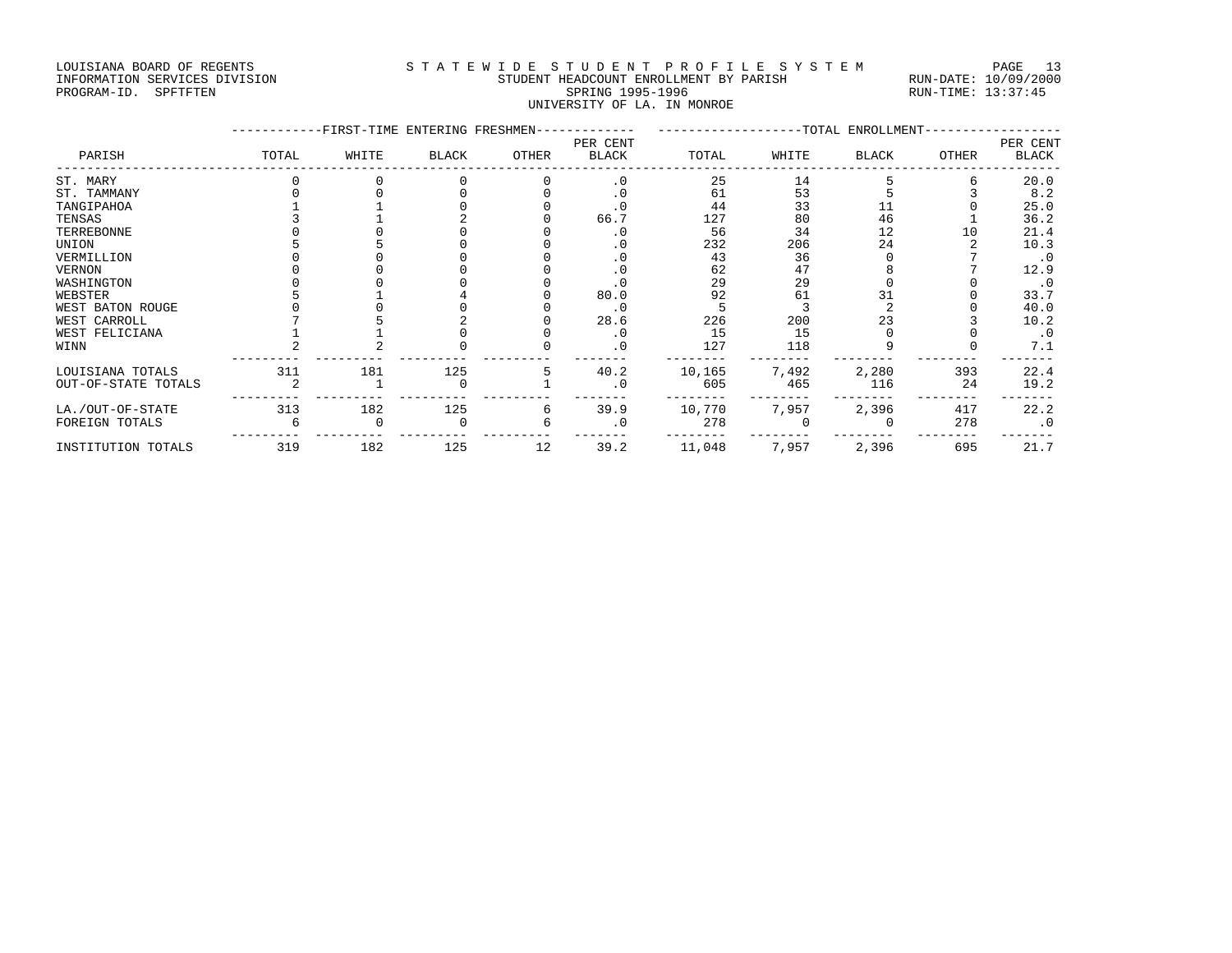#### LOUISIANA BOARD OF REGENTS STATEWIDE STUDENT PROFILE SYSTEM PAGE 13 INFORMATION SERVICES DIVISION STUDENT HEADCOUNT ENROLLMENT BY PARISH RUN-DATE: 10/09/2000 PROGRAM-ID. SPFTFTEN SARE SERING 1995-1996 SPRING 1995-1996 RUN-TIME: 13:37:45 UNIVERSITY OF LA. IN MONROE

|                     |       | -FIRST-TIME ENTERING FRESHMEN- |              |              |                          |        |       | -TOTAL ENROLLMENT |       |                          |
|---------------------|-------|--------------------------------|--------------|--------------|--------------------------|--------|-------|-------------------|-------|--------------------------|
| PARISH              | TOTAL | WHITE                          | <b>BLACK</b> | <b>OTHER</b> | PER CENT<br><b>BLACK</b> | TOTAL  | WHITE | <b>BLACK</b>      | OTHER | PER CENT<br><b>BLACK</b> |
| ST. MARY            |       |                                |              |              | . 0                      | 25     | 14    |                   |       | 20.0                     |
| ST. TAMMANY         |       |                                |              |              | . 0                      | 61     | 53    |                   |       | 8.2                      |
| TANGIPAHOA          |       |                                |              |              | . 0                      | 44     | 33    |                   |       | 25.0                     |
| TENSAS              |       |                                |              |              | 66.7                     | 127    | 80    | 46                |       | 36.2                     |
| TERREBONNE          |       |                                |              |              |                          | 56     | 34    | 12                | 10    | 21.4                     |
| UNION               |       |                                |              |              | . 0                      | 232    | 206   | 24                |       | 10.3                     |
| VERMILLION          |       |                                |              |              | . 0                      | 43     | 36    |                   |       | . 0                      |
| VERNON              |       |                                |              |              | . 0                      | 62     | 47    |                   |       | 12.9                     |
| WASHINGTON          |       |                                |              |              | . 0                      | 29     | 29    |                   |       | . 0                      |
| WEBSTER             |       |                                |              |              | 80.0                     | 92     | 61    |                   |       | 33.7                     |
| WEST BATON ROUGE    |       |                                |              |              | . 0                      |        |       |                   |       | 40.0                     |
| WEST CARROLL        |       |                                |              |              | 28.6                     | 226    | 200   | 23                |       | 10.2                     |
| WEST FELICIANA      |       |                                |              |              | . 0                      | 15     | 15    |                   |       | $\cdot$ 0                |
| WINN                |       |                                |              |              | . 0                      | 127    | 118   |                   |       | 7.1                      |
| LOUISIANA TOTALS    | 311   | 181                            | 125          |              | 40.2                     | 10,165 | 7,492 | 2,280             | 393   | 22.4                     |
| OUT-OF-STATE TOTALS |       |                                |              |              |                          | 605    | 465   | 116               | 24    | 19.2                     |
| LA./OUT-OF-STATE    | 313   | 182                            | 125          | 6            | 39.9                     | 10,770 | 7,957 | 2,396             | 417   | 22.2                     |
| FOREIGN TOTALS      |       |                                |              |              | . 0                      | 278    |       |                   | 278   | $\cdot$ 0                |
| INSTITUTION TOTALS  | 319   | 182                            | 125          | 12           | 39.2                     | 11,048 | 7,957 | 2,396             | 695   | 21.7                     |
|                     |       |                                |              |              |                          |        |       |                   |       |                          |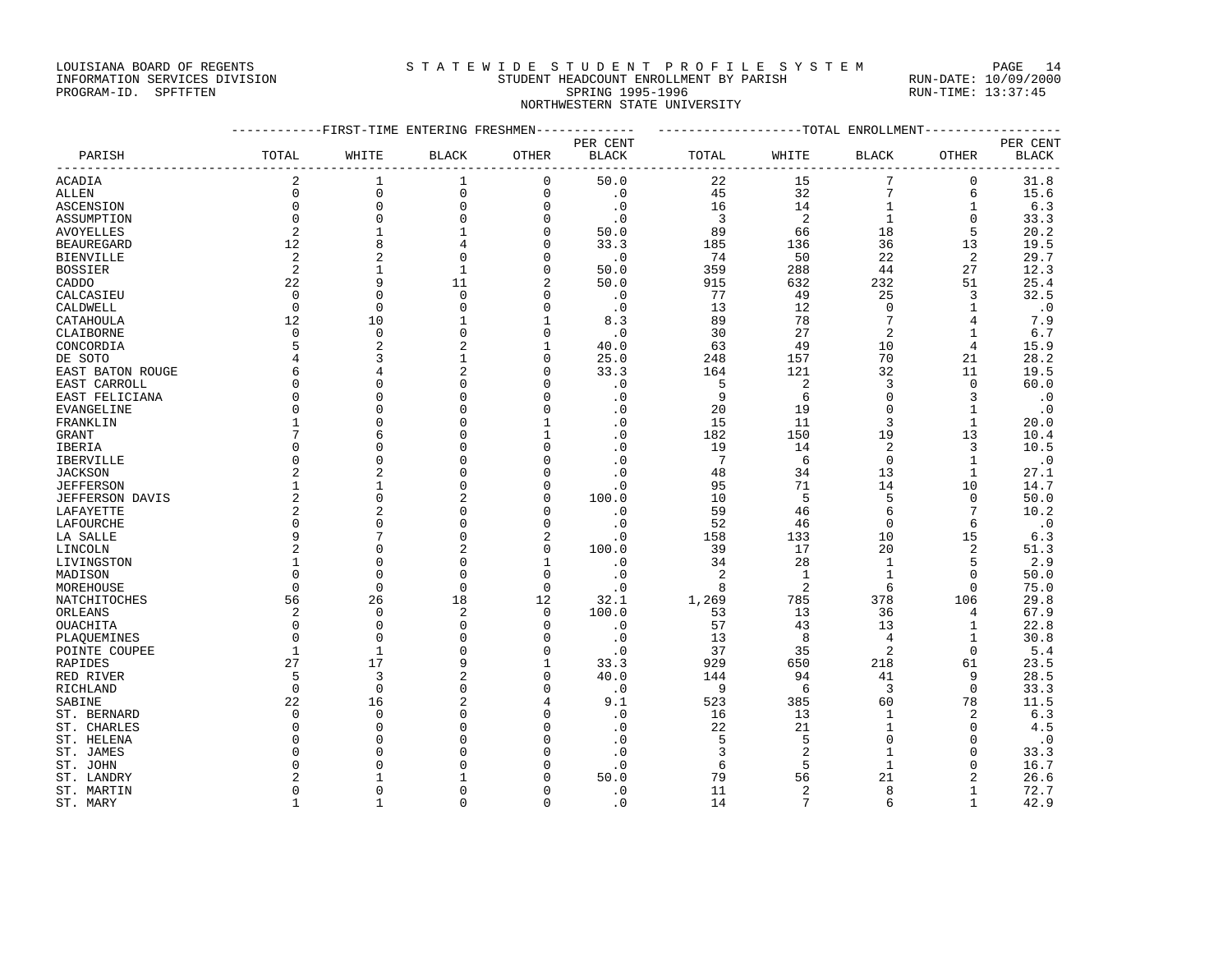#### LOUISIANA BOARD OF REGENTS STATEWIDE STUDENT PROFILE SYSTEM PAGE 14 INFORMATION SERVICES DIVISION STUDENT HEADCOUNT ENROLLMENT BY PARISH RUN-DATE: 10/09/2000 EXPORMATION SERVICES DIVISION AND STUDENT HEADCOUNT EXPOLLMENT BY PARISH AND RUN-DATE: 10/09/2000<br>PROGRAM-ID. SPFTFTEN SPRING 1995-1996 STUDENT 1995-1996 RUN-TIME: 13:37:45

NORTHWESTERN STATE UNIVERSITY

------------FIRST-TIME ENTERING FRESHMEN------------- -------------------TOTAL ENROLLMENT------------------ PER CENT PER CENT PARISH TOTAL WHITE BLACK OTHER BLACK TOTAL WHITE BLACK OTHER BLACK ------------------------------------------------------------------------------------------------------------------------------------ ACADIA 2 1 1 0 50.0 22 15 7 0 31.8 ALLEN 0 0 0 0 .0 45 32 7 6 15.6 ASCENSION 0 0 0 0 .0 16 14 1 1 6.3 ASSUMPTION 0 0 0 0 .0 3 2 1 0 33.3 AVOYELLES 2 1 1 0 50.0 89 66 18 5 20.2 BEAUREGARD 12 8 4 0 33.3 185 136 36 13 19.5 BIENVILLE 2 2 0 0 .0 74 50 22 2 29.7 BOSSIER 2 1 1 0 50.0 359 288 44 27 12.3 CADDO 22 9 11 2 50.0 915 632 232 51 25.4 CALCASIEU 0 0 0 0 .0 77 49 25 3 32.5 CALDWELL 0 0 0 0 .0 13 12 0 1 .0 CATAHOULA 12 10 1 1 8.3 89 78 7 4 7.9 CLAIBORNE 0 0 0 0 .0 30 27 2 1 6.7 CONCORDIA 5 2 2 1 40.0 63 49 10 4 15.9 DE SOTO 4 3 1 0 25.0 248 157 70 21 28.2 EAST BATON ROUGE 6 4 2 0 33.3 164 121 32 11 19.5 EAST CARROLL 0 0 0 0 .0 5 2 3 0 60.0 EAST FELICIANA 0 0 0 0 .0 9 6 0 3 .0 EVANGELINE 0 0 0 0 .0 20 19 0 1 .0 FRANKLIN 1 0 0 1 .0 15 11 3 1 20.0 GRANT 7 6 0 1 .0 182 150 19 13 10.4 IBERIA 0 0 0 0 .0 19 14 2 3 10.5 IBERVILLE 0 0 0 0 .0 7 6 0 1 .0  $\begin{array}{cccccccccccccc} \text{JACKSON} & & & & 2 & & 2 & & 0 & & 0 & & 0 & & 48 & & 34 & & 13 & & 1 & & 27.1 \\ \text{JEFFERSON & & & & & 1 & & 1 & & 0 & & 0 & & 0 & & 95 & & 71 & & 14 & & 10 & & 14.7 \\ \text{JEFFERSON & & & & & & 2 & & 0 & & 2 & & 0 & & 100.0 & & & 10 & & 5 & & 5 & & 0 & & 50.0 \\ \text{LAFAYETTE} & & & & & & 2 & & 2 & & 0 & & 0 & & 0 & &$ JEFFERSON 1 1 0 0 .0 95 71 14 10 14.7 JEFFERSON DAVIS 2 0 2 0 100.0 10 5 5 0 50.0 LAFAYETTE 2 2 0 0 .0 59 46 6 7 10.2 LAFOURCHE 0 0 0 0 .0 52 46 0 6 .0 LA SALLE 9 7 0 2 .0 158 133 10 15 6.3 LINCOLN 2 0 2 0 100.0 39 17 20 2 51.3 LIVINGSTON 1 0 0 1 .0 34 28 1 5 2.9 MADISON 0 0 0 0 .0 2 1 1 0 50.0 MOREHOUSE 0 0 0 0 .0 8 2 6 0 75.0 NATCHITOCHES 56 26 18 12 32.1 1,269 785 378 106 29.8 ORLEANS 2 0 2 0 100.0 53 13 36 4 67.9 OUACHITA 0 0 0 0 .0 57 43 13 1 22.8 PLAQUEMINES 0 0 0 0 .0 13 8 4 1 30.8 POINTE COUPEE 1 1 1 0 0 0 0 37 35 2 0 5.4 RAPIDES 27 17 9 1 33.3 929 650 218 61 23.5 RED RIVER 5 3 2 0 40.0 144 94 41 9 28.5 RICHLAND 0 0 0 0 .0 9 6 3 0 33.3 SABINE 22 16 2 4 9.1 523 385 60 78 11.5 ST. BERNARD 0 0 0 0 .0 16 13 1 2 6.3 ST. CHARLES 0 0 0 0 .0 22 21 1 0 4.5 ST. HELENA 0 0 0 0 .0 5 5 0 0 .0 ST. JAMES 0 0 0 0 .0 3 2 1 0 33.3 ST. JOHN 0 0 0 0 .0 6 5 1 0 16.7 ST. LANDRY 2 1 1 0 50.0 79 56 21 2 26.6 ST. MARTIN 0 0 0 0 .0 11 2 8 1 72.7 ST. MARY 1 1 0 0 .0 14 7 6 1 42.9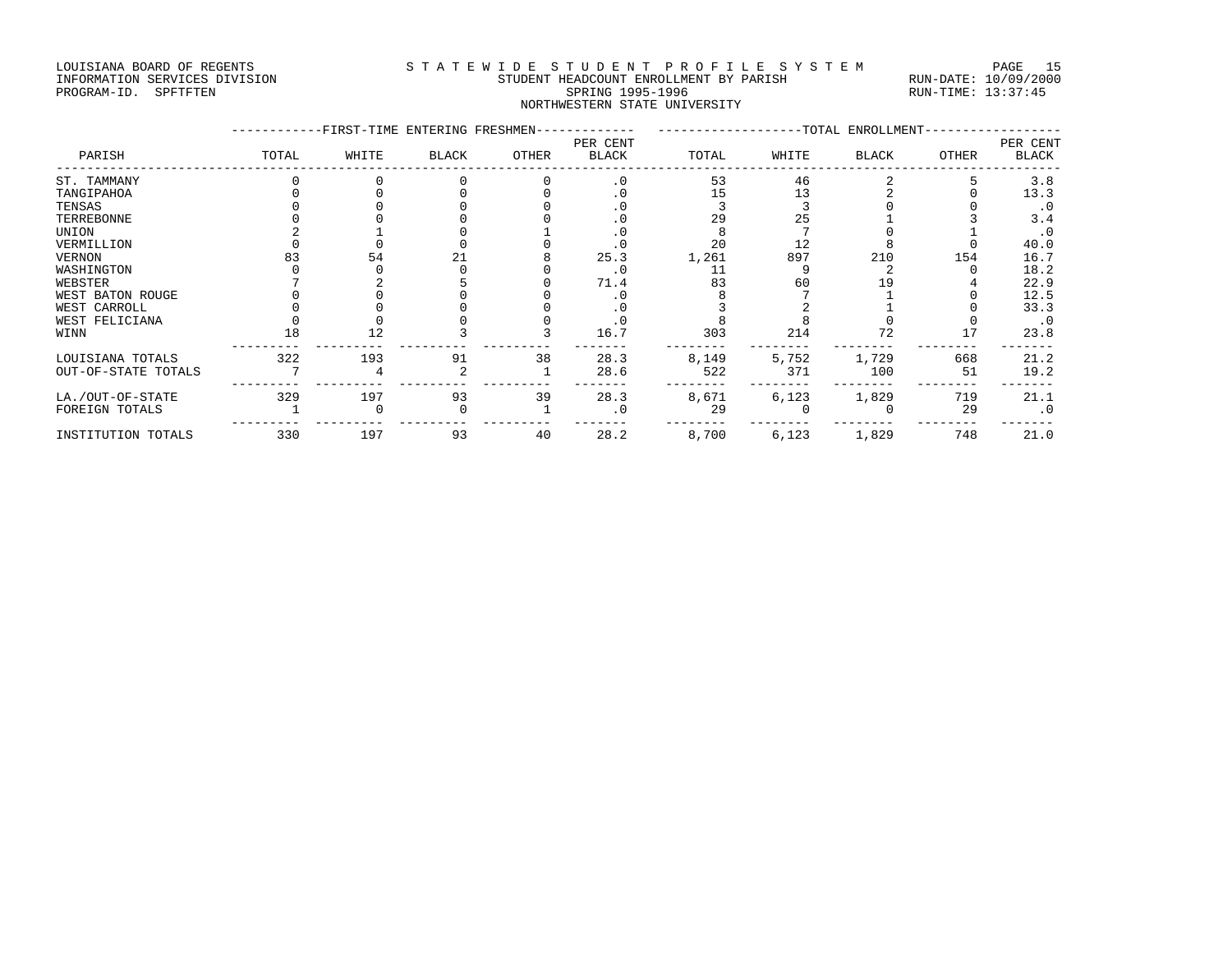#### LOUISIANA BOARD OF REGENTS S T A T E W I D E S T U D E N T P R O F I L E S Y S T E M PAGE 15 INFORMATION SERVICES DIVISION STUDENT HEADCOUNT ENROLLMENT BY PARISH RUN-DATE: 10/09/2000 PROGRAM-ID. SPFTFTEN SARE SERING 1995-1996 SPRING 1995-1996 RUN-TIME: 13:37:45 NORTHWESTERN STATE UNIVERSITY

|                     |       | -FIRST-TIME ENTERING FRESHMEN- |              |       |                          |       |       | -TOTAL ENROLLMENT |       |                          |
|---------------------|-------|--------------------------------|--------------|-------|--------------------------|-------|-------|-------------------|-------|--------------------------|
| PARISH              | TOTAL | WHITE                          | <b>BLACK</b> | OTHER | PER CENT<br><b>BLACK</b> | TOTAL | WHITE | <b>BLACK</b>      | OTHER | PER CENT<br><b>BLACK</b> |
| ST. TAMMANY         |       |                                |              |       | $\cdot$ 0                | 53    | 46    |                   |       | 3.8                      |
| TANGIPAHOA          |       |                                |              |       | . 0                      | 15    | 13    |                   |       | 13.3                     |
| TENSAS              |       |                                |              |       | . 0                      |       |       |                   |       | $\cdot$ 0                |
| TERREBONNE          |       |                                |              |       | $\cdot$ 0                | 29    | 25    |                   |       | 3.4                      |
| UNION               |       |                                |              |       | . 0                      |       |       |                   |       | $\cdot$ 0                |
| VERMILLION          |       |                                |              |       | $\cdot$ 0                | 20    | 12    |                   |       | 40.0                     |
| <b>VERNON</b>       | 83    | 54                             |              |       | 25.3                     | 1,261 | 897   | 210               | 154   | 16.7                     |
| WASHINGTON          |       |                                |              |       | $\cdot$ 0                | 11    |       |                   |       | 18.2                     |
| WEBSTER             |       |                                |              |       | 71.4                     | 83    | 60    |                   |       | 22.9                     |
| WEST BATON ROUGE    |       |                                |              |       | $\cdot$ 0                |       |       |                   |       | 12.5                     |
| WEST CARROLL        |       |                                |              |       | $\cdot$ 0                |       |       |                   |       | 33.3                     |
| WEST FELICIANA      |       |                                |              |       | $\cdot$ 0                |       |       |                   |       | $\cdot$ 0                |
| WINN                | 18    | 12                             |              |       | 16.7                     | 303   | 214   | 72                | 17    | 23.8                     |
| LOUISIANA TOTALS    | 322   | 193                            | 91           | 38    | 28.3                     | 8,149 | 5,752 | 1,729             | 668   | 21.2                     |
| OUT-OF-STATE TOTALS |       |                                |              |       | 28.6                     | 522   | 371   | 100               | 51    | 19.2                     |
| LA./OUT-OF-STATE    | 329   | 197                            | 93           | 39    | 28.3                     | 8,671 | 6,123 | 1,829             | 719   | 21.1                     |
| FOREIGN TOTALS      |       |                                |              |       | $\cdot$ 0                | 29    |       |                   | 29    | $\cdot$ 0                |
| INSTITUTION TOTALS  | 330   | 197                            | 93           | 40    | 28.2                     | 8,700 | 6,123 | 1,829             | 748   | 21.0                     |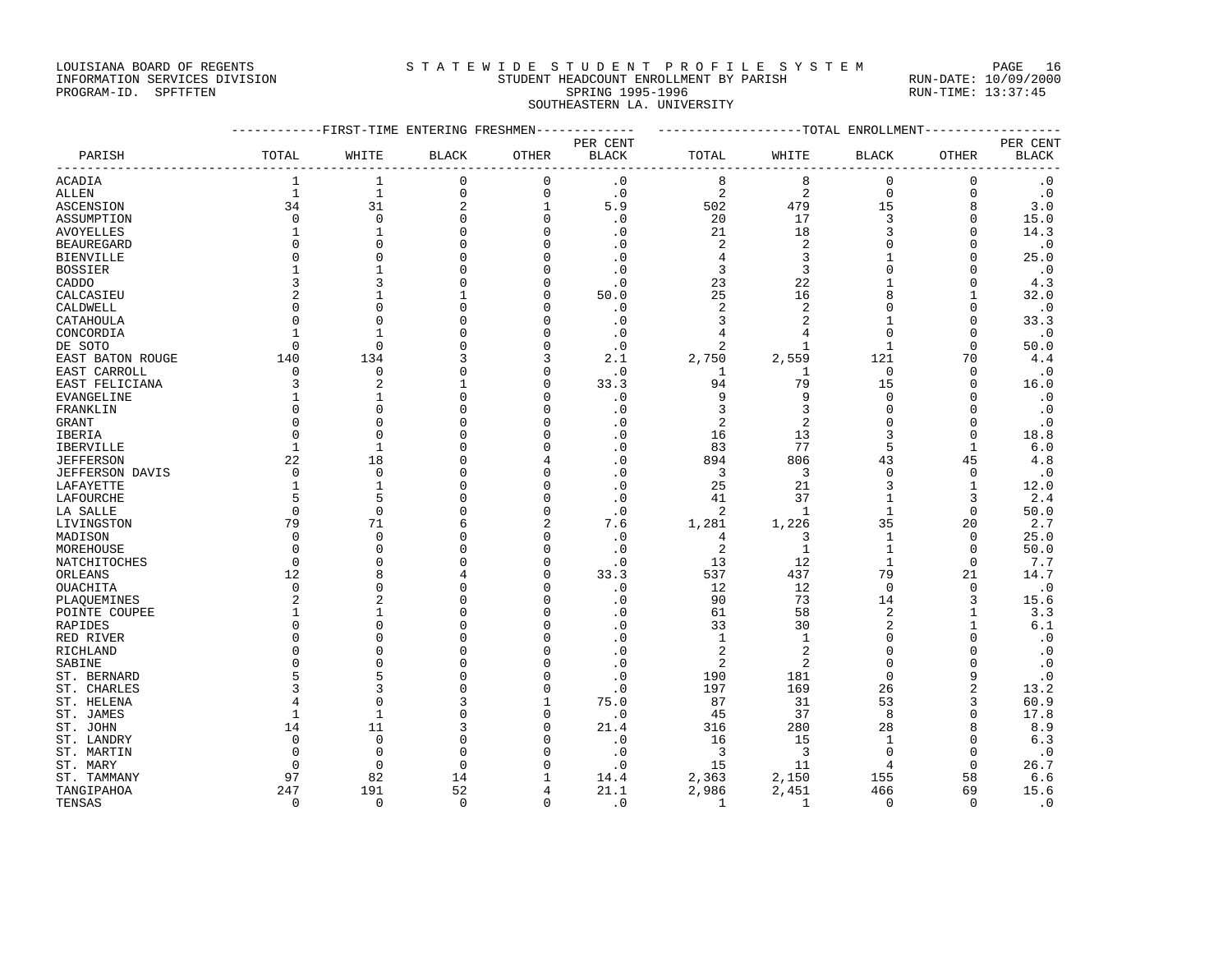#### LOUISIANA BOARD OF REGENTS STATEWIDE STUDENT PROFILE SYSTEM PAGE 16 INFORMATION SERVICES DIVISION STUDENT HEADCOUNT ENROLLMENT BY PARISH RUN-DATE: 10/09/2000

# PROGRAM-ID. SPFTFTEN SARE SERING 1995-1996 SPRING 1995-1996 RUN-TIME: 13:37:45 SOUTHEASTERN LA. UNIVERSITY

| PER CENT<br>PER CENT<br>PARISH<br>TOTAL<br><b>BLACK</b><br>OTHER<br><b>BLACK</b><br>TOTAL<br>WHITE<br><b>OTHER</b><br><b>BLACK</b><br>WHITE<br>BLACK<br>8<br>$\mathbf 0$<br><b>ACADIA</b><br>1<br>0<br>0<br>$\cdot$ 0<br>8<br>0<br>$\cdot$ 0<br>1<br>$\overline{c}$<br>$\overline{c}$<br>$\mathbf{1}$<br>$\mathbf{1}$<br>$\mathsf 0$<br>$\cdot$ 0<br>$\mathbf 0$<br>$\mathbf{0}$<br>$\mathbf 0$<br>$\cdot$ 0<br><b>ALLEN</b><br>34<br>31<br>$\overline{2}$<br>$\mathbf{1}$<br>5.9<br>502<br>479<br>15<br>8<br>3.0<br>ASCENSION<br>17<br>$\mathbf 0$<br>$\mathbf 0$<br>$\mathbf 0$<br>$\cdot$ 0<br>20<br>3<br>$\mathbf{0}$<br>15.0<br>ASSUMPTION<br>0<br>$\Omega$<br>21<br>18<br>3<br>$\mathbf{0}$<br>14.3<br><b>AVOYELLES</b><br>1<br>$\mathbf{1}$<br>$\Omega$<br>$\cdot$ 0<br>$\overline{a}$<br>$\Omega$<br>$\mathbf 0$<br>$\Omega$<br>2<br>$\cdot$ 0<br><b>BEAUREGARD</b><br>$\Omega$<br>U<br>$\cdot$ 0<br>$\Omega$<br>$\overline{3}$<br>25.0<br>$\Omega$<br>O<br>$\Omega$<br><b>BIENVILLE</b><br>$\Omega$<br>. 0<br>4<br>3<br>3<br><b>BOSSIER</b><br>$\mathbf{1}$<br>O<br>$\cdot$ 0<br>$\Omega$<br>$\Omega$<br>$\cdot$ 0<br>1<br>C<br>22<br>3<br>3<br>23<br>$\Omega$<br>4.3<br>CADDO<br>0<br>$\cdot$ 0<br>U<br>$\overline{2}$<br>25<br>16<br>$\mathsf{R}$<br>32.0<br>CALCASIEU<br>U<br>50.0<br>1<br>$\sqrt{2}$<br>2<br>$\Omega$<br>$\Omega$<br>$\cdot$ 0<br>CALDWELL<br>$\cap$<br>$\Omega$<br>0<br>$\cdot$ 0<br>$\Omega$<br>$\cdot$ 0<br>3<br>$\overline{2}$<br>$\mathbf{0}$<br>33.3<br>CATAHOULA<br>$\Omega$<br>$\Omega$<br>O<br>U<br>4<br>$\Omega$<br>$\mathbf{0}$<br>$\cdot$ 0<br>CONCORDIA<br>1<br>$\mathbf{1}$<br>U<br>$\cdot$ 0<br>4<br>U<br>$\Omega$<br>$\mathbf 0$<br>$\mathbf 0$<br>2<br>$\mathbf{0}$<br>50.0<br>DE SOTO<br>$\cdot$ 0<br>1<br>$\mathbf{1}$<br>140<br>134<br>3<br>2.1<br>2,750<br>2,559<br>121<br>70<br>4.4<br>EAST BATON ROUGE<br>$\mathbf{0}$<br>$\mathbf 0$<br>$\cdot$ 0<br>$\Omega$<br>$\Omega$<br>$\cdot$ 0<br>EAST CARROLL<br>$\Omega$<br>1<br>U<br>1<br>3<br>$\overline{c}$<br>33.3<br>94<br>79<br>15<br>16.0<br>EAST FELICIANA<br>1<br>$\Omega$<br>$\Omega$<br>9<br>9<br>O<br>$\cdot$ 0<br>$\Omega$<br>$\cdot$ 0<br>$\mathbf{1}$<br>$\Omega$<br>$\Omega$<br>EVANGELINE<br>1<br>3<br>3<br>$\Omega$<br>FRANKLIN<br>$\Omega$<br>$\Omega$<br>U<br>$\cdot$ 0<br>$\Omega$<br>$\cdot$ 0<br>U<br>$\overline{2}$<br>$\overline{2}$<br>$\Omega$<br>$\Omega$<br>$\cdot$ 0<br><b>GRANT</b><br>$\cap$<br>U<br>$\cdot$ 0<br>$\cdot$ 0<br>16<br>13<br>3<br>$\mathbf{0}$<br>18.8<br>IBERIA<br>$\mathbf 0$<br>$\Omega$<br>O<br>U<br>77<br>5<br>$\cdot$ 0<br>83<br>$\mathbf{1}$<br>6.0<br>IBERVILLE<br>1<br>$\mathbf{1}$<br>O<br>4.8<br><b>JEFFERSON</b><br>22<br>18<br>$\cdot$ 0<br>894<br>806<br>43<br>45<br>$\Omega$<br>4<br>$\mathbf 0$<br>$\Omega$<br>$\cdot$ 0<br>3<br>3<br>$\Omega$<br>$\mathbf 0$<br>$\cdot$ 0<br><b>JEFFERSON DAVIS</b><br><sup>n</sup><br>U<br>21<br>$\mathbf{1}$<br>O<br>$\cdot$ 0<br>25<br>3<br>$\mathbf 1$<br>12.0<br>LAFAYETTE<br>1<br>5<br>5<br>$\cdot$ 0<br>41<br>37<br>3<br>2.4<br>LAFOURCHE<br>0<br>1<br>O<br>$\Omega$<br>$\mathbf{0}$<br>$\Omega$<br>$\mathbf 0$<br>$\cdot$ 0<br>2<br>1<br>$\mathbf{1}$<br>50.0<br>LA SALLE<br>79<br>2<br>1,281<br>1,226<br>35<br>20<br>2.7<br>LIVINGSTON<br>71<br>7.6<br>$\mathbf 0$<br>$\Omega$<br>$\mathbf{1}$<br>$\Omega$<br>25.0<br>MADISON<br>0<br>$\cdot$ 0<br>4<br>3<br>U<br>2<br>$\mathbf{1}$<br>$\mathbf 0$<br>MOREHOUSE<br>$\mathbf 0$<br>$\Omega$<br>0<br>$\cdot$ 0<br>1<br>50.0<br>U<br>12<br>$\mathbf 0$<br>$\mathbf 0$<br>$\cdot$ 0<br>13<br>7.7<br>NATCHITOCHES<br>$\Omega$<br>$\Omega$<br>1<br>12<br>33.3<br>537<br>437<br>79<br>21<br>14.7<br>0<br>ORLEANS<br><b>OUACHITA</b><br>$\mathbf 0$<br>$\cdot$ 0<br>12<br>12<br>$\Omega$<br>$\mathbf{0}$<br>$\cdot$ 0<br>$\cap$<br>U<br>73<br>3<br>$\overline{c}$<br>$\overline{c}$<br>$\cdot$ 0<br>90<br>14<br>15.6<br>PLAQUEMINES<br>O<br>61<br>58<br>2<br>1<br>3.3<br>POINTE COUPEE<br>1<br>-1<br>O.<br>. 0<br>U<br>33<br>$\overline{2}$<br>$6.1$<br>$\Omega$<br>$\Omega$<br>O<br>$\cdot$ 0<br>30<br>$\mathbf 1$<br>RAPIDES<br>$\Omega$<br>$\cdot$ 0<br>$\Omega$<br>$\Omega$<br>U<br>$\cdot$ 0<br>1<br>1<br>$\Omega$<br>RED RIVER<br>$\overline{2}$<br>$\overline{2}$<br>$\Omega$<br>$\cdot$ 0<br>$\Omega$<br>$\cdot$ 0<br>RICHLAND<br>$\cap$<br>U<br>$\Omega$<br>2<br>$\overline{2}$<br>$\mathbf{0}$<br>$\cdot$ 0<br>SABINE<br>$\Omega$<br>$\Omega$<br>O<br>$\cdot$ 0<br>$\Omega$<br>O<br>9<br>$\cdot$ 0<br>5<br>$\cdot$ 0<br>190<br>181<br>$\Omega$<br>ST. BERNARD<br>U<br>$\overline{2}$<br>3<br>U<br>$\cdot$ 0<br>197<br>169<br>26<br>13.2<br>ST. CHARLES<br>3<br>53<br>$\Omega$<br>75.0<br>87<br>31<br>3<br>60.9<br>ST. HELENA<br>4<br>1<br>$\mathbf{1}$<br>$\mathbf 0$<br>$\cdot$ 0<br>45<br>37<br>8<br>$\Omega$<br>17.8<br>ST. JAMES<br>1<br>O<br>14<br>11<br>21.4<br>316<br>280<br>28<br>8<br>8.9<br>ST. JOHN<br>0<br>$\mathbf 0$<br>6.3<br>$\mathbf 0$<br>$\cdot$ 0<br>16<br>15<br>$\mathbf{0}$<br>ST. LANDRY<br>O<br>$\mathbf{1}$<br>3<br>3<br>$\Omega$<br>$\cdot$ 0<br>ST. MARTIN<br>$\Omega$<br>$\Omega$<br><sup>n</sup><br>U<br>$\cdot$ 0<br>$\Omega$<br>11<br>$\Omega$<br>15<br>$\Omega$<br>26.7<br>$\Omega$<br>$\Omega$<br>O<br>$\cdot$ 0<br>ST. MARY<br>4<br>82<br>2,150<br>155<br>ST. TAMMANY<br>97<br>14<br>14.4<br>2,363<br>58<br>6.6<br>52<br>247<br>191<br>21.1<br>2,986<br>2,451<br>466<br>69<br>15.6<br>TANGIPAHOA<br>4<br>$\mathbf 0$<br>$\mathbf 0$<br>$\Omega$<br>$\mathbf 0$<br>$\cdot$ 0<br>$\mathbf{1}$<br>$\Omega$<br>$\cdot$ 0<br>TENSAS<br>1<br>$\Omega$ |  | ---------FIRST-TIME ENTERING FRESHMEN- |  | ------------ | -------------------TOTAL ENROLLMENT |  | ------------- |  |
|--------------------------------------------------------------------------------------------------------------------------------------------------------------------------------------------------------------------------------------------------------------------------------------------------------------------------------------------------------------------------------------------------------------------------------------------------------------------------------------------------------------------------------------------------------------------------------------------------------------------------------------------------------------------------------------------------------------------------------------------------------------------------------------------------------------------------------------------------------------------------------------------------------------------------------------------------------------------------------------------------------------------------------------------------------------------------------------------------------------------------------------------------------------------------------------------------------------------------------------------------------------------------------------------------------------------------------------------------------------------------------------------------------------------------------------------------------------------------------------------------------------------------------------------------------------------------------------------------------------------------------------------------------------------------------------------------------------------------------------------------------------------------------------------------------------------------------------------------------------------------------------------------------------------------------------------------------------------------------------------------------------------------------------------------------------------------------------------------------------------------------------------------------------------------------------------------------------------------------------------------------------------------------------------------------------------------------------------------------------------------------------------------------------------------------------------------------------------------------------------------------------------------------------------------------------------------------------------------------------------------------------------------------------------------------------------------------------------------------------------------------------------------------------------------------------------------------------------------------------------------------------------------------------------------------------------------------------------------------------------------------------------------------------------------------------------------------------------------------------------------------------------------------------------------------------------------------------------------------------------------------------------------------------------------------------------------------------------------------------------------------------------------------------------------------------------------------------------------------------------------------------------------------------------------------------------------------------------------------------------------------------------------------------------------------------------------------------------------------------------------------------------------------------------------------------------------------------------------------------------------------------------------------------------------------------------------------------------------------------------------------------------------------------------------------------------------------------------------------------------------------------------------------------------------------------------------------------------------------------------------------------------------------------------------------------------------------------------------------------------------------------------------------------------------------------------------------------------------------------------------------------------------------------------------------------------------------------------------------------------------------------------------------------------------------------------------------------------------------------------------------------------------------------------------------------------------------------------------------------------------------------------------------------------------------------------------------------------------------------------------------------------------------------------------------------------------------------------------------------------------------------------------------------------------------------------------------------------------------------------------------------------------------------------------------------------------------------------------------------------------------------------------------------------------------------------------------------------------------------------------------------------------------------------|--|----------------------------------------|--|--------------|-------------------------------------|--|---------------|--|
|                                                                                                                                                                                                                                                                                                                                                                                                                                                                                                                                                                                                                                                                                                                                                                                                                                                                                                                                                                                                                                                                                                                                                                                                                                                                                                                                                                                                                                                                                                                                                                                                                                                                                                                                                                                                                                                                                                                                                                                                                                                                                                                                                                                                                                                                                                                                                                                                                                                                                                                                                                                                                                                                                                                                                                                                                                                                                                                                                                                                                                                                                                                                                                                                                                                                                                                                                                                                                                                                                                                                                                                                                                                                                                                                                                                                                                                                                                                                                                                                                                                                                                                                                                                                                                                                                                                                                                                                                                                                                                                                                                                                                                                                                                                                                                                                                                                                                                                                                                                                                                                                                                                                                                                                                                                                                                                                                                                                                                                                                                                                            |  |                                        |  |              |                                     |  |               |  |
|                                                                                                                                                                                                                                                                                                                                                                                                                                                                                                                                                                                                                                                                                                                                                                                                                                                                                                                                                                                                                                                                                                                                                                                                                                                                                                                                                                                                                                                                                                                                                                                                                                                                                                                                                                                                                                                                                                                                                                                                                                                                                                                                                                                                                                                                                                                                                                                                                                                                                                                                                                                                                                                                                                                                                                                                                                                                                                                                                                                                                                                                                                                                                                                                                                                                                                                                                                                                                                                                                                                                                                                                                                                                                                                                                                                                                                                                                                                                                                                                                                                                                                                                                                                                                                                                                                                                                                                                                                                                                                                                                                                                                                                                                                                                                                                                                                                                                                                                                                                                                                                                                                                                                                                                                                                                                                                                                                                                                                                                                                                                            |  |                                        |  |              |                                     |  |               |  |
|                                                                                                                                                                                                                                                                                                                                                                                                                                                                                                                                                                                                                                                                                                                                                                                                                                                                                                                                                                                                                                                                                                                                                                                                                                                                                                                                                                                                                                                                                                                                                                                                                                                                                                                                                                                                                                                                                                                                                                                                                                                                                                                                                                                                                                                                                                                                                                                                                                                                                                                                                                                                                                                                                                                                                                                                                                                                                                                                                                                                                                                                                                                                                                                                                                                                                                                                                                                                                                                                                                                                                                                                                                                                                                                                                                                                                                                                                                                                                                                                                                                                                                                                                                                                                                                                                                                                                                                                                                                                                                                                                                                                                                                                                                                                                                                                                                                                                                                                                                                                                                                                                                                                                                                                                                                                                                                                                                                                                                                                                                                                            |  |                                        |  |              |                                     |  |               |  |
|                                                                                                                                                                                                                                                                                                                                                                                                                                                                                                                                                                                                                                                                                                                                                                                                                                                                                                                                                                                                                                                                                                                                                                                                                                                                                                                                                                                                                                                                                                                                                                                                                                                                                                                                                                                                                                                                                                                                                                                                                                                                                                                                                                                                                                                                                                                                                                                                                                                                                                                                                                                                                                                                                                                                                                                                                                                                                                                                                                                                                                                                                                                                                                                                                                                                                                                                                                                                                                                                                                                                                                                                                                                                                                                                                                                                                                                                                                                                                                                                                                                                                                                                                                                                                                                                                                                                                                                                                                                                                                                                                                                                                                                                                                                                                                                                                                                                                                                                                                                                                                                                                                                                                                                                                                                                                                                                                                                                                                                                                                                                            |  |                                        |  |              |                                     |  |               |  |
|                                                                                                                                                                                                                                                                                                                                                                                                                                                                                                                                                                                                                                                                                                                                                                                                                                                                                                                                                                                                                                                                                                                                                                                                                                                                                                                                                                                                                                                                                                                                                                                                                                                                                                                                                                                                                                                                                                                                                                                                                                                                                                                                                                                                                                                                                                                                                                                                                                                                                                                                                                                                                                                                                                                                                                                                                                                                                                                                                                                                                                                                                                                                                                                                                                                                                                                                                                                                                                                                                                                                                                                                                                                                                                                                                                                                                                                                                                                                                                                                                                                                                                                                                                                                                                                                                                                                                                                                                                                                                                                                                                                                                                                                                                                                                                                                                                                                                                                                                                                                                                                                                                                                                                                                                                                                                                                                                                                                                                                                                                                                            |  |                                        |  |              |                                     |  |               |  |
|                                                                                                                                                                                                                                                                                                                                                                                                                                                                                                                                                                                                                                                                                                                                                                                                                                                                                                                                                                                                                                                                                                                                                                                                                                                                                                                                                                                                                                                                                                                                                                                                                                                                                                                                                                                                                                                                                                                                                                                                                                                                                                                                                                                                                                                                                                                                                                                                                                                                                                                                                                                                                                                                                                                                                                                                                                                                                                                                                                                                                                                                                                                                                                                                                                                                                                                                                                                                                                                                                                                                                                                                                                                                                                                                                                                                                                                                                                                                                                                                                                                                                                                                                                                                                                                                                                                                                                                                                                                                                                                                                                                                                                                                                                                                                                                                                                                                                                                                                                                                                                                                                                                                                                                                                                                                                                                                                                                                                                                                                                                                            |  |                                        |  |              |                                     |  |               |  |
|                                                                                                                                                                                                                                                                                                                                                                                                                                                                                                                                                                                                                                                                                                                                                                                                                                                                                                                                                                                                                                                                                                                                                                                                                                                                                                                                                                                                                                                                                                                                                                                                                                                                                                                                                                                                                                                                                                                                                                                                                                                                                                                                                                                                                                                                                                                                                                                                                                                                                                                                                                                                                                                                                                                                                                                                                                                                                                                                                                                                                                                                                                                                                                                                                                                                                                                                                                                                                                                                                                                                                                                                                                                                                                                                                                                                                                                                                                                                                                                                                                                                                                                                                                                                                                                                                                                                                                                                                                                                                                                                                                                                                                                                                                                                                                                                                                                                                                                                                                                                                                                                                                                                                                                                                                                                                                                                                                                                                                                                                                                                            |  |                                        |  |              |                                     |  |               |  |
|                                                                                                                                                                                                                                                                                                                                                                                                                                                                                                                                                                                                                                                                                                                                                                                                                                                                                                                                                                                                                                                                                                                                                                                                                                                                                                                                                                                                                                                                                                                                                                                                                                                                                                                                                                                                                                                                                                                                                                                                                                                                                                                                                                                                                                                                                                                                                                                                                                                                                                                                                                                                                                                                                                                                                                                                                                                                                                                                                                                                                                                                                                                                                                                                                                                                                                                                                                                                                                                                                                                                                                                                                                                                                                                                                                                                                                                                                                                                                                                                                                                                                                                                                                                                                                                                                                                                                                                                                                                                                                                                                                                                                                                                                                                                                                                                                                                                                                                                                                                                                                                                                                                                                                                                                                                                                                                                                                                                                                                                                                                                            |  |                                        |  |              |                                     |  |               |  |
|                                                                                                                                                                                                                                                                                                                                                                                                                                                                                                                                                                                                                                                                                                                                                                                                                                                                                                                                                                                                                                                                                                                                                                                                                                                                                                                                                                                                                                                                                                                                                                                                                                                                                                                                                                                                                                                                                                                                                                                                                                                                                                                                                                                                                                                                                                                                                                                                                                                                                                                                                                                                                                                                                                                                                                                                                                                                                                                                                                                                                                                                                                                                                                                                                                                                                                                                                                                                                                                                                                                                                                                                                                                                                                                                                                                                                                                                                                                                                                                                                                                                                                                                                                                                                                                                                                                                                                                                                                                                                                                                                                                                                                                                                                                                                                                                                                                                                                                                                                                                                                                                                                                                                                                                                                                                                                                                                                                                                                                                                                                                            |  |                                        |  |              |                                     |  |               |  |
|                                                                                                                                                                                                                                                                                                                                                                                                                                                                                                                                                                                                                                                                                                                                                                                                                                                                                                                                                                                                                                                                                                                                                                                                                                                                                                                                                                                                                                                                                                                                                                                                                                                                                                                                                                                                                                                                                                                                                                                                                                                                                                                                                                                                                                                                                                                                                                                                                                                                                                                                                                                                                                                                                                                                                                                                                                                                                                                                                                                                                                                                                                                                                                                                                                                                                                                                                                                                                                                                                                                                                                                                                                                                                                                                                                                                                                                                                                                                                                                                                                                                                                                                                                                                                                                                                                                                                                                                                                                                                                                                                                                                                                                                                                                                                                                                                                                                                                                                                                                                                                                                                                                                                                                                                                                                                                                                                                                                                                                                                                                                            |  |                                        |  |              |                                     |  |               |  |
|                                                                                                                                                                                                                                                                                                                                                                                                                                                                                                                                                                                                                                                                                                                                                                                                                                                                                                                                                                                                                                                                                                                                                                                                                                                                                                                                                                                                                                                                                                                                                                                                                                                                                                                                                                                                                                                                                                                                                                                                                                                                                                                                                                                                                                                                                                                                                                                                                                                                                                                                                                                                                                                                                                                                                                                                                                                                                                                                                                                                                                                                                                                                                                                                                                                                                                                                                                                                                                                                                                                                                                                                                                                                                                                                                                                                                                                                                                                                                                                                                                                                                                                                                                                                                                                                                                                                                                                                                                                                                                                                                                                                                                                                                                                                                                                                                                                                                                                                                                                                                                                                                                                                                                                                                                                                                                                                                                                                                                                                                                                                            |  |                                        |  |              |                                     |  |               |  |
|                                                                                                                                                                                                                                                                                                                                                                                                                                                                                                                                                                                                                                                                                                                                                                                                                                                                                                                                                                                                                                                                                                                                                                                                                                                                                                                                                                                                                                                                                                                                                                                                                                                                                                                                                                                                                                                                                                                                                                                                                                                                                                                                                                                                                                                                                                                                                                                                                                                                                                                                                                                                                                                                                                                                                                                                                                                                                                                                                                                                                                                                                                                                                                                                                                                                                                                                                                                                                                                                                                                                                                                                                                                                                                                                                                                                                                                                                                                                                                                                                                                                                                                                                                                                                                                                                                                                                                                                                                                                                                                                                                                                                                                                                                                                                                                                                                                                                                                                                                                                                                                                                                                                                                                                                                                                                                                                                                                                                                                                                                                                            |  |                                        |  |              |                                     |  |               |  |
|                                                                                                                                                                                                                                                                                                                                                                                                                                                                                                                                                                                                                                                                                                                                                                                                                                                                                                                                                                                                                                                                                                                                                                                                                                                                                                                                                                                                                                                                                                                                                                                                                                                                                                                                                                                                                                                                                                                                                                                                                                                                                                                                                                                                                                                                                                                                                                                                                                                                                                                                                                                                                                                                                                                                                                                                                                                                                                                                                                                                                                                                                                                                                                                                                                                                                                                                                                                                                                                                                                                                                                                                                                                                                                                                                                                                                                                                                                                                                                                                                                                                                                                                                                                                                                                                                                                                                                                                                                                                                                                                                                                                                                                                                                                                                                                                                                                                                                                                                                                                                                                                                                                                                                                                                                                                                                                                                                                                                                                                                                                                            |  |                                        |  |              |                                     |  |               |  |
|                                                                                                                                                                                                                                                                                                                                                                                                                                                                                                                                                                                                                                                                                                                                                                                                                                                                                                                                                                                                                                                                                                                                                                                                                                                                                                                                                                                                                                                                                                                                                                                                                                                                                                                                                                                                                                                                                                                                                                                                                                                                                                                                                                                                                                                                                                                                                                                                                                                                                                                                                                                                                                                                                                                                                                                                                                                                                                                                                                                                                                                                                                                                                                                                                                                                                                                                                                                                                                                                                                                                                                                                                                                                                                                                                                                                                                                                                                                                                                                                                                                                                                                                                                                                                                                                                                                                                                                                                                                                                                                                                                                                                                                                                                                                                                                                                                                                                                                                                                                                                                                                                                                                                                                                                                                                                                                                                                                                                                                                                                                                            |  |                                        |  |              |                                     |  |               |  |
|                                                                                                                                                                                                                                                                                                                                                                                                                                                                                                                                                                                                                                                                                                                                                                                                                                                                                                                                                                                                                                                                                                                                                                                                                                                                                                                                                                                                                                                                                                                                                                                                                                                                                                                                                                                                                                                                                                                                                                                                                                                                                                                                                                                                                                                                                                                                                                                                                                                                                                                                                                                                                                                                                                                                                                                                                                                                                                                                                                                                                                                                                                                                                                                                                                                                                                                                                                                                                                                                                                                                                                                                                                                                                                                                                                                                                                                                                                                                                                                                                                                                                                                                                                                                                                                                                                                                                                                                                                                                                                                                                                                                                                                                                                                                                                                                                                                                                                                                                                                                                                                                                                                                                                                                                                                                                                                                                                                                                                                                                                                                            |  |                                        |  |              |                                     |  |               |  |
|                                                                                                                                                                                                                                                                                                                                                                                                                                                                                                                                                                                                                                                                                                                                                                                                                                                                                                                                                                                                                                                                                                                                                                                                                                                                                                                                                                                                                                                                                                                                                                                                                                                                                                                                                                                                                                                                                                                                                                                                                                                                                                                                                                                                                                                                                                                                                                                                                                                                                                                                                                                                                                                                                                                                                                                                                                                                                                                                                                                                                                                                                                                                                                                                                                                                                                                                                                                                                                                                                                                                                                                                                                                                                                                                                                                                                                                                                                                                                                                                                                                                                                                                                                                                                                                                                                                                                                                                                                                                                                                                                                                                                                                                                                                                                                                                                                                                                                                                                                                                                                                                                                                                                                                                                                                                                                                                                                                                                                                                                                                                            |  |                                        |  |              |                                     |  |               |  |
|                                                                                                                                                                                                                                                                                                                                                                                                                                                                                                                                                                                                                                                                                                                                                                                                                                                                                                                                                                                                                                                                                                                                                                                                                                                                                                                                                                                                                                                                                                                                                                                                                                                                                                                                                                                                                                                                                                                                                                                                                                                                                                                                                                                                                                                                                                                                                                                                                                                                                                                                                                                                                                                                                                                                                                                                                                                                                                                                                                                                                                                                                                                                                                                                                                                                                                                                                                                                                                                                                                                                                                                                                                                                                                                                                                                                                                                                                                                                                                                                                                                                                                                                                                                                                                                                                                                                                                                                                                                                                                                                                                                                                                                                                                                                                                                                                                                                                                                                                                                                                                                                                                                                                                                                                                                                                                                                                                                                                                                                                                                                            |  |                                        |  |              |                                     |  |               |  |
|                                                                                                                                                                                                                                                                                                                                                                                                                                                                                                                                                                                                                                                                                                                                                                                                                                                                                                                                                                                                                                                                                                                                                                                                                                                                                                                                                                                                                                                                                                                                                                                                                                                                                                                                                                                                                                                                                                                                                                                                                                                                                                                                                                                                                                                                                                                                                                                                                                                                                                                                                                                                                                                                                                                                                                                                                                                                                                                                                                                                                                                                                                                                                                                                                                                                                                                                                                                                                                                                                                                                                                                                                                                                                                                                                                                                                                                                                                                                                                                                                                                                                                                                                                                                                                                                                                                                                                                                                                                                                                                                                                                                                                                                                                                                                                                                                                                                                                                                                                                                                                                                                                                                                                                                                                                                                                                                                                                                                                                                                                                                            |  |                                        |  |              |                                     |  |               |  |
|                                                                                                                                                                                                                                                                                                                                                                                                                                                                                                                                                                                                                                                                                                                                                                                                                                                                                                                                                                                                                                                                                                                                                                                                                                                                                                                                                                                                                                                                                                                                                                                                                                                                                                                                                                                                                                                                                                                                                                                                                                                                                                                                                                                                                                                                                                                                                                                                                                                                                                                                                                                                                                                                                                                                                                                                                                                                                                                                                                                                                                                                                                                                                                                                                                                                                                                                                                                                                                                                                                                                                                                                                                                                                                                                                                                                                                                                                                                                                                                                                                                                                                                                                                                                                                                                                                                                                                                                                                                                                                                                                                                                                                                                                                                                                                                                                                                                                                                                                                                                                                                                                                                                                                                                                                                                                                                                                                                                                                                                                                                                            |  |                                        |  |              |                                     |  |               |  |
|                                                                                                                                                                                                                                                                                                                                                                                                                                                                                                                                                                                                                                                                                                                                                                                                                                                                                                                                                                                                                                                                                                                                                                                                                                                                                                                                                                                                                                                                                                                                                                                                                                                                                                                                                                                                                                                                                                                                                                                                                                                                                                                                                                                                                                                                                                                                                                                                                                                                                                                                                                                                                                                                                                                                                                                                                                                                                                                                                                                                                                                                                                                                                                                                                                                                                                                                                                                                                                                                                                                                                                                                                                                                                                                                                                                                                                                                                                                                                                                                                                                                                                                                                                                                                                                                                                                                                                                                                                                                                                                                                                                                                                                                                                                                                                                                                                                                                                                                                                                                                                                                                                                                                                                                                                                                                                                                                                                                                                                                                                                                            |  |                                        |  |              |                                     |  |               |  |
|                                                                                                                                                                                                                                                                                                                                                                                                                                                                                                                                                                                                                                                                                                                                                                                                                                                                                                                                                                                                                                                                                                                                                                                                                                                                                                                                                                                                                                                                                                                                                                                                                                                                                                                                                                                                                                                                                                                                                                                                                                                                                                                                                                                                                                                                                                                                                                                                                                                                                                                                                                                                                                                                                                                                                                                                                                                                                                                                                                                                                                                                                                                                                                                                                                                                                                                                                                                                                                                                                                                                                                                                                                                                                                                                                                                                                                                                                                                                                                                                                                                                                                                                                                                                                                                                                                                                                                                                                                                                                                                                                                                                                                                                                                                                                                                                                                                                                                                                                                                                                                                                                                                                                                                                                                                                                                                                                                                                                                                                                                                                            |  |                                        |  |              |                                     |  |               |  |
|                                                                                                                                                                                                                                                                                                                                                                                                                                                                                                                                                                                                                                                                                                                                                                                                                                                                                                                                                                                                                                                                                                                                                                                                                                                                                                                                                                                                                                                                                                                                                                                                                                                                                                                                                                                                                                                                                                                                                                                                                                                                                                                                                                                                                                                                                                                                                                                                                                                                                                                                                                                                                                                                                                                                                                                                                                                                                                                                                                                                                                                                                                                                                                                                                                                                                                                                                                                                                                                                                                                                                                                                                                                                                                                                                                                                                                                                                                                                                                                                                                                                                                                                                                                                                                                                                                                                                                                                                                                                                                                                                                                                                                                                                                                                                                                                                                                                                                                                                                                                                                                                                                                                                                                                                                                                                                                                                                                                                                                                                                                                            |  |                                        |  |              |                                     |  |               |  |
|                                                                                                                                                                                                                                                                                                                                                                                                                                                                                                                                                                                                                                                                                                                                                                                                                                                                                                                                                                                                                                                                                                                                                                                                                                                                                                                                                                                                                                                                                                                                                                                                                                                                                                                                                                                                                                                                                                                                                                                                                                                                                                                                                                                                                                                                                                                                                                                                                                                                                                                                                                                                                                                                                                                                                                                                                                                                                                                                                                                                                                                                                                                                                                                                                                                                                                                                                                                                                                                                                                                                                                                                                                                                                                                                                                                                                                                                                                                                                                                                                                                                                                                                                                                                                                                                                                                                                                                                                                                                                                                                                                                                                                                                                                                                                                                                                                                                                                                                                                                                                                                                                                                                                                                                                                                                                                                                                                                                                                                                                                                                            |  |                                        |  |              |                                     |  |               |  |
|                                                                                                                                                                                                                                                                                                                                                                                                                                                                                                                                                                                                                                                                                                                                                                                                                                                                                                                                                                                                                                                                                                                                                                                                                                                                                                                                                                                                                                                                                                                                                                                                                                                                                                                                                                                                                                                                                                                                                                                                                                                                                                                                                                                                                                                                                                                                                                                                                                                                                                                                                                                                                                                                                                                                                                                                                                                                                                                                                                                                                                                                                                                                                                                                                                                                                                                                                                                                                                                                                                                                                                                                                                                                                                                                                                                                                                                                                                                                                                                                                                                                                                                                                                                                                                                                                                                                                                                                                                                                                                                                                                                                                                                                                                                                                                                                                                                                                                                                                                                                                                                                                                                                                                                                                                                                                                                                                                                                                                                                                                                                            |  |                                        |  |              |                                     |  |               |  |
|                                                                                                                                                                                                                                                                                                                                                                                                                                                                                                                                                                                                                                                                                                                                                                                                                                                                                                                                                                                                                                                                                                                                                                                                                                                                                                                                                                                                                                                                                                                                                                                                                                                                                                                                                                                                                                                                                                                                                                                                                                                                                                                                                                                                                                                                                                                                                                                                                                                                                                                                                                                                                                                                                                                                                                                                                                                                                                                                                                                                                                                                                                                                                                                                                                                                                                                                                                                                                                                                                                                                                                                                                                                                                                                                                                                                                                                                                                                                                                                                                                                                                                                                                                                                                                                                                                                                                                                                                                                                                                                                                                                                                                                                                                                                                                                                                                                                                                                                                                                                                                                                                                                                                                                                                                                                                                                                                                                                                                                                                                                                            |  |                                        |  |              |                                     |  |               |  |
|                                                                                                                                                                                                                                                                                                                                                                                                                                                                                                                                                                                                                                                                                                                                                                                                                                                                                                                                                                                                                                                                                                                                                                                                                                                                                                                                                                                                                                                                                                                                                                                                                                                                                                                                                                                                                                                                                                                                                                                                                                                                                                                                                                                                                                                                                                                                                                                                                                                                                                                                                                                                                                                                                                                                                                                                                                                                                                                                                                                                                                                                                                                                                                                                                                                                                                                                                                                                                                                                                                                                                                                                                                                                                                                                                                                                                                                                                                                                                                                                                                                                                                                                                                                                                                                                                                                                                                                                                                                                                                                                                                                                                                                                                                                                                                                                                                                                                                                                                                                                                                                                                                                                                                                                                                                                                                                                                                                                                                                                                                                                            |  |                                        |  |              |                                     |  |               |  |
|                                                                                                                                                                                                                                                                                                                                                                                                                                                                                                                                                                                                                                                                                                                                                                                                                                                                                                                                                                                                                                                                                                                                                                                                                                                                                                                                                                                                                                                                                                                                                                                                                                                                                                                                                                                                                                                                                                                                                                                                                                                                                                                                                                                                                                                                                                                                                                                                                                                                                                                                                                                                                                                                                                                                                                                                                                                                                                                                                                                                                                                                                                                                                                                                                                                                                                                                                                                                                                                                                                                                                                                                                                                                                                                                                                                                                                                                                                                                                                                                                                                                                                                                                                                                                                                                                                                                                                                                                                                                                                                                                                                                                                                                                                                                                                                                                                                                                                                                                                                                                                                                                                                                                                                                                                                                                                                                                                                                                                                                                                                                            |  |                                        |  |              |                                     |  |               |  |
|                                                                                                                                                                                                                                                                                                                                                                                                                                                                                                                                                                                                                                                                                                                                                                                                                                                                                                                                                                                                                                                                                                                                                                                                                                                                                                                                                                                                                                                                                                                                                                                                                                                                                                                                                                                                                                                                                                                                                                                                                                                                                                                                                                                                                                                                                                                                                                                                                                                                                                                                                                                                                                                                                                                                                                                                                                                                                                                                                                                                                                                                                                                                                                                                                                                                                                                                                                                                                                                                                                                                                                                                                                                                                                                                                                                                                                                                                                                                                                                                                                                                                                                                                                                                                                                                                                                                                                                                                                                                                                                                                                                                                                                                                                                                                                                                                                                                                                                                                                                                                                                                                                                                                                                                                                                                                                                                                                                                                                                                                                                                            |  |                                        |  |              |                                     |  |               |  |
|                                                                                                                                                                                                                                                                                                                                                                                                                                                                                                                                                                                                                                                                                                                                                                                                                                                                                                                                                                                                                                                                                                                                                                                                                                                                                                                                                                                                                                                                                                                                                                                                                                                                                                                                                                                                                                                                                                                                                                                                                                                                                                                                                                                                                                                                                                                                                                                                                                                                                                                                                                                                                                                                                                                                                                                                                                                                                                                                                                                                                                                                                                                                                                                                                                                                                                                                                                                                                                                                                                                                                                                                                                                                                                                                                                                                                                                                                                                                                                                                                                                                                                                                                                                                                                                                                                                                                                                                                                                                                                                                                                                                                                                                                                                                                                                                                                                                                                                                                                                                                                                                                                                                                                                                                                                                                                                                                                                                                                                                                                                                            |  |                                        |  |              |                                     |  |               |  |
|                                                                                                                                                                                                                                                                                                                                                                                                                                                                                                                                                                                                                                                                                                                                                                                                                                                                                                                                                                                                                                                                                                                                                                                                                                                                                                                                                                                                                                                                                                                                                                                                                                                                                                                                                                                                                                                                                                                                                                                                                                                                                                                                                                                                                                                                                                                                                                                                                                                                                                                                                                                                                                                                                                                                                                                                                                                                                                                                                                                                                                                                                                                                                                                                                                                                                                                                                                                                                                                                                                                                                                                                                                                                                                                                                                                                                                                                                                                                                                                                                                                                                                                                                                                                                                                                                                                                                                                                                                                                                                                                                                                                                                                                                                                                                                                                                                                                                                                                                                                                                                                                                                                                                                                                                                                                                                                                                                                                                                                                                                                                            |  |                                        |  |              |                                     |  |               |  |
|                                                                                                                                                                                                                                                                                                                                                                                                                                                                                                                                                                                                                                                                                                                                                                                                                                                                                                                                                                                                                                                                                                                                                                                                                                                                                                                                                                                                                                                                                                                                                                                                                                                                                                                                                                                                                                                                                                                                                                                                                                                                                                                                                                                                                                                                                                                                                                                                                                                                                                                                                                                                                                                                                                                                                                                                                                                                                                                                                                                                                                                                                                                                                                                                                                                                                                                                                                                                                                                                                                                                                                                                                                                                                                                                                                                                                                                                                                                                                                                                                                                                                                                                                                                                                                                                                                                                                                                                                                                                                                                                                                                                                                                                                                                                                                                                                                                                                                                                                                                                                                                                                                                                                                                                                                                                                                                                                                                                                                                                                                                                            |  |                                        |  |              |                                     |  |               |  |
|                                                                                                                                                                                                                                                                                                                                                                                                                                                                                                                                                                                                                                                                                                                                                                                                                                                                                                                                                                                                                                                                                                                                                                                                                                                                                                                                                                                                                                                                                                                                                                                                                                                                                                                                                                                                                                                                                                                                                                                                                                                                                                                                                                                                                                                                                                                                                                                                                                                                                                                                                                                                                                                                                                                                                                                                                                                                                                                                                                                                                                                                                                                                                                                                                                                                                                                                                                                                                                                                                                                                                                                                                                                                                                                                                                                                                                                                                                                                                                                                                                                                                                                                                                                                                                                                                                                                                                                                                                                                                                                                                                                                                                                                                                                                                                                                                                                                                                                                                                                                                                                                                                                                                                                                                                                                                                                                                                                                                                                                                                                                            |  |                                        |  |              |                                     |  |               |  |
|                                                                                                                                                                                                                                                                                                                                                                                                                                                                                                                                                                                                                                                                                                                                                                                                                                                                                                                                                                                                                                                                                                                                                                                                                                                                                                                                                                                                                                                                                                                                                                                                                                                                                                                                                                                                                                                                                                                                                                                                                                                                                                                                                                                                                                                                                                                                                                                                                                                                                                                                                                                                                                                                                                                                                                                                                                                                                                                                                                                                                                                                                                                                                                                                                                                                                                                                                                                                                                                                                                                                                                                                                                                                                                                                                                                                                                                                                                                                                                                                                                                                                                                                                                                                                                                                                                                                                                                                                                                                                                                                                                                                                                                                                                                                                                                                                                                                                                                                                                                                                                                                                                                                                                                                                                                                                                                                                                                                                                                                                                                                            |  |                                        |  |              |                                     |  |               |  |
|                                                                                                                                                                                                                                                                                                                                                                                                                                                                                                                                                                                                                                                                                                                                                                                                                                                                                                                                                                                                                                                                                                                                                                                                                                                                                                                                                                                                                                                                                                                                                                                                                                                                                                                                                                                                                                                                                                                                                                                                                                                                                                                                                                                                                                                                                                                                                                                                                                                                                                                                                                                                                                                                                                                                                                                                                                                                                                                                                                                                                                                                                                                                                                                                                                                                                                                                                                                                                                                                                                                                                                                                                                                                                                                                                                                                                                                                                                                                                                                                                                                                                                                                                                                                                                                                                                                                                                                                                                                                                                                                                                                                                                                                                                                                                                                                                                                                                                                                                                                                                                                                                                                                                                                                                                                                                                                                                                                                                                                                                                                                            |  |                                        |  |              |                                     |  |               |  |
|                                                                                                                                                                                                                                                                                                                                                                                                                                                                                                                                                                                                                                                                                                                                                                                                                                                                                                                                                                                                                                                                                                                                                                                                                                                                                                                                                                                                                                                                                                                                                                                                                                                                                                                                                                                                                                                                                                                                                                                                                                                                                                                                                                                                                                                                                                                                                                                                                                                                                                                                                                                                                                                                                                                                                                                                                                                                                                                                                                                                                                                                                                                                                                                                                                                                                                                                                                                                                                                                                                                                                                                                                                                                                                                                                                                                                                                                                                                                                                                                                                                                                                                                                                                                                                                                                                                                                                                                                                                                                                                                                                                                                                                                                                                                                                                                                                                                                                                                                                                                                                                                                                                                                                                                                                                                                                                                                                                                                                                                                                                                            |  |                                        |  |              |                                     |  |               |  |
|                                                                                                                                                                                                                                                                                                                                                                                                                                                                                                                                                                                                                                                                                                                                                                                                                                                                                                                                                                                                                                                                                                                                                                                                                                                                                                                                                                                                                                                                                                                                                                                                                                                                                                                                                                                                                                                                                                                                                                                                                                                                                                                                                                                                                                                                                                                                                                                                                                                                                                                                                                                                                                                                                                                                                                                                                                                                                                                                                                                                                                                                                                                                                                                                                                                                                                                                                                                                                                                                                                                                                                                                                                                                                                                                                                                                                                                                                                                                                                                                                                                                                                                                                                                                                                                                                                                                                                                                                                                                                                                                                                                                                                                                                                                                                                                                                                                                                                                                                                                                                                                                                                                                                                                                                                                                                                                                                                                                                                                                                                                                            |  |                                        |  |              |                                     |  |               |  |
|                                                                                                                                                                                                                                                                                                                                                                                                                                                                                                                                                                                                                                                                                                                                                                                                                                                                                                                                                                                                                                                                                                                                                                                                                                                                                                                                                                                                                                                                                                                                                                                                                                                                                                                                                                                                                                                                                                                                                                                                                                                                                                                                                                                                                                                                                                                                                                                                                                                                                                                                                                                                                                                                                                                                                                                                                                                                                                                                                                                                                                                                                                                                                                                                                                                                                                                                                                                                                                                                                                                                                                                                                                                                                                                                                                                                                                                                                                                                                                                                                                                                                                                                                                                                                                                                                                                                                                                                                                                                                                                                                                                                                                                                                                                                                                                                                                                                                                                                                                                                                                                                                                                                                                                                                                                                                                                                                                                                                                                                                                                                            |  |                                        |  |              |                                     |  |               |  |
|                                                                                                                                                                                                                                                                                                                                                                                                                                                                                                                                                                                                                                                                                                                                                                                                                                                                                                                                                                                                                                                                                                                                                                                                                                                                                                                                                                                                                                                                                                                                                                                                                                                                                                                                                                                                                                                                                                                                                                                                                                                                                                                                                                                                                                                                                                                                                                                                                                                                                                                                                                                                                                                                                                                                                                                                                                                                                                                                                                                                                                                                                                                                                                                                                                                                                                                                                                                                                                                                                                                                                                                                                                                                                                                                                                                                                                                                                                                                                                                                                                                                                                                                                                                                                                                                                                                                                                                                                                                                                                                                                                                                                                                                                                                                                                                                                                                                                                                                                                                                                                                                                                                                                                                                                                                                                                                                                                                                                                                                                                                                            |  |                                        |  |              |                                     |  |               |  |
|                                                                                                                                                                                                                                                                                                                                                                                                                                                                                                                                                                                                                                                                                                                                                                                                                                                                                                                                                                                                                                                                                                                                                                                                                                                                                                                                                                                                                                                                                                                                                                                                                                                                                                                                                                                                                                                                                                                                                                                                                                                                                                                                                                                                                                                                                                                                                                                                                                                                                                                                                                                                                                                                                                                                                                                                                                                                                                                                                                                                                                                                                                                                                                                                                                                                                                                                                                                                                                                                                                                                                                                                                                                                                                                                                                                                                                                                                                                                                                                                                                                                                                                                                                                                                                                                                                                                                                                                                                                                                                                                                                                                                                                                                                                                                                                                                                                                                                                                                                                                                                                                                                                                                                                                                                                                                                                                                                                                                                                                                                                                            |  |                                        |  |              |                                     |  |               |  |
|                                                                                                                                                                                                                                                                                                                                                                                                                                                                                                                                                                                                                                                                                                                                                                                                                                                                                                                                                                                                                                                                                                                                                                                                                                                                                                                                                                                                                                                                                                                                                                                                                                                                                                                                                                                                                                                                                                                                                                                                                                                                                                                                                                                                                                                                                                                                                                                                                                                                                                                                                                                                                                                                                                                                                                                                                                                                                                                                                                                                                                                                                                                                                                                                                                                                                                                                                                                                                                                                                                                                                                                                                                                                                                                                                                                                                                                                                                                                                                                                                                                                                                                                                                                                                                                                                                                                                                                                                                                                                                                                                                                                                                                                                                                                                                                                                                                                                                                                                                                                                                                                                                                                                                                                                                                                                                                                                                                                                                                                                                                                            |  |                                        |  |              |                                     |  |               |  |
|                                                                                                                                                                                                                                                                                                                                                                                                                                                                                                                                                                                                                                                                                                                                                                                                                                                                                                                                                                                                                                                                                                                                                                                                                                                                                                                                                                                                                                                                                                                                                                                                                                                                                                                                                                                                                                                                                                                                                                                                                                                                                                                                                                                                                                                                                                                                                                                                                                                                                                                                                                                                                                                                                                                                                                                                                                                                                                                                                                                                                                                                                                                                                                                                                                                                                                                                                                                                                                                                                                                                                                                                                                                                                                                                                                                                                                                                                                                                                                                                                                                                                                                                                                                                                                                                                                                                                                                                                                                                                                                                                                                                                                                                                                                                                                                                                                                                                                                                                                                                                                                                                                                                                                                                                                                                                                                                                                                                                                                                                                                                            |  |                                        |  |              |                                     |  |               |  |
|                                                                                                                                                                                                                                                                                                                                                                                                                                                                                                                                                                                                                                                                                                                                                                                                                                                                                                                                                                                                                                                                                                                                                                                                                                                                                                                                                                                                                                                                                                                                                                                                                                                                                                                                                                                                                                                                                                                                                                                                                                                                                                                                                                                                                                                                                                                                                                                                                                                                                                                                                                                                                                                                                                                                                                                                                                                                                                                                                                                                                                                                                                                                                                                                                                                                                                                                                                                                                                                                                                                                                                                                                                                                                                                                                                                                                                                                                                                                                                                                                                                                                                                                                                                                                                                                                                                                                                                                                                                                                                                                                                                                                                                                                                                                                                                                                                                                                                                                                                                                                                                                                                                                                                                                                                                                                                                                                                                                                                                                                                                                            |  |                                        |  |              |                                     |  |               |  |
|                                                                                                                                                                                                                                                                                                                                                                                                                                                                                                                                                                                                                                                                                                                                                                                                                                                                                                                                                                                                                                                                                                                                                                                                                                                                                                                                                                                                                                                                                                                                                                                                                                                                                                                                                                                                                                                                                                                                                                                                                                                                                                                                                                                                                                                                                                                                                                                                                                                                                                                                                                                                                                                                                                                                                                                                                                                                                                                                                                                                                                                                                                                                                                                                                                                                                                                                                                                                                                                                                                                                                                                                                                                                                                                                                                                                                                                                                                                                                                                                                                                                                                                                                                                                                                                                                                                                                                                                                                                                                                                                                                                                                                                                                                                                                                                                                                                                                                                                                                                                                                                                                                                                                                                                                                                                                                                                                                                                                                                                                                                                            |  |                                        |  |              |                                     |  |               |  |
|                                                                                                                                                                                                                                                                                                                                                                                                                                                                                                                                                                                                                                                                                                                                                                                                                                                                                                                                                                                                                                                                                                                                                                                                                                                                                                                                                                                                                                                                                                                                                                                                                                                                                                                                                                                                                                                                                                                                                                                                                                                                                                                                                                                                                                                                                                                                                                                                                                                                                                                                                                                                                                                                                                                                                                                                                                                                                                                                                                                                                                                                                                                                                                                                                                                                                                                                                                                                                                                                                                                                                                                                                                                                                                                                                                                                                                                                                                                                                                                                                                                                                                                                                                                                                                                                                                                                                                                                                                                                                                                                                                                                                                                                                                                                                                                                                                                                                                                                                                                                                                                                                                                                                                                                                                                                                                                                                                                                                                                                                                                                            |  |                                        |  |              |                                     |  |               |  |
|                                                                                                                                                                                                                                                                                                                                                                                                                                                                                                                                                                                                                                                                                                                                                                                                                                                                                                                                                                                                                                                                                                                                                                                                                                                                                                                                                                                                                                                                                                                                                                                                                                                                                                                                                                                                                                                                                                                                                                                                                                                                                                                                                                                                                                                                                                                                                                                                                                                                                                                                                                                                                                                                                                                                                                                                                                                                                                                                                                                                                                                                                                                                                                                                                                                                                                                                                                                                                                                                                                                                                                                                                                                                                                                                                                                                                                                                                                                                                                                                                                                                                                                                                                                                                                                                                                                                                                                                                                                                                                                                                                                                                                                                                                                                                                                                                                                                                                                                                                                                                                                                                                                                                                                                                                                                                                                                                                                                                                                                                                                                            |  |                                        |  |              |                                     |  |               |  |
|                                                                                                                                                                                                                                                                                                                                                                                                                                                                                                                                                                                                                                                                                                                                                                                                                                                                                                                                                                                                                                                                                                                                                                                                                                                                                                                                                                                                                                                                                                                                                                                                                                                                                                                                                                                                                                                                                                                                                                                                                                                                                                                                                                                                                                                                                                                                                                                                                                                                                                                                                                                                                                                                                                                                                                                                                                                                                                                                                                                                                                                                                                                                                                                                                                                                                                                                                                                                                                                                                                                                                                                                                                                                                                                                                                                                                                                                                                                                                                                                                                                                                                                                                                                                                                                                                                                                                                                                                                                                                                                                                                                                                                                                                                                                                                                                                                                                                                                                                                                                                                                                                                                                                                                                                                                                                                                                                                                                                                                                                                                                            |  |                                        |  |              |                                     |  |               |  |
|                                                                                                                                                                                                                                                                                                                                                                                                                                                                                                                                                                                                                                                                                                                                                                                                                                                                                                                                                                                                                                                                                                                                                                                                                                                                                                                                                                                                                                                                                                                                                                                                                                                                                                                                                                                                                                                                                                                                                                                                                                                                                                                                                                                                                                                                                                                                                                                                                                                                                                                                                                                                                                                                                                                                                                                                                                                                                                                                                                                                                                                                                                                                                                                                                                                                                                                                                                                                                                                                                                                                                                                                                                                                                                                                                                                                                                                                                                                                                                                                                                                                                                                                                                                                                                                                                                                                                                                                                                                                                                                                                                                                                                                                                                                                                                                                                                                                                                                                                                                                                                                                                                                                                                                                                                                                                                                                                                                                                                                                                                                                            |  |                                        |  |              |                                     |  |               |  |
|                                                                                                                                                                                                                                                                                                                                                                                                                                                                                                                                                                                                                                                                                                                                                                                                                                                                                                                                                                                                                                                                                                                                                                                                                                                                                                                                                                                                                                                                                                                                                                                                                                                                                                                                                                                                                                                                                                                                                                                                                                                                                                                                                                                                                                                                                                                                                                                                                                                                                                                                                                                                                                                                                                                                                                                                                                                                                                                                                                                                                                                                                                                                                                                                                                                                                                                                                                                                                                                                                                                                                                                                                                                                                                                                                                                                                                                                                                                                                                                                                                                                                                                                                                                                                                                                                                                                                                                                                                                                                                                                                                                                                                                                                                                                                                                                                                                                                                                                                                                                                                                                                                                                                                                                                                                                                                                                                                                                                                                                                                                                            |  |                                        |  |              |                                     |  |               |  |
|                                                                                                                                                                                                                                                                                                                                                                                                                                                                                                                                                                                                                                                                                                                                                                                                                                                                                                                                                                                                                                                                                                                                                                                                                                                                                                                                                                                                                                                                                                                                                                                                                                                                                                                                                                                                                                                                                                                                                                                                                                                                                                                                                                                                                                                                                                                                                                                                                                                                                                                                                                                                                                                                                                                                                                                                                                                                                                                                                                                                                                                                                                                                                                                                                                                                                                                                                                                                                                                                                                                                                                                                                                                                                                                                                                                                                                                                                                                                                                                                                                                                                                                                                                                                                                                                                                                                                                                                                                                                                                                                                                                                                                                                                                                                                                                                                                                                                                                                                                                                                                                                                                                                                                                                                                                                                                                                                                                                                                                                                                                                            |  |                                        |  |              |                                     |  |               |  |
|                                                                                                                                                                                                                                                                                                                                                                                                                                                                                                                                                                                                                                                                                                                                                                                                                                                                                                                                                                                                                                                                                                                                                                                                                                                                                                                                                                                                                                                                                                                                                                                                                                                                                                                                                                                                                                                                                                                                                                                                                                                                                                                                                                                                                                                                                                                                                                                                                                                                                                                                                                                                                                                                                                                                                                                                                                                                                                                                                                                                                                                                                                                                                                                                                                                                                                                                                                                                                                                                                                                                                                                                                                                                                                                                                                                                                                                                                                                                                                                                                                                                                                                                                                                                                                                                                                                                                                                                                                                                                                                                                                                                                                                                                                                                                                                                                                                                                                                                                                                                                                                                                                                                                                                                                                                                                                                                                                                                                                                                                                                                            |  |                                        |  |              |                                     |  |               |  |
|                                                                                                                                                                                                                                                                                                                                                                                                                                                                                                                                                                                                                                                                                                                                                                                                                                                                                                                                                                                                                                                                                                                                                                                                                                                                                                                                                                                                                                                                                                                                                                                                                                                                                                                                                                                                                                                                                                                                                                                                                                                                                                                                                                                                                                                                                                                                                                                                                                                                                                                                                                                                                                                                                                                                                                                                                                                                                                                                                                                                                                                                                                                                                                                                                                                                                                                                                                                                                                                                                                                                                                                                                                                                                                                                                                                                                                                                                                                                                                                                                                                                                                                                                                                                                                                                                                                                                                                                                                                                                                                                                                                                                                                                                                                                                                                                                                                                                                                                                                                                                                                                                                                                                                                                                                                                                                                                                                                                                                                                                                                                            |  |                                        |  |              |                                     |  |               |  |
|                                                                                                                                                                                                                                                                                                                                                                                                                                                                                                                                                                                                                                                                                                                                                                                                                                                                                                                                                                                                                                                                                                                                                                                                                                                                                                                                                                                                                                                                                                                                                                                                                                                                                                                                                                                                                                                                                                                                                                                                                                                                                                                                                                                                                                                                                                                                                                                                                                                                                                                                                                                                                                                                                                                                                                                                                                                                                                                                                                                                                                                                                                                                                                                                                                                                                                                                                                                                                                                                                                                                                                                                                                                                                                                                                                                                                                                                                                                                                                                                                                                                                                                                                                                                                                                                                                                                                                                                                                                                                                                                                                                                                                                                                                                                                                                                                                                                                                                                                                                                                                                                                                                                                                                                                                                                                                                                                                                                                                                                                                                                            |  |                                        |  |              |                                     |  |               |  |
|                                                                                                                                                                                                                                                                                                                                                                                                                                                                                                                                                                                                                                                                                                                                                                                                                                                                                                                                                                                                                                                                                                                                                                                                                                                                                                                                                                                                                                                                                                                                                                                                                                                                                                                                                                                                                                                                                                                                                                                                                                                                                                                                                                                                                                                                                                                                                                                                                                                                                                                                                                                                                                                                                                                                                                                                                                                                                                                                                                                                                                                                                                                                                                                                                                                                                                                                                                                                                                                                                                                                                                                                                                                                                                                                                                                                                                                                                                                                                                                                                                                                                                                                                                                                                                                                                                                                                                                                                                                                                                                                                                                                                                                                                                                                                                                                                                                                                                                                                                                                                                                                                                                                                                                                                                                                                                                                                                                                                                                                                                                                            |  |                                        |  |              |                                     |  |               |  |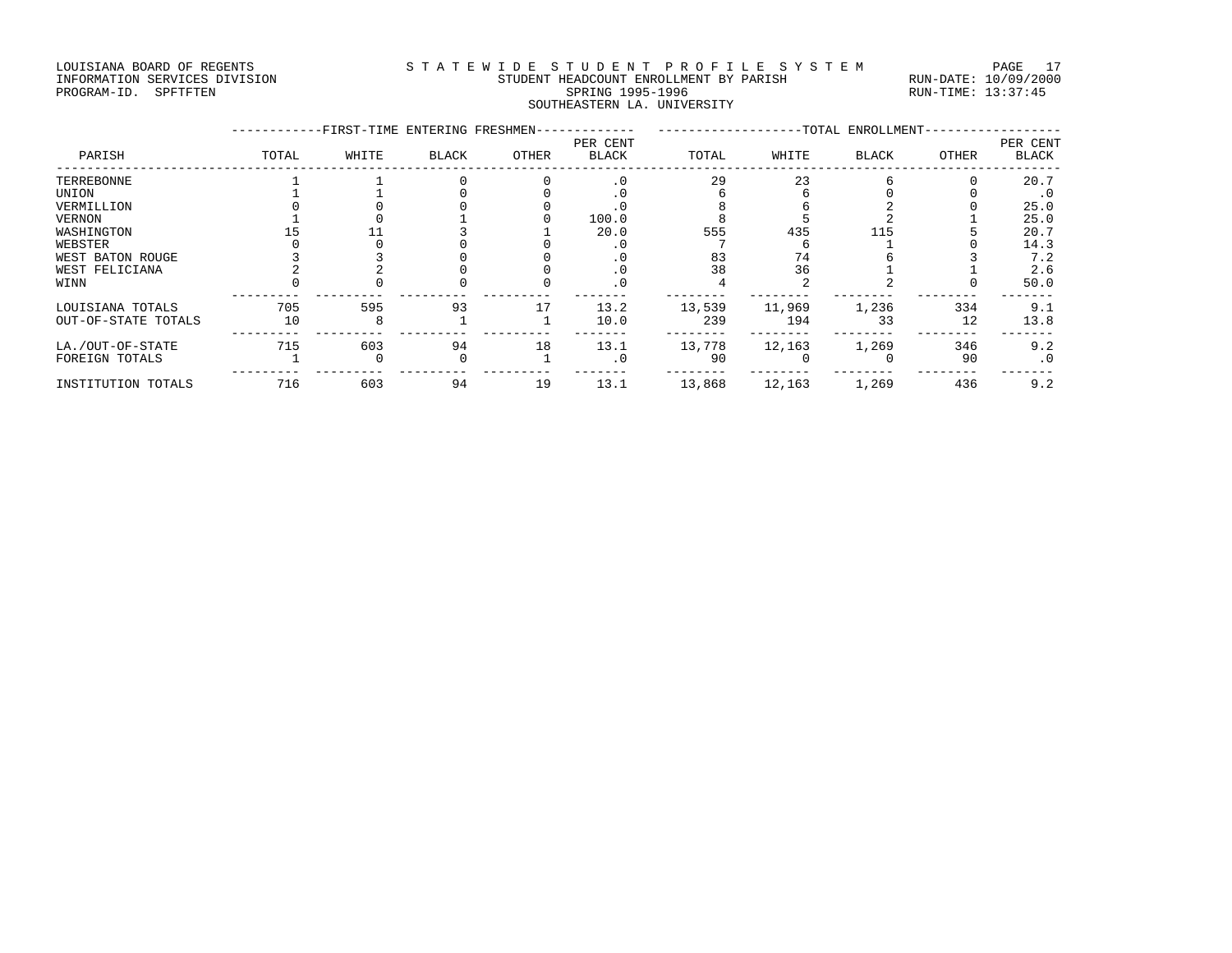#### LOUISIANA BOARD OF REGENTS STATEWIDE STUDENT PROFILE SYSTEM PAGE 17 INFORMATION SERVICES DIVISION STUDENT HEADCOUNT ENROLLMENT BY PARISH RUN-DATE: 10/09/2000 PROGRAM-ID. SPFTFTEN SARE SERING 1995-1996 SPRING 1995-1996 RUN-TIME: 13:37:45 SOUTHEASTERN LA. UNIVERSITY

|                     |       | -FIRST-TIME ENTERING FRESHMEN- |       |       |                          |        |        | -TOTAL ENROLLMENT- |       |                   |
|---------------------|-------|--------------------------------|-------|-------|--------------------------|--------|--------|--------------------|-------|-------------------|
| PARISH              | TOTAL | WHITE                          | BLACK | OTHER | PER CENT<br><b>BLACK</b> | TOTAL  | WHITE  | BLACK              | OTHER | PER CENT<br>BLACK |
| TERREBONNE          |       |                                |       |       |                          | 29     | 23     |                    |       | 20.7              |
| UNION               |       |                                |       |       | . 0                      |        |        |                    |       | $\cdot$ 0         |
| VERMILLION          |       |                                |       |       |                          |        |        |                    |       | 25.0              |
| VERNON              |       |                                |       |       | 100.0                    |        |        |                    |       | 25.0              |
| WASHINGTON          |       |                                |       |       | 20.0                     | 555    | 435    |                    |       | 20.7              |
| WEBSTER             |       |                                |       |       |                          |        |        |                    |       | 14.3              |
| WEST BATON ROUGE    |       |                                |       |       | $\cdot$ 0                | 83     | 74     |                    |       | 7.2               |
| WEST FELICIANA      |       |                                |       |       |                          | 38     | 36     |                    |       | 2.6               |
| WINN                |       |                                |       |       |                          |        |        |                    |       | 50.0              |
| LOUISIANA TOTALS    | 705   | 595                            | 93    | 17    | 13.2                     | 13,539 | 11,969 | 1,236              | 334   | 9.1               |
| OUT-OF-STATE TOTALS | 10    |                                |       |       | 10.0                     | 239    | 194    | 33                 | 12    | 13.8              |
| LA./OUT-OF-STATE    | 715   | 603                            | 94    | 18    | 13.1                     | 13,778 | 12,163 | 1,269              | 346   | 9.2               |
| FOREIGN TOTALS      |       |                                |       |       | $\cdot$ 0                | 90     |        |                    | 90    | $\cdot$ 0         |
| INSTITUTION TOTALS  | 716   | 603                            | 94    | 19    | 13.1                     | 13,868 | 12,163 | 1,269              | 436   | 9.2               |
|                     |       |                                |       |       |                          |        |        |                    |       |                   |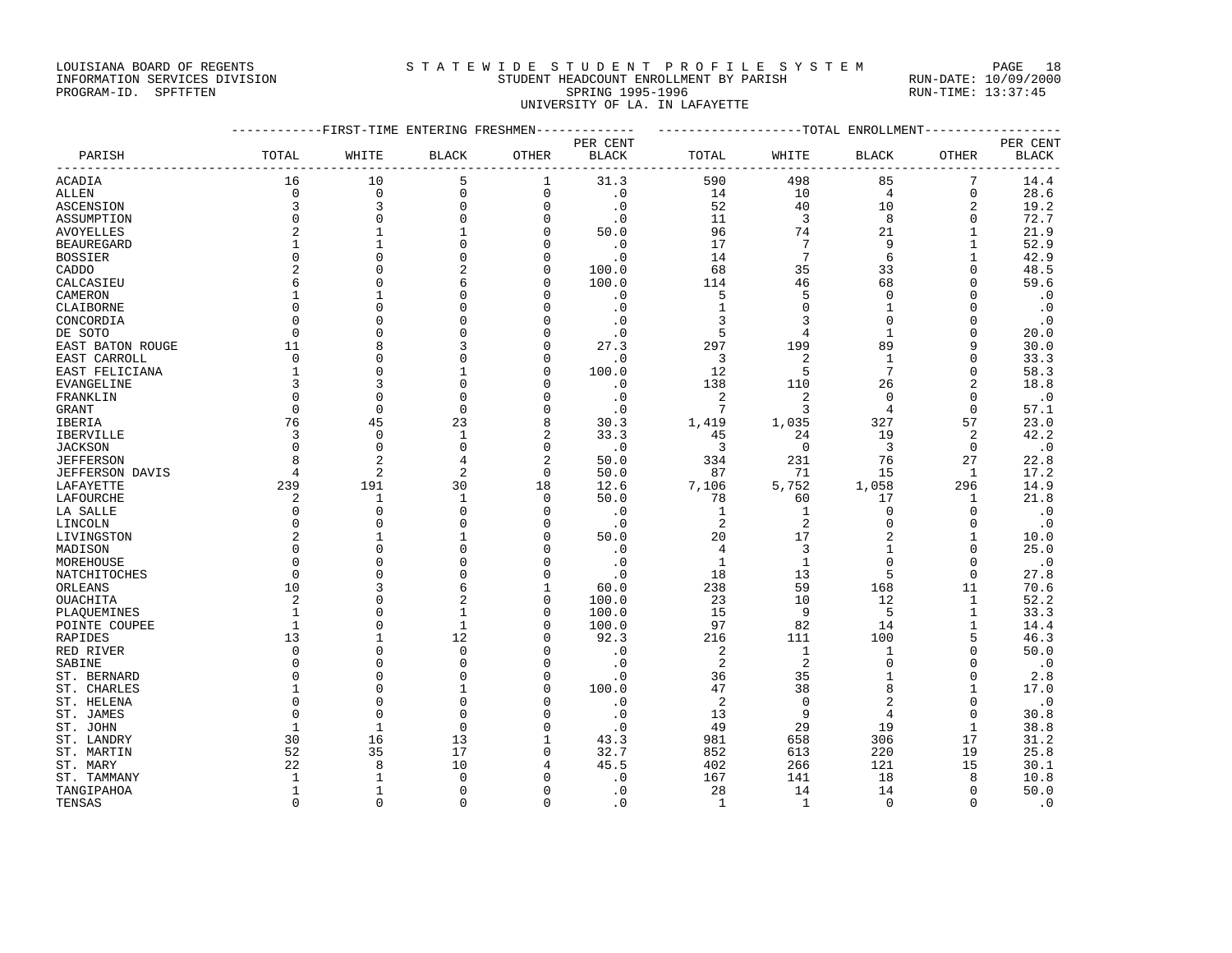### LOUISIANA BOARD OF REGENTS STATEWIDE STUDENT PROFILE SYSTEM PAGE 18 INFORMATION SERVICES DIVISION STUDENT HEADCOUNT ENROLLMENT BY PARISH RUN-DATE: 10/09/2000

PROGRAM-ID. SPFTFTEN SARE SERING 1995-1996 SPRING 1995-1996 RUN-TIME: 13:37:45 UNIVERSITY OF LA. IN LAFAYETTE

|                        | -----------FIRST-TIME ENTERING FRESHMEN------------- |                |              |                |           | -------------------TOTAL ENROLLMENT-------------- |                         |                         |                |            |
|------------------------|------------------------------------------------------|----------------|--------------|----------------|-----------|---------------------------------------------------|-------------------------|-------------------------|----------------|------------|
|                        |                                                      |                |              |                | PER CENT  |                                                   |                         |                         |                | PER CENT   |
| PARISH                 | TOTAL                                                | WHITE          | <b>BLACK</b> | OTHER          | BLACK     | TOTAL                                             | WHITE                   | <b>BLACK</b>            | OTHER          | BLACK      |
| ACADIA                 | 16                                                   | 10             | 5            | $\mathbf{1}$   | 31.3      | 590                                               | 498                     | 85                      | 7              | 14.4       |
| ALLEN                  | $\Omega$                                             | $\Omega$       | $\mathbf 0$  | $\mathbf 0$    | $\cdot$ 0 | 14                                                | 10                      | $\overline{4}$          | $\mathbf 0$    | 28.6       |
| <b>ASCENSION</b>       | $\overline{3}$                                       | 3              | $\mathbf 0$  | $\mathbf 0$    | $\cdot$ 0 | 52                                                | 40                      | 10                      | $\overline{a}$ | 19.2       |
| ASSUMPTION             | $\mathbf 0$                                          | $\mathbf 0$    | $\mathbf 0$  | $\mathbf 0$    | $\cdot$ 0 | 11                                                | $\overline{\mathbf{3}}$ | 8                       | $\mathbf 0$    | 72.7       |
| <b>AVOYELLES</b>       | $\overline{a}$                                       | $\mathbf{1}$   | $\mathbf{1}$ | $\Omega$       | 50.0      | 96                                                | 74                      | 21                      | 1              | 21.9       |
| <b>BEAUREGARD</b>      | $\mathbf{1}$                                         | $\overline{1}$ | $\Omega$     | $\Omega$       | $\cdot$ 0 | 17                                                | 7                       | 9                       | $\mathbf{1}$   | 52.9       |
| <b>BOSSIER</b>         | $\Omega$                                             |                | $\mathbf 0$  | $\mathbf 0$    | $\cdot$ 0 | 14                                                | $7\phantom{.0}$         | 6                       | $\mathbf{1}$   | 42.9       |
| CADDO                  | $\overline{2}$                                       | $\Omega$       | 2            | $\mathbf 0$    | 100.0     | 68                                                | 35                      | 33                      | $\Omega$       | 48.5       |
| CALCASIEU              | 6                                                    |                | 6            | $\Omega$       | 100.0     | 114                                               | 46                      | 68                      | $\Omega$       | 59.6       |
| CAMERON                | $\mathbf{1}$                                         | $\mathbf{1}$   | $\Omega$     | $\Omega$       | $\cdot$ 0 | 5                                                 | 5                       | $\overline{0}$          | $\Omega$       | $\cdot$ 0  |
| CLAIBORNE              | $\Omega$                                             | $\Omega$       |              | $\Omega$       | $\cdot$ 0 | $\mathbf{1}$                                      | $\Omega$                | $\mathbf{1}$            | $\Omega$       | $\cdot$ .0 |
| CONCORDIA              | $\Omega$                                             | $\cap$         |              | $\Omega$       | $\cdot$ 0 | $\overline{3}$                                    | 3                       | $\Omega$                | $\mathbf 0$    | $\cdot$ 0  |
| DE SOTO                | $\Omega$                                             |                |              | $\Omega$       | $\cdot$ 0 | 5                                                 | $\overline{4}$          | $\mathbf{1}$            | $\Omega$       | 20.0       |
| EAST BATON ROUGE       | 11                                                   | 8              |              | $\mathbf{0}$   | 27.3      | 297                                               | 199                     | 89                      | 9              | 30.0       |
| EAST CARROLL           | $\Omega$                                             | $\Omega$       |              | $\Omega$       | $\cdot$ 0 | $\overline{3}$                                    | $\overline{2}$          | $\mathbf{1}$            | $\Omega$       | 33.3       |
| EAST FELICIANA         | $\mathbf{1}$                                         | $\Omega$       |              | $\mathbf{0}$   | 100.0     | 12                                                | 5                       | 7                       | $\mathbf 0$    | 58.3       |
| EVANGELINE             | 3                                                    | 3              | $\Omega$     | $\Omega$       | $\cdot$ 0 | 138                                               | 110                     | 26                      | 2              | 18.8       |
| FRANKLIN               | $\Omega$                                             | $\Omega$       | $\Omega$     | $\Omega$       | $\cdot$ 0 | 2                                                 | $\overline{2}$          | $\Omega$                | $\Omega$       | $\cdot$ 0  |
| GRANT                  | $\Omega$                                             | $\Omega$       | $\Omega$     | $\Omega$       | $\cdot$ 0 | $7\phantom{.0}$                                   | 3                       | $\overline{4}$          | $\Omega$       | 57.1       |
| IBERIA                 | 76                                                   | 45             | 23           | 8              | 30.3      | 1,419                                             | 1,035                   | 327                     | 57             | 23.0       |
| IBERVILLE              | $\overline{3}$                                       | $\Omega$       | $\mathbf{1}$ | $\overline{2}$ | 33.3      | 45                                                | 24                      | 19                      | 2              | 42.2       |
| <b>JACKSON</b>         | $\Omega$                                             | $\Omega$       | $\mathbf 0$  | $\mathbf 0$    | $\cdot$ 0 | $\overline{3}$                                    | $\overline{0}$          | $\overline{\mathbf{3}}$ | $\mathbf 0$    | $\cdot$ 0  |
| <b>JEFFERSON</b>       | 8                                                    | $\overline{2}$ | 4            | $\overline{2}$ | 50.0      | 334                                               | 231                     | 76                      | 27             | 22.8       |
| <b>JEFFERSON DAVIS</b> | $\overline{4}$                                       | $\overline{a}$ | 2            | $\mathbf 0$    | 50.0      | 87                                                | 71                      | 15                      | $\mathbf{1}$   | 17.2       |
| LAFAYETTE              | 239                                                  | 191            | 30           | 18             | 12.6      | 7,106                                             | 5,752                   | 1,058                   | 296            | 14.9       |
| LAFOURCHE              | 2                                                    | 1              | 1            | $\mathbf 0$    | 50.0      | 78                                                | 60                      | 17                      | 1              | 21.8       |
| LA SALLE               | $\Omega$                                             | $\Omega$       | $\Omega$     | $\Omega$       | $\cdot$ 0 | 1                                                 | 1                       | $\Omega$                | $\Omega$       | $\cdot$ 0  |
| LINCOLN                | $\Omega$                                             |                |              | $\mathbf 0$    | $\cdot$ 0 | 2                                                 | 2                       | $\mathbf 0$             | $\mathbf 0$    | $\cdot$ 0  |
| LIVINGSTON             | $\overline{2}$                                       |                |              | $\mathbf{0}$   | 50.0      | 20                                                | 17                      |                         | $\mathbf{1}$   | 10.0       |
| MADISON                | $\Omega$                                             |                | $\Omega$     | $\Omega$       | $\cdot$ 0 | $\overline{4}$                                    | 3                       | $\mathbf{1}$            | $\Omega$       | 25.0       |
| MOREHOUSE              | $\Omega$                                             |                | $\Omega$     | $\Omega$       | $\cdot$ 0 | 1                                                 | $\mathbf{1}$            | $\Omega$                | $\Omega$       | $\cdot$ 0  |
| NATCHITOCHES           | $\mathbf 0$                                          | $\Omega$       | $\Omega$     | $\mathbf{0}$   | $\cdot$ 0 | 18                                                | 13                      | 5                       | $\mathbf 0$    | 27.8       |
| ORLEANS                | 10                                                   |                |              | $\mathbf{1}$   | 60.0      | 238                                               | 59                      | 168                     | 11             | 70.6       |
| OUACHITA               | $\overline{2}$                                       |                | 2            | $\mathbf 0$    | 100.0     | 23                                                | 10                      | 12                      | $\mathbf{1}$   | 52.2       |
| PLAQUEMINES            | 1                                                    | <sup>0</sup>   |              | 0              | 100.0     | 15                                                | - 9                     | 5                       | $\mathbf{1}$   | 33.3       |
| POINTE COUPEE          | $\mathbf{1}$                                         | $\Omega$       | $\mathbf{1}$ | $\Omega$       | 100.0     | 97                                                | 82                      | 14                      | $\mathbf{1}$   | 14.4       |
| RAPIDES                | 13                                                   | $\mathbf{1}$   | 12           | $\mathbf 0$    | 92.3      | 216                                               | 111                     | 100                     | 5              | 46.3       |
| RED RIVER              | $\Omega$                                             | $\Omega$       | $\Omega$     | $\Omega$       | $\cdot$ 0 | 2                                                 | 1                       | $\mathbf{1}$            | $\mathbf 0$    | 50.0       |
| SABINE                 | $\Omega$                                             | $\cap$         | $\Omega$     | $\Omega$       | $\cdot$ 0 | 2                                                 | $\overline{2}$          | $\mathbf 0$             | $\mathbf 0$    | $\cdot$ 0  |
| ST. BERNARD            | $\Omega$                                             |                |              | $\Omega$       | $\cdot$ 0 | 36                                                | 35                      | $\mathbf{1}$            | $\Omega$       | 2.8        |
| ST. CHARLES            | 1                                                    | $\Omega$       |              | $\mathbf{0}$   | 100.0     | 47                                                | 38                      | 8                       | $\mathbf{1}$   | 17.0       |
| ST. HELENA             | $\Omega$                                             | $\Omega$       | $\Omega$     | $\Omega$       | $\cdot$ 0 | 2                                                 | $\mathbf 0$             | $\overline{2}$          | $\Omega$       | $\cdot$ 0  |
| ST. JAMES              | $\Omega$                                             | $\Omega$       | $\Omega$     | $\Omega$       | $\cdot$ 0 | 13                                                | 9                       | $\overline{4}$          | $\Omega$       | 30.8       |
|                        | $\mathbf{1}$                                         | $\mathbf{1}$   | $\Omega$     | $\mathbf 0$    | $\cdot$ 0 | 49                                                | 29                      | 19                      | $\mathbf{1}$   | 38.8       |
| ST. JOHN<br>ST. LANDRY | 30                                                   | 16             | 13           | $\mathbf{1}$   | 43.3      | 981                                               | 658                     | 306                     | 17             | 31.2       |
|                        | 52                                                   | 35             | 17           | $\mathbf 0$    | 32.7      | 852                                               | 613                     | 220                     | 19             | 25.8       |
| ST. MARTIN             | 22                                                   | 8              | 10           | 4              | 45.5      | 402                                               |                         | 121                     | 15             | 30.1       |
| ST. MARY               | $\mathbf{1}$                                         | $\mathbf{1}$   | $\Omega$     | $\Omega$       |           |                                                   | 266                     |                         | 8              | 10.8       |
| ST. TAMMANY            |                                                      | $\mathbf{1}$   | $\Omega$     |                | $\cdot$ 0 | 167                                               | 141                     | 18                      | $\Omega$       |            |
| TANGIPAHOA             | $\mathbf{1}$<br>$\Omega$                             |                |              | $\mathbf{0}$   | $\cdot$ 0 | 28                                                | 14                      | 14<br>$\Omega$          |                | 50.0       |
| TENSAS                 |                                                      | $\Omega$       | $\Omega$     | $\Omega$       | . 0       | 1                                                 | 1                       |                         | $\Omega$       | $\cdot$ 0  |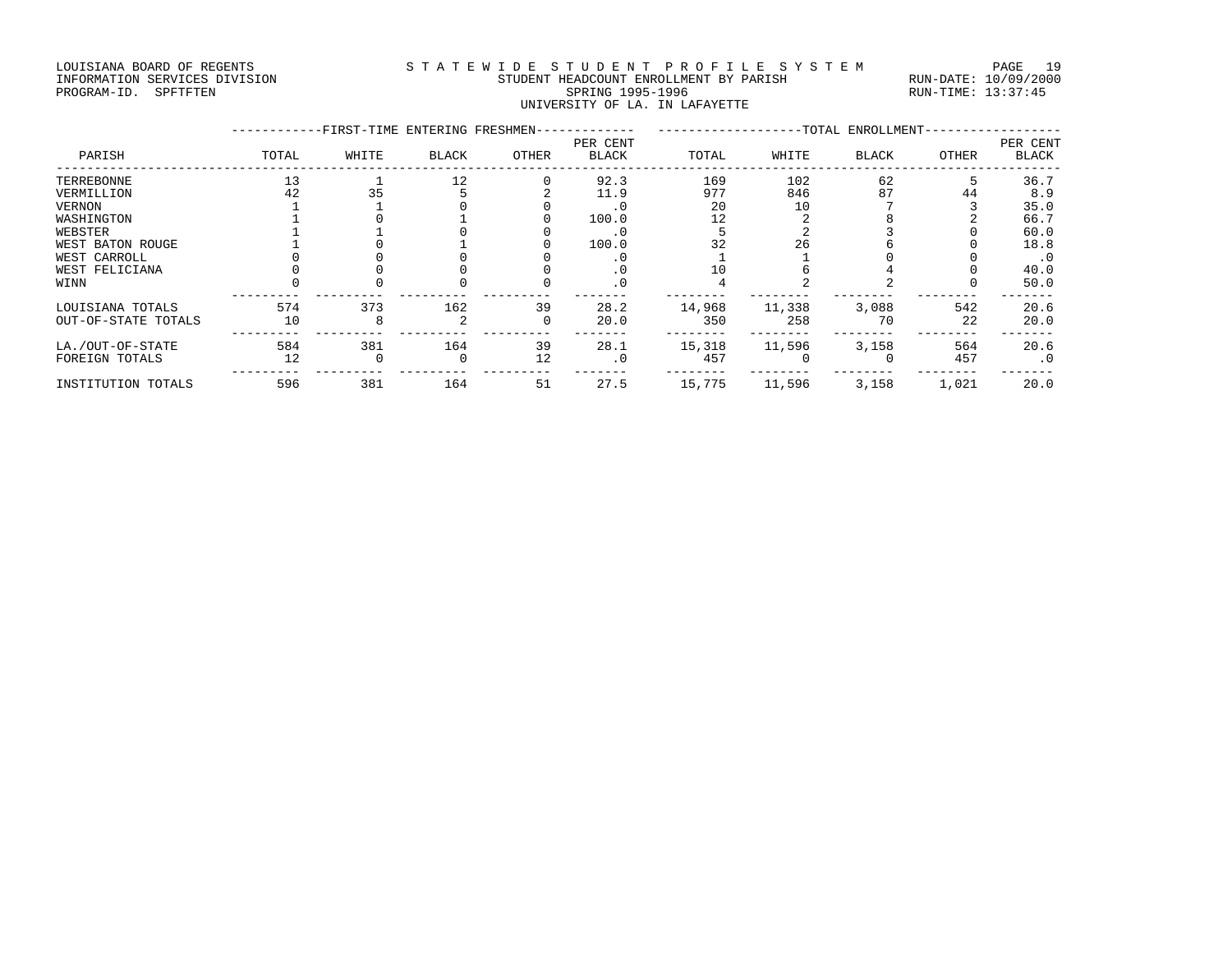#### LOUISIANA BOARD OF REGENTS S T A T E W I D E S T U D E N T P R O F I L E S Y S T E M PAGE 19 INFORMATION SERVICES DIVISION STUDENT HEADCOUNT ENROLLMENT BY PARISH RUN-DATE: 10/09/2000 PROGRAM-ID. SPFTFTEN SARE SERING 1995-1996 SPRING 1995-1996 RUN-TIME: 13:37:45 UNIVERSITY OF LA. IN LAFAYETTE

|                     |       | -FIRST-TIME ENTERING FRESHMEN- |              |          |                          |        |        | -TOTAL ENROLLMENT- |       |                          |
|---------------------|-------|--------------------------------|--------------|----------|--------------------------|--------|--------|--------------------|-------|--------------------------|
| PARISH              | TOTAL | WHITE                          | <b>BLACK</b> | OTHER    | PER CENT<br><b>BLACK</b> | TOTAL  | WHITE  | <b>BLACK</b>       | OTHER | PER CENT<br><b>BLACK</b> |
| TERREBONNE          | 13    |                                | 12           |          | 92.3                     | 169    | 102    | 62                 |       | 36.7                     |
| VERMILLION          | 42    | 35                             |              |          | 11.9                     | 977    | 846    | 87                 | 44    | 8.9                      |
| VERNON              |       |                                |              |          | . 0                      | 20     | 10     |                    |       | 35.0                     |
| WASHINGTON          |       |                                |              |          | 100.0                    | 12     |        |                    |       | 66.7                     |
| WEBSTER             |       |                                |              |          |                          |        |        |                    |       | 60.0                     |
| WEST BATON ROUGE    |       |                                |              |          | 100.0                    | 32     | 26     |                    |       | 18.8                     |
| WEST CARROLL        |       |                                |              |          | . 0                      |        |        |                    |       | $\cdot$ 0                |
| WEST FELICIANA      |       |                                |              |          | . 0                      |        |        |                    |       | 40.0                     |
| WINN                |       |                                |              |          | . 0                      |        |        |                    |       | 50.0                     |
| LOUISIANA TOTALS    | 574   | 373                            | 162          | 39       | 28.2                     | 14,968 | 11,338 | 3,088              | 542   | 20.6                     |
| OUT-OF-STATE TOTALS | 10    |                                |              | $\Omega$ | 20.0                     | 350    | 258    | 70                 | 22    | 20.0                     |
| LA./OUT-OF-STATE    | 584   | 381                            | 164          | 39       | 28.1                     | 15,318 | 11,596 | 3,158              | 564   | 20.6                     |
| FOREIGN TOTALS      | 12    |                                | $\Omega$     | 12       | $\cdot$ 0                | 457    |        |                    | 457   | $\cdot$ 0                |
| INSTITUTION TOTALS  | 596   | 381                            | 164          | 51       | 27.5                     | 15,775 | 11,596 | 3,158              | 1,021 | 20.0                     |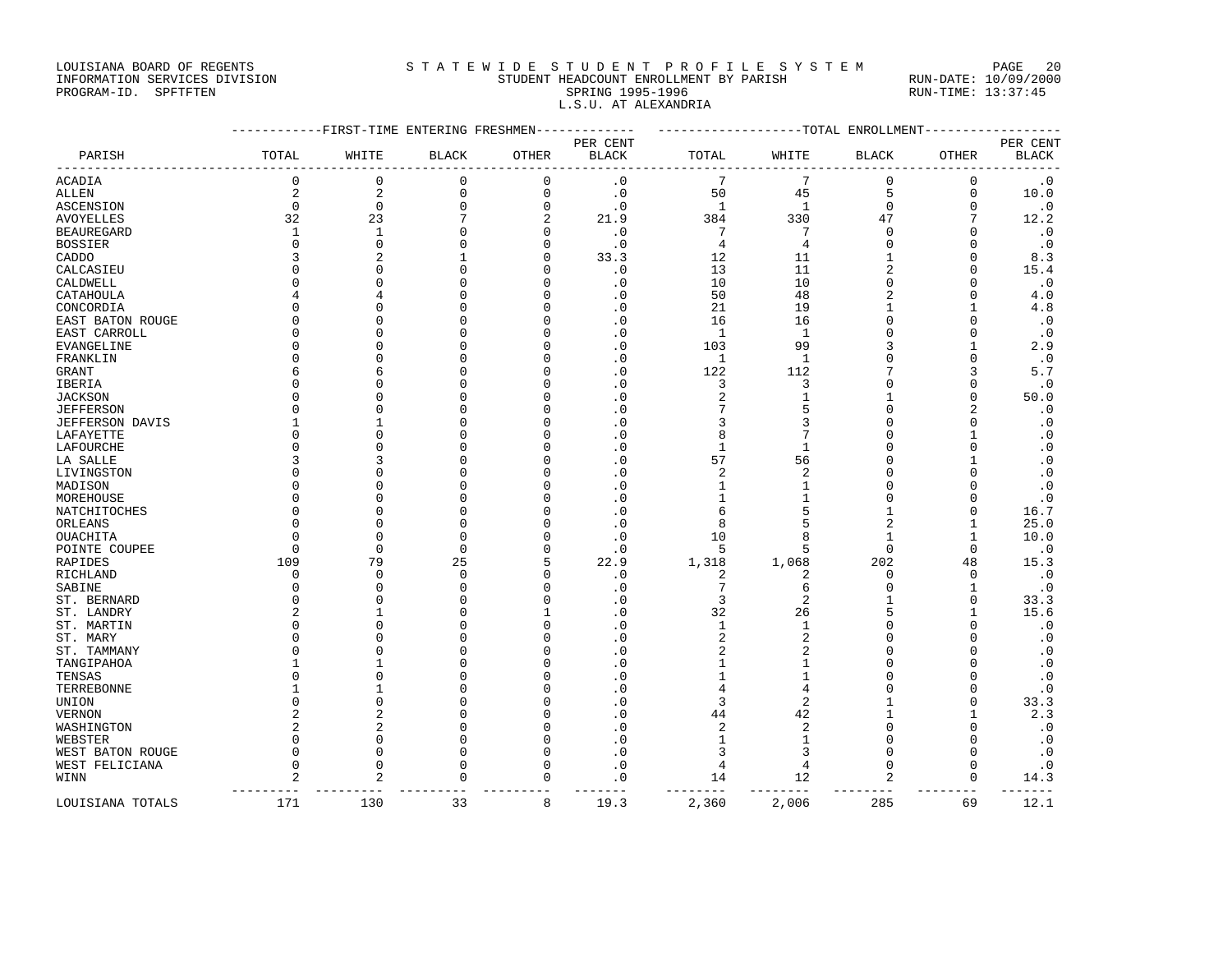LOUISIANA BOARD OF REGENTS STATEWIDE STUDENT PROFILE SYSTEM PAGE 20 INFORMATION SERVICES DIVISION STUDENT HEADCOUNT ENROLLMENT BY PARISH RUN-DATE: 10/09/2000

# PROGRAM-ID. SPFTFTEN SARE SERING 1995-1996 SPRING 1995-1996 RUN-TIME: 13:37:45 L.S.U. AT ALEXANDRIA

|                        |                | ------FIRST-TIME ENTERING FRESHMEN |              |                |              |                |                | ------------TOTAL ENROLLMENT |              |              |
|------------------------|----------------|------------------------------------|--------------|----------------|--------------|----------------|----------------|------------------------------|--------------|--------------|
|                        |                |                                    |              |                | PER CENT     |                |                |                              |              | PER CENT     |
| PARISH                 | TOTAL          | WHITE                              | <b>BLACK</b> | OTHER          | <b>BLACK</b> | TOTAL          | WHITE          | <b>BLACK</b>                 | OTHER        | <b>BLACK</b> |
| ACADIA                 | 0              | $\mathbf 0$                        | 0            | 0              | $\cdot$ 0    | 7              | 7              | 0                            | 0            | $\cdot$ 0    |
| ALLEN                  | $\sqrt{2}$     | $\overline{2}$                     | $\mathbf 0$  | $\Omega$       | $\cdot$ 0    | 50             | 45             | 5                            | $\mathbf 0$  | 10.0         |
| ASCENSION              | $\mathbf 0$    | $\mathbf 0$                        | 0            | 0              | $\cdot$ 0    | $\mathbf{1}$   | 1              | 0                            | 0            | $\cdot$ 0    |
| <b>AVOYELLES</b>       | 32             | 23                                 | 7            | $\overline{a}$ | 21.9         | 384            | 330            | 47                           | 7            | 12.2         |
| <b>BEAUREGARD</b>      | 1              | $\mathbf{1}$                       | 0            | $\Omega$       | $\cdot$ 0    | 7              | $\overline{7}$ | $\mathbf 0$                  | $\Omega$     | $\cdot$ 0    |
| <b>BOSSIER</b>         | $\Omega$       | $\Omega$                           | $\Omega$     | O              | $\cdot$ 0    | $\overline{4}$ | $\overline{4}$ | $\Omega$                     | $\Omega$     | $\cdot$ 0    |
| CADDO                  |                | 2                                  | 1            | O              | 33.3         | 12             | 11             | 1                            | $\Omega$     | 8.3          |
| CALCASIEU              |                | ∩                                  | $\Omega$     | n              | $\cdot$ 0    | 13             | 11             | $\overline{c}$               | ∩            | 15.4         |
| CALDWELL               |                | $\Omega$                           | $\Omega$     | C              | $\cdot$ 0    | 10             | 10             | $\Omega$                     | $\Omega$     | $\cdot$ 0    |
| CATAHOULA              |                | 4                                  | $\Omega$     | O              | . 0          | 50             | 48             | $\overline{2}$               | 0            | 4.0          |
| CONCORDIA              |                | $\Omega$                           | $\Omega$     |                | $\cdot$ 0    | 21             | 19             | $\mathbf{1}$                 | $\mathbf{1}$ | 4.8          |
| EAST BATON ROUGE       |                | ∩                                  | $\Omega$     | Ω              | $\cdot$ 0    | 16             | 16             | $\Omega$                     | 0            | $\cdot$ 0    |
| EAST CARROLL           | ∩              |                                    | $\Omega$     |                | $\Omega$     | $\mathbf{1}$   | $\mathbf{1}$   | $\Omega$                     | $\Omega$     | $\cdot$ 0    |
| EVANGELINE             | $\Omega$       | $\Omega$                           | 0            | Ω              | $\cdot$ 0    | 103            | 99             | 3                            | 1            | 2.9          |
| FRANKLIN               |                | $\Omega$                           | $\Omega$     |                | $\cdot$ 0    | $\mathbf{1}$   | $\mathbf{1}$   | $\Omega$                     | $\Omega$     | $\cdot$ 0    |
| <b>GRANT</b>           | 6              | б                                  | $\Omega$     |                | $\cdot$ 0    | 122            | 112            | 7                            | 3            | 5.7          |
| IBERIA                 |                |                                    | $\Omega$     |                | . 0          | 3              | 3              | $\Omega$                     | $\Omega$     | $\cdot$ 0    |
| <b>JACKSON</b>         | ∩              | ∩                                  | $\mathbf 0$  | Ω              | $\cdot$ 0    | $\overline{c}$ | $\mathbf{1}$   | 1                            | 0            | 50.0         |
| <b>JEFFERSON</b>       |                |                                    | $\Omega$     |                | . 0          |                | 5              | $\Omega$                     |              | $\cdot$ 0    |
| <b>JEFFERSON DAVIS</b> |                |                                    | $\Omega$     |                | $\cdot$ 0    | 3              | 3              | $\cap$                       | <sup>n</sup> | $\cdot$ 0    |
| LAFAYETTE              | ∩              |                                    | $\Omega$     |                | $\cdot$ 0    | 8              |                | $\cap$                       |              | . 0          |
| LAFOURCHE              | n              | $\Omega$                           | 0            | Ω              | . 0          | 1              | -1             | $\Omega$                     | U            | $\cdot$ 0    |
| LA SALLE               |                | κ                                  | $\mathbf 0$  |                | $\cdot$ 0    | 57             | 56             | $\Omega$                     |              | $\cdot$ 0    |
| LIVINGSTON             |                |                                    | $\Omega$     |                | $\cdot$ 0    | 2              | $\overline{2}$ | $\Omega$                     |              | $\cdot$ 0    |
| MADISON                |                | ∩                                  | $\Omega$     |                | $\cdot$ 0    |                |                | $\Omega$                     | O            | $\cdot$ 0    |
| MOREHOUSE              |                |                                    | 0            |                | $\cdot$ 0    |                | 1              | $\Omega$                     | U            | $\cdot$ 0    |
| NATCHITOCHES           | n              | n                                  | 0            |                | . 0          | 6              | 5              |                              | <sup>0</sup> | 16.7         |
| ORLEANS                |                |                                    | $\Omega$     |                | $\cdot$ 0    | 8              | 5              | $\overline{c}$               | $\mathbf{1}$ | 25.0         |
| <b>OUACHITA</b>        | n              | $\Omega$                           | $\mathbf 0$  |                | $\cdot$ 0    | 10             | 8              | $\mathbf{1}$                 | 1            | 10.0         |
| POINTE COUPEE          | $\Omega$       | $\Omega$                           | $\Omega$     |                | $\cdot$ 0    | 5              | 5              | $\Omega$                     | $\Omega$     | $\cdot$ 0    |
| RAPIDES                | 109            | 79                                 | 25           | 5              | 22.9         | 1,318          | 1,068          | 202                          | 48           | 15.3         |
| RICHLAND               | 0              | $\Omega$                           | $\Omega$     | U              | $\cdot$ 0    | 2              | 2              | 0                            | $\Omega$     | $\cdot$ 0    |
| SABINE                 | $\Omega$       | $\Omega$                           | $\mathbf 0$  | $\Omega$       | $\cdot$ 0    | 7              | 6              | $\Omega$                     | $\mathbf{1}$ | $\cdot$ 0    |
| ST. BERNARD            | ∩              | ∩                                  | $\Omega$     | n              | . 0          | 3              | 2              | -1                           | $\Omega$     | 33.3         |
| ST. LANDRY             | 2              |                                    | $\mathbf 0$  |                | $\cdot$ 0    | 32             | 26             | 5                            | 1            | 15.6         |
| ST. MARTIN             | n              | $\Omega$                           | 0            | O              | $\cdot$ 0    | $\mathbf{1}$   | 1              | $\Omega$                     | 0            | $\cdot$ 0    |
| ST. MARY               |                |                                    | $\Omega$     |                | $\cdot$ 0    | $\overline{2}$ | $\overline{2}$ | $\Omega$                     | O            | $\cdot$ 0    |
| ST. TAMMANY            |                | $\Omega$                           | $\Omega$     |                | $\cdot$ 0    |                | 2              | $\Omega$                     | $\Omega$     | $\cdot$ 0    |
| TANGIPAHOA             |                |                                    | $\Omega$     |                | . 0          | 1              | 1              | $\Omega$                     | U            | $\cdot$ 0    |
| TENSAS                 | ∩              | $\Omega$                           | 0            | Ω              | $\cdot$ 0    | $\mathbf{1}$   | -1             | $\Omega$                     | U            | $\cdot$ 0    |
| TERREBONNE             |                |                                    | $\Omega$     |                | . 0          | 4              | 4              | $\Omega$                     | U            | $\cdot$ 0    |
| UNION                  |                | $\Omega$                           | $\Omega$     |                | $\cdot$ 0    | 3              | $\overline{2}$ |                              | $\Omega$     | 33.3         |
| VERNON                 | 2              | 2                                  | $\Omega$     | Ω              | . 0          | 44             | 42             | 1                            | 1            | 2.3          |
| WASHINGTON             | $\overline{c}$ | $\overline{a}$                     | $\Omega$     |                | $\Omega$     | $\overline{a}$ | $\overline{a}$ | $\Omega$                     | $\Omega$     | $\cdot$ 0    |
| WEBSTER                | $\Omega$       | $\Omega$                           | 0            | O              | $\cdot$ 0    | $\mathbf{1}$   | -1             | $\Omega$                     | 0            | $\cdot$ 0    |
| WEST BATON ROUGE       | n              | $\Omega$                           | $\Omega$     | C              | $\cdot$ 0    | 3              | 3              | $\Omega$                     | $\Omega$     | $\cdot$ 0    |
| WEST FELICIANA         | 0              | 0                                  | 0            | O              | $\cdot$ 0    | 4              | 4              | 0                            | 0            | $\cdot$ 0    |
| WINN                   | $\overline{c}$ | $\overline{c}$                     | $\Omega$     | O              | . 0          | 14             | 12             | $\mathcal{D}$                | $\Omega$     | 14.3         |
| LOUISIANA TOTALS       | 171            | 130                                | 33           | 8              | 19.3         | 2,360          | 2,006          | 285                          | 69           | 12.1         |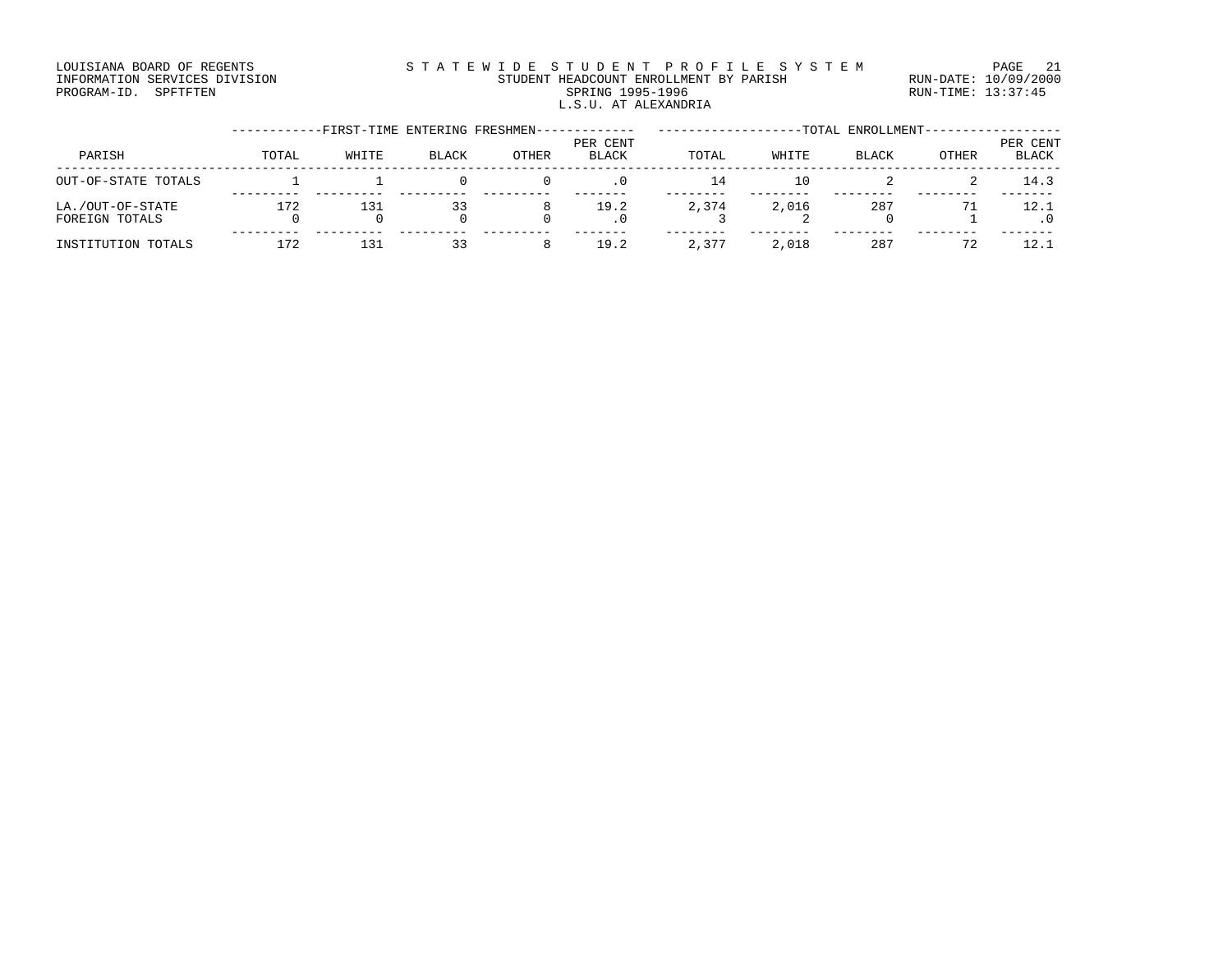#### LOUISIANA BOARD OF REGENTS STATEWIDE STUDENT PROFILE SYSTEM PAGE 21 INFORMATION SERVICES DIVISION STUDENT HEADCOUNT ENROLLMENT BY PARISH RUN-DATE: 10/09/2000 PROGRAM-ID. SPFTFTEN SARE SERING 1995-1996 SPRING 1995-1996 RUN-TIME: 13:37:45 L.S.U. AT ALEXANDRIA

|                                    |       | -FIRST-TIME ENTERING FRESHMEN- |       |       |                   |       |       | -TOTAL ENROLLMENT-- |       |                          |
|------------------------------------|-------|--------------------------------|-------|-------|-------------------|-------|-------|---------------------|-------|--------------------------|
| PARISH                             | TOTAL | WHITE                          | BLACK | OTHER | PER CENT<br>BLACK | TOTAL | WHITE | BLACK               | OTHER | PER CENT<br><b>BLACK</b> |
| OUT-OF-STATE TOTALS                |       |                                |       |       | $\cdot$ 0         | 14    | 10    |                     |       | 14.3                     |
| LA./OUT-OF-STATE<br>FOREIGN TOTALS | 172   | 131                            | 33    | 8     | 19.2<br>. 0       | 2,374 | 2,016 | 287                 |       | 12.1                     |
| INSTITUTION TOTALS                 | 172   | 131                            | 33    | 8     | 19.2              | 2,377 | 2,018 | 287                 | 72    | 12.1                     |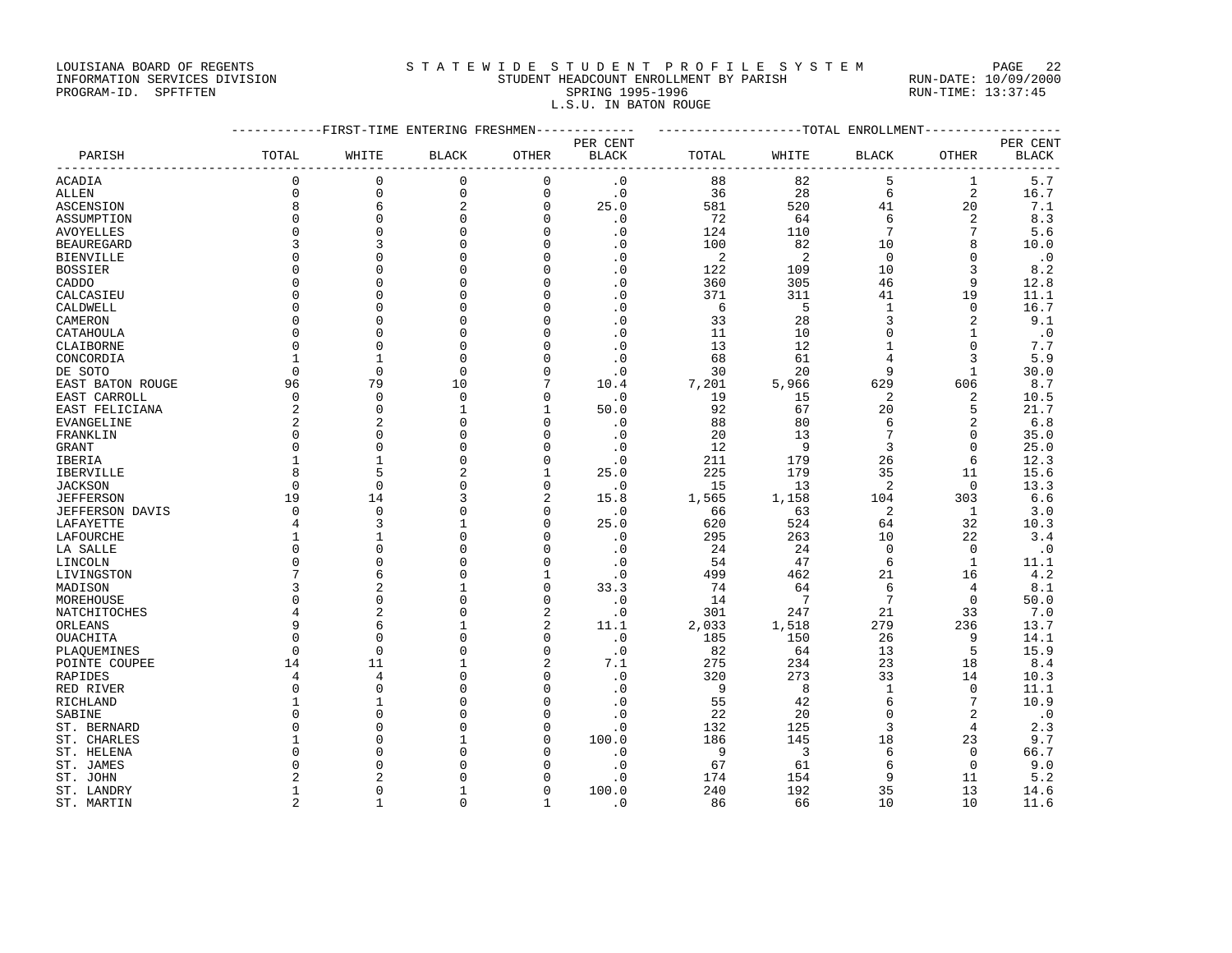#### LOUISIANA BOARD OF REGENTS STATEWIDE STUDENT PROFILE SYSTEM PAGE 22 INFORMATION SERVICES DIVISION STUDENT HEADCOUNT ENROLLMENT BY PARISH RUN-DATE: 10/09/2000

# PROGRAM-ID. SPFTFTEN SARE SERING 1995-1996 SPRING 1995-1996 RUN-TIME: 13:37:45 L.S.U. IN BATON ROUGE

|                        |                | --------FIRST-TIME ENTERING FRESHMEN- |                |                 | ------------ | -------------------TOTAL ENROLLMENT- |                         |                 |                           |              |
|------------------------|----------------|---------------------------------------|----------------|-----------------|--------------|--------------------------------------|-------------------------|-----------------|---------------------------|--------------|
|                        |                |                                       |                |                 | PER CENT     |                                      |                         |                 |                           | PER CENT     |
| PARISH                 | TOTAL          | WHITE                                 | <b>BLACK</b>   | OTHER           | <b>BLACK</b> | TOTAL                                | WHITE                   | <b>BLACK</b>    | <b>OTHER</b><br>--------- | <b>BLACK</b> |
| ACADIA                 | $\mathbf 0$    | $\mathbf 0$                           | 0              | $\mathbf 0$     | $\cdot$ 0    | 88                                   | 82                      | 5               | $\mathbf{1}$              | 5.7          |
| <b>ALLEN</b>           | $\Omega$       | $\mathbf 0$                           | $\mathbf 0$    | $\mathbf 0$     | $\cdot$ 0    | 36                                   | 28                      | 6               | 2                         | 16.7         |
| <b>ASCENSION</b>       | 8              | 6                                     | $\sqrt{2}$     | $\mathbf 0$     | 25.0         | 581                                  | 520                     | 41              | 20                        | 7.1          |
| ASSUMPTION             | $\Omega$       | $\mathbf 0$                           | $\mathbf 0$    | $\mathbf{0}$    | $\cdot$ 0    | 72                                   | 64                      | 6               | 2                         | 8.3          |
| <b>AVOYELLES</b>       | $\Omega$       | $\Omega$                              | $\Omega$       | $\Omega$        | $\cdot$ 0    | 124                                  | 110                     | 7               | 7                         | 5.6          |
| <b>BEAUREGARD</b>      |                | 3                                     | $\Omega$       | $\mathbf 0$     | $\cdot$ 0    | 100                                  | 82                      | 10              | 8                         | 10.0         |
| <b>BIENVILLE</b>       | $\Omega$       | $\Omega$                              | $\Omega$       | $\Omega$        | $\cdot$ 0    | $\overline{c}$                       | 2                       | $\Omega$        | $\Omega$                  | $\cdot$ 0    |
| <b>BOSSIER</b>         |                | $\Omega$                              | $\Omega$       | $\Omega$        | $\cdot$ 0    | 122                                  | 109                     | 10              | 3                         | 8.2          |
| CADDO                  |                | $\cap$                                | $\Omega$       | $\mathbf 0$     | $\cdot$ 0    | 360                                  | 305                     | 46              | 9                         | 12.8         |
|                        |                | $\cap$                                | $\Omega$       | $\mathbf 0$     | $\cdot$ 0    | 371                                  | 311                     | 41              | 19                        | 11.1         |
| CALCASIEU              | ∩              | $\cap$                                | $\Omega$       | $\Omega$        |              |                                      | 5                       |                 | $\Omega$                  |              |
| CALDWELL               |                |                                       |                |                 | $\cdot$ 0    | 6                                    |                         | $\mathbf{1}$    |                           | 16.7         |
| CAMERON                | $\Omega$       | $\Omega$                              | $\Omega$       | $\Omega$        | $\cdot$ 0    | 33                                   | 28                      | 3               | $\overline{2}$            | 9.1          |
| CATAHOULA              | $\Omega$       | $\mathbf{0}$                          | $\Omega$       | $\mathbf 0$     | $\cdot$ 0    | 11                                   | 10                      | $\mathbf 0$     | $\mathbf{1}$              | $\cdot$ 0    |
| CLAIBORNE              | $\Omega$       | $\Omega$                              | $\Omega$       | $\Omega$        | $\cdot$ 0    | 13                                   | 12                      | $\mathbf{1}$    | $\Omega$                  | 7.7          |
| CONCORDIA              | $\mathbf{1}$   | 1                                     | $\Omega$       | $\Omega$        | $\cdot$ 0    | 68                                   | 61                      | $\overline{4}$  | 3                         | 5.9          |
| DE SOTO                | $\Omega$       | $\mathbf 0$                           | $\mathbf{0}$   | $\mathbf 0$     | $\cdot$ 0    | 30                                   | 20                      | 9               | $\mathbf{1}$              | 30.0         |
| EAST BATON ROUGE       | 96             | 79                                    | 10             | $7\phantom{.0}$ | 10.4         | 7,201                                | 5,966                   | 629             | 606                       | 8.7          |
| EAST CARROLL           | $\Omega$       | $\mathbf 0$                           | $\mathbf 0$    | $\mathbf 0$     | $\cdot$ 0    | 19                                   | 15                      | 2               | 2                         | 10.5         |
| EAST FELICIANA         | 2              | $\mathbf 0$                           | 1              | 1               | 50.0         | 92                                   | 67                      | 20              | 5                         | 21.7         |
| EVANGELINE             | $\overline{2}$ | 2                                     | $\Omega$       | $\Omega$        | $\cdot$ 0    | 88                                   | 80                      | 6               | $\overline{2}$            | 6.8          |
| FRANKLIN               | $\Omega$       | $\mathbf 0$                           | $\mathbf 0$    | $\mathbf 0$     | $\cdot$ 0    | 20                                   | 13                      | $7\phantom{.0}$ | $\mathbf 0$               | 35.0         |
| GRANT                  | $\Omega$       | $\Omega$                              | $\Omega$       | $\Omega$        | $\cdot$ 0    | 12                                   | 9                       | 3               | $\Omega$                  | 25.0         |
| IBERIA                 | $\mathbf{1}$   |                                       | $\Omega$       | $\Omega$        | $\cdot$ 0    | 211                                  | 179                     | 26              | 6                         | 12.3         |
| IBERVILLE              | 8              | 5                                     | $\overline{2}$ | $\mathbf{1}$    | 25.0         | 225                                  | 179                     | 35              | 11                        | 15.6         |
| <b>JACKSON</b>         | $\Omega$       | $\Omega$                              | $\Omega$       | $\Omega$        | $\cdot$ 0    | 15                                   | 13                      | 2               | $\Omega$                  | 13.3         |
| <b>JEFFERSON</b>       | 19             | 14                                    | 3              | 2               | 15.8         | 1,565                                | 1,158                   | 104             | 303                       | 6.6          |
| <b>JEFFERSON DAVIS</b> | $\Omega$       | $\mathsf{O}$                          | $\mathbf 0$    | $\mathbf 0$     | $\cdot$ 0    | 66                                   | 63                      | 2               | 1                         | 3.0          |
| LAFAYETTE              | 4              | 3                                     | $\mathbf{1}$   | $\Omega$        | 25.0         | 620                                  | 524                     | 64              | 32                        | 10.3         |
| LAFOURCHE              | $\mathbf{1}$   | $\mathbf{1}$                          | $\Omega$       | $\Omega$        | $\cdot$ 0    | 295                                  | 263                     | 10              | 22                        | 3.4          |
| LA SALLE               | $\Omega$       | $\mathbf 0$                           | $\mathbf 0$    | $\mathbf 0$     | $\cdot$ 0    | 24                                   | 24                      | $\Omega$        | $\mathbf 0$               | $\cdot$ 0    |
| LINCOLN                | $\Omega$       | $\Omega$                              | $\Omega$       | $\Omega$        | $\cdot$ 0    | 54                                   | 47                      | 6               | $\mathbf{1}$              | 11.1         |
|                        | 7              | 6                                     | $\Omega$       | $\mathbf{1}$    | $\cdot$ 0    | 499                                  | 462                     | 21              | 16                        | 4.2          |
| LIVINGSTON             |                |                                       | $\mathbf{1}$   |                 |              |                                      |                         |                 |                           |              |
| MADISON                | 3              | 2                                     |                | $\mathbf 0$     | 33.3         | 74                                   | 64                      | 6               | 4                         | 8.1          |
| MOREHOUSE              | $\Omega$       | $\mathbf 0$                           | $\mathbf 0$    | $\mathbf 0$     | $\cdot$ 0    | 14                                   | $\overline{7}$          | $7\phantom{.0}$ | $\mathbf 0$               | 50.0         |
| NATCHITOCHES           | 4              | 2                                     | $\mathbf 0$    | 2               | $\cdot$ 0    | 301                                  | 247                     | 21              | 33                        | 7.0          |
| ORLEANS                | 9              | 6                                     | $\mathbf{1}$   | 2               | 11.1         | 2,033                                | 1,518                   | 279             | 236                       | 13.7         |
| OUACHITA               | $\Omega$       | $\Omega$                              | $\Omega$       | $\Omega$        | $\cdot$ 0    | 185                                  | 150                     | 26              | 9                         | 14.1         |
| PLAQUEMINES            | $\Omega$       | $\mathbf 0$                           | $\mathbf 0$    | $\mathbf 0$     | $\cdot$ 0    | 82                                   | 64                      | 13              | 5                         | 15.9         |
| POINTE COUPEE          | 14             | 11                                    | $\mathbf{1}$   | 2               | 7.1          | 275                                  | 234                     | 23              | 18                        | 8.4          |
| RAPIDES                | 4              | $\overline{4}$                        | $\Omega$       | $\mathbf 0$     | $\cdot$ 0    | 320                                  | 273                     | 33              | 14                        | 10.3         |
| RED RIVER              | $\Omega$       | $\Omega$                              | $\Omega$       | $\Omega$        | $\cdot$ 0    | 9                                    | 8                       | $\mathbf{1}$    | $\Omega$                  | 11.1         |
| RICHLAND               | $\mathbf{1}$   | $\mathbf{1}$                          | $\Omega$       | $\Omega$        | $\cdot$ 0    | 55                                   | 42                      | 6               | 7                         | 10.9         |
| SABINE                 | $\Omega$       | $\Omega$                              | $\Omega$       | $\Omega$        | $\cdot$ 0    | 22                                   | 20                      | $\Omega$        | $\overline{2}$            | $\cdot$ 0    |
| ST. BERNARD            |                | $\Omega$                              | $\Omega$       | $\mathbf 0$     | $\cdot$ 0    | 132                                  | 125                     | 3               | 4                         | 2.3          |
| ST. CHARLES            | $\mathbf{1}$   | $\Omega$                              | 1              | $\Omega$        | 100.0        | 186                                  | 145                     | 18              | 23                        | 9.7          |
| ST. HELENA             | $\Omega$       | $\Omega$                              | $\Omega$       | $\Omega$        | $\cdot$ 0    | 9                                    | $\overline{\mathbf{3}}$ | 6               | $\mathbf 0$               | 66.7         |
| ST. JAMES              |                | $\Omega$                              | $\Omega$       | $\Omega$        | $\cdot$ 0    | 67                                   | 61                      | 6               | $\mathbf 0$               | 9.0          |
| ST. JOHN               |                | 2                                     | $\Omega$       | $\Omega$        | $\cdot$ 0    | 174                                  | 154                     | 9               | 11                        | 5.2          |
| ST. LANDRY             | 1              | $\Omega$                              | 1              | $\Omega$        | 100.0        | 240                                  | 192                     | 35              | 13                        | 14.6         |
| ST. MARTIN             | 2              | $\mathbf{1}$                          | $\mathbf 0$    | $\mathbf{1}$    | $\cdot$ 0    | 86                                   | 66                      | 10              | 10                        | 11.6         |
|                        |                |                                       |                |                 |              |                                      |                         |                 |                           |              |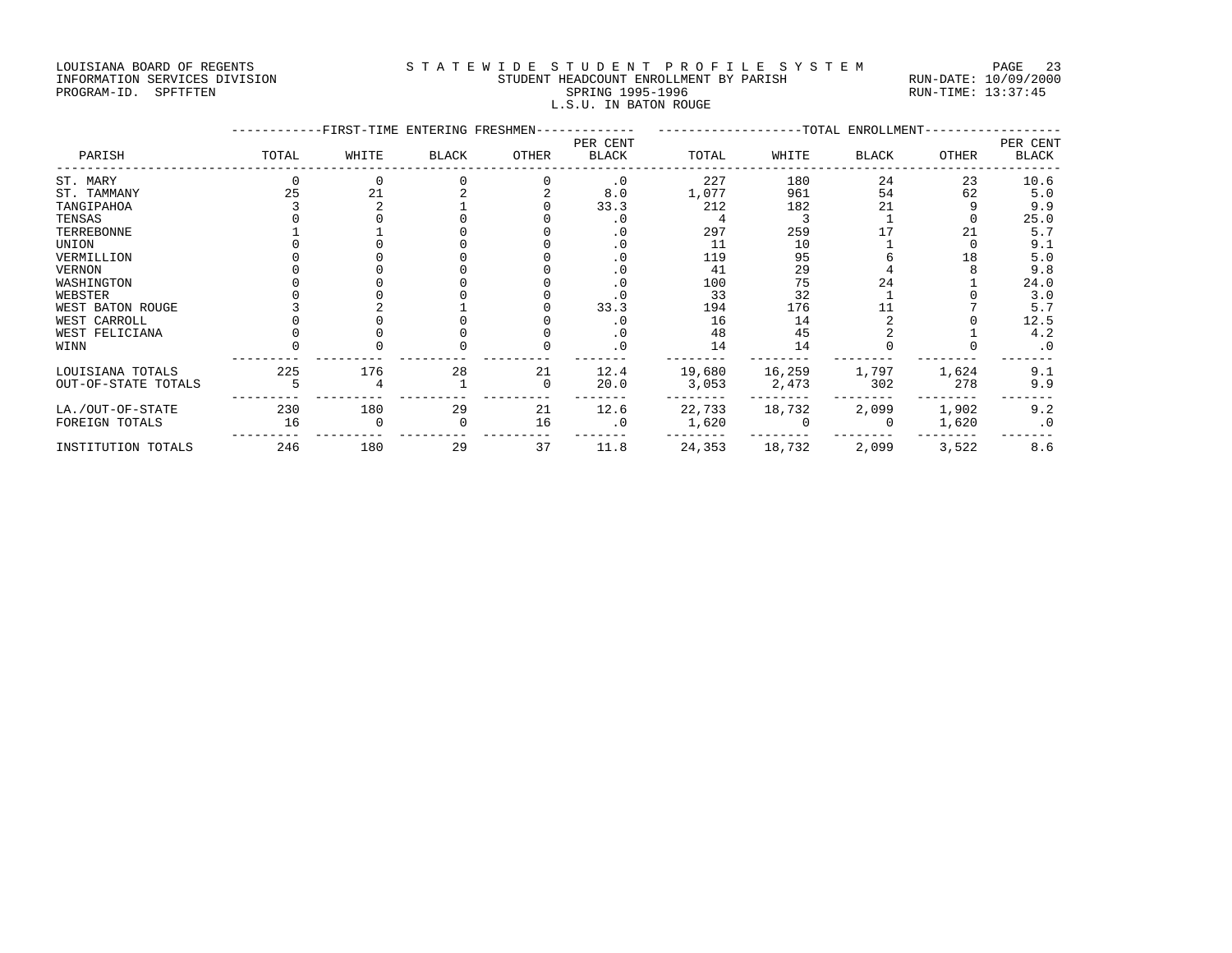#### LOUISIANA BOARD OF REGENTS STATEWIDE STUDENT PROFILE SYSTEM PAGE 23 INFORMATION SERVICES DIVISION STUDENT HEADCOUNT ENROLLMENT BY PARISH RUN-DATE: 10/09/2000 PROGRAM-ID. SPFTFTEN SARE SERING 1995-1996 SPRING 1995-1996 RUN-TIME: 13:37:45

L.S.U. IN BATON ROUGE

|                     |       | --FIRST-TIME ENTERING FRESHMEN- |              |              |                          |        |        | -TOTAL ENROLLMENT- |       |                   |
|---------------------|-------|---------------------------------|--------------|--------------|--------------------------|--------|--------|--------------------|-------|-------------------|
| PARISH              | TOTAL | WHITE                           | <b>BLACK</b> | <b>OTHER</b> | PER CENT<br><b>BLACK</b> | TOTAL  | WHITE  | BLACK              | OTHER | PER CENT<br>BLACK |
| ST. MARY            |       |                                 |              |              | $\cdot$ 0                | 227    | 180    | 24                 | 23    | 10.6              |
| ST. TAMMANY         |       | 21                              |              |              | 8.0                      | 1,077  | 961    | 54                 | 62    | 5.0               |
| TANGIPAHOA          |       |                                 |              |              | 33.3                     | 212    | 182    | 21                 |       | 9.9               |
| TENSAS              |       |                                 |              |              | $\cdot$ 0                |        |        |                    |       | 25.0              |
| TERREBONNE          |       |                                 |              |              | . 0                      | 297    | 259    |                    | 21    | 5.7               |
| UNION               |       |                                 |              |              | $\cdot$ 0                | 11     | 10     |                    |       | 9.1               |
| VERMILLION          |       |                                 |              |              | . 0                      | 119    | 95     |                    | 18    | 5.0               |
| VERNON              |       |                                 |              |              | $\cdot$ 0                | 41     | 29     |                    |       | 9.8               |
| WASHINGTON          |       |                                 |              |              | $\cdot$ 0                | 100    | 75     | 24                 |       | 24.0              |
| WEBSTER             |       |                                 |              |              |                          | 33     | 32     |                    |       | 3.0               |
| WEST BATON ROUGE    |       |                                 |              |              | 33.3                     | 194    | 176    |                    |       | 5.7               |
| WEST CARROLL        |       |                                 |              |              | . 0                      | 16     | 14     |                    |       | 12.5              |
| WEST FELICIANA      |       |                                 |              |              | $\cdot$ 0                | 48     | 45     |                    |       | 4.2               |
| WINN                |       |                                 |              |              | $\cdot$ 0                | 14     | 14     |                    |       | $\cdot$ 0         |
| LOUISIANA TOTALS    | 225   | 176                             | 28           | 21           | 12.4                     | 19,680 | 16,259 | 1,797              | 1,624 | 9.1               |
| OUT-OF-STATE TOTALS |       |                                 |              | $\Omega$     | 20.0                     | 3,053  | 2,473  | 302                | 278   | 9.9               |
| LA./OUT-OF-STATE    | 230   | 180                             | 29           | 21           | 12.6                     | 22,733 | 18,732 | 2,099              | 1,902 | 9.2               |
| FOREIGN TOTALS      | 16    |                                 |              | 16           | $\cdot$ 0                | 1,620  |        |                    | 1,620 | $\cdot$ 0         |
|                     |       |                                 |              |              |                          |        |        |                    |       |                   |

INSTITUTION TOTALS 246 180 29 37 11.8 24,353 18,732 2,099 3,522 8.6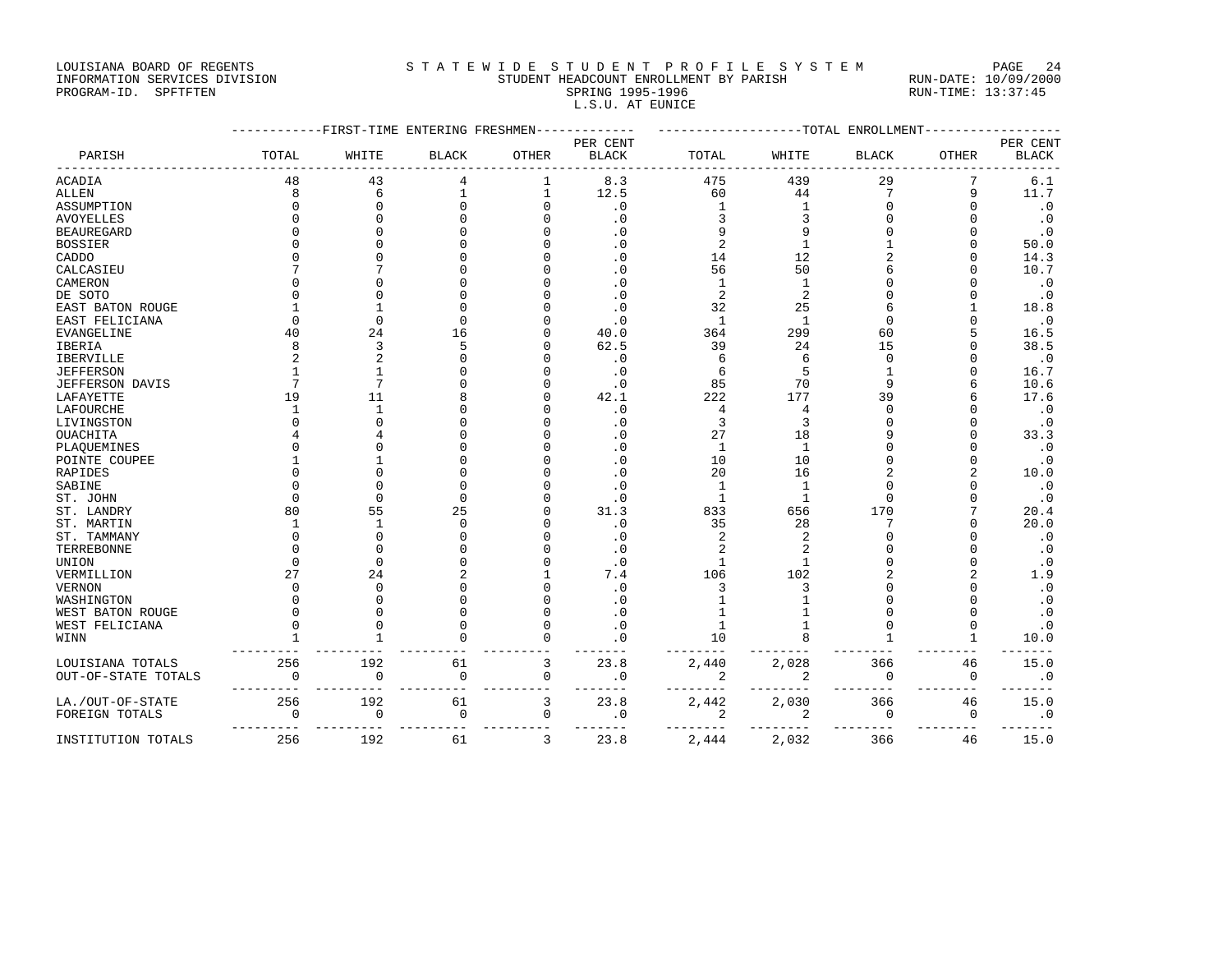### LOUISIANA BOARD OF REGENTS STATEWIDE STUDENT PROFILE SYSTEM PAGE 24 INFORMATION SERVICES DIVISION STUDENT HEADCOUNT ENROLLMENT BY PARISH RUN-DATE: 10/09/2000

L.S.U. AT EUNICE

PROGRAM-ID. SPFTFTEN SARE SERING 1995-1996 SPRING 1995-1996 RUN-TIME: 13:37:45

|                        |          | ---FIRST-TIME ENTERING FRESHMEN |              |       |              |                          |                | ----TOTAL ENROLLMENT |                |              |
|------------------------|----------|---------------------------------|--------------|-------|--------------|--------------------------|----------------|----------------------|----------------|--------------|
|                        |          |                                 |              |       | PER CENT     |                          |                |                      |                | PER CENT     |
| PARISH                 | TOTAL    | WHITE                           | <b>BLACK</b> | OTHER | <b>BLACK</b> | TOTAL                    | WHITE          | <b>BLACK</b>         | OTHER          | <b>BLACK</b> |
| ACADIA                 | 48       | 43                              | 4            | 1     | 8.3          | 475                      | 439            | 29                   | 7              | 6.1          |
| ALLEN                  | 8        | 6                               |              |       | 12.5         | 60                       | 44             | 7                    | 9              | 11.7         |
| ASSUMPTION             |          | $\Omega$                        |              |       | $\cdot$ 0    | 1                        | $\mathbf{1}$   |                      | $\Omega$       | $\cdot$ 0    |
| <b>AVOYELLES</b>       |          | $\Omega$                        |              |       | $\cdot$ 0    |                          | 3              |                      | $\cap$         | $\cdot$ 0    |
| <b>BEAUREGARD</b>      |          | U                               |              |       | $\cdot$ 0    |                          | 9              |                      | $\cap$         | $\cdot$ 0    |
| <b>BOSSIER</b>         |          | በ                               |              |       | $\cdot$ 0    | $\overline{\mathcal{L}}$ | $\mathbf{1}$   |                      | $\Omega$       | 50.0         |
| CADDO                  |          |                                 |              |       | $\cdot$ 0    | 14                       | 12             |                      | $\cap$         | 14.3         |
| CALCASIEU              |          |                                 |              |       | $\cdot$ 0    | 56                       | 50             |                      | $\cap$         | 10.7         |
| CAMERON                |          |                                 |              |       | $\cdot$ 0    | 1                        | $\mathbf{1}$   |                      |                | $\cdot$ 0    |
| DE SOTO                |          | n                               |              |       | $\cdot$ 0    | $\overline{2}$           | $\overline{2}$ |                      | U              | $\cdot$ 0    |
| EAST BATON ROUGE       |          |                                 |              |       | $\cdot$ 0    | 32                       | 25             |                      |                | 18.8         |
| EAST FELICIANA         |          | $\Omega$                        | $\cap$       |       | $\cdot$ 0    | 1                        | $\mathbf{1}$   |                      |                | $\cdot$ 0    |
| EVANGELINE             | 40       | 24                              | 16           |       | 40.0         | 364                      | 299            | 60                   |                | 16.5         |
| IBERIA                 |          | 3                               | 5            |       | 62.5         | 39                       | 24             | 15                   | $\Omega$       | 38.5         |
| IBERVILLE              |          | 2                               | $\cap$       |       | $\cdot$ 0    | 6                        | 6              | $\cap$               | $\cap$         | $\cdot$ 0    |
| <b>JEFFERSON</b>       |          | 1                               |              |       | $\cdot$ 0    | 6                        | 5              |                      | $\Omega$       | 16.7         |
| <b>JEFFERSON DAVIS</b> |          | 7                               |              |       | $\cdot$ 0    | 85                       | 70             |                      | 6              | 10.6         |
| LAFAYETTE              | 19       | 11                              |              |       | 42.1         | 222                      | 177            | 39                   | 6              | 17.6         |
| LAFOURCHE              |          | $\mathbf{1}$                    |              |       | $\cdot$ 0    | 4                        | 4              |                      | $\Omega$       | $\cdot$ 0    |
| LIVINGSTON             |          | $\Omega$                        |              |       | $\cdot$ 0    | 3                        | $\overline{3}$ |                      | $\Omega$       | $\cdot$ 0    |
| OUACHITA               |          |                                 |              |       | $\cdot$ 0    | 27                       | 18             |                      | $\Omega$       | 33.3         |
| PLAQUEMINES            |          | $\Omega$                        |              |       | $\cdot$ 0    | 1                        | $\mathbf{1}$   |                      | $\Omega$       | $\cdot$ 0    |
| POINTE COUPEE          |          |                                 |              |       | $\cdot$ 0    | 10                       | 10             |                      | $\Omega$       | $\cdot$ 0    |
| RAPIDES                |          | በ                               |              |       | $\cdot$ 0    | 20                       | 16             |                      | $\overline{a}$ | 10.0         |
| SABINE                 |          | C                               |              |       | $\cdot$ 0    | $\mathbf{1}$             | $\mathbf{1}$   |                      | $\cap$         | $\cdot$ 0    |
| ST. JOHN               |          | $\Omega$                        | $\bigcap$    |       | $\cdot$ 0    | 1                        | $\mathbf{1}$   |                      | $\cap$         | $\cdot$ 0    |
| ST. LANDRY             | 80       | 55                              | 25           |       | 31.3         | 833                      | 656            | 170                  |                | 20.4         |
| ST. MARTIN             |          | $\mathbf 1$                     | $\Omega$     |       | $\cdot$ 0    | 35                       | 28             |                      | $\Omega$       | 20.0         |
| ST. TAMMANY            |          | $\Omega$                        |              |       | $\cdot$ 0    | 2                        | $\overline{2}$ |                      | $\Omega$       | $\cdot$ 0    |
| TERREBONNE             |          | $\Omega$                        |              |       | $\cdot$ 0    | 2                        | 2              |                      | $\Omega$       | $\cdot$ 0    |
| UNION                  |          | $\Omega$                        |              |       | $\cdot$ 0    |                          |                |                      | $\Omega$       | $\cdot$ 0    |
| VERMILLION             | 27       | 24                              |              |       | 7.4          | 106                      | 102            |                      | $\overline{a}$ | 1.9          |
| VERNON                 |          | $\Omega$                        |              |       | $\cdot$ 0    | 3                        | 3              |                      | $\Omega$       | $\cdot$ 0    |
| WASHINGTON             |          | O                               |              |       | $\cdot$ 0    |                          |                |                      | $\cap$         | $\cdot$ 0    |
| WEST BATON ROUGE       |          | O                               |              |       | $\cdot$ 0    |                          |                |                      | $\Omega$       | $\cdot$ 0    |
| WEST FELICIANA         |          | $\Omega$                        |              |       | $\cdot$ 0    | 1                        |                |                      | $\Omega$       | $\cdot$ 0    |
| WINN                   |          |                                 |              |       | $\cdot$ 0    | 10                       |                |                      | 1              | 10.0         |
| LOUISIANA TOTALS       | 256      | 192                             | 61           | 3     | 23.8         | 2,440                    | 2,028          | 366                  | 46             | 15.0         |
| OUT-OF-STATE TOTALS    | $\Omega$ | 0                               | $\mathbf 0$  | 0     | $\cdot$ 0    | 2                        | 2              | $\Omega$             | 0              | $\cdot$ 0    |
| LA./OUT-OF-STATE       | 256      | 192                             | 61           | 3     | 23.8         | 2,442                    | 2,030          | 366                  | 46             | 15.0         |
| FOREIGN TOTALS         | 0        | 0                               | 0            | 0     | $\cdot$ 0    | 2                        | 2              | $\Omega$             | 0              | $\cdot$ 0    |
| INSTITUTION TOTALS     | 256      | 192                             | 61           | 3     | 23.8         | 2,444                    | 2,032          | 366                  | 46             | 15.0         |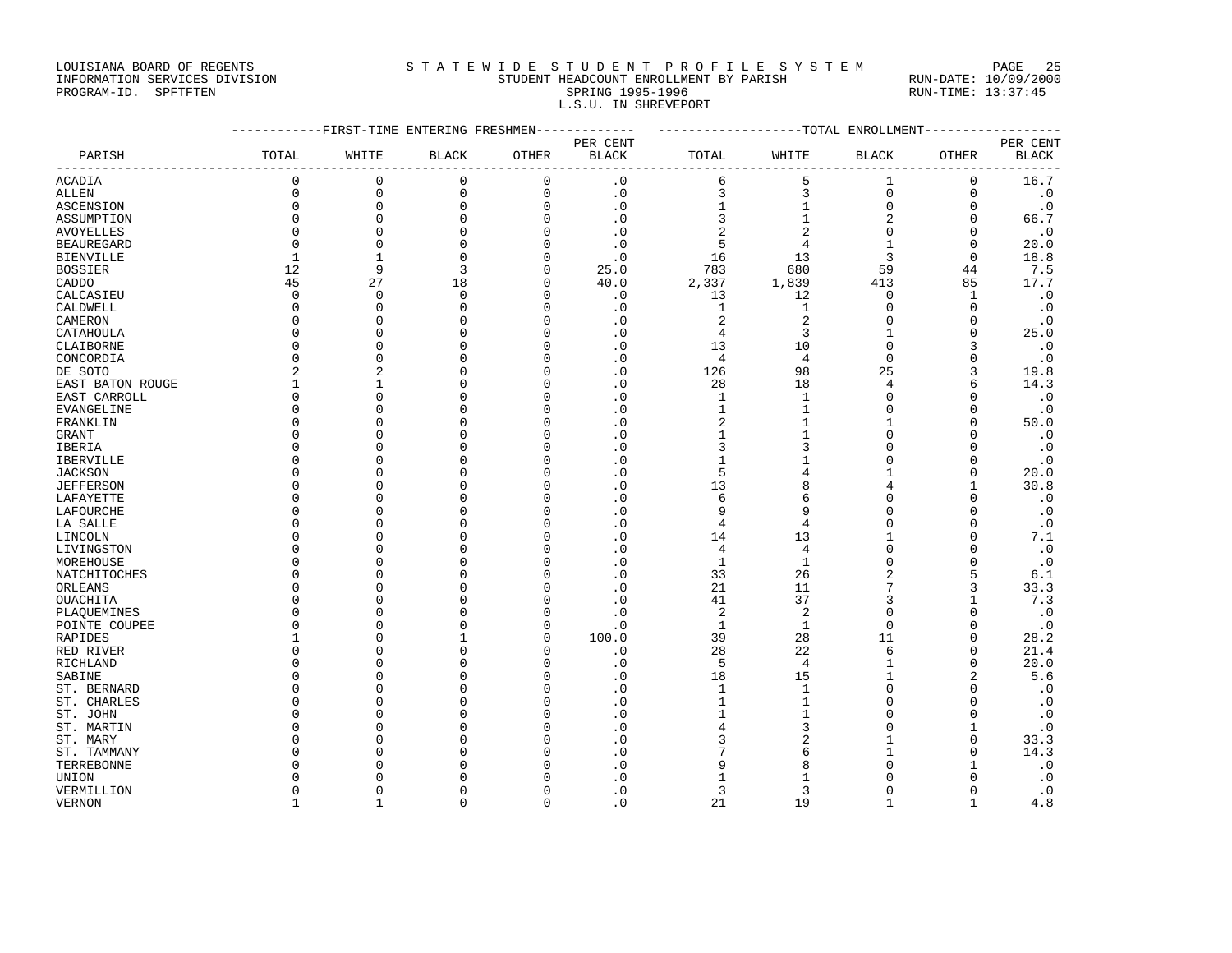#### LOUISIANA BOARD OF REGENTS S T A T E W I D E S T U D E N T P R O F I L E S Y S T E M PAGE 25 INFORMATION SERVICES DIVISION STUDENT HEADCOUNT ENROLLMENT BY PARISH RUN-DATE: 10/09/2000 PROGRAM-ID. SPFTFTEN SARE SERING 1995-1996 SPRING 1995-1996 RUN-TIME: 13:37:45 L.S.U. IN SHREVEPORT

|                  |              | -----------FIRST-TIME ENTERING FRESHMEN------------- |              |             |                      |                |                | ------------------TOTAL ENROLLMENT------------- |              |                   |  |  |  |
|------------------|--------------|------------------------------------------------------|--------------|-------------|----------------------|----------------|----------------|-------------------------------------------------|--------------|-------------------|--|--|--|
| PARISH           | TOTAL        | WHITE                                                | <b>BLACK</b> | OTHER       | PER CENT<br>BLACK    | TOTAL          | WHITE          | <b>BLACK</b>                                    | <b>OTHER</b> | PER CENT<br>BLACK |  |  |  |
| ACADIA           | $\mathsf 0$  | $\mathbf 0$                                          | $\mathsf 0$  | $\mathbf 0$ | $\cdot$ 0            | 6              | 5              | $\mathbf{1}$                                    | 0            | 16.7              |  |  |  |
| ALLEN            | $\mathbf 0$  | $\mathbf 0$                                          | $\mathbf 0$  | $\mathbf 0$ | $\cdot$ 0            | 3              | 3              | $\mathbf 0$                                     | $\mathbf 0$  | $\cdot$ 0         |  |  |  |
| ASCENSION        | $\Omega$     | 0                                                    | $\mathbf 0$  | $\Omega$    | $\cdot$ 0            |                | $\mathbf{1}$   | $\Omega$                                        | $\Omega$     | $\cdot$ 0         |  |  |  |
| ASSUMPTION       | $\Omega$     | $\Omega$                                             | $\mathbf 0$  | $\Omega$    | $\cdot$ 0            | 3              | $\mathbf 1$    |                                                 | $\mathbf 0$  | 66.7              |  |  |  |
| AVOYELLES        | $\Omega$     | $\Omega$                                             | $\Omega$     | $\Omega$    | $\cdot$ 0            | 2              | 2              | $\Omega$                                        | $\Omega$     | $\cdot$ 0         |  |  |  |
| BEAUREGARD       | $\Omega$     | $\Omega$                                             | $\mathbf 0$  | $\Omega$    | $\cdot$ 0            | 5              | $\overline{4}$ | $\mathbf{1}$                                    | $\mathbf 0$  | 20.0              |  |  |  |
| BIENVILLE        | $\mathbf{1}$ | 1                                                    | $\mathbf 0$  |             | $\cdot$ <sup>0</sup> | 16             | 13             | 3                                               | $\mathbf 0$  | 18.8              |  |  |  |
| BOSSIER          | 12           | 9                                                    | 3            | $\mathbf 0$ | 25.0                 | 783            | 680            | 59                                              | 44           | 7.5               |  |  |  |
| CADDO            | 45           | 27                                                   | 18           | $\Omega$    | 40.0                 | 2,337          | 1,839          | 413                                             | 85           | 17.7              |  |  |  |
| CALCASIEU        | $\Omega$     | $\Omega$                                             | $\Omega$     | $\Omega$    | $\cdot$ 0            | 13             | 12             | $\Omega$                                        | 1            | $\cdot$ 0         |  |  |  |
| CALDWELL         | 0            | $\mathbf 0$                                          | $\mathbf 0$  | $\Omega$    | $\cdot$ 0            | 1              | 1              | $\mathbf 0$                                     | $\mathbf 0$  | $\cdot$ 0         |  |  |  |
| CAMERON          | $\Omega$     | $\Omega$                                             | $\Omega$     | $\Omega$    | $\cdot$ 0            | $\overline{a}$ | 2              | $\Omega$                                        | $\mathbf 0$  | $\cdot$ 0         |  |  |  |
| CATAHOULA        | $\Omega$     | $\Omega$                                             | $\Omega$     | $\Omega$    | $\cdot$ 0            | 4              | 3              | $\mathbf{1}$                                    | $\Omega$     | 25.0              |  |  |  |
| CLAIBORNE        | $\Omega$     | $\Omega$                                             | $\mathbf 0$  | O           | $\cdot$ 0            | 13             | 10             | 0                                               | 3            | $\cdot$ 0         |  |  |  |
| CONCORDIA        | $\Omega$     | $\Omega$                                             | $\Omega$     | ∩           | $\cdot$ 0            | 4              | $\overline{4}$ | $\Omega$                                        | $\Omega$     | $\cdot$ 0         |  |  |  |
| DE SOTO          |              | $\overline{2}$                                       | $\Omega$     | $\Omega$    | $\cdot$ 0            | 126            | 98             | 25                                              | 3            | 19.8              |  |  |  |
| EAST BATON ROUGE |              | -1                                                   | $\Omega$     | O           | $\cdot$ 0            | 28             | 18             | 4                                               | 6            | 14.3              |  |  |  |
| EAST CARROLL     | $\Omega$     | $\Omega$                                             | $\mathbf 0$  | $\Omega$    | $\cdot$ 0            | 1              | $\mathbf{1}$   | $\Omega$                                        | $\Omega$     | $\cdot$ 0         |  |  |  |
| EVANGELINE       | $\Omega$     | $\Omega$                                             | $\Omega$     | O           | $\cdot$ 0            |                | $\mathbf 1$    | $\Omega$                                        | $\mathbf 0$  | $\cdot$ 0         |  |  |  |
| FRANKLIN         |              | $\Omega$                                             | $\Omega$     |             | $\cdot$ 0            | 2              | 1              | -1                                              | $\Omega$     | 50.0              |  |  |  |
| GRANT            | $\Omega$     | $\Omega$                                             | $\Omega$     |             | $\cdot$ 0            | $\mathbf{1}$   | $\mathbf{1}$   | $\Omega$                                        | $\Omega$     | $\cdot$ 0         |  |  |  |
| IBERIA           | $\Omega$     | $\Omega$                                             | $\Omega$     |             | $\cdot$ 0            | 3              | 3              | $\Omega$                                        | 0            | $\cdot$ 0         |  |  |  |
| IBERVILLE        |              | $\cap$                                               | $\Omega$     | ∩           | $\cdot$ 0            | 1              | 1              | $\Omega$                                        | $\Omega$     | $\cdot$ 0         |  |  |  |
| JACKSON          |              | $\Omega$                                             | $\Omega$     |             | $\cdot$ 0            | 5              | 4              | $\mathbf{1}$                                    | $\Omega$     | 20.0              |  |  |  |
| JEFFERSON        |              | $\cap$                                               | $\Omega$     |             | $\cdot$ 0            | 13             | 8              | 4                                               | 1            | 30.8              |  |  |  |
| LAFAYETTE        | $\cap$       | $\Omega$                                             | $\Omega$     | O           | $\cdot$ 0            | 6              | 6              | $\Omega$                                        | $\Omega$     | $\cdot$ 0         |  |  |  |
| LAFOURCHE        |              | ∩                                                    | $\Omega$     |             | $\cdot$ 0            | 9              | 9              | $\Omega$                                        | $\Omega$     | $\cdot$ 0         |  |  |  |
| LA SALLE         |              | $\Omega$                                             | $\Omega$     |             | $\cdot$ 0            | 4              | 4              | $\Omega$                                        | $\mathbf 0$  | $\cdot$ 0         |  |  |  |
| LINCOLN          |              | $\Omega$                                             | $\Omega$     |             | $\cdot$ 0            | 14             | 13             | $\mathbf{1}$                                    | $\Omega$     | 7.1               |  |  |  |
| LIVINGSTON       |              | ∩                                                    | ∩            |             | $\cdot$ 0            | 4              | 4              | $\Omega$                                        | $\Omega$     | $\cdot$ 0         |  |  |  |
| MOREHOUSE        |              | $\Omega$                                             | $\Omega$     |             | $\cdot$ 0            | $\mathbf{1}$   | $\mathbf{1}$   | $\Omega$                                        | $\Omega$     | $\cdot$ 0         |  |  |  |
| NATCHITOCHES     |              | $\Omega$                                             | $\Omega$     |             | $\cdot$ 0            | 33             | 26             | 2                                               | 5            | 6.1               |  |  |  |
| ORLEANS          |              | $\cap$                                               | $\mathbf 0$  |             | $\cdot$ 0            | 21             | 11             | 7                                               | 3            | 33.3              |  |  |  |
| OUACHITA         |              | $\cap$                                               | $\Omega$     |             | $\cdot$ 0            | 41             | 37             | 3                                               | $\mathbf{1}$ | 7.3               |  |  |  |
| PLAQUEMINES      |              | $\Omega$                                             | $\Omega$     | O           | $\cdot$ 0            | $\overline{c}$ | 2              | $\Omega$                                        | $\Omega$     | $\cdot$ 0         |  |  |  |
| POINTE COUPEE    |              | $\Omega$                                             | $\Omega$     | O           | $\cdot$ 0            | $\mathbf{1}$   | $\mathbf{1}$   | $\Omega$                                        | $\Omega$     | $\cdot$ 0         |  |  |  |
| RAPIDES          |              | $\Omega$                                             | 1            | O           | 100.0                | 39             | 28             | 11                                              | $\Omega$     | 28.2              |  |  |  |
| RED RIVER        |              | $\Omega$                                             | $\Omega$     |             | $\cdot$ 0            | 28             | 22             | 6                                               | $\mathbf 0$  | 21.4              |  |  |  |
| RICHLAND         |              | $\Omega$                                             | $\Omega$     | O           | $\cdot$ 0            | 5              | $\overline{4}$ | $\mathbf{1}$                                    | $\Omega$     | 20.0              |  |  |  |
| SABINE           |              | $\cap$                                               | $\Omega$     | $\cap$      | $\cdot$ 0            | 18             | 15             | $\mathbf{1}$                                    | 2            | 5.6               |  |  |  |
| ST. BERNARD      |              | $\cap$                                               | $\Omega$     |             | $\cdot$ 0            | 1              | 1              | $\Omega$                                        | $\Omega$     | $\cdot$ 0         |  |  |  |
| ST. CHARLES      |              | $\Omega$                                             | $\Omega$     |             | $\cdot$ 0            | $\mathbf{1}$   | $\mathbf{1}$   | $\Omega$                                        | $\Omega$     | $\cdot$ 0         |  |  |  |
| ST. JOHN         |              | $\Omega$                                             | $\Omega$     |             | $\cdot$ 0            | 1              | $\mathbf{1}$   | $\Omega$                                        | $\mathbf 0$  | $\cdot$ 0         |  |  |  |
| ST. MARTIN       |              | $\Omega$                                             | $\Omega$     |             | $\cdot$ 0            | 4              | 3              | $\Omega$                                        | $\mathbf{1}$ | $\cdot$ 0         |  |  |  |
| ST. MARY         |              | $\Omega$                                             | $\Omega$     |             | $\cdot$ 0            | 3              | $\overline{2}$ | $\mathbf{1}$                                    | $\mathbf 0$  | 33.3              |  |  |  |
| ST. TAMMANY      |              | $\cap$                                               | $\Omega$     |             | $\cdot$ 0            |                | 6              | 1                                               | $\Omega$     | 14.3              |  |  |  |
| TERREBONNE       |              |                                                      | <sup>0</sup> |             | $\cdot$ 0            | 9              | 8              | $\cap$                                          | 1            | $\cdot$ 0         |  |  |  |
| UNION            |              | n                                                    | <sup>0</sup> |             | $\cdot$ 0            | 1              | 1              | $\cap$                                          | $\Omega$     | $\cdot$ 0         |  |  |  |
| VERMILLION       | $\Omega$     | $\Omega$                                             | $\Omega$     | $\Omega$    | $\cdot$ 0            | 3              | ζ              | $\Omega$                                        | $\Omega$     | $\cdot$ 0         |  |  |  |
|                  |              |                                                      |              |             |                      |                |                |                                                 |              |                   |  |  |  |

VERNON 1 1 0 0 .0 21 19 1 1 4.8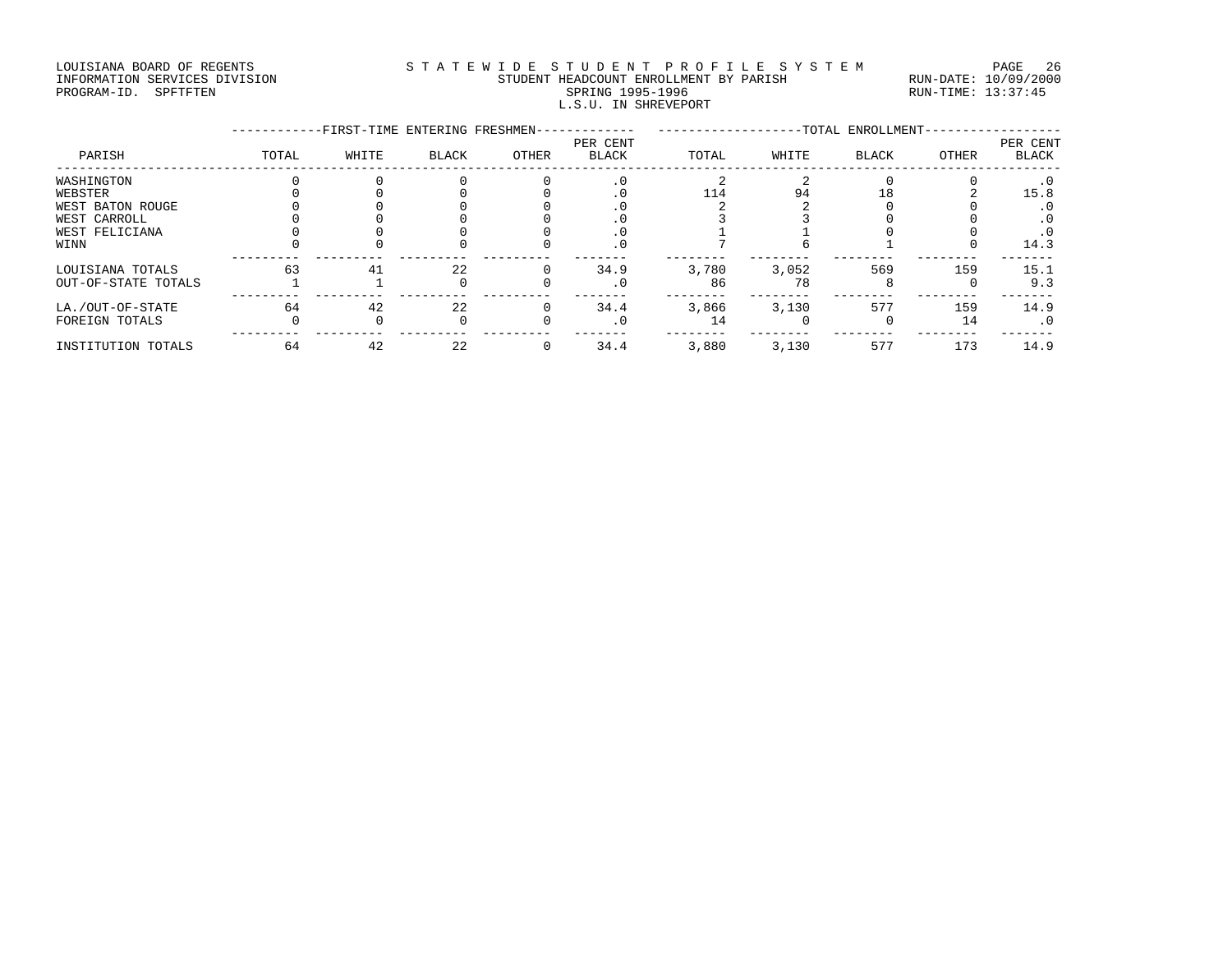#### LOUISIANA BOARD OF REGENTS STATEWIDE STUDENT PROFILE SYSTEM PAGE 26 INFORMATION SERVICES DIVISION STUDENT HEADCOUNT ENROLLMENT BY PARISH RUN-DATE: 10/09/2000 PROGRAM-ID. SPFTFTEN SARE SERING 1995-1996 SPRING 1995-1996 RUN-TIME: 13:37:45 L.S.U. IN SHREVEPORT

|                     |          | -FIRST-TIME ENTERING FRESHMEN- |              | -TOTAL ENROLLMENT- |                          |       |       |              |       |                          |
|---------------------|----------|--------------------------------|--------------|--------------------|--------------------------|-------|-------|--------------|-------|--------------------------|
| PARISH              | TOTAL    | WHITE                          | BLACK        | OTHER              | PER CENT<br><b>BLACK</b> | TOTAL | WHITE | <b>BLACK</b> | OTHER | PER CENT<br><b>BLACK</b> |
| WASHINGTON          |          |                                |              |                    |                          |       |       |              |       | $\cdot$ 0                |
| WEBSTER             |          |                                |              |                    |                          | 114   | 94    |              |       | 15.8                     |
| WEST BATON ROUGE    |          |                                |              |                    |                          |       |       |              |       | . 0                      |
| WEST CARROLL        |          |                                |              |                    |                          |       |       |              |       | . 0                      |
| WEST FELICIANA      |          |                                |              |                    |                          |       |       |              |       | . 0                      |
| WINN                |          |                                |              |                    |                          |       |       |              |       | 14.3                     |
| LOUISIANA TOTALS    | 63       | 41                             | 22           |                    | 34.9                     | 3,780 | 3,052 | 569          | 159   | 15.1                     |
| OUT-OF-STATE TOTALS |          |                                | <sup>n</sup> |                    |                          | 86    | 78    |              |       | 9.3                      |
| LA./OUT-OF-STATE    | 64       | 42                             | 22           |                    | 34.4                     | 3,866 | 3,130 | 577          | 159   | 14.9                     |
| FOREIGN TOTALS      | $\Omega$ |                                | $\Omega$     |                    |                          | 14    |       |              | 14    | $\cdot$ 0                |
| INSTITUTION TOTALS  | 64       | 42                             | 22           | 0                  | 34.4                     | 3,880 | 3,130 | 577          | 173   | 14.9                     |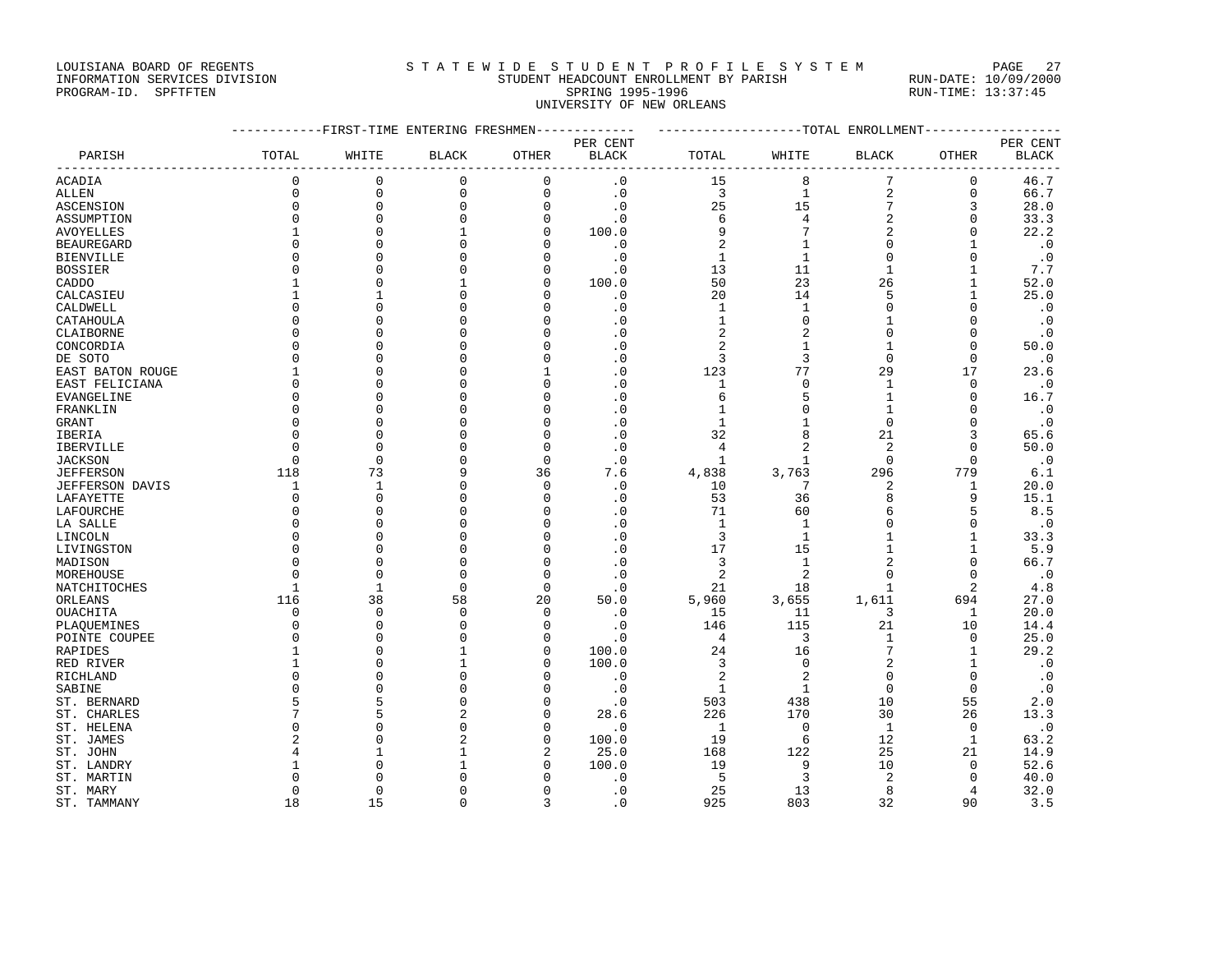### LOUISIANA BOARD OF REGENTS STATEWIDE STUDENT PROFILE SYSTEM PAGE 27 INFORMATION SERVICES DIVISION STUDENT HEADCOUNT ENROLLMENT BY PARISH RUN-DATE: 10/09/2000

# PROGRAM-ID. SPFTFTEN SARE SERING 1995-1996 SPRING 1995-1996 RUN-TIME: 13:37:45 UNIVERSITY OF NEW ORLEANS

|                   |                | ----------FIRST-TIME ENTERING FRESHMEN------------- |              |                     |                  | ------------------TOTAL ENROLLMENT----------------- |                |                      |               |              |
|-------------------|----------------|-----------------------------------------------------|--------------|---------------------|------------------|-----------------------------------------------------|----------------|----------------------|---------------|--------------|
|                   |                |                                                     |              |                     | PER CENT         |                                                     |                |                      |               | PER CENT     |
| PARISH            | TOTAL          | WHITE                                               | <b>BLACK</b> | OTHER               | <b>BLACK</b>     | TOTAL                                               | WHITE          | <b>BLACK</b>         | OTHER         | BLACK        |
| ACADIA            | $\mathbf 0$    | $\mathbf 0$                                         | 0            | 0                   | $\cdot$ 0        | 15                                                  | 8              | 7                    | 0             | 46.7         |
| ALLEN             | 0              | $\mathbf 0$                                         | $\mathbf 0$  | 0                   | $\cdot$ 0        | 3                                                   | $\mathbf{1}$   | $\sqrt{2}$           | $\mathbf 0$   | 66.7         |
| ASCENSION         | $\mathbf 0$    | $\mathbf 0$                                         | $\Omega$     | $\Omega$            | $\cdot$ 0        | 25                                                  | 15             | 7                    | 3             | 28.0         |
| ASSUMPTION        | $\mathbf 0$    | $\mathbf 0$                                         | <sup>0</sup> | $\mathbf 0$         | $\cdot$ 0        | 6                                                   | 4              | $\overline{2}$       | $\mathbf 0$   | 33.3         |
| AVOYELLES         | 1              | $\Omega$                                            |              | $\Omega$            | 100.0            | 9                                                   | 7              | $\overline{2}$       | $\Omega$      | 22.2         |
| <b>BEAUREGARD</b> | $\Omega$       | $\Omega$                                            |              | O                   | $\cdot$ 0        | 2                                                   | $\mathbf{1}$   | $\Omega$             | $\mathbf{1}$  | $\cdot$ 0    |
| <b>BIENVILLE</b>  | $\Omega$       | $\cap$                                              |              | O                   | $\cdot$ 0        | $\mathbf{1}$                                        | $\mathbf{1}$   | $\Omega$             | $\Omega$      | $\cdot$ 0    |
| <b>BOSSIER</b>    | $\Omega$       | $\cap$                                              |              | $\Omega$            | $\cdot$ 0        | 13                                                  | 11             | $\mathbf{1}$         | $\mathbf{1}$  | 7.7          |
| CADDO             |                | $\Omega$                                            |              | 0                   | 100.0            | 50                                                  | 23             | 26                   | 1             | 52.0         |
| CALCASIEU         | 1              | $\mathbf{1}$                                        |              | $\Omega$            | $\cdot$ 0        | 20                                                  | 14             | 5                    | $\mathbf{1}$  | 25.0         |
| CALDWELL          | $\Omega$       | $\cap$                                              |              | O                   | $\cdot$ 0        | 1                                                   | 1              | $\Omega$             | $\mathbf 0$   | $\cdot$ 0    |
| CATAHOULA         | $\Omega$       | $\cap$                                              |              | U                   | . 0              | $\mathbf 1$                                         | $\Omega$       |                      | $\Omega$      | $\cdot$ 0    |
| CLAIBORNE         | 0              | $\cap$                                              |              | O                   | $\cdot$ 0        | 2                                                   | $\overline{2}$ | $\Omega$             | $\mathbf 0$   | $\cdot$ 0    |
| CONCORDIA         | $\Omega$       | n                                                   |              | U                   | $\cdot$ 0        | 2                                                   | $\mathbf{1}$   |                      | $\Omega$      | 50.0         |
| DE SOTO           | $\Omega$       | $\cap$                                              |              | U                   | $\cdot$ 0        | 3                                                   | 3              | $\Omega$             | $\mathbf 0$   | $\cdot$ 0    |
| EAST BATON ROUGE  | 1              | n                                                   |              |                     | $\cdot$ 0        | 123                                                 | 77             | 29                   | 17            | 23.6         |
| EAST FELICIANA    | $\mathbf 0$    | $\cap$                                              |              | $\Omega$            | $\cdot$ 0        | 1                                                   | $\mathbf 0$    | $\mathbf{1}$         | $\mathbf 0$   | $\cdot$ 0    |
| EVANGELINE        | $\Omega$       | $\cap$                                              |              | U                   | $\cdot$ 0        | 6                                                   | 5              | -1                   | $\Omega$      | 16.7         |
| FRANKLIN          | $\mathbf 0$    | $\Omega$                                            |              | $\Omega$            | $\cdot$ 0        | 1                                                   | $\Omega$       |                      | $\Omega$      | $\cdot$ 0    |
| <b>GRANT</b>      | 0              | $\cap$                                              |              | U                   | $\cdot$ 0        | 1                                                   | -1             | $\Omega$             | 0             | $\cdot$ 0    |
| IBERIA            | $\Omega$       | $\Omega$                                            |              | $\Omega$            | $\cdot$ 0        | 32                                                  | 8              | 21                   | 3             | 65.6         |
| IBERVILLE         | $\Omega$       | $\Omega$                                            |              | 0                   | $\cdot$ 0        | 4                                                   | $\overline{2}$ | 2                    | 0             | 50.0         |
| <b>JACKSON</b>    | $\Omega$       | $\Omega$                                            |              | $\Omega$            | $\cdot$ 0        | $\mathbf{1}$                                        | $\mathbf{1}$   | $\Omega$             | $\Omega$      | $\cdot$ 0    |
| <b>JEFFERSON</b>  | 118            | 73                                                  |              | 36                  | 7.6              | 4,838                                               | 3,763          | 296                  | 779           | 6.1          |
| JEFFERSON DAVIS   | 1              | $\mathbf{1}$                                        |              | $\Omega$            | $\cdot$ 0        | 10                                                  | 7              | 2                    | 1             | 20.0         |
| LAFAYETTE         | 0              | $\mathbf 0$                                         |              | 0                   | $\cdot$ 0        | 53                                                  | 36             | 8                    | 9             | 15.1         |
| LAFOURCHE         | $\Omega$       | $\Omega$                                            |              | U                   | $\cdot$ 0        | 71                                                  | 60             | 6                    | 5             | 8.5          |
| LA SALLE          | $\mathbf 0$    | $\Omega$                                            |              | $\Omega$            | $\cdot$ 0        | $\mathbf{1}$                                        | $\mathbf{1}$   | $\Omega$             | $\mathbf 0$   | $\cdot$ 0    |
| LINCOLN           | $\Omega$       | $\Omega$                                            |              | O                   | $\cdot$ 0        | 3                                                   | 1              |                      | 1             | 33.3         |
| LIVINGSTON        | $\Omega$       | $\Omega$                                            |              | O                   | $\cdot$ 0        | 17                                                  | 15             |                      | $\mathbf{1}$  | 5.9          |
| MADISON           | $\Omega$       | $\Omega$                                            | n            | O                   | $\cdot$ 0        | 3                                                   | $\mathbf{1}$   |                      | $\mathbf 0$   | 66.7         |
| MOREHOUSE         | $\Omega$       | $\Omega$                                            | $\Omega$     | $\Omega$            | $\cdot$ 0        | 2                                                   | $\overline{c}$ |                      | $\Omega$      | $\cdot$ 0    |
| NATCHITOCHES      | 1              | $\mathbf{1}$                                        | $\Omega$     | $\Omega$            | $\cdot$ 0        | 21                                                  | 18             |                      | 2             | 4.8          |
| ORLEANS           | 116            | 38                                                  | 58           | 20                  | 50.0             | 5,960                                               | 3,655          | 1,611                | 694           | 27.0         |
| OUACHITA          | 0              | $\mathbf 0$                                         | <sup>0</sup> | 0                   | $\cdot$ 0        | 15                                                  | 11             | 3                    | 1             | 20.0         |
| PLAQUEMINES       | $\mathbf 0$    | $\mathbf 0$                                         | ∩            | $\mathbf 0$         | $\cdot$ 0        | 146                                                 | 115            | 21                   | 10            | 14.4         |
| POINTE COUPEE     | 0              | $\Omega$                                            |              | 0                   | $\cdot$ 0        | $\overline{4}$                                      | 3              | 1                    | $\mathbf 0$   | 25.0         |
| RAPIDES           | 1              | $\Omega$                                            |              | $\Omega$            | 100.0            | 24                                                  | 16             |                      | $\mathbf{1}$  | 29.2         |
| RED RIVER         | $\mathbf{1}$   | $\Omega$                                            |              | O                   | 100.0            | 3                                                   | $\mathbf 0$    | $\overline{2}$       | $\mathbf{1}$  | $\cdot$ 0    |
| RICHLAND          | $\Omega$       | $\Omega$                                            | n            | O                   | $\cdot$ 0        | 2                                                   | $\overline{2}$ | $\Omega$             | 0             | $\cdot$ 0    |
| SABINE            | $\Omega$       | $\Omega$                                            |              | $\Omega$            | $\cdot$ 0        | $\mathbf{1}$                                        | $\mathbf{1}$   | $\Omega$             | $\Omega$      | $\cdot$ 0    |
| ST. BERNARD       | 5              | 5                                                   |              | O                   | $\cdot$ 0        | 503                                                 | 438            | 10                   | 55            | 2.0          |
| ST. CHARLES       | 7              | 5                                                   |              | $\Omega$            | 28.6             | 226                                                 | 170            | 30                   | 26            | 13.3         |
| ST. HELENA        | $\Omega$       | $\Omega$                                            |              | $\Omega$            | $\cdot$ 0        | 1                                                   | $\Omega$       | $\mathbf{1}$         | 0             | $\cdot$ 0    |
| ST. JAMES         | $\overline{2}$ | $\Omega$                                            |              | $\mathbf 0$         | 100.0            | 19                                                  | 6              | 12                   | $\mathbf{1}$  | 63.2         |
| ST. JOHN          | 4<br>-1        | $\mathbf{1}$<br>$\cap$                              |              | $\overline{a}$<br>O | 25.0             | 168                                                 | 122            | 25                   | 21            | 14.9         |
| ST. LANDRY        | $\Omega$       | $\cap$                                              |              | $\Omega$            | 100.0            | 19                                                  | 9              | 10<br>$\overline{2}$ | 0             | 52.6         |
| ST. MARTIN        | 0              | $\Omega$                                            |              | 0                   | . 0<br>$\cdot$ 0 | 5<br>25                                             | 3<br>13        | 8                    | $\Omega$<br>4 | 40.0<br>32.0 |
| ST. MARY          | 18             | 15                                                  | $\Omega$     | 3                   | $\cdot$ 0        | 925                                                 | 803            | 32                   | 90            | 3.5          |
| ST. TAMMANY       |                |                                                     |              |                     |                  |                                                     |                |                      |               |              |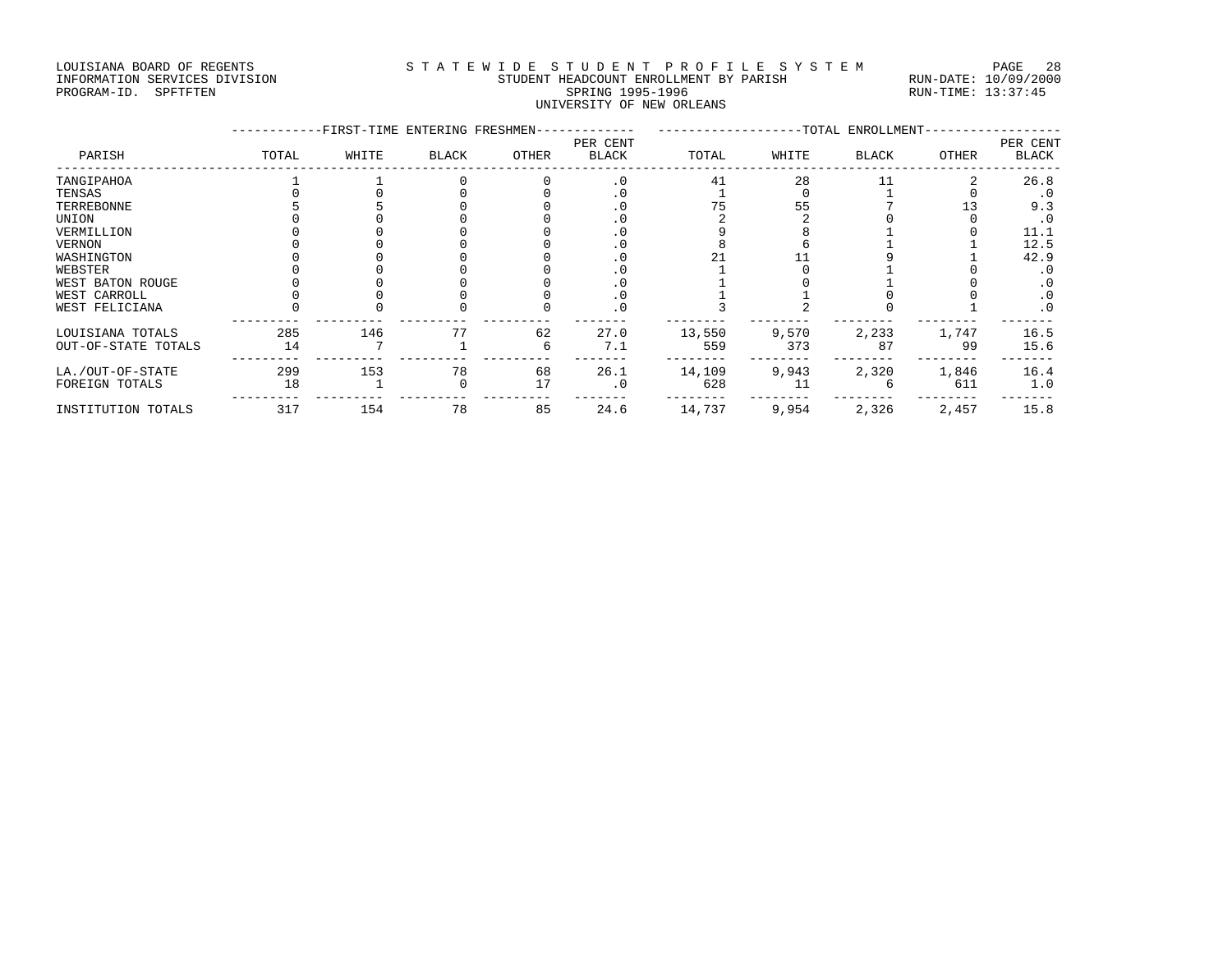#### LOUISIANA BOARD OF REGENTS STATEWIDE STUDENT PROFILE SYSTEM PAGE 28 INFORMATION SERVICES DIVISION STUDENT HEADCOUNT ENROLLMENT BY PARISH RUN-DATE: 10/09/2000 PROGRAM-ID. SPFTFTEN SARE SERING 1995-1996 SPRING 1995-1996 RUN-TIME: 13:37:45 UNIVERSITY OF NEW ORLEANS

|                     |       | -FIRST-TIME ENTERING FRESHMEN- |              |       |                   | ---------------TOTAL ENROLLMENT- |       |              |       |                          |
|---------------------|-------|--------------------------------|--------------|-------|-------------------|----------------------------------|-------|--------------|-------|--------------------------|
| PARISH              | TOTAL | WHITE                          | <b>BLACK</b> | OTHER | PER CENT<br>BLACK | TOTAL                            | WHITE | <b>BLACK</b> | OTHER | PER CENT<br><b>BLACK</b> |
| TANGIPAHOA          |       |                                |              |       | $\cdot$ 0         | 41                               | 28    |              |       | 26.8                     |
| TENSAS              |       |                                |              |       | . 0               |                                  |       |              |       | . 0                      |
| TERREBONNE          |       |                                |              |       |                   |                                  | 55    |              |       | 9.3                      |
| UNION               |       |                                |              |       |                   |                                  |       |              |       | . 0                      |
| VERMILLION          |       |                                |              |       |                   |                                  |       |              |       | 11.1                     |
| VERNON              |       |                                |              |       |                   |                                  |       |              |       | 12.5                     |
| WASHINGTON          |       |                                |              |       |                   |                                  |       |              |       | 42.9                     |
| WEBSTER             |       |                                |              |       |                   |                                  |       |              |       | . 0                      |
| WEST BATON ROUGE    |       |                                |              |       | . 0               |                                  |       |              |       | $\cdot$ 0                |
| WEST CARROLL        |       |                                |              |       | . 0               |                                  |       |              |       | $\cdot$ 0                |
| WEST FELICIANA      |       |                                |              |       | $\cdot$ 0         |                                  |       |              |       | $\cdot$ 0                |
| LOUISIANA TOTALS    | 285   | 146                            |              | 62    | 27.0              | 13,550                           | 9,570 | 2,233        | 1,747 | 16.5                     |
| OUT-OF-STATE TOTALS | 14    |                                |              |       | 7.1               | 559                              | 373   | 87           | 99    | 15.6                     |
| LA./OUT-OF-STATE    | 299   | 153                            | 78           | 68    | 26.1              | 14,109                           | 9,943 | 2,320        | 1,846 | 16.4                     |
| FOREIGN TOTALS      | 18    |                                |              | 17    | . 0               | 628                              | 11    |              | 611   | 1.0                      |
| INSTITUTION TOTALS  | 317   | 154                            | 78           | 85    | 24.6              | 14,737                           | 9,954 | 2,326        | 2,457 | 15.8                     |
|                     |       |                                |              |       |                   |                                  |       |              |       |                          |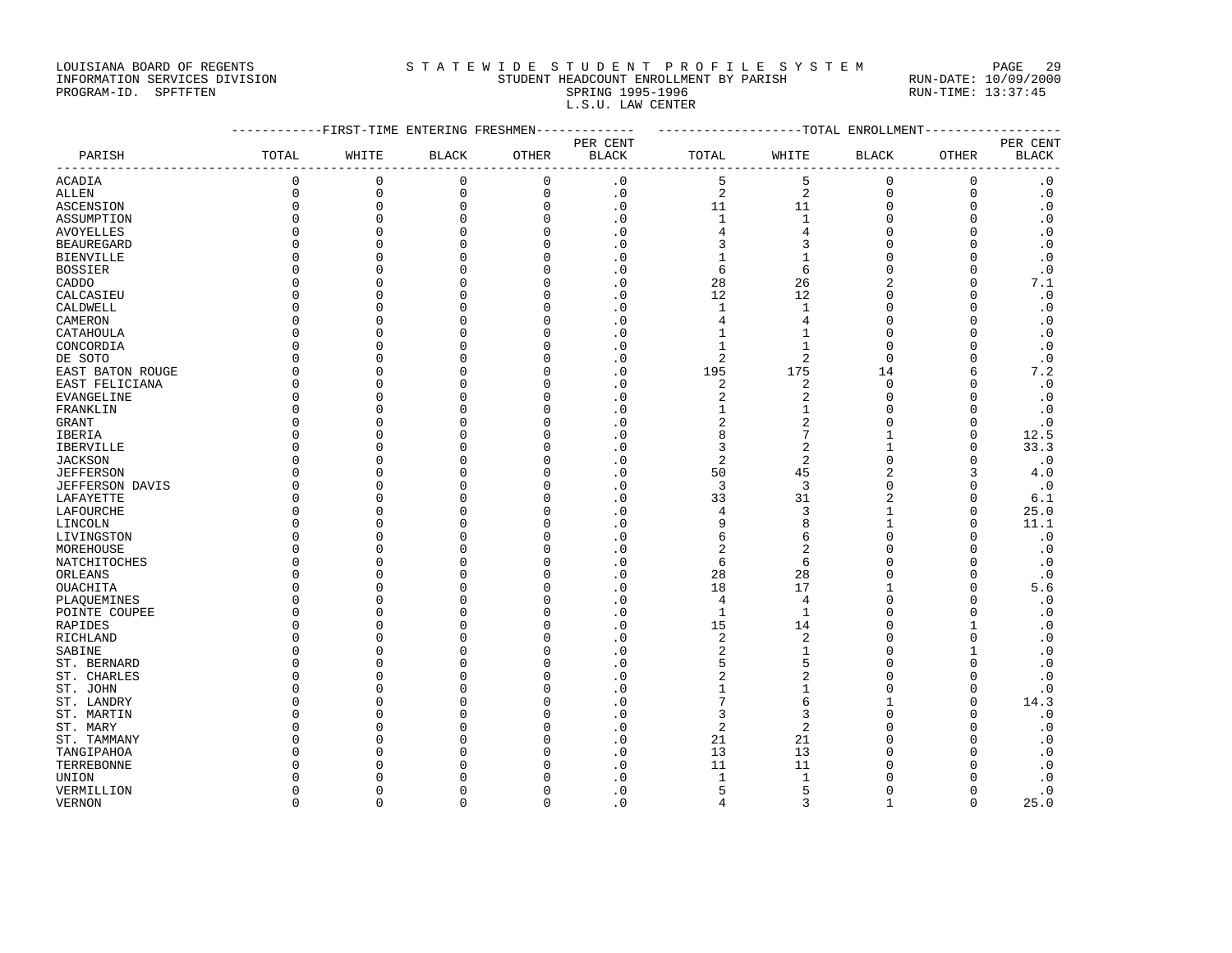#### LOUISIANA BOARD OF REGENTS STA TEWIDE STUDENT PROFILE SYSTEM PAGE 29 INFORMATION SERVICES DIVISION STUDENT HEADCOUNT ENROLLMENT BY PARISH RUN-DATE: 10/09/2000 PROGRAM-ID. SPFTFTEN SARE SERING 1995-1996 SPRING 1995-1996 RUN-TIME: 13:37:45 L.S.U. LAW CENTER

|                        |              |                     |              |             | ---------FIRST-TIME ENTERING FRESHMEN------------- | ------------------TOTAL ENROLLMENT--------------- |                 |                |              |                        |
|------------------------|--------------|---------------------|--------------|-------------|----------------------------------------------------|---------------------------------------------------|-----------------|----------------|--------------|------------------------|
|                        |              |                     |              |             | PER CENT                                           |                                                   |                 |                |              | PER CENT               |
| PARISH                 | TOTAL        | WHITE               | <b>BLACK</b> | OTHER       | BLACK                                              | TOTAL                                             | WHITE           | <b>BLACK</b>   | OTHER        | <b>BLACK</b>           |
| <b>ACADIA</b>          | $\mathsf 0$  | $\mathsf 0$         | $\mathsf 0$  | $\mathbf 0$ | $\cdot$ 0                                          | 5                                                 | 5               | $\mathbf 0$    | 0            | $\cdot$ 0              |
| ALLEN                  | $\mathsf 0$  | $\mathsf{O}\xspace$ | $\mathsf 0$  | 0           | $\cdot$ 0                                          | $\overline{a}$                                    | $\sqrt{2}$      | $\mathsf 0$    | $\mathsf 0$  | $\boldsymbol{\cdot}$ 0 |
| <b>ASCENSION</b>       | $\Omega$     | $\mathbf 0$         | $\mathbf 0$  | $\mathbf 0$ | $\cdot$ 0                                          | 11                                                | 11              | $\mathbf 0$    | $\mathbf 0$  | $\cdot$ 0              |
| ASSUMPTION             | $\Omega$     | $\mathsf 0$         | $\mathbf 0$  | $\mathbf 0$ | $\cdot$ 0                                          | $\mathbf{1}$                                      | $\mathbf{1}$    | $\mathbf 0$    | $\mathbf 0$  | $\cdot$ 0              |
| AVOYELLES              | $\Omega$     | $\mathbf 0$         | $\mathbf{0}$ | 0           | $\cdot$ 0                                          | $\sqrt{4}$                                        | $\sqrt{4}$      | 0              | $\mathbf 0$  | $\cdot$ 0              |
| <b>BEAUREGARD</b>      | ∩            | $\Omega$            | $\Omega$     | $\Omega$    | $\cdot$ 0                                          | 3                                                 | 3               | $\Omega$       | $\Omega$     | $\cdot$ 0              |
| <b>BIENVILLE</b>       | $\Omega$     | $\mathbf{0}$        | $\mathbf{0}$ | $\Omega$    | $\cdot$ 0                                          | 1                                                 | $\mathbf{1}$    | $\Omega$       | $\mathbf 0$  | $\cdot$ 0              |
| <b>BOSSIER</b>         | $\Omega$     | $\mathbf{0}$        | $\mathbf{0}$ | $\Omega$    | $\cdot$ 0                                          | 6                                                 | 6               | 0              | $\mathbf 0$  | $\cdot$ 0              |
| CADDO                  | $\Omega$     | $\Omega$            | $\Omega$     |             | $\cdot$ 0                                          | 28                                                | 26              | $\overline{c}$ | $\Omega$     | 7.1                    |
| CALCASIEU              | 0            | $\Omega$            | $\Omega$     | U           | $\cdot$ 0                                          | 12                                                | 12              | $\Omega$       | $\Omega$     | $\cdot$ 0              |
| CALDWELL               | $\Omega$     | $\mathbf{0}$        | $\Omega$     |             | $\cdot$ 0                                          | $\mathbf{1}$                                      | $\mathbf{1}$    | $\Omega$       | $\mathbf 0$  | $\cdot$ 0              |
| CAMERON                | $\Omega$     | $\Omega$            | $\Omega$     | n           | $\cdot$ 0                                          | 4                                                 | 4               | $\Omega$       | $\mathbf 0$  | $\cdot$ 0              |
| CATAHOULA              | $\Omega$     | $\mathbf{0}$        | $\Omega$     |             | $\cdot$ 0                                          | 1                                                 | $\mathbf{1}$    | $\Omega$       | $\Omega$     | $\cdot$ 0              |
| CONCORDIA              | $\Omega$     | $\Omega$            | $\cap$       |             | $\cdot$ 0                                          | 1                                                 | 1               | $\Omega$       | $\Omega$     | $\cdot$ 0              |
| DE SOTO                | $\Omega$     | $\mathbf{0}$        | $\Omega$     |             | $\cdot$ 0                                          | 2                                                 | 2               | 0              | $\mathbf 0$  | $\cdot$ 0              |
| EAST BATON ROUGE       | $\Omega$     | $\Omega$            | $\Omega$     | U           | $\cdot$ 0                                          | 195                                               | 175             | 14             | 6            | 7.2                    |
| EAST FELICIANA         | $\Omega$     | $\mathbf{0}$        | $\Omega$     |             | $\cdot$ 0                                          | $\sqrt{2}$                                        | $\overline{2}$  | $\Omega$       | $\Omega$     | $\cdot$ 0              |
| EVANGELINE             | $\Omega$     | $\mathbf 0$         | $\Omega$     | U           | $\cdot$ 0                                          | 2                                                 | 2               | $\Omega$       | 0            | $\cdot$ 0              |
| FRANKLIN               | $\Omega$     | $\Omega$            | $\Omega$     |             | $\cdot$ 0                                          | 1                                                 | $\mathbf{1}$    | $\Omega$       | $\Omega$     | $\cdot$ 0              |
| GRANT                  | $\Omega$     | $\Omega$            | $\Omega$     |             | $\cdot$ 0                                          | $\overline{a}$                                    | $\overline{2}$  | 0              | $\mathbf 0$  | $\cdot$ 0              |
| IBERIA                 | $\Omega$     | $\mathbf{0}$        | $\Omega$     | O           | $\cdot$ 0                                          | 8                                                 | $7\phantom{.0}$ | 1              | $\mathbf 0$  | 12.5                   |
| IBERVILLE              | <sup>0</sup> | $\Omega$            | ∩            | U           | $\cdot$ 0                                          | 3                                                 | 2               | 1              | $\Omega$     | 33.3                   |
| <b>JACKSON</b>         | $\Omega$     | $\Omega$            | $\Omega$     |             | $\cdot$ 0                                          | $\overline{2}$                                    | $\sqrt{2}$      | $\Omega$       | $\Omega$     | $\cdot$ 0              |
| <b>JEFFERSON</b>       | $\Omega$     | $\mathbf 0$         | $\Omega$     | O           | $\cdot$ 0                                          | 50                                                | 45              | $\overline{2}$ | 3            | 4.0                    |
| <b>JEFFERSON DAVIS</b> | $\Omega$     | $\Omega$            | $\cap$       | n           | $\cdot$ 0                                          | 3                                                 | 3               | $\Omega$       | $\Omega$     | $\cdot$ 0              |
| LAFAYETTE              | $\Omega$     | $\mathbf{0}$        | $\Omega$     | U           | $\cdot$ 0                                          | 33                                                | 31              | $\overline{2}$ | $\mathbf 0$  | 6.1                    |
| LAFOURCHE              | $\Omega$     | $\Omega$            | $\Omega$     | U           | $\cdot$ 0                                          | 4                                                 | 3               | $\mathbf 1$    | $\Omega$     | 25.0                   |
| LINCOLN                | n            | $\Omega$            | $\Omega$     | U           | $\cdot$ 0                                          | 9                                                 | 8               | 1              | $\Omega$     | 11.1                   |
| LIVINGSTON             | $\Omega$     | $\mathbf{0}$        | $\Omega$     | U           | $\cdot$ 0                                          | 6                                                 | 6               | $\Omega$       | $\Omega$     | $\cdot$ 0              |
| MOREHOUSE              | $\Omega$     | $\mathbf 0$         | $\Omega$     | U           | $\cdot$ 0                                          | $\overline{c}$                                    | $\overline{c}$  | $\Omega$       | $\mathbf 0$  | $\cdot$ 0              |
| NATCHITOCHES           | n            | $\mathbf{0}$        | $\Omega$     | O           | $\cdot$ 0                                          | 6                                                 | 6               | O              | $\Omega$     | $\cdot$ 0              |
| ORLEANS                | $\Omega$     | $\Omega$            | $\Omega$     |             | $\cdot$ 0                                          | 28                                                | 28              | $\Omega$       | $\Omega$     | $\cdot$ 0              |
| OUACHITA               | $\Omega$     | $\Omega$            | $\Omega$     | U           | $\cdot$ 0                                          | 18                                                | 17              | 1              | $\mathbf 0$  | 5.6                    |
| PLAQUEMINES            | $\Omega$     | $\mathbf{0}$        | $\Omega$     |             | $\cdot$ 0                                          | $\overline{4}$                                    | 4               | $\Omega$       | $\mathbf 0$  | $\cdot$ 0              |
| POINTE COUPEE          | $\Omega$     | $\Omega$            | $\cap$       | U           | $\cdot$ 0                                          | $\mathbf{1}$                                      | $\mathbf{1}$    | $\Omega$       | $\Omega$     | $\cdot$ 0              |
| RAPIDES                | $\Omega$     | $\mathbf{0}$        | $\Omega$     |             | $\cdot$ 0                                          | 15                                                | 14              | $\Omega$       | $\mathbf{1}$ | $\cdot$ 0              |
| RICHLAND               | $\Omega$     | $\Omega$            | $\Omega$     | O           | $\cdot$ 0                                          | $\sqrt{2}$                                        | $\overline{2}$  | 0              | $\mathbf 0$  | $\cdot$ 0              |
| SABINE                 | $\Omega$     | $\Omega$            | $\cap$       |             | $\cdot$ 0                                          | $\overline{2}$                                    | $\mathbf{1}$    | $\cap$         | $\mathbf{1}$ | $\cdot$ 0              |
| ST. BERNARD            | $\Omega$     | $\Omega$            | $\cap$       |             | $\cdot$ 0                                          | 5                                                 | 5               | $\cap$         | $\Omega$     | $\cdot$ 0              |
| ST. CHARLES            | $\Omega$     | $\mathbf{0}$        | $\Omega$     |             | $\cdot$ 0                                          | 2                                                 | $\overline{2}$  | $\Omega$       | $\mathbf 0$  | $\cdot$ 0              |
| ST. JOHN               | n            | $\Omega$            | n            |             | $\cdot$ 0                                          | 1                                                 | $\mathbf{1}$    | $\Omega$       | 0            | $\cdot$ 0              |
| ST. LANDRY             | $\Omega$     | $\Omega$            | $\Omega$     |             | $\cdot$ 0                                          | 7                                                 | 6               | 1              | $\Omega$     | 14.3                   |
| ST. MARTIN             | n            | $\mathbf 0$         | ∩            |             | $\cdot$ 0                                          | 3                                                 | 3               | $\Omega$       | $\Omega$     | $\cdot$ 0              |
| ST. MARY               | n            | $\Omega$            | $\cap$       |             | $\cdot$ 0                                          | 2                                                 | 2               | U              | $\Omega$     | $\cdot$ 0              |
| ST. TAMMANY            | $\Omega$     | $\Omega$            | $\Omega$     |             | $\cdot$ 0                                          | 21                                                | 21              | $\Omega$       | $\mathbf 0$  | $\cdot$ 0              |
| TANGIPAHOA             | $\Omega$     | $\Omega$            |              |             | $\cdot$ 0                                          | 13                                                | 13              | $\cap$         | $\Omega$     | $\cdot$ 0              |
| TERREBONNE             | Ω            | $\Omega$            | ∩            |             | $\cdot$ 0                                          | 11                                                | 11              | O              | $\Omega$     | $\cdot$ 0              |
| UNION                  | n            | $\Omega$            |              |             | $\cdot$ 0                                          | $\mathbf{1}$                                      | $\mathbf{1}$    |                | $\Omega$     | $\cdot$ 0              |
| VERMILLION             | 0            | $\mathbf 0$         | $\Omega$     |             | $\cdot$ 0                                          | 5                                                 | 5               | $\Omega$       | 0            | $\cdot$ 0              |
| VERNON                 | $\Omega$     | $\Omega$            | $\Omega$     | $\Omega$    | $\cdot$ 0                                          | 4                                                 | 3               | 1              | $\Omega$     | 25.0                   |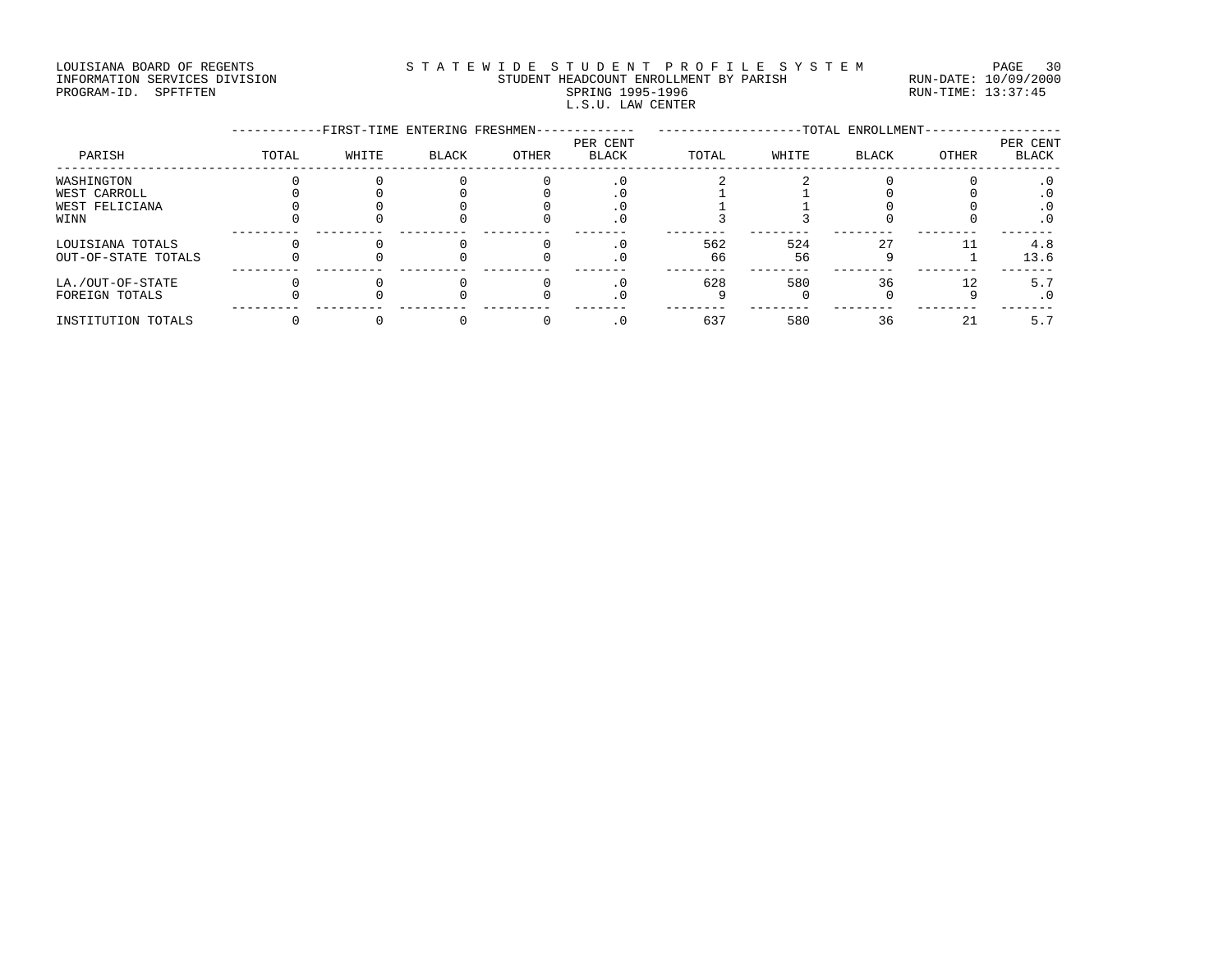#### LOUISIANA BOARD OF REGENTS STATEWIDE STUDENT PROFILE SYSTEM PAGE 30 INFORMATION SERVICES DIVISION STUDENT HEADCOUNT ENROLLMENT BY PARISH RUN-DATE: 10/09/2000 PROGRAM-ID. SPFTFTEN SARE SERING 1995-1996 SPRING 1995-1996 RUN-TIME: 13:37:45 L.S.U. LAW CENTER

|                     |       | -FIRST-TIME ENTERING FRESHMEN- |              |       |                          |       | -TOTAL ENROLLMENT- |              |       | PER CENT  |
|---------------------|-------|--------------------------------|--------------|-------|--------------------------|-------|--------------------|--------------|-------|-----------|
| PARISH              | TOTAL | WHITE                          | <b>BLACK</b> | OTHER | PER CENT<br><b>BLACK</b> | TOTAL | WHITE              | <b>BLACK</b> | OTHER | BLACK     |
| WASHINGTON          |       |                                |              |       |                          |       |                    |              |       | . 0       |
| WEST CARROLL        |       |                                |              |       |                          |       |                    |              |       | . 0       |
| WEST FELICIANA      |       |                                |              |       |                          |       |                    |              |       |           |
| WINN                |       |                                |              |       | $\cdot$ 0                |       |                    |              |       | $\cdot$ 0 |
| LOUISIANA TOTALS    |       |                                |              |       |                          | 562   | 524                | 27           |       | 4.8       |
| OUT-OF-STATE TOTALS |       |                                |              |       | $\cdot$ 0                | 66    | 56                 |              |       | 13.6      |
| LA./OUT-OF-STATE    |       |                                |              |       |                          | 628   | 580                | 36           | 12    | 5.7       |
| FOREIGN TOTALS      |       |                                |              |       | $\cdot$ 0                |       |                    |              |       | $\cdot$ 0 |
| INSTITUTION TOTALS  |       |                                |              |       |                          | 637   | 580                | 36           | 21    | 5.7       |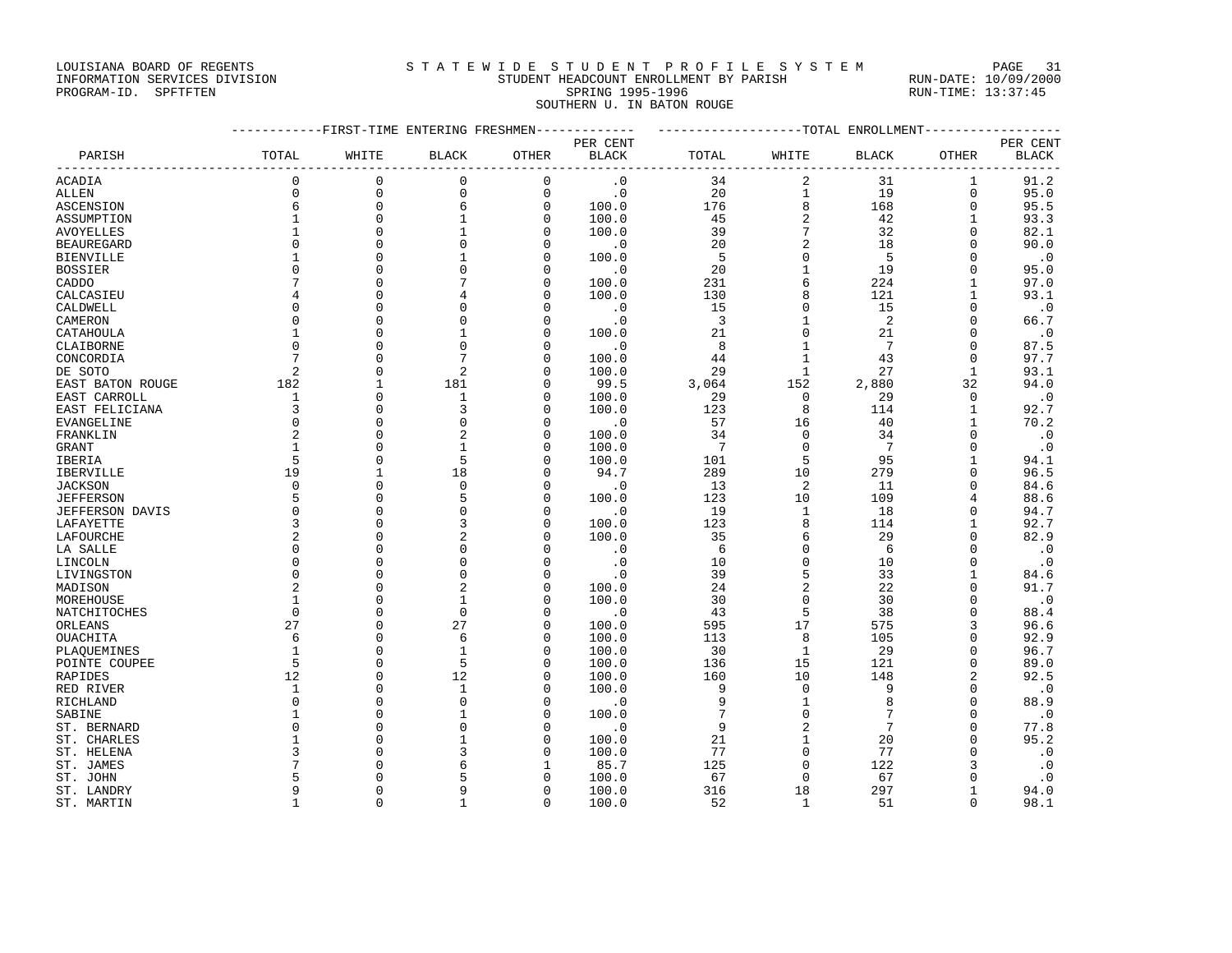#### LOUISIANA BOARD OF REGENTS STATEWIDE STUDENT PROFILE SYSTEM PAGE 31 INFORMATION SERVICES DIVISION STUDENT HEADCOUNT ENROLLMENT BY PARISH RUN-DATE: 10/09/2000

# PROGRAM-ID. SPFTFTEN SARE SERING 1995-1996 SPRING 1995-1996 RUN-TIME: 13:37:45 SOUTHERN U. IN BATON ROUGE

|                        | ------------FIRST-TIME ENTERING FRESHMEN------------- |                      |                |               |              | -------------------TOTAL ENROLLMENT-------------- |                            |                 |                         |              |
|------------------------|-------------------------------------------------------|----------------------|----------------|---------------|--------------|---------------------------------------------------|----------------------------|-----------------|-------------------------|--------------|
|                        |                                                       |                      |                |               | PER CENT     |                                                   |                            |                 |                         | PER CENT     |
| PARISH                 | TOTAL                                                 | WHITE                | <b>BLACK</b>   | OTHER         | <b>BLACK</b> | TOTAL                                             | WHITE                      | <b>BLACK</b>    | OTHER                   | <b>BLACK</b> |
| <b>ACADIA</b>          | $\Omega$                                              | $\mathbf{0}$         | $\mathbf 0$    | $\mathbf 0$   | $\cdot$ 0    | 34                                                | 2                          | 31              | $\mathbf{1}$            | 91.2         |
| ALLEN                  | $\Omega$                                              | $\mathbf{0}$         | 0              | $\mathsf 0$   | $\cdot$ 0    | 20                                                | $\mathbf{1}$               | 19              | $\Omega$                | 95.0         |
| <b>ASCENSION</b>       | 6                                                     | $\mathbf{0}$         | 6              | $\mathbf 0$   | 100.0        | 176                                               | $\,8\,$                    | 168             | $\mathbf 0$             | 95.5         |
| ASSUMPTION             | $\mathbf{1}$                                          | $\Omega$             | $\mathbf{1}$   | $\mathbf 0$   | 100.0        | 45                                                | $\sqrt{2}$                 | 42              | $\mathbf{1}$            | 93.3         |
| <b>AVOYELLES</b>       |                                                       | $\Omega$             | $\mathbf{1}$   | $\mathbf 0$   | 100.0        | 39                                                | 7                          | 32              | $\mathbf 0$             | 82.1         |
| <b>BEAUREGARD</b>      | $\Omega$                                              | $\Omega$             | $\mathbf 0$    | $\mathbf 0$   | $\cdot$ 0    | 20                                                | $\overline{c}$             | 18              | $\Omega$                | 90.0         |
| <b>BIENVILLE</b>       |                                                       | $\Omega$             | $\mathbf{1}$   | $\Omega$      | 100.0        | 5                                                 | $\mathbf 0$                | - 5             | $\Omega$                | $\cdot$ 0    |
| <b>BOSSIER</b>         | $\Omega$                                              | $\Omega$             | $\Omega$       | $\Omega$      | $\cdot$ 0    | 20                                                | $\mathbf{1}$               | 19              | $\Omega$                | 95.0         |
| CADDO                  |                                                       | $\Omega$             |                | 0             | 100.0        | 231                                               | 6                          | 224             | $\mathbf{1}$            | 97.0         |
| CALCASIEU              | 4                                                     | $\cap$               |                | 0             | 100.0        | 130                                               | 8                          | 121             | $\mathbf{1}$            | 93.1         |
| CALDWELL               | $\Omega$                                              | $\cap$               | $\Omega$       | $\Omega$      | $\cdot$ 0    | 15                                                | $\Omega$                   | 15              | $\Omega$                | $\cdot$ 0    |
| CAMERON                | $\Omega$                                              | $\Omega$             | $\Omega$       | $\mathbf 0$   | $\cdot$ 0    | $\overline{3}$                                    | $\mathbf{1}$               | 2               | $\Omega$                | 66.7         |
| CATAHOULA              | $\mathbf{1}$                                          | $\Omega$             | $\mathbf{1}$   | 0             | 100.0        | 21                                                | $\overline{0}$             | 21              | $\mathbf 0$             | $\cdot$ 0    |
| CLAIBORNE              | $\Omega$                                              | $\Omega$             | $\Omega$       | 0             | $\cdot$ 0    | 8                                                 | $\mathbf{1}$               | 7               | $\Omega$                | 87.5         |
| CONCORDIA              | 7                                                     | $\Omega$             |                | $\Omega$      | 100.0        | 44                                                | $\mathbf{1}$               | 43              | $\Omega$                | 97.7         |
| DE SOTO                | 2                                                     | $\Omega$             | $\overline{2}$ | $\Omega$      | 100.0        | 29                                                | $\mathbf 1$                | 27              | $\mathbf{1}$            | 93.1         |
| EAST BATON ROUGE       | 182                                                   | $\mathbf{1}$         | 181            | $\Omega$      | 99.5         | 3,064                                             | 152                        | 2,880           | 32                      | 94.0         |
| EAST CARROLL           | 1                                                     | $\Omega$             | $\mathbf{1}$   | $\mathbf 0$   | 100.0        | 29                                                | $\mathbf{0}$               | 29              | $\mathbf 0$             | $\cdot$ 0    |
|                        | 3                                                     | $\Omega$             | 3              |               |              | 123                                               |                            | 114             |                         |              |
| EAST FELICIANA         | $\Omega$                                              | $\Omega$             | $\Omega$       | 0<br>$\Omega$ | 100.0        |                                                   | 8                          | 40              | 1                       | 92.7         |
| EVANGELINE             |                                                       |                      |                |               | $\cdot$ 0    | 57                                                | 16                         |                 | $\mathbf{1}$            | 70.2         |
| FRANKLIN               | $\overline{2}$                                        | $\Omega$<br>$\Omega$ |                | $\mathbf 0$   | 100.0        | 34                                                | $\mathbf 0$<br>$\mathbf 0$ | 34              | $\mathbf 0$<br>$\Omega$ | $\cdot$ 0    |
| <b>GRANT</b>           | $\mathbf{1}$                                          |                      | $\mathbf{1}$   | 0             | 100.0        | $7\phantom{.0}$                                   |                            | $7\phantom{.0}$ |                         | $\cdot$ 0    |
| IBERIA                 | 5                                                     | $\Omega$             | 5              | $\mathbf 0$   | 100.0        | 101                                               | 5                          | 95              | $\mathbf{1}$            | 94.1         |
| <b>IBERVILLE</b>       | 19                                                    | $\mathbf{1}$         | 18             | $\Omega$      | 94.7         | 289                                               | 10                         | 279             | $\Omega$                | 96.5         |
| <b>JACKSON</b>         | $\Omega$                                              | $\Omega$             | $\Omega$       | $\Omega$      | $\cdot$ 0    | 13                                                | 2                          | 11              | $\Omega$                | 84.6         |
| <b>JEFFERSON</b>       | 5                                                     | $\Omega$             | 5              | 0             | 100.0        | 123                                               | 10                         | 109             | 4                       | 88.6         |
| <b>JEFFERSON DAVIS</b> | $\mathbf 0$                                           | $\Omega$             | $\Omega$       | $\mathbf 0$   | $\cdot$ 0    | 19                                                | $\mathbf{1}$               | 18              | $\mathbf 0$             | 94.7         |
| LAFAYETTE              | 3                                                     | $\Omega$             |                | $\Omega$      | 100.0        | 123                                               | 8                          | 114             | $\mathbf{1}$            | 92.7         |
| LAFOURCHE              | $\overline{2}$                                        | $\Omega$             | $\overline{2}$ | $\Omega$      | 100.0        | 35                                                | 6                          | 29              | $\Omega$                | 82.9         |
| LA SALLE               | $\Omega$                                              | $\Omega$             | 0              | 0             | $\cdot$ 0    | 6                                                 | $\mathbf 0$                | 6               | $\Omega$                | $\cdot$ 0    |
| LINCOLN                | $\Omega$                                              | $\Omega$             | $\mathbf 0$    | $\Omega$      | $\cdot$ 0    | 10                                                | $\Omega$                   | 10              | $\mathbf 0$             | $\cdot$ 0    |
| LIVINGSTON             | $\Omega$                                              | $\Omega$             | $\mathbf 0$    | $\mathbf 0$   | $\cdot$ 0    | 39                                                | 5                          | 33              | 1                       | 84.6         |
| MADISON                | $\overline{2}$                                        | $\Omega$             | $\overline{2}$ | $\Omega$      | 100.0        | 24                                                | $\overline{2}$             | 22              | $\Omega$                | 91.7         |
| MOREHOUSE              | $\mathbf{1}$                                          | $\Omega$             | $\mathbf{1}$   | $\Omega$      | 100.0        | 30                                                | $\mathbf 0$                | 30              | $\Omega$                | $\cdot$ 0    |
| NATCHITOCHES           | $\Omega$                                              | $\Omega$             | $\mathbf 0$    | 0             | $\cdot$ 0    | 43                                                | 5                          | 38              | $\Omega$                | 88.4         |
| ORLEANS                | 27                                                    | $\Omega$             | 27             | $\mathbf 0$   | 100.0        | 595                                               | 17                         | 575             | 3                       | 96.6         |
| OUACHITA               | 6                                                     | $\Omega$             | 6              | 0             | 100.0        | 113                                               | 8                          | 105             | $\Omega$                | 92.9         |
| PLAQUEMINES            | $\mathbf{1}$                                          | $\Omega$             | $\mathbf{1}$   | $\Omega$      | 100.0        | 30                                                | $\mathbf{1}$               | 29              | $\Omega$                | 96.7         |
| POINTE COUPEE          | 5                                                     | $\Omega$             | 5              | 0             | 100.0        | 136                                               | 15                         | 121             | $\mathbf 0$             | 89.0         |
| RAPIDES                | 12                                                    | $\Omega$             | 12             | 0             | 100.0        | 160                                               | 10                         | 148             | $\overline{a}$          | 92.5         |
| RED RIVER              | $\mathbf{1}$                                          | $\Omega$             | $\mathbf{1}$   | $\mathbf 0$   | 100.0        | 9                                                 | $\mathbf 0$                | 9               | $\mathbf 0$             | $\cdot$ 0    |
| RICHLAND               | $\Omega$                                              | $\Omega$             | $\Omega$       | 0             | $\cdot$ 0    | 9                                                 | $\mathbf{1}$               | 8               | $\Omega$                | 88.9         |
| SABINE                 |                                                       | $\Omega$             | 1              | $\mathbf 0$   | 100.0        | 7                                                 | $\mathbf 0$                | 7               | $\Omega$                | $\cdot$ 0    |
| ST. BERNARD            | $\Omega$                                              | $\Omega$             | $\Omega$       | 0             | $\cdot$ 0    | 9                                                 | $\overline{a}$             | $7\phantom{.0}$ | $\Omega$                | 77.8         |
| ST. CHARLES            |                                                       | $\Omega$             |                | $\mathbf 0$   | 100.0        | 21                                                | $\mathbf{1}$               | 20              | $\Omega$                | 95.2         |
| ST. HELENA             | ζ                                                     | $\cap$               |                | 0             | 100.0        | 77                                                | $\Omega$                   | 77              | $\Omega$                | $\cdot$ 0    |
| ST. JAMES              |                                                       |                      |                | 1             | 85.7         | 125                                               | $\Omega$                   | 122             | 3                       | $\cdot$ 0    |
| ST. JOHN               | 5                                                     | $\Omega$             |                | 0             | 100.0        | 67                                                | $\mathbf 0$                | 67              | $\Omega$                | $\cdot$ 0    |
| ST. LANDRY             | 9                                                     | $\cap$               | 9              | O             | 100.0        | 316                                               | 18                         | 297             | 1                       | 94.0         |
| ST. MARTIN             | $\mathbf{1}$                                          | $\Omega$             | $\mathbf{1}$   | $\Omega$      | 100.0        | 52                                                | $\mathbf{1}$               | 51              | $\Omega$                | 98.1         |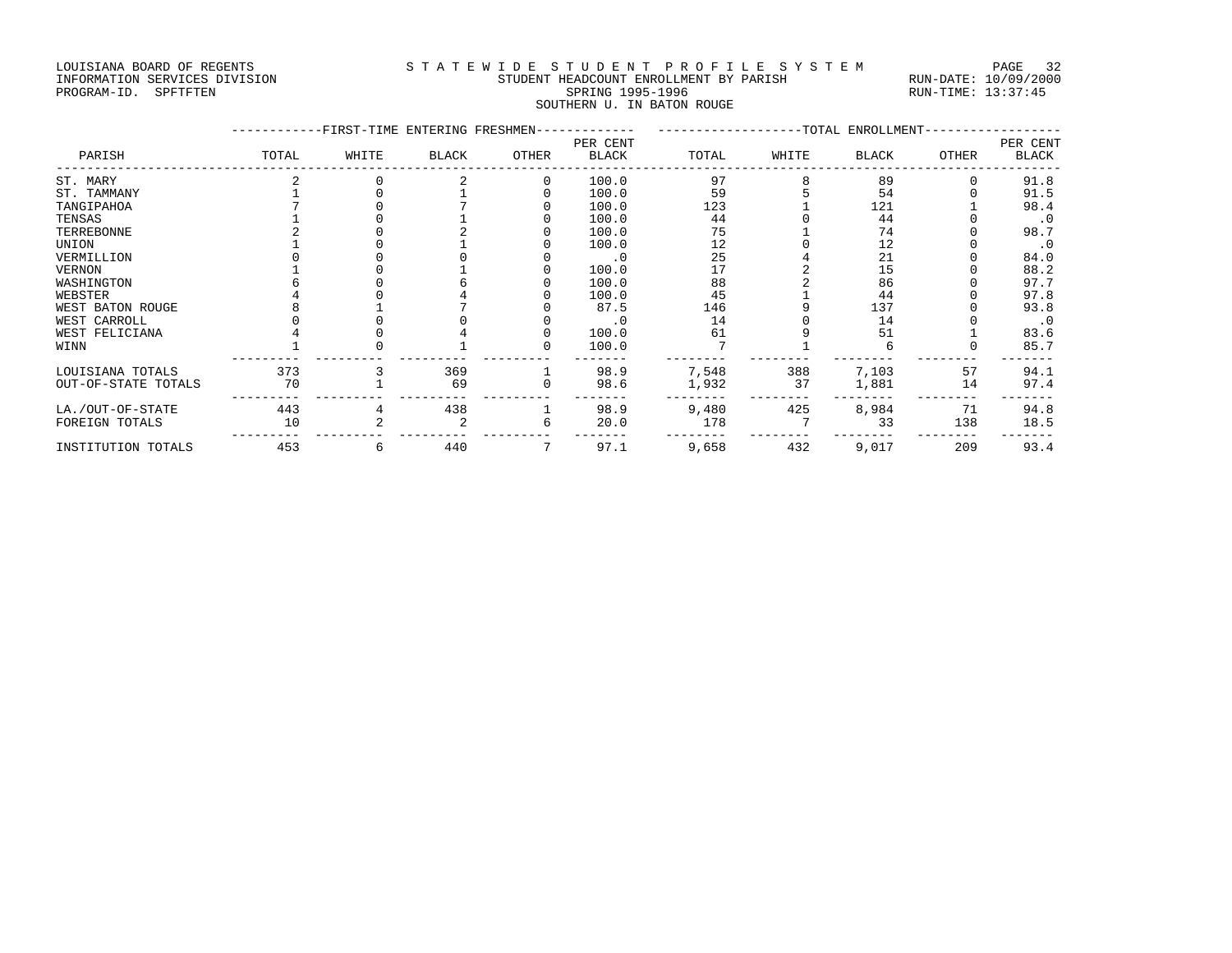#### LOUISIANA BOARD OF REGENTS STATEWIDE STUDENT PROFILE SYSTEM PAGE 32 INFORMATION SERVICES DIVISION STUDENT HEADCOUNT ENROLLMENT BY PARISH RUN-DATE: 10/09/2000 PROGRAM-ID. SPFTFTEN SARE SERING 1995-1996 SPRING 1995-1996 RUN-TIME: 13:37:45

# SOUTHERN U. IN BATON ROUGE

|                     |       |       |              | -FIRST-TIME ENTERING FRESHMEN- |              |       | --------------TOTAL ENROLLMENT- |              |       |           |  |
|---------------------|-------|-------|--------------|--------------------------------|--------------|-------|---------------------------------|--------------|-------|-----------|--|
|                     |       |       |              |                                | PER CENT     |       |                                 |              |       | PER CENT  |  |
| PARISH              | TOTAL | WHITE | <b>BLACK</b> | OTHER                          | <b>BLACK</b> | TOTAL | WHITE                           | <b>BLACK</b> | OTHER | BLACK     |  |
| ST. MARY            |       |       |              | $\Omega$                       | 100.0        | 97    |                                 | 89           |       | 91.8      |  |
| ST. TAMMANY         |       |       |              |                                | 100.0        | 59    |                                 | 54           |       | 91.5      |  |
| TANGIPAHOA          |       |       |              |                                | 100.0        | 123   |                                 | 121          |       | 98.4      |  |
| TENSAS              |       |       |              |                                | 100.0        | 44    |                                 | 44           |       | $\cdot$ 0 |  |
| TERREBONNE          |       |       |              |                                | 100.0        | 75    |                                 | 74           |       | 98.7      |  |
| UNION               |       |       |              |                                | 100.0        | 12    |                                 | 12           |       | $\cdot$ 0 |  |
| VERMILLION          |       |       |              |                                | $\cdot$ 0    | 25    |                                 | 21           |       | 84.0      |  |
| VERNON              |       |       |              |                                | 100.0        | 17    |                                 | 15           |       | 88.2      |  |
| WASHINGTON          |       |       |              |                                | 100.0        | 88    |                                 | 86           |       | 97.7      |  |
| WEBSTER             |       |       |              |                                | 100.0        | 45    |                                 | 44           |       | 97.8      |  |
| WEST BATON ROUGE    |       |       |              |                                | 87.5         | 146   |                                 | 137          |       | 93.8      |  |
| WEST CARROLL        |       |       |              |                                | $\cdot$ 0    | 14    |                                 | 14           |       | $\cdot$ 0 |  |
| WEST FELICIANA      |       |       |              |                                | 100.0        | 61    |                                 | 51           |       | 83.6      |  |
| WINN                |       |       |              |                                | 100.0        |       |                                 |              |       | 85.7      |  |
| LOUISIANA TOTALS    | 373   |       | 369          |                                | 98.9         | 7,548 | 388                             | 7,103        | 57    | 94.1      |  |
| OUT-OF-STATE TOTALS | 70    |       | 69           |                                | 98.6         | 1,932 | 37                              | 1,881        | 14    | 97.4      |  |
| LA./OUT-OF-STATE    | 443   |       | 438          |                                | 98.9         | 9,480 | 425                             | 8,984        | 71    | 94.8      |  |
| FOREIGN TOTALS      | 10    |       |              | 6                              | 20.0         | 178   |                                 | 33           | 138   | 18.5      |  |
| INSTITUTION TOTALS  | 453   | 6     | 440          |                                | 97.1         | 9,658 | 432                             | 9,017        | 209   | 93.4      |  |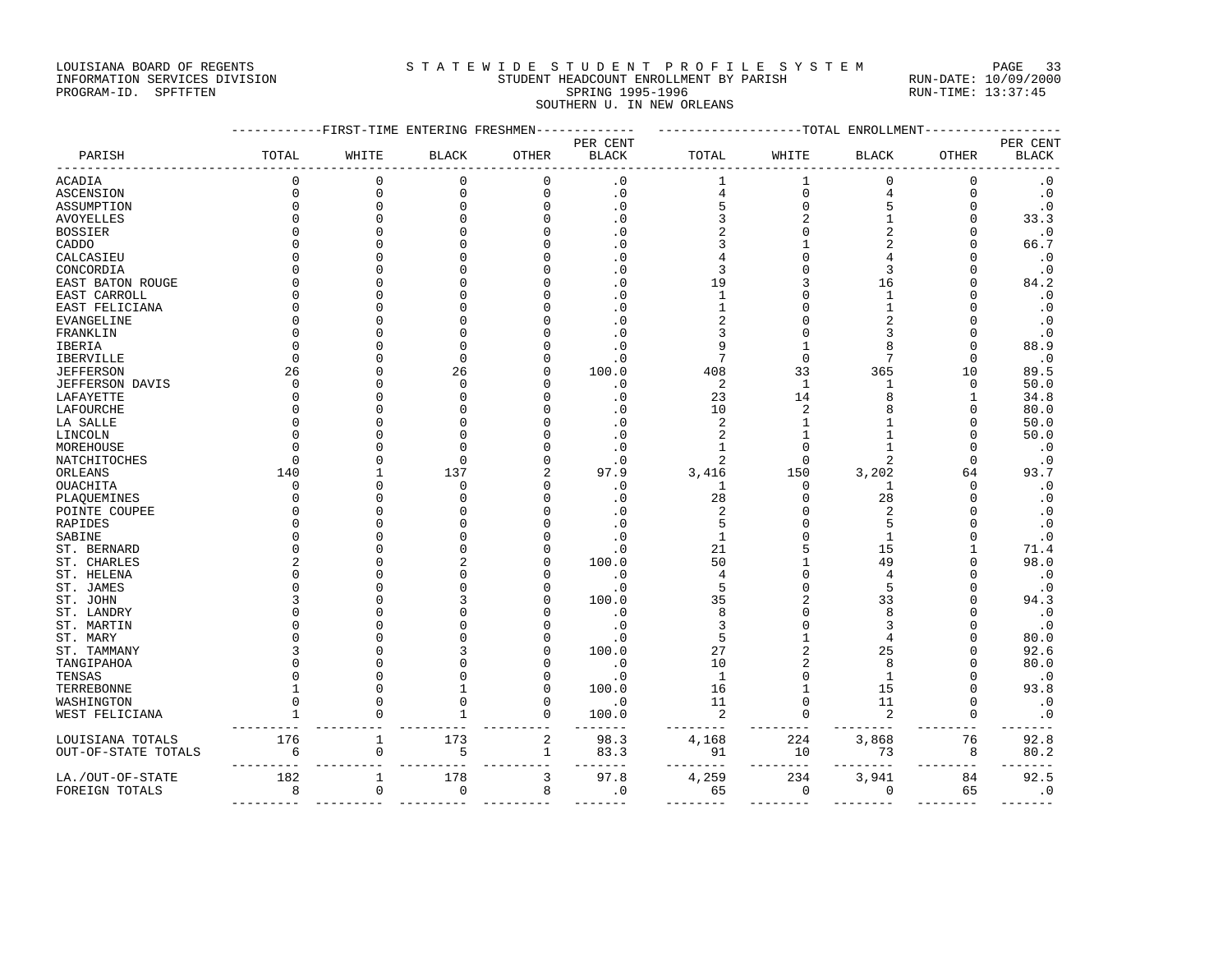#### LOUISIANA BOARD OF REGENTS STATEWIDE STUDENT PROFILE SYSTEM PAGE 33 INFORMATION SERVICES DIVISION STUDENT HEADCOUNT ENROLLMENT BY PARISH RUN-DATE: 10/09/2000

PROGRAM-ID. SPFTFTEN SARE SERING 1995-1996 SPRING 1995-1996 RUN-TIME: 13:37:45 SOUTHERN U. IN NEW ORLEANS

|                     |              |              |               | ---------FIRST-TIME ENTERING FRESHMEN------------- |                          | ------------------TOTAL ENROLLMENT- |                |                |              |                          |
|---------------------|--------------|--------------|---------------|----------------------------------------------------|--------------------------|-------------------------------------|----------------|----------------|--------------|--------------------------|
| PARISH              | TOTAL        | WHITE        | <b>BLACK</b>  | OTHER                                              | PER CENT<br><b>BLACK</b> | TOTAL                               | WHITE          | <b>BLACK</b>   | <b>OTHER</b> | PER CENT<br><b>BLACK</b> |
| ACADIA              | $\mathbf 0$  | $\Omega$     | $\Omega$      | $\Omega$                                           | $\cdot$ 0                | 1                                   | 1              | $\Omega$       | $\Omega$     | $\cdot$ 0                |
| ASCENSION           | $\mathbf{0}$ | $\mathbf{0}$ | $\mathbf 0$   | $\mathbf 0$                                        | $\boldsymbol{\cdot}$ 0   | 4                                   | $\mathbf 0$    | 4              | $\mathbf 0$  | $\boldsymbol{\cdot}$ 0   |
| ASSUMPTION          | $\Omega$     | $\Omega$     | $\mathbf 0$   | $\Omega$                                           | $\cdot$ 0                | 5                                   | $\mathbf{0}$   |                | $\mathbf 0$  | $\cdot$ 0                |
| AVOYELLES           |              | $\cap$       | $\Omega$      |                                                    | $\cdot$ 0                | 3                                   | $\overline{2}$ | -1             | $\Omega$     | 33.3                     |
| BOSSIER             |              |              | $\Omega$      |                                                    | $\cdot$ 0                | 2                                   | $\Omega$       |                | U            | $\cdot$ 0                |
| CADDO               |              |              | <sup>0</sup>  |                                                    | $\cdot$ 0                |                                     |                |                | O            | 66.7                     |
| CALCASIEU           |              |              | $\Omega$      |                                                    | $\cdot$ 0                |                                     | $\Omega$       |                | O            | $\cdot$ 0                |
| CONCORDIA           |              |              | $\Omega$      |                                                    | $\cdot$ 0                | 3                                   | $\Omega$       | 3              | $\Omega$     | $\cdot$ 0                |
| EAST BATON ROUGE    |              |              | <sup>0</sup>  |                                                    | $\cdot$ 0                | 19                                  |                | 16             | 0            | 84.2                     |
| EAST CARROLL        |              |              | $\Omega$      |                                                    | . 0                      | 1                                   | O              | 1              | U            | $\cdot$ 0                |
| EAST FELICIANA      |              |              | $\Omega$      |                                                    | $\cdot$ 0                |                                     |                | $\mathbf{1}$   | U            | $\cdot$ 0                |
| EVANGELINE          |              |              | $\Omega$      |                                                    | $\cdot$ 0                | 2                                   |                |                | U            | $\cdot$ 0                |
| FRANKLIN            |              |              | $\Omega$      |                                                    | $\cdot$ 0                | 3                                   | $\cap$         |                | $\Omega$     | $\cdot$ 0                |
| IBERIA              |              |              | $\mathbf 0$   |                                                    | $\cdot$ 0                |                                     |                |                | 0            | 88.9                     |
| IBERVILLE           | $\Omega$     |              | $\Omega$      |                                                    | $\cdot$ 0                | 7                                   | $\mathbf 0$    | 7              | $\Omega$     | $\cdot$ 0                |
| JEFFERSON           | 26           |              | 26            |                                                    | 100.0                    | 408                                 | 33             | 365            | 10           | 89.5                     |
| JEFFERSON DAVIS     | $\Omega$     |              | $\mathbf 0$   |                                                    | $\cdot$ 0                | 2                                   | 1              | 1              | 0            | 50.0                     |
| LAFAYETTE           |              | $\cap$       | $\Omega$      |                                                    | $\cdot$ 0                | 23                                  | 14             |                | 1            | 34.8                     |
| LAFOURCHE           |              |              | $\Omega$      |                                                    | $\cdot$ 0                | 10                                  | $\overline{c}$ |                | $\Omega$     | 80.0                     |
| LA SALLE            |              |              | $\Omega$      |                                                    | $\cdot$ 0                | 2                                   | 1              |                | $\Omega$     | 50.0                     |
| LINCOLN             |              |              | $\Omega$      |                                                    | $\cdot$ 0                | 2                                   |                |                | U            | 50.0                     |
| MOREHOUSE           |              |              | $\Omega$      |                                                    | $\cdot$ 0                |                                     | $\Omega$       |                | U            | $\cdot$ 0                |
| NATCHITOCHES        | ∩            | $\cap$       | $\Omega$      |                                                    | $\cdot$ 0                | 2                                   | $\Omega$       |                | $\Omega$     | $\cdot$ 0                |
| ORLEANS             | 140          | -1           | 137           |                                                    | 97.9                     | 3,416                               | 150            | 3,202          | 64           | 93.7                     |
| OUACHITA            | $\Omega$     | ∩            | <sup>0</sup>  |                                                    | $\cdot$ 0                | 1                                   | 0              | 1              | $\Omega$     | $\cdot$ 0                |
| PLAQUEMINES         |              |              | $\Omega$      |                                                    | $\cdot$ 0                | 28                                  | $\Omega$       | 28             | $\Omega$     | $\cdot$ 0                |
| POINTE COUPEE       |              |              | $\Omega$      |                                                    | $\cdot$ 0                | 2                                   | $\Omega$       | $\overline{c}$ | U            | $\cdot$ 0                |
| RAPIDES             |              |              | $\Omega$      |                                                    | $\cdot$ 0                | 5                                   | $\Omega$       |                | O            | $\cdot$ 0                |
| SABINE              |              |              | $\Omega$      |                                                    | $\cdot$ 0                | 1                                   | $\Omega$       | $\mathbf{1}$   | U            | $\cdot$ 0                |
| ST. BERNARD         |              |              | <sup>0</sup>  |                                                    | $\cdot$ 0                | 21                                  | 5              | 15             | 1            | 71.4                     |
| ST. CHARLES         |              |              | $\mathcal{L}$ |                                                    | 100.0                    | 50                                  |                | 49             | $\Omega$     | 98.0                     |
| ST. HELENA          |              |              | $\Omega$      |                                                    | $\cdot$ 0                | 4                                   |                |                | U            | $\cdot$ 0                |
| ST. JAMES           |              |              | $\Omega$      |                                                    | $\cdot$ 0                | 5                                   | $\Omega$       | 5              | $\Omega$     | $\cdot$ 0                |
| ST. JOHN            |              |              | 3             |                                                    | 100.0                    | 35                                  |                | 33             | U            | 94.3                     |
| ST. LANDRY          |              |              | ∩             |                                                    | $\cdot$ 0                | 8                                   | O              | 8              | U            | $\cdot$ 0                |
| ST. MARTIN          |              |              | ∩             |                                                    | $\cdot$ 0                | 3                                   | $\Omega$       |                | U            | $\cdot$ 0                |
| ST. MARY            |              |              | $\Omega$      |                                                    | $\cdot$ 0                | 5                                   |                |                | U            | 80.0                     |
| ST. TAMMANY         |              |              | 3             |                                                    | 100.0                    | 27                                  |                | 25             | O            | 92.6                     |
| TANGIPAHOA          |              |              | $\Omega$      |                                                    | $\cdot$ 0                | 10                                  |                | 8              | O            | 80.0                     |
| TENSAS              |              | $\cap$       | $\Omega$      |                                                    | $\cdot$ 0                | $\mathbf{1}$                        | $\Omega$       | $\mathbf{1}$   | U            | $\cdot$ 0                |
| TERREBONNE          |              | $\cap$       | 1             | n                                                  | 100.0                    | 16                                  | 1              | 15             | $\Omega$     | 93.8                     |
| WASHINGTON          |              | ∩            | $\Omega$      | ∩                                                  | $\cdot$ 0                | 11                                  | $\Omega$       | 11             | $\Omega$     | $\cdot$ 0                |
| WEST FELICIANA      |              | $\Omega$     | 1             | $\mathbf 0$                                        | 100.0                    | 2                                   | $\mathbf 0$    | 2              | $\mathbf 0$  | $\cdot$ 0                |
|                     |              |              |               |                                                    | $- - -$                  |                                     | $-1$           |                |              |                          |
| LOUISIANA TOTALS    | 176          | 1            | 173           | $\overline{2}$                                     | 98.3                     | 4,168                               | 224            | 3,868          | 76           | 92.8                     |
| OUT-OF-STATE TOTALS | 6            | $\mathbf 0$  | 5             | 1                                                  | 83.3                     | 91                                  | 10             | 73             | 8            | 80.2                     |
|                     |              |              |               |                                                    | ----                     |                                     | $- - -$        |                |              |                          |
| LA./OUT-OF-STATE    | 182          | 1            | 178           | 3                                                  | 97.8                     | 4,259                               | 234            | 3,941          | 84           | 92.5                     |
| FOREIGN TOTALS      | 8            | $\Omega$     | $\mathbf 0$   | 8                                                  | $\cdot$ 0                | 65                                  | $\Omega$       | $\Omega$       | 65           | $\cdot$ 0                |

--------- --------- --------- --------- ------- -------- -------- -------- -------- -------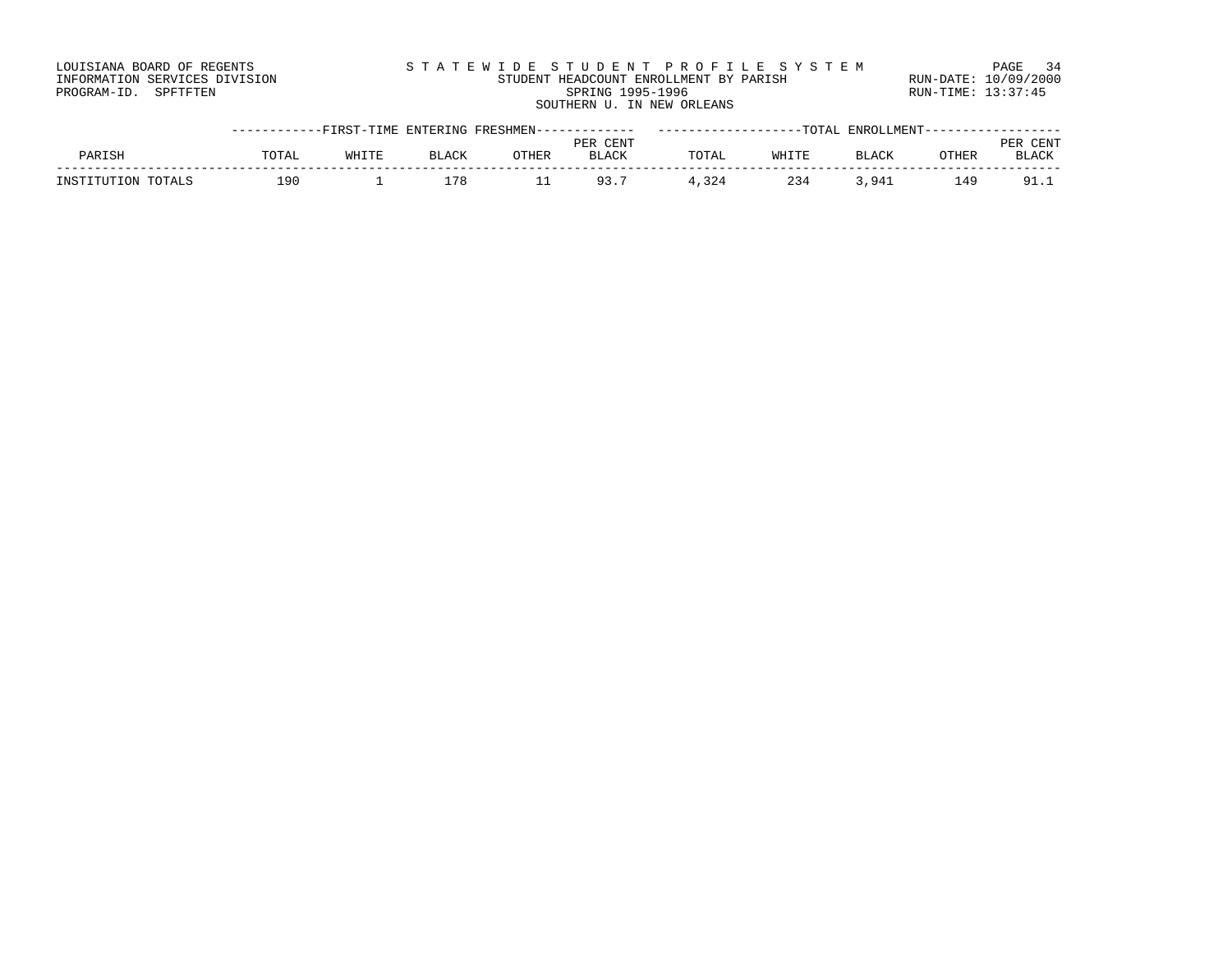| LOUISIANA BOARD OF REGENTS    | STATEWIDE STUDENT PROFILE SYSTEM       | PAGE 34              |
|-------------------------------|----------------------------------------|----------------------|
| INFORMATION SERVICES DIVISION | STUDENT HEADCOUNT ENROLLMENT BY PARISH | RUN-DATE: 10/09/2000 |
| PROGRAM-ID. SPFTFTEN          | SPRING 1995-1996                       | RUN-TIME: 13:37:45   |
|                               | SOUTHERN U. IN NEW ORLEANS             |                      |

|                    | -----------FIRST-TIME ENTERING FRESHMEN------------- |       |              |       |              | ------------------TOTAL |       |              | ENROLLMENT------------ |                           |
|--------------------|------------------------------------------------------|-------|--------------|-------|--------------|-------------------------|-------|--------------|------------------------|---------------------------|
|                    |                                                      |       |              |       | PER CENT     |                         |       |              |                        | <b>PER</b><br><b>CENT</b> |
| PARISH             | <b>TOTAI</b>                                         | WHITE | <b>BLACK</b> | OTHER | <b>BLACK</b> | TOTAL                   | WHITE | <b>BLACK</b> | OTHER                  | <b>BLACK</b>              |
| INSTITUTION TOTALS | ၊ 9 N                                                |       | .78          |       | 93.,         | 4,324                   | 234   | .941         | 149                    | 91.I                      |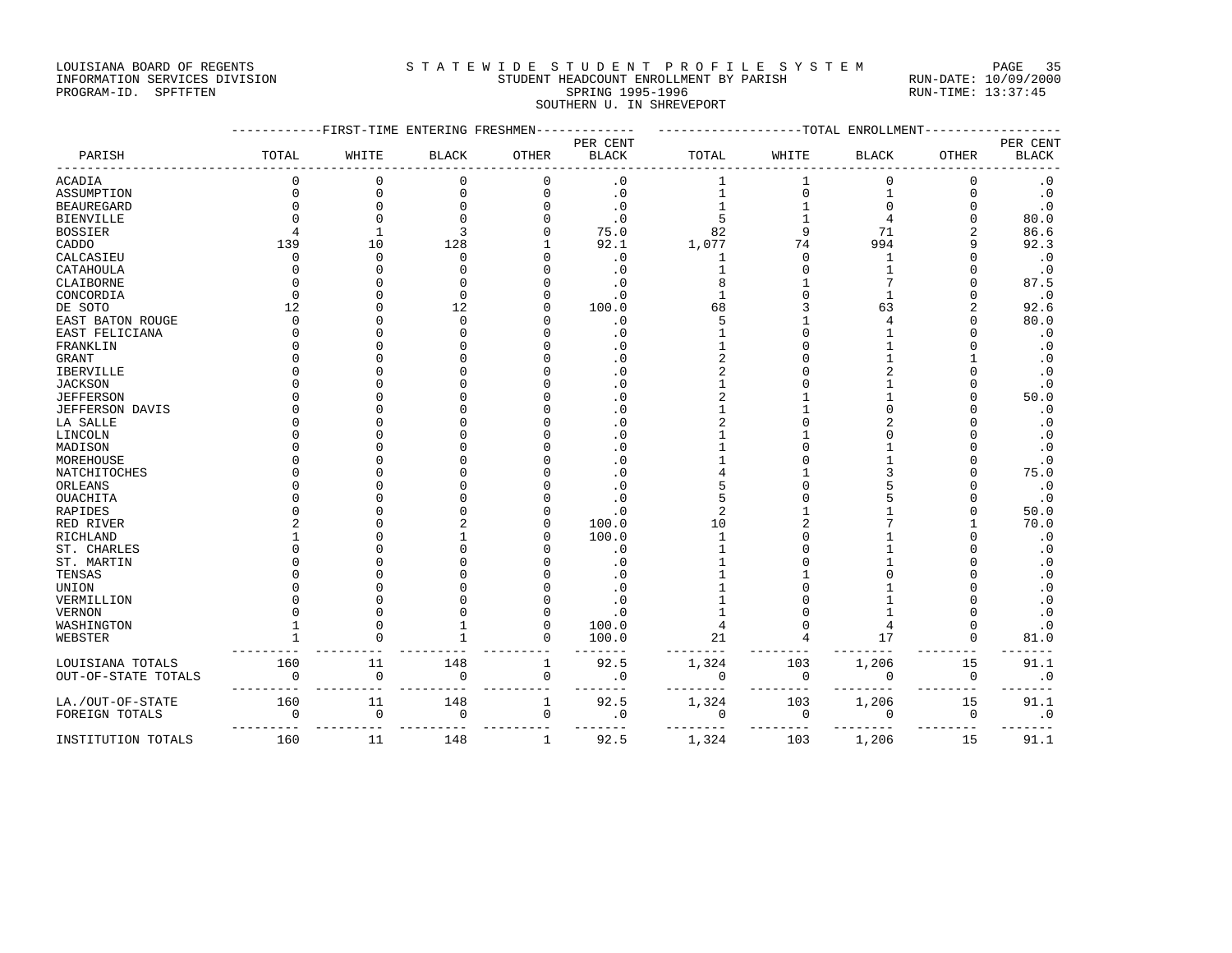### LOUISIANA BOARD OF REGENTS SAND STATEWIDE STUDENT PROFILE SYSTEM PAGE 35 INFORMATION SERVICES DIVISION STUDENT HEADCOUNT ENROLLMENT BY PARISH RUN-DATE: 10/09/2000

# PROGRAM-ID. SPFTFTEN SARE SERING 1995-1996 SPRING 1995-1996 RUN-TIME: 13:37:45 SOUTHERN U. IN SHREVEPORT

|                             |             | -FIRST-TIME ENTERING FRESHMEN |              |              |                          |              |              | ------TOTAL ENROLLMENT |              |                          |
|-----------------------------|-------------|-------------------------------|--------------|--------------|--------------------------|--------------|--------------|------------------------|--------------|--------------------------|
| PARISH                      | TOTAL       | WHITE                         | <b>BLACK</b> | OTHER        | PER CENT<br><b>BLACK</b> | TOTAL        | WHITE        | <b>BLACK</b>           | <b>OTHER</b> | PER CENT<br><b>BLACK</b> |
|                             |             |                               |              |              |                          |              |              |                        |              |                          |
| <b>ACADIA</b>               | $\Omega$    | $\mathbf 0$                   | $\mathbf 0$  | $\mathbf{0}$ | $\cdot$ 0                | $\mathbf{1}$ | 1            | $\Omega$               | $\mathbf 0$  | $\cdot$ 0                |
| ASSUMPTION                  | $\Omega$    | $\Omega$                      | 0            | 0            | $\cdot$ 0                | 1            | $\mathbf{0}$ |                        | 0            | $\cdot$ 0                |
| <b>BEAUREGARD</b>           | U           | $\Omega$                      |              | O            | $\cdot$ 0                |              |              |                        | O            | $\cdot$ 0                |
| <b>BIENVILLE</b>            |             | $\Omega$                      |              |              | $\cdot$ 0                | 5            |              |                        | U            | 80.0                     |
| <b>BOSSIER</b>              |             | $\mathbf{1}$                  | 3            |              | 75.0                     | 82           |              | 71                     | 2            | 86.6                     |
| CADDO                       | 139         | 10                            | 128          |              | 92.1                     | 1,077        | 74           | 994                    | 9            | 92.3                     |
| CALCASIEU                   | $\Omega$    | $\Omega$                      | $\Omega$     |              | $\cdot$ 0                | 1            | $\cap$       | 1                      | U            | $\cdot$ 0                |
| CATAHOULA                   |             | $\cap$                        |              |              | $\cdot$ 0                | 1            |              |                        |              | $\cdot$ 0                |
| CLAIBORNE                   |             |                               |              |              | $\cdot$ 0                | 8            |              |                        |              | 87.5                     |
| CONCORDIA                   |             |                               | n            |              | $\cdot$ 0                |              |              |                        | U            | $\cdot$ 0                |
| DE SOTO                     | 12          | ∩                             | 12           |              | 100.0                    | 68           |              | 63                     | 2            | 92.6                     |
| EAST BATON ROUGE            | $\Omega$    | $\Omega$                      | $\Omega$     |              | $\cdot$ 0                | 5            |              |                        | U            | 80.0                     |
| EAST FELICIANA              | $\Omega$    | $\cap$                        |              |              | $\cdot$ 0                |              |              |                        | $\Omega$     | $\cdot$ 0                |
| FRANKLIN                    |             | $\cap$                        |              |              | $\cdot$ 0                |              |              |                        | U            | $\cdot$ 0                |
| <b>GRANT</b>                |             | $\cap$                        |              |              | $\cdot$ 0                |              |              |                        |              | $\cdot$ 0                |
| IBERVILLE                   |             |                               |              |              | $\cdot$ 0                |              |              |                        |              | $\cdot$ 0                |
| <b>JACKSON</b>              |             |                               |              |              | $\cdot$ 0                |              |              |                        | U            | $\cdot$ 0                |
| <b>JEFFERSON</b>            |             |                               |              |              | $\cdot$ 0                |              |              |                        | O            | 50.0                     |
| <b>JEFFERSON DAVIS</b>      |             | O                             |              |              | $\cdot$ 0                |              |              |                        | U            | $\cdot$ 0                |
| LA SALLE                    |             |                               |              |              | $\cdot$ 0                |              |              |                        |              | $\cdot$ 0                |
| LINCOLN                     |             |                               |              |              | $\cdot$ 0                |              |              |                        |              | $\cdot$ 0                |
| MADISON                     |             |                               |              |              | . 0                      |              |              |                        |              | $\cdot$ 0                |
| MOREHOUSE                   |             |                               |              |              | $\cdot$ 0                |              |              |                        |              | $\cdot$ 0                |
| NATCHITOCHES                |             |                               |              |              | $\cdot$ 0                |              |              |                        |              | 75.0                     |
| ORLEANS                     |             |                               |              |              | $\cdot$ 0                |              |              |                        |              | $\cdot$ 0                |
| OUACHITA                    |             |                               |              |              | $\cdot$ 0                |              |              |                        | U            | $\cdot$ 0                |
| <b>RAPIDES</b>              |             |                               |              |              | $\cdot$ 0                | 2            |              |                        | U            | 50.0                     |
| RED RIVER                   |             | $\cap$                        |              | U            | 100.0                    | 10           |              |                        |              | 70.0                     |
| RICHLAND                    |             | $\cap$                        |              |              | 100.0                    | 1            |              |                        | U<br>U       | $\cdot$ 0                |
| ST. CHARLES                 |             | $\cap$                        |              |              | $\cdot$ 0                |              |              |                        | O            | $\cdot$ 0                |
| ST. MARTIN                  |             | $\Omega$                      |              |              | $\cdot$ 0                |              |              |                        | O            | $\cdot$ 0                |
| TENSAS                      |             |                               |              |              | $\cdot$ 0                |              |              |                        |              | $\cdot$ 0                |
| UNION                       |             | $\cap$                        |              |              | $\cdot$ 0                |              |              |                        |              | $\cdot$ 0                |
| VERMILLION                  |             | $\Omega$                      |              | O            | $\cdot$ 0<br>$\cdot$ 0   |              |              |                        | U            | $\cdot$ 0<br>$\cdot$ 0   |
| <b>VERNON</b><br>WASHINGTON |             | $\cap$                        |              | O            | 100.0                    | 4            |              |                        | U            | $\cdot$ 0                |
| WEBSTER                     |             |                               |              | 0            | 100.0                    | 21           |              | 17                     | 0            | 81.0                     |
|                             |             |                               |              |              |                          |              |              |                        |              |                          |
| LOUISIANA TOTALS            | 160         | 11                            | 148          | $\mathbf{1}$ | 92.5                     | 1,324        | 103          | 1,206                  | 15           | 91.1                     |
| OUT-OF-STATE TOTALS         | $\Omega$    | $\Omega$                      | 0            | 0            | $\cdot$ 0                | $\mathbf 0$  | $\mathbf 0$  | $\Omega$               | 0            | $\cdot$ 0                |
| LA./OUT-OF-STATE            | 160         | 11                            | 148          | 1            | 92.5                     | 1,324        | 103          | 1,206                  | 15           | 91.1                     |
| FOREIGN TOTALS              | $\mathbf 0$ | $\mathsf 0$                   | 0            | $\mathbf 0$  | $\cdot$ 0                | 0            | $\mathbf 0$  | $\mathbf 0$            | 0            | $\cdot$ 0                |
| INSTITUTION TOTALS          | 160         | 11                            | 148          | $\mathbf{1}$ | 92.5                     | 1,324        | 103          | 1,206                  | 15           | 91.1                     |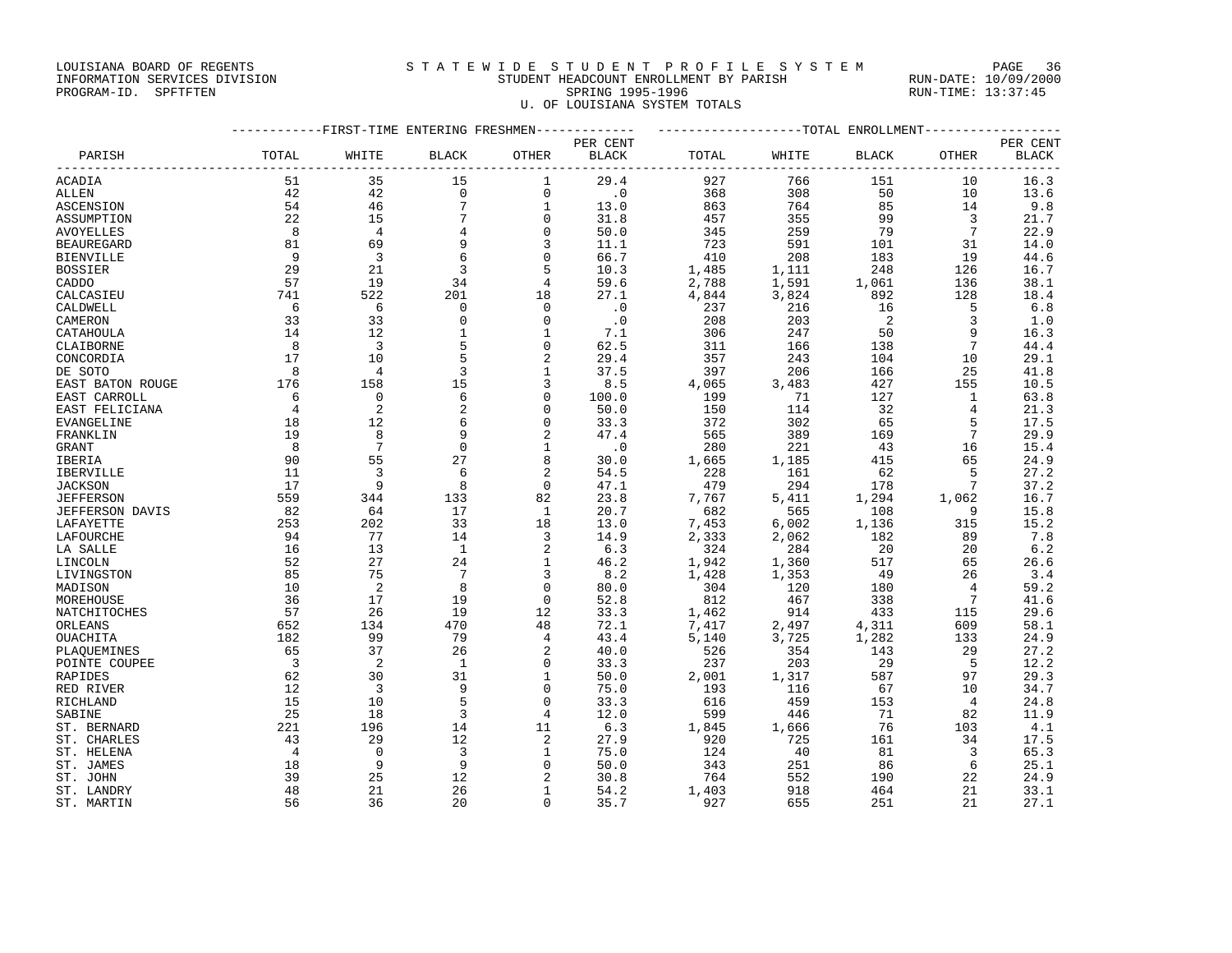### LOUISIANA BOARD OF REGENTS SAND STATEWIDE STUDENT PROFILE SYSTEM PAGE 36 INFORMATION SERVICES DIVISION STUDENT HEADCOUNT ENROLLMENT BY PARISH RUN-DATE: 10/09/2000

PROGRAM-ID. SPFTFTEN SARE SERING 1995-1996 SPRING 1995-1996 RUN-TIME: 13:37:45 U. OF LOUISIANA SYSTEM TOTALS

| PER CENT<br>PER CENT<br>PARISH<br>TOTAL<br>OTHER<br><b>BLACK</b><br>TOTAL<br>WHITE<br><b>BLACK</b><br>OTHER<br><b>BLACK</b><br>WHITE<br><b>BLACK</b><br>29.4<br>16.3<br>51<br>35<br>15<br>927<br>766<br>151<br>10<br>ACADIA<br>1<br>42<br>$\mathsf 0$<br>$\mathbf 0$<br>$\cdot$ 0<br>308<br>50<br>13.6<br>42<br>368<br>10<br><b>ALLEN</b><br>$7\phantom{.0}$<br>85<br>54<br>46<br>$\mathbf{1}$<br>13.0<br>863<br>764<br>14<br>9.8<br><b>ASCENSION</b><br>$\overline{7}$<br>22<br>15<br>31.8<br>99<br>$\mathbf 0$<br>457<br>355<br>$\overline{\mathbf{3}}$<br>21.7<br>ASSUMPTION<br>79<br>7<br>8<br>$\overline{4}$<br>$\mathbf 0$<br>50.0<br>345<br>259<br>22.9<br>4<br>AVOYELLES<br>81<br>69<br>9<br>3<br>11.1<br>723<br>591<br>101<br>31<br>14.0<br><b>BEAUREGARD</b><br>$\overline{\mathbf{3}}$<br>6<br>66.7<br>9<br>$\Omega$<br>410<br>208<br>183<br>19<br><b>BIENVILLE</b><br>44.6<br>29<br>21<br>$\overline{\phantom{a}}$ 3<br>5<br>10.3<br>248<br><b>BOSSIER</b><br>1,485<br>1,111<br>126<br>16.7<br>57<br>19<br>34<br>59.6<br>2,788<br>136<br>CADDO<br>4<br>1,591<br>1,061<br>38.1<br>201<br>27.1<br>741<br>522<br>18<br>4,844<br>3,824<br>892<br>128<br>18.4<br>CALCASIEU<br>5<br>- 6<br>$\mathbf 0$<br>$\Omega$<br>$\cdot$ 0<br>16<br>CALDWELL<br>- 6<br>237<br>216<br>6.8<br>$\overline{\phantom{0}}^2$<br>33<br>33<br>$\mathbf 0$<br>$\mathbf 0$<br>$\cdot$ 0<br>203<br>$\overline{3}$<br>1.0<br>CAMERON<br>208<br>12<br>$\mathbf{1}$<br>9<br>14<br>$\mathbf{1}$<br>7.1<br>306<br>247<br>50<br>16.3<br>CATAHOULA<br>8<br>$\overline{\mathbf{3}}$<br>5<br>62.5<br>7<br>44.4<br>0<br>311<br>166<br>138<br>CLAIBORNE<br>5<br>17<br>10<br>2<br>29.4<br>357<br>243<br>104<br>10<br>29.1<br>CONCORDIA<br>37.5<br>8<br>3<br>397<br>206<br>166<br>25<br>41.8<br>DE SOTO<br>$\overline{4}$<br>1<br>176<br>158<br>15<br>3<br>8.5<br>427<br>4,065<br>3,483<br>155<br>10.5<br>EAST BATON ROUGE<br>6<br>$\overline{0}$<br>$\Omega$<br>127<br>63.8<br>6<br>100.0<br>199<br>71<br>1<br>EAST CARROLL<br>2<br>$\overline{4}$<br>2<br>50.0<br>32<br>$\Omega$<br>150<br>114<br>4<br>21.3<br>EAST FELICIANA<br>12<br>5<br>6<br>$\Omega$<br>33.3<br>372<br>302<br>65<br>17.5<br>EVANGELINE<br>18<br>8<br>$7\phantom{.0}$<br>19<br>9<br>2<br>47.4<br>565<br>389<br>169<br>29.9<br>FRANKLIN<br>$7\phantom{.0}$<br>$_{\rm 8}$<br>$\mathbf 0$<br>$\cdot$ 0<br>221<br>43<br>GRANT<br>1<br>280<br>16<br>15.4<br>55<br>27<br>90<br>8<br>1,665<br>1,185<br>415<br>65<br>24.9<br>30.0<br>IBERIA<br>3<br>6<br>54.5<br>5<br>11<br>2<br>228<br>161<br>62<br>27.2<br>IBERVILLE<br>17<br>9<br>8<br>479<br>$7\phantom{.0}$<br>$\Omega$<br>47.1<br>294<br>178<br>37.2<br><b>JACKSON</b><br>559<br>344<br>133<br>82<br>23.8<br>7,767<br>5,411<br>1,294<br>1,062<br>16.7<br><b>JEFFERSON</b><br>82<br>64<br>17<br><sup>1</sup><br>20.7<br>682<br>108<br>- 9<br>15.8<br>JEFFERSON DAVIS<br>565<br>253<br>202<br>33<br>13.0<br>7,453<br>6,002<br>315<br>18<br>1,136<br>15.2<br>LAFAYETTE<br>77<br>14.9<br>7.8<br>94<br>14<br>2,333<br>182<br>89<br>LAFOURCHE<br>3<br>2,062<br>13<br>$\overline{1}$<br>324<br>20<br>LA SALLE<br>16<br>2<br>6.3<br>284<br>20<br>6.2<br>52<br>27<br>24<br>$\mathbf{1}$<br>46.2<br>1,942<br>1,360<br>517<br>65<br>LINCOLN<br>26.6<br>$7\phantom{.0}$<br>85<br>75<br>8.2<br>1,428<br>1,353<br>49<br>26<br>3.4<br>3<br>LIVINGSTON<br>$\overline{2}$<br>8<br>10<br>$\Omega$<br>80.0<br>304<br>120<br>180<br>$\overline{4}$<br>59.2<br>MADISON<br>17<br>19<br>338<br>$7^{\circ}$<br>36<br>$\Omega$<br>52.8<br>812<br>467<br>41.6<br>MOREHOUSE<br>57<br>26<br>19<br>12<br>33.3<br>1,462<br>914<br>433<br>115<br>29.6<br>NATCHITOCHES<br>470<br>48<br>652<br>134<br>72.1<br>7,417<br>2,497<br>609<br>58.1<br>4,311<br>182<br>99<br>79<br>43.4<br>5,140<br>133<br>4<br>3,725<br>1,282<br>24.9<br>OUACHITA<br>40.0<br>65<br>37<br>26<br>29<br>27.2<br>PLAQUEMINES<br>2<br>526<br>354<br>143<br>$\overline{\mathbf{3}}$<br>2<br>33.3<br>237<br>29<br>- 5<br>12.2<br>POINTE COUPEE<br>$\overline{1}$<br>$\mathbf{0}$<br>203<br>30<br>31<br>62<br>50.0<br>2,001<br>587<br>29.3<br>RAPIDES<br>1<br>1,317<br>97<br>12<br>$\overline{\mathbf{3}}$<br>9<br>$\mathbf 0$<br>75.0<br>67<br>10<br>193<br>116<br>34.7<br>RED RIVER<br>5<br>15<br>33.3<br>459<br>10<br>$\Omega$<br>616<br>153<br>$\overline{4}$<br>24.8<br>RICHLAND<br>$\overline{3}$<br>25<br>18<br>12.0<br>71<br>82<br>11.9<br>SABINE<br>4<br>599<br>446<br>11<br>6.3<br>221<br>196<br>14<br>1,845<br>1,666<br>76<br>103<br>4.1<br>ST. BERNARD<br>12<br>43<br>29<br>2<br>27.9<br>920<br>725<br>161<br>34<br>ST. CHARLES<br>17.5<br>$\overline{3}$<br>$\overline{4}$<br>$\bigcirc$<br>75.0<br>81<br>$\overline{\mathbf{3}}$<br>ST. HELENA<br>1<br>124<br>-40<br>65.3<br>9<br>9<br>18<br>$\Omega$<br>50.0<br>251<br>86<br>25.1<br>ST. JAMES<br>343<br>- 6<br>39<br>25<br>12<br>30.8<br>552<br>2<br>764<br>190<br>22<br>24.9<br>ST. JOHN<br>48<br>21<br>26<br>$\mathbf{1}$<br>54.2<br>1,403<br>918<br>464<br>21<br>ST. LANDRY<br>33.1<br>56<br>36<br>20<br>35.7<br>927<br>655<br>251<br>21<br>27.1<br>ST. MARTIN<br>0 |         | -----------FIRST-TIME ENTERING FRESHMEN------------- |  | ------------------TOTAL ENROLLMENT----------------- |  |  |  |  |
|---------------------------------------------------------------------------------------------------------------------------------------------------------------------------------------------------------------------------------------------------------------------------------------------------------------------------------------------------------------------------------------------------------------------------------------------------------------------------------------------------------------------------------------------------------------------------------------------------------------------------------------------------------------------------------------------------------------------------------------------------------------------------------------------------------------------------------------------------------------------------------------------------------------------------------------------------------------------------------------------------------------------------------------------------------------------------------------------------------------------------------------------------------------------------------------------------------------------------------------------------------------------------------------------------------------------------------------------------------------------------------------------------------------------------------------------------------------------------------------------------------------------------------------------------------------------------------------------------------------------------------------------------------------------------------------------------------------------------------------------------------------------------------------------------------------------------------------------------------------------------------------------------------------------------------------------------------------------------------------------------------------------------------------------------------------------------------------------------------------------------------------------------------------------------------------------------------------------------------------------------------------------------------------------------------------------------------------------------------------------------------------------------------------------------------------------------------------------------------------------------------------------------------------------------------------------------------------------------------------------------------------------------------------------------------------------------------------------------------------------------------------------------------------------------------------------------------------------------------------------------------------------------------------------------------------------------------------------------------------------------------------------------------------------------------------------------------------------------------------------------------------------------------------------------------------------------------------------------------------------------------------------------------------------------------------------------------------------------------------------------------------------------------------------------------------------------------------------------------------------------------------------------------------------------------------------------------------------------------------------------------------------------------------------------------------------------------------------------------------------------------------------------------------------------------------------------------------------------------------------------------------------------------------------------------------------------------------------------------------------------------------------------------------------------------------------------------------------------------------------------------------------------------------------------------------------------------------------------------------------------------------------------------------------------------------------------------------------------------------------------------------------------------------------------------------------------------------------------------------------------------------------------------------------------------------------------------------------------------------------------------------------------------------------------------------------------------------------------------------------------------------------------------------------------------------------------------------------------------------------------------------------------------------------------------------------------------------------------------------------------------------------------------------------------------------|---------|------------------------------------------------------|--|-----------------------------------------------------|--|--|--|--|
|                                                                                                                                                                                                                                                                                                                                                                                                                                                                                                                                                                                                                                                                                                                                                                                                                                                                                                                                                                                                                                                                                                                                                                                                                                                                                                                                                                                                                                                                                                                                                                                                                                                                                                                                                                                                                                                                                                                                                                                                                                                                                                                                                                                                                                                                                                                                                                                                                                                                                                                                                                                                                                                                                                                                                                                                                                                                                                                                                                                                                                                                                                                                                                                                                                                                                                                                                                                                                                                                                                                                                                                                                                                                                                                                                                                                                                                                                                                                                                                                                                                                                                                                                                                                                                                                                                                                                                                                                                                                                                                                                                                                                                                                                                                                                                                                                                                                                                                                                                                                                                                               |         |                                                      |  |                                                     |  |  |  |  |
|                                                                                                                                                                                                                                                                                                                                                                                                                                                                                                                                                                                                                                                                                                                                                                                                                                                                                                                                                                                                                                                                                                                                                                                                                                                                                                                                                                                                                                                                                                                                                                                                                                                                                                                                                                                                                                                                                                                                                                                                                                                                                                                                                                                                                                                                                                                                                                                                                                                                                                                                                                                                                                                                                                                                                                                                                                                                                                                                                                                                                                                                                                                                                                                                                                                                                                                                                                                                                                                                                                                                                                                                                                                                                                                                                                                                                                                                                                                                                                                                                                                                                                                                                                                                                                                                                                                                                                                                                                                                                                                                                                                                                                                                                                                                                                                                                                                                                                                                                                                                                                                               |         |                                                      |  |                                                     |  |  |  |  |
|                                                                                                                                                                                                                                                                                                                                                                                                                                                                                                                                                                                                                                                                                                                                                                                                                                                                                                                                                                                                                                                                                                                                                                                                                                                                                                                                                                                                                                                                                                                                                                                                                                                                                                                                                                                                                                                                                                                                                                                                                                                                                                                                                                                                                                                                                                                                                                                                                                                                                                                                                                                                                                                                                                                                                                                                                                                                                                                                                                                                                                                                                                                                                                                                                                                                                                                                                                                                                                                                                                                                                                                                                                                                                                                                                                                                                                                                                                                                                                                                                                                                                                                                                                                                                                                                                                                                                                                                                                                                                                                                                                                                                                                                                                                                                                                                                                                                                                                                                                                                                                                               |         |                                                      |  |                                                     |  |  |  |  |
|                                                                                                                                                                                                                                                                                                                                                                                                                                                                                                                                                                                                                                                                                                                                                                                                                                                                                                                                                                                                                                                                                                                                                                                                                                                                                                                                                                                                                                                                                                                                                                                                                                                                                                                                                                                                                                                                                                                                                                                                                                                                                                                                                                                                                                                                                                                                                                                                                                                                                                                                                                                                                                                                                                                                                                                                                                                                                                                                                                                                                                                                                                                                                                                                                                                                                                                                                                                                                                                                                                                                                                                                                                                                                                                                                                                                                                                                                                                                                                                                                                                                                                                                                                                                                                                                                                                                                                                                                                                                                                                                                                                                                                                                                                                                                                                                                                                                                                                                                                                                                                                               |         |                                                      |  |                                                     |  |  |  |  |
|                                                                                                                                                                                                                                                                                                                                                                                                                                                                                                                                                                                                                                                                                                                                                                                                                                                                                                                                                                                                                                                                                                                                                                                                                                                                                                                                                                                                                                                                                                                                                                                                                                                                                                                                                                                                                                                                                                                                                                                                                                                                                                                                                                                                                                                                                                                                                                                                                                                                                                                                                                                                                                                                                                                                                                                                                                                                                                                                                                                                                                                                                                                                                                                                                                                                                                                                                                                                                                                                                                                                                                                                                                                                                                                                                                                                                                                                                                                                                                                                                                                                                                                                                                                                                                                                                                                                                                                                                                                                                                                                                                                                                                                                                                                                                                                                                                                                                                                                                                                                                                                               |         |                                                      |  |                                                     |  |  |  |  |
|                                                                                                                                                                                                                                                                                                                                                                                                                                                                                                                                                                                                                                                                                                                                                                                                                                                                                                                                                                                                                                                                                                                                                                                                                                                                                                                                                                                                                                                                                                                                                                                                                                                                                                                                                                                                                                                                                                                                                                                                                                                                                                                                                                                                                                                                                                                                                                                                                                                                                                                                                                                                                                                                                                                                                                                                                                                                                                                                                                                                                                                                                                                                                                                                                                                                                                                                                                                                                                                                                                                                                                                                                                                                                                                                                                                                                                                                                                                                                                                                                                                                                                                                                                                                                                                                                                                                                                                                                                                                                                                                                                                                                                                                                                                                                                                                                                                                                                                                                                                                                                                               |         |                                                      |  |                                                     |  |  |  |  |
|                                                                                                                                                                                                                                                                                                                                                                                                                                                                                                                                                                                                                                                                                                                                                                                                                                                                                                                                                                                                                                                                                                                                                                                                                                                                                                                                                                                                                                                                                                                                                                                                                                                                                                                                                                                                                                                                                                                                                                                                                                                                                                                                                                                                                                                                                                                                                                                                                                                                                                                                                                                                                                                                                                                                                                                                                                                                                                                                                                                                                                                                                                                                                                                                                                                                                                                                                                                                                                                                                                                                                                                                                                                                                                                                                                                                                                                                                                                                                                                                                                                                                                                                                                                                                                                                                                                                                                                                                                                                                                                                                                                                                                                                                                                                                                                                                                                                                                                                                                                                                                                               |         |                                                      |  |                                                     |  |  |  |  |
|                                                                                                                                                                                                                                                                                                                                                                                                                                                                                                                                                                                                                                                                                                                                                                                                                                                                                                                                                                                                                                                                                                                                                                                                                                                                                                                                                                                                                                                                                                                                                                                                                                                                                                                                                                                                                                                                                                                                                                                                                                                                                                                                                                                                                                                                                                                                                                                                                                                                                                                                                                                                                                                                                                                                                                                                                                                                                                                                                                                                                                                                                                                                                                                                                                                                                                                                                                                                                                                                                                                                                                                                                                                                                                                                                                                                                                                                                                                                                                                                                                                                                                                                                                                                                                                                                                                                                                                                                                                                                                                                                                                                                                                                                                                                                                                                                                                                                                                                                                                                                                                               |         |                                                      |  |                                                     |  |  |  |  |
|                                                                                                                                                                                                                                                                                                                                                                                                                                                                                                                                                                                                                                                                                                                                                                                                                                                                                                                                                                                                                                                                                                                                                                                                                                                                                                                                                                                                                                                                                                                                                                                                                                                                                                                                                                                                                                                                                                                                                                                                                                                                                                                                                                                                                                                                                                                                                                                                                                                                                                                                                                                                                                                                                                                                                                                                                                                                                                                                                                                                                                                                                                                                                                                                                                                                                                                                                                                                                                                                                                                                                                                                                                                                                                                                                                                                                                                                                                                                                                                                                                                                                                                                                                                                                                                                                                                                                                                                                                                                                                                                                                                                                                                                                                                                                                                                                                                                                                                                                                                                                                                               |         |                                                      |  |                                                     |  |  |  |  |
|                                                                                                                                                                                                                                                                                                                                                                                                                                                                                                                                                                                                                                                                                                                                                                                                                                                                                                                                                                                                                                                                                                                                                                                                                                                                                                                                                                                                                                                                                                                                                                                                                                                                                                                                                                                                                                                                                                                                                                                                                                                                                                                                                                                                                                                                                                                                                                                                                                                                                                                                                                                                                                                                                                                                                                                                                                                                                                                                                                                                                                                                                                                                                                                                                                                                                                                                                                                                                                                                                                                                                                                                                                                                                                                                                                                                                                                                                                                                                                                                                                                                                                                                                                                                                                                                                                                                                                                                                                                                                                                                                                                                                                                                                                                                                                                                                                                                                                                                                                                                                                                               |         |                                                      |  |                                                     |  |  |  |  |
|                                                                                                                                                                                                                                                                                                                                                                                                                                                                                                                                                                                                                                                                                                                                                                                                                                                                                                                                                                                                                                                                                                                                                                                                                                                                                                                                                                                                                                                                                                                                                                                                                                                                                                                                                                                                                                                                                                                                                                                                                                                                                                                                                                                                                                                                                                                                                                                                                                                                                                                                                                                                                                                                                                                                                                                                                                                                                                                                                                                                                                                                                                                                                                                                                                                                                                                                                                                                                                                                                                                                                                                                                                                                                                                                                                                                                                                                                                                                                                                                                                                                                                                                                                                                                                                                                                                                                                                                                                                                                                                                                                                                                                                                                                                                                                                                                                                                                                                                                                                                                                                               |         |                                                      |  |                                                     |  |  |  |  |
|                                                                                                                                                                                                                                                                                                                                                                                                                                                                                                                                                                                                                                                                                                                                                                                                                                                                                                                                                                                                                                                                                                                                                                                                                                                                                                                                                                                                                                                                                                                                                                                                                                                                                                                                                                                                                                                                                                                                                                                                                                                                                                                                                                                                                                                                                                                                                                                                                                                                                                                                                                                                                                                                                                                                                                                                                                                                                                                                                                                                                                                                                                                                                                                                                                                                                                                                                                                                                                                                                                                                                                                                                                                                                                                                                                                                                                                                                                                                                                                                                                                                                                                                                                                                                                                                                                                                                                                                                                                                                                                                                                                                                                                                                                                                                                                                                                                                                                                                                                                                                                                               |         |                                                      |  |                                                     |  |  |  |  |
|                                                                                                                                                                                                                                                                                                                                                                                                                                                                                                                                                                                                                                                                                                                                                                                                                                                                                                                                                                                                                                                                                                                                                                                                                                                                                                                                                                                                                                                                                                                                                                                                                                                                                                                                                                                                                                                                                                                                                                                                                                                                                                                                                                                                                                                                                                                                                                                                                                                                                                                                                                                                                                                                                                                                                                                                                                                                                                                                                                                                                                                                                                                                                                                                                                                                                                                                                                                                                                                                                                                                                                                                                                                                                                                                                                                                                                                                                                                                                                                                                                                                                                                                                                                                                                                                                                                                                                                                                                                                                                                                                                                                                                                                                                                                                                                                                                                                                                                                                                                                                                                               |         |                                                      |  |                                                     |  |  |  |  |
|                                                                                                                                                                                                                                                                                                                                                                                                                                                                                                                                                                                                                                                                                                                                                                                                                                                                                                                                                                                                                                                                                                                                                                                                                                                                                                                                                                                                                                                                                                                                                                                                                                                                                                                                                                                                                                                                                                                                                                                                                                                                                                                                                                                                                                                                                                                                                                                                                                                                                                                                                                                                                                                                                                                                                                                                                                                                                                                                                                                                                                                                                                                                                                                                                                                                                                                                                                                                                                                                                                                                                                                                                                                                                                                                                                                                                                                                                                                                                                                                                                                                                                                                                                                                                                                                                                                                                                                                                                                                                                                                                                                                                                                                                                                                                                                                                                                                                                                                                                                                                                                               |         |                                                      |  |                                                     |  |  |  |  |
|                                                                                                                                                                                                                                                                                                                                                                                                                                                                                                                                                                                                                                                                                                                                                                                                                                                                                                                                                                                                                                                                                                                                                                                                                                                                                                                                                                                                                                                                                                                                                                                                                                                                                                                                                                                                                                                                                                                                                                                                                                                                                                                                                                                                                                                                                                                                                                                                                                                                                                                                                                                                                                                                                                                                                                                                                                                                                                                                                                                                                                                                                                                                                                                                                                                                                                                                                                                                                                                                                                                                                                                                                                                                                                                                                                                                                                                                                                                                                                                                                                                                                                                                                                                                                                                                                                                                                                                                                                                                                                                                                                                                                                                                                                                                                                                                                                                                                                                                                                                                                                                               |         |                                                      |  |                                                     |  |  |  |  |
|                                                                                                                                                                                                                                                                                                                                                                                                                                                                                                                                                                                                                                                                                                                                                                                                                                                                                                                                                                                                                                                                                                                                                                                                                                                                                                                                                                                                                                                                                                                                                                                                                                                                                                                                                                                                                                                                                                                                                                                                                                                                                                                                                                                                                                                                                                                                                                                                                                                                                                                                                                                                                                                                                                                                                                                                                                                                                                                                                                                                                                                                                                                                                                                                                                                                                                                                                                                                                                                                                                                                                                                                                                                                                                                                                                                                                                                                                                                                                                                                                                                                                                                                                                                                                                                                                                                                                                                                                                                                                                                                                                                                                                                                                                                                                                                                                                                                                                                                                                                                                                                               |         |                                                      |  |                                                     |  |  |  |  |
|                                                                                                                                                                                                                                                                                                                                                                                                                                                                                                                                                                                                                                                                                                                                                                                                                                                                                                                                                                                                                                                                                                                                                                                                                                                                                                                                                                                                                                                                                                                                                                                                                                                                                                                                                                                                                                                                                                                                                                                                                                                                                                                                                                                                                                                                                                                                                                                                                                                                                                                                                                                                                                                                                                                                                                                                                                                                                                                                                                                                                                                                                                                                                                                                                                                                                                                                                                                                                                                                                                                                                                                                                                                                                                                                                                                                                                                                                                                                                                                                                                                                                                                                                                                                                                                                                                                                                                                                                                                                                                                                                                                                                                                                                                                                                                                                                                                                                                                                                                                                                                                               |         |                                                      |  |                                                     |  |  |  |  |
|                                                                                                                                                                                                                                                                                                                                                                                                                                                                                                                                                                                                                                                                                                                                                                                                                                                                                                                                                                                                                                                                                                                                                                                                                                                                                                                                                                                                                                                                                                                                                                                                                                                                                                                                                                                                                                                                                                                                                                                                                                                                                                                                                                                                                                                                                                                                                                                                                                                                                                                                                                                                                                                                                                                                                                                                                                                                                                                                                                                                                                                                                                                                                                                                                                                                                                                                                                                                                                                                                                                                                                                                                                                                                                                                                                                                                                                                                                                                                                                                                                                                                                                                                                                                                                                                                                                                                                                                                                                                                                                                                                                                                                                                                                                                                                                                                                                                                                                                                                                                                                                               |         |                                                      |  |                                                     |  |  |  |  |
|                                                                                                                                                                                                                                                                                                                                                                                                                                                                                                                                                                                                                                                                                                                                                                                                                                                                                                                                                                                                                                                                                                                                                                                                                                                                                                                                                                                                                                                                                                                                                                                                                                                                                                                                                                                                                                                                                                                                                                                                                                                                                                                                                                                                                                                                                                                                                                                                                                                                                                                                                                                                                                                                                                                                                                                                                                                                                                                                                                                                                                                                                                                                                                                                                                                                                                                                                                                                                                                                                                                                                                                                                                                                                                                                                                                                                                                                                                                                                                                                                                                                                                                                                                                                                                                                                                                                                                                                                                                                                                                                                                                                                                                                                                                                                                                                                                                                                                                                                                                                                                                               |         |                                                      |  |                                                     |  |  |  |  |
|                                                                                                                                                                                                                                                                                                                                                                                                                                                                                                                                                                                                                                                                                                                                                                                                                                                                                                                                                                                                                                                                                                                                                                                                                                                                                                                                                                                                                                                                                                                                                                                                                                                                                                                                                                                                                                                                                                                                                                                                                                                                                                                                                                                                                                                                                                                                                                                                                                                                                                                                                                                                                                                                                                                                                                                                                                                                                                                                                                                                                                                                                                                                                                                                                                                                                                                                                                                                                                                                                                                                                                                                                                                                                                                                                                                                                                                                                                                                                                                                                                                                                                                                                                                                                                                                                                                                                                                                                                                                                                                                                                                                                                                                                                                                                                                                                                                                                                                                                                                                                                                               |         |                                                      |  |                                                     |  |  |  |  |
|                                                                                                                                                                                                                                                                                                                                                                                                                                                                                                                                                                                                                                                                                                                                                                                                                                                                                                                                                                                                                                                                                                                                                                                                                                                                                                                                                                                                                                                                                                                                                                                                                                                                                                                                                                                                                                                                                                                                                                                                                                                                                                                                                                                                                                                                                                                                                                                                                                                                                                                                                                                                                                                                                                                                                                                                                                                                                                                                                                                                                                                                                                                                                                                                                                                                                                                                                                                                                                                                                                                                                                                                                                                                                                                                                                                                                                                                                                                                                                                                                                                                                                                                                                                                                                                                                                                                                                                                                                                                                                                                                                                                                                                                                                                                                                                                                                                                                                                                                                                                                                                               |         |                                                      |  |                                                     |  |  |  |  |
|                                                                                                                                                                                                                                                                                                                                                                                                                                                                                                                                                                                                                                                                                                                                                                                                                                                                                                                                                                                                                                                                                                                                                                                                                                                                                                                                                                                                                                                                                                                                                                                                                                                                                                                                                                                                                                                                                                                                                                                                                                                                                                                                                                                                                                                                                                                                                                                                                                                                                                                                                                                                                                                                                                                                                                                                                                                                                                                                                                                                                                                                                                                                                                                                                                                                                                                                                                                                                                                                                                                                                                                                                                                                                                                                                                                                                                                                                                                                                                                                                                                                                                                                                                                                                                                                                                                                                                                                                                                                                                                                                                                                                                                                                                                                                                                                                                                                                                                                                                                                                                                               |         |                                                      |  |                                                     |  |  |  |  |
|                                                                                                                                                                                                                                                                                                                                                                                                                                                                                                                                                                                                                                                                                                                                                                                                                                                                                                                                                                                                                                                                                                                                                                                                                                                                                                                                                                                                                                                                                                                                                                                                                                                                                                                                                                                                                                                                                                                                                                                                                                                                                                                                                                                                                                                                                                                                                                                                                                                                                                                                                                                                                                                                                                                                                                                                                                                                                                                                                                                                                                                                                                                                                                                                                                                                                                                                                                                                                                                                                                                                                                                                                                                                                                                                                                                                                                                                                                                                                                                                                                                                                                                                                                                                                                                                                                                                                                                                                                                                                                                                                                                                                                                                                                                                                                                                                                                                                                                                                                                                                                                               |         |                                                      |  |                                                     |  |  |  |  |
|                                                                                                                                                                                                                                                                                                                                                                                                                                                                                                                                                                                                                                                                                                                                                                                                                                                                                                                                                                                                                                                                                                                                                                                                                                                                                                                                                                                                                                                                                                                                                                                                                                                                                                                                                                                                                                                                                                                                                                                                                                                                                                                                                                                                                                                                                                                                                                                                                                                                                                                                                                                                                                                                                                                                                                                                                                                                                                                                                                                                                                                                                                                                                                                                                                                                                                                                                                                                                                                                                                                                                                                                                                                                                                                                                                                                                                                                                                                                                                                                                                                                                                                                                                                                                                                                                                                                                                                                                                                                                                                                                                                                                                                                                                                                                                                                                                                                                                                                                                                                                                                               |         |                                                      |  |                                                     |  |  |  |  |
|                                                                                                                                                                                                                                                                                                                                                                                                                                                                                                                                                                                                                                                                                                                                                                                                                                                                                                                                                                                                                                                                                                                                                                                                                                                                                                                                                                                                                                                                                                                                                                                                                                                                                                                                                                                                                                                                                                                                                                                                                                                                                                                                                                                                                                                                                                                                                                                                                                                                                                                                                                                                                                                                                                                                                                                                                                                                                                                                                                                                                                                                                                                                                                                                                                                                                                                                                                                                                                                                                                                                                                                                                                                                                                                                                                                                                                                                                                                                                                                                                                                                                                                                                                                                                                                                                                                                                                                                                                                                                                                                                                                                                                                                                                                                                                                                                                                                                                                                                                                                                                                               |         |                                                      |  |                                                     |  |  |  |  |
|                                                                                                                                                                                                                                                                                                                                                                                                                                                                                                                                                                                                                                                                                                                                                                                                                                                                                                                                                                                                                                                                                                                                                                                                                                                                                                                                                                                                                                                                                                                                                                                                                                                                                                                                                                                                                                                                                                                                                                                                                                                                                                                                                                                                                                                                                                                                                                                                                                                                                                                                                                                                                                                                                                                                                                                                                                                                                                                                                                                                                                                                                                                                                                                                                                                                                                                                                                                                                                                                                                                                                                                                                                                                                                                                                                                                                                                                                                                                                                                                                                                                                                                                                                                                                                                                                                                                                                                                                                                                                                                                                                                                                                                                                                                                                                                                                                                                                                                                                                                                                                                               |         |                                                      |  |                                                     |  |  |  |  |
|                                                                                                                                                                                                                                                                                                                                                                                                                                                                                                                                                                                                                                                                                                                                                                                                                                                                                                                                                                                                                                                                                                                                                                                                                                                                                                                                                                                                                                                                                                                                                                                                                                                                                                                                                                                                                                                                                                                                                                                                                                                                                                                                                                                                                                                                                                                                                                                                                                                                                                                                                                                                                                                                                                                                                                                                                                                                                                                                                                                                                                                                                                                                                                                                                                                                                                                                                                                                                                                                                                                                                                                                                                                                                                                                                                                                                                                                                                                                                                                                                                                                                                                                                                                                                                                                                                                                                                                                                                                                                                                                                                                                                                                                                                                                                                                                                                                                                                                                                                                                                                                               |         |                                                      |  |                                                     |  |  |  |  |
|                                                                                                                                                                                                                                                                                                                                                                                                                                                                                                                                                                                                                                                                                                                                                                                                                                                                                                                                                                                                                                                                                                                                                                                                                                                                                                                                                                                                                                                                                                                                                                                                                                                                                                                                                                                                                                                                                                                                                                                                                                                                                                                                                                                                                                                                                                                                                                                                                                                                                                                                                                                                                                                                                                                                                                                                                                                                                                                                                                                                                                                                                                                                                                                                                                                                                                                                                                                                                                                                                                                                                                                                                                                                                                                                                                                                                                                                                                                                                                                                                                                                                                                                                                                                                                                                                                                                                                                                                                                                                                                                                                                                                                                                                                                                                                                                                                                                                                                                                                                                                                                               |         |                                                      |  |                                                     |  |  |  |  |
|                                                                                                                                                                                                                                                                                                                                                                                                                                                                                                                                                                                                                                                                                                                                                                                                                                                                                                                                                                                                                                                                                                                                                                                                                                                                                                                                                                                                                                                                                                                                                                                                                                                                                                                                                                                                                                                                                                                                                                                                                                                                                                                                                                                                                                                                                                                                                                                                                                                                                                                                                                                                                                                                                                                                                                                                                                                                                                                                                                                                                                                                                                                                                                                                                                                                                                                                                                                                                                                                                                                                                                                                                                                                                                                                                                                                                                                                                                                                                                                                                                                                                                                                                                                                                                                                                                                                                                                                                                                                                                                                                                                                                                                                                                                                                                                                                                                                                                                                                                                                                                                               |         |                                                      |  |                                                     |  |  |  |  |
|                                                                                                                                                                                                                                                                                                                                                                                                                                                                                                                                                                                                                                                                                                                                                                                                                                                                                                                                                                                                                                                                                                                                                                                                                                                                                                                                                                                                                                                                                                                                                                                                                                                                                                                                                                                                                                                                                                                                                                                                                                                                                                                                                                                                                                                                                                                                                                                                                                                                                                                                                                                                                                                                                                                                                                                                                                                                                                                                                                                                                                                                                                                                                                                                                                                                                                                                                                                                                                                                                                                                                                                                                                                                                                                                                                                                                                                                                                                                                                                                                                                                                                                                                                                                                                                                                                                                                                                                                                                                                                                                                                                                                                                                                                                                                                                                                                                                                                                                                                                                                                                               |         |                                                      |  |                                                     |  |  |  |  |
|                                                                                                                                                                                                                                                                                                                                                                                                                                                                                                                                                                                                                                                                                                                                                                                                                                                                                                                                                                                                                                                                                                                                                                                                                                                                                                                                                                                                                                                                                                                                                                                                                                                                                                                                                                                                                                                                                                                                                                                                                                                                                                                                                                                                                                                                                                                                                                                                                                                                                                                                                                                                                                                                                                                                                                                                                                                                                                                                                                                                                                                                                                                                                                                                                                                                                                                                                                                                                                                                                                                                                                                                                                                                                                                                                                                                                                                                                                                                                                                                                                                                                                                                                                                                                                                                                                                                                                                                                                                                                                                                                                                                                                                                                                                                                                                                                                                                                                                                                                                                                                                               |         |                                                      |  |                                                     |  |  |  |  |
|                                                                                                                                                                                                                                                                                                                                                                                                                                                                                                                                                                                                                                                                                                                                                                                                                                                                                                                                                                                                                                                                                                                                                                                                                                                                                                                                                                                                                                                                                                                                                                                                                                                                                                                                                                                                                                                                                                                                                                                                                                                                                                                                                                                                                                                                                                                                                                                                                                                                                                                                                                                                                                                                                                                                                                                                                                                                                                                                                                                                                                                                                                                                                                                                                                                                                                                                                                                                                                                                                                                                                                                                                                                                                                                                                                                                                                                                                                                                                                                                                                                                                                                                                                                                                                                                                                                                                                                                                                                                                                                                                                                                                                                                                                                                                                                                                                                                                                                                                                                                                                                               |         |                                                      |  |                                                     |  |  |  |  |
|                                                                                                                                                                                                                                                                                                                                                                                                                                                                                                                                                                                                                                                                                                                                                                                                                                                                                                                                                                                                                                                                                                                                                                                                                                                                                                                                                                                                                                                                                                                                                                                                                                                                                                                                                                                                                                                                                                                                                                                                                                                                                                                                                                                                                                                                                                                                                                                                                                                                                                                                                                                                                                                                                                                                                                                                                                                                                                                                                                                                                                                                                                                                                                                                                                                                                                                                                                                                                                                                                                                                                                                                                                                                                                                                                                                                                                                                                                                                                                                                                                                                                                                                                                                                                                                                                                                                                                                                                                                                                                                                                                                                                                                                                                                                                                                                                                                                                                                                                                                                                                                               |         |                                                      |  |                                                     |  |  |  |  |
|                                                                                                                                                                                                                                                                                                                                                                                                                                                                                                                                                                                                                                                                                                                                                                                                                                                                                                                                                                                                                                                                                                                                                                                                                                                                                                                                                                                                                                                                                                                                                                                                                                                                                                                                                                                                                                                                                                                                                                                                                                                                                                                                                                                                                                                                                                                                                                                                                                                                                                                                                                                                                                                                                                                                                                                                                                                                                                                                                                                                                                                                                                                                                                                                                                                                                                                                                                                                                                                                                                                                                                                                                                                                                                                                                                                                                                                                                                                                                                                                                                                                                                                                                                                                                                                                                                                                                                                                                                                                                                                                                                                                                                                                                                                                                                                                                                                                                                                                                                                                                                                               |         |                                                      |  |                                                     |  |  |  |  |
|                                                                                                                                                                                                                                                                                                                                                                                                                                                                                                                                                                                                                                                                                                                                                                                                                                                                                                                                                                                                                                                                                                                                                                                                                                                                                                                                                                                                                                                                                                                                                                                                                                                                                                                                                                                                                                                                                                                                                                                                                                                                                                                                                                                                                                                                                                                                                                                                                                                                                                                                                                                                                                                                                                                                                                                                                                                                                                                                                                                                                                                                                                                                                                                                                                                                                                                                                                                                                                                                                                                                                                                                                                                                                                                                                                                                                                                                                                                                                                                                                                                                                                                                                                                                                                                                                                                                                                                                                                                                                                                                                                                                                                                                                                                                                                                                                                                                                                                                                                                                                                                               |         |                                                      |  |                                                     |  |  |  |  |
|                                                                                                                                                                                                                                                                                                                                                                                                                                                                                                                                                                                                                                                                                                                                                                                                                                                                                                                                                                                                                                                                                                                                                                                                                                                                                                                                                                                                                                                                                                                                                                                                                                                                                                                                                                                                                                                                                                                                                                                                                                                                                                                                                                                                                                                                                                                                                                                                                                                                                                                                                                                                                                                                                                                                                                                                                                                                                                                                                                                                                                                                                                                                                                                                                                                                                                                                                                                                                                                                                                                                                                                                                                                                                                                                                                                                                                                                                                                                                                                                                                                                                                                                                                                                                                                                                                                                                                                                                                                                                                                                                                                                                                                                                                                                                                                                                                                                                                                                                                                                                                                               |         |                                                      |  |                                                     |  |  |  |  |
|                                                                                                                                                                                                                                                                                                                                                                                                                                                                                                                                                                                                                                                                                                                                                                                                                                                                                                                                                                                                                                                                                                                                                                                                                                                                                                                                                                                                                                                                                                                                                                                                                                                                                                                                                                                                                                                                                                                                                                                                                                                                                                                                                                                                                                                                                                                                                                                                                                                                                                                                                                                                                                                                                                                                                                                                                                                                                                                                                                                                                                                                                                                                                                                                                                                                                                                                                                                                                                                                                                                                                                                                                                                                                                                                                                                                                                                                                                                                                                                                                                                                                                                                                                                                                                                                                                                                                                                                                                                                                                                                                                                                                                                                                                                                                                                                                                                                                                                                                                                                                                                               |         |                                                      |  |                                                     |  |  |  |  |
|                                                                                                                                                                                                                                                                                                                                                                                                                                                                                                                                                                                                                                                                                                                                                                                                                                                                                                                                                                                                                                                                                                                                                                                                                                                                                                                                                                                                                                                                                                                                                                                                                                                                                                                                                                                                                                                                                                                                                                                                                                                                                                                                                                                                                                                                                                                                                                                                                                                                                                                                                                                                                                                                                                                                                                                                                                                                                                                                                                                                                                                                                                                                                                                                                                                                                                                                                                                                                                                                                                                                                                                                                                                                                                                                                                                                                                                                                                                                                                                                                                                                                                                                                                                                                                                                                                                                                                                                                                                                                                                                                                                                                                                                                                                                                                                                                                                                                                                                                                                                                                                               |         |                                                      |  |                                                     |  |  |  |  |
|                                                                                                                                                                                                                                                                                                                                                                                                                                                                                                                                                                                                                                                                                                                                                                                                                                                                                                                                                                                                                                                                                                                                                                                                                                                                                                                                                                                                                                                                                                                                                                                                                                                                                                                                                                                                                                                                                                                                                                                                                                                                                                                                                                                                                                                                                                                                                                                                                                                                                                                                                                                                                                                                                                                                                                                                                                                                                                                                                                                                                                                                                                                                                                                                                                                                                                                                                                                                                                                                                                                                                                                                                                                                                                                                                                                                                                                                                                                                                                                                                                                                                                                                                                                                                                                                                                                                                                                                                                                                                                                                                                                                                                                                                                                                                                                                                                                                                                                                                                                                                                                               | ORLEANS |                                                      |  |                                                     |  |  |  |  |
|                                                                                                                                                                                                                                                                                                                                                                                                                                                                                                                                                                                                                                                                                                                                                                                                                                                                                                                                                                                                                                                                                                                                                                                                                                                                                                                                                                                                                                                                                                                                                                                                                                                                                                                                                                                                                                                                                                                                                                                                                                                                                                                                                                                                                                                                                                                                                                                                                                                                                                                                                                                                                                                                                                                                                                                                                                                                                                                                                                                                                                                                                                                                                                                                                                                                                                                                                                                                                                                                                                                                                                                                                                                                                                                                                                                                                                                                                                                                                                                                                                                                                                                                                                                                                                                                                                                                                                                                                                                                                                                                                                                                                                                                                                                                                                                                                                                                                                                                                                                                                                                               |         |                                                      |  |                                                     |  |  |  |  |
|                                                                                                                                                                                                                                                                                                                                                                                                                                                                                                                                                                                                                                                                                                                                                                                                                                                                                                                                                                                                                                                                                                                                                                                                                                                                                                                                                                                                                                                                                                                                                                                                                                                                                                                                                                                                                                                                                                                                                                                                                                                                                                                                                                                                                                                                                                                                                                                                                                                                                                                                                                                                                                                                                                                                                                                                                                                                                                                                                                                                                                                                                                                                                                                                                                                                                                                                                                                                                                                                                                                                                                                                                                                                                                                                                                                                                                                                                                                                                                                                                                                                                                                                                                                                                                                                                                                                                                                                                                                                                                                                                                                                                                                                                                                                                                                                                                                                                                                                                                                                                                                               |         |                                                      |  |                                                     |  |  |  |  |
|                                                                                                                                                                                                                                                                                                                                                                                                                                                                                                                                                                                                                                                                                                                                                                                                                                                                                                                                                                                                                                                                                                                                                                                                                                                                                                                                                                                                                                                                                                                                                                                                                                                                                                                                                                                                                                                                                                                                                                                                                                                                                                                                                                                                                                                                                                                                                                                                                                                                                                                                                                                                                                                                                                                                                                                                                                                                                                                                                                                                                                                                                                                                                                                                                                                                                                                                                                                                                                                                                                                                                                                                                                                                                                                                                                                                                                                                                                                                                                                                                                                                                                                                                                                                                                                                                                                                                                                                                                                                                                                                                                                                                                                                                                                                                                                                                                                                                                                                                                                                                                                               |         |                                                      |  |                                                     |  |  |  |  |
|                                                                                                                                                                                                                                                                                                                                                                                                                                                                                                                                                                                                                                                                                                                                                                                                                                                                                                                                                                                                                                                                                                                                                                                                                                                                                                                                                                                                                                                                                                                                                                                                                                                                                                                                                                                                                                                                                                                                                                                                                                                                                                                                                                                                                                                                                                                                                                                                                                                                                                                                                                                                                                                                                                                                                                                                                                                                                                                                                                                                                                                                                                                                                                                                                                                                                                                                                                                                                                                                                                                                                                                                                                                                                                                                                                                                                                                                                                                                                                                                                                                                                                                                                                                                                                                                                                                                                                                                                                                                                                                                                                                                                                                                                                                                                                                                                                                                                                                                                                                                                                                               |         |                                                      |  |                                                     |  |  |  |  |
|                                                                                                                                                                                                                                                                                                                                                                                                                                                                                                                                                                                                                                                                                                                                                                                                                                                                                                                                                                                                                                                                                                                                                                                                                                                                                                                                                                                                                                                                                                                                                                                                                                                                                                                                                                                                                                                                                                                                                                                                                                                                                                                                                                                                                                                                                                                                                                                                                                                                                                                                                                                                                                                                                                                                                                                                                                                                                                                                                                                                                                                                                                                                                                                                                                                                                                                                                                                                                                                                                                                                                                                                                                                                                                                                                                                                                                                                                                                                                                                                                                                                                                                                                                                                                                                                                                                                                                                                                                                                                                                                                                                                                                                                                                                                                                                                                                                                                                                                                                                                                                                               |         |                                                      |  |                                                     |  |  |  |  |
|                                                                                                                                                                                                                                                                                                                                                                                                                                                                                                                                                                                                                                                                                                                                                                                                                                                                                                                                                                                                                                                                                                                                                                                                                                                                                                                                                                                                                                                                                                                                                                                                                                                                                                                                                                                                                                                                                                                                                                                                                                                                                                                                                                                                                                                                                                                                                                                                                                                                                                                                                                                                                                                                                                                                                                                                                                                                                                                                                                                                                                                                                                                                                                                                                                                                                                                                                                                                                                                                                                                                                                                                                                                                                                                                                                                                                                                                                                                                                                                                                                                                                                                                                                                                                                                                                                                                                                                                                                                                                                                                                                                                                                                                                                                                                                                                                                                                                                                                                                                                                                                               |         |                                                      |  |                                                     |  |  |  |  |
|                                                                                                                                                                                                                                                                                                                                                                                                                                                                                                                                                                                                                                                                                                                                                                                                                                                                                                                                                                                                                                                                                                                                                                                                                                                                                                                                                                                                                                                                                                                                                                                                                                                                                                                                                                                                                                                                                                                                                                                                                                                                                                                                                                                                                                                                                                                                                                                                                                                                                                                                                                                                                                                                                                                                                                                                                                                                                                                                                                                                                                                                                                                                                                                                                                                                                                                                                                                                                                                                                                                                                                                                                                                                                                                                                                                                                                                                                                                                                                                                                                                                                                                                                                                                                                                                                                                                                                                                                                                                                                                                                                                                                                                                                                                                                                                                                                                                                                                                                                                                                                                               |         |                                                      |  |                                                     |  |  |  |  |
|                                                                                                                                                                                                                                                                                                                                                                                                                                                                                                                                                                                                                                                                                                                                                                                                                                                                                                                                                                                                                                                                                                                                                                                                                                                                                                                                                                                                                                                                                                                                                                                                                                                                                                                                                                                                                                                                                                                                                                                                                                                                                                                                                                                                                                                                                                                                                                                                                                                                                                                                                                                                                                                                                                                                                                                                                                                                                                                                                                                                                                                                                                                                                                                                                                                                                                                                                                                                                                                                                                                                                                                                                                                                                                                                                                                                                                                                                                                                                                                                                                                                                                                                                                                                                                                                                                                                                                                                                                                                                                                                                                                                                                                                                                                                                                                                                                                                                                                                                                                                                                                               |         |                                                      |  |                                                     |  |  |  |  |
|                                                                                                                                                                                                                                                                                                                                                                                                                                                                                                                                                                                                                                                                                                                                                                                                                                                                                                                                                                                                                                                                                                                                                                                                                                                                                                                                                                                                                                                                                                                                                                                                                                                                                                                                                                                                                                                                                                                                                                                                                                                                                                                                                                                                                                                                                                                                                                                                                                                                                                                                                                                                                                                                                                                                                                                                                                                                                                                                                                                                                                                                                                                                                                                                                                                                                                                                                                                                                                                                                                                                                                                                                                                                                                                                                                                                                                                                                                                                                                                                                                                                                                                                                                                                                                                                                                                                                                                                                                                                                                                                                                                                                                                                                                                                                                                                                                                                                                                                                                                                                                                               |         |                                                      |  |                                                     |  |  |  |  |
|                                                                                                                                                                                                                                                                                                                                                                                                                                                                                                                                                                                                                                                                                                                                                                                                                                                                                                                                                                                                                                                                                                                                                                                                                                                                                                                                                                                                                                                                                                                                                                                                                                                                                                                                                                                                                                                                                                                                                                                                                                                                                                                                                                                                                                                                                                                                                                                                                                                                                                                                                                                                                                                                                                                                                                                                                                                                                                                                                                                                                                                                                                                                                                                                                                                                                                                                                                                                                                                                                                                                                                                                                                                                                                                                                                                                                                                                                                                                                                                                                                                                                                                                                                                                                                                                                                                                                                                                                                                                                                                                                                                                                                                                                                                                                                                                                                                                                                                                                                                                                                                               |         |                                                      |  |                                                     |  |  |  |  |
|                                                                                                                                                                                                                                                                                                                                                                                                                                                                                                                                                                                                                                                                                                                                                                                                                                                                                                                                                                                                                                                                                                                                                                                                                                                                                                                                                                                                                                                                                                                                                                                                                                                                                                                                                                                                                                                                                                                                                                                                                                                                                                                                                                                                                                                                                                                                                                                                                                                                                                                                                                                                                                                                                                                                                                                                                                                                                                                                                                                                                                                                                                                                                                                                                                                                                                                                                                                                                                                                                                                                                                                                                                                                                                                                                                                                                                                                                                                                                                                                                                                                                                                                                                                                                                                                                                                                                                                                                                                                                                                                                                                                                                                                                                                                                                                                                                                                                                                                                                                                                                                               |         |                                                      |  |                                                     |  |  |  |  |
|                                                                                                                                                                                                                                                                                                                                                                                                                                                                                                                                                                                                                                                                                                                                                                                                                                                                                                                                                                                                                                                                                                                                                                                                                                                                                                                                                                                                                                                                                                                                                                                                                                                                                                                                                                                                                                                                                                                                                                                                                                                                                                                                                                                                                                                                                                                                                                                                                                                                                                                                                                                                                                                                                                                                                                                                                                                                                                                                                                                                                                                                                                                                                                                                                                                                                                                                                                                                                                                                                                                                                                                                                                                                                                                                                                                                                                                                                                                                                                                                                                                                                                                                                                                                                                                                                                                                                                                                                                                                                                                                                                                                                                                                                                                                                                                                                                                                                                                                                                                                                                                               |         |                                                      |  |                                                     |  |  |  |  |
|                                                                                                                                                                                                                                                                                                                                                                                                                                                                                                                                                                                                                                                                                                                                                                                                                                                                                                                                                                                                                                                                                                                                                                                                                                                                                                                                                                                                                                                                                                                                                                                                                                                                                                                                                                                                                                                                                                                                                                                                                                                                                                                                                                                                                                                                                                                                                                                                                                                                                                                                                                                                                                                                                                                                                                                                                                                                                                                                                                                                                                                                                                                                                                                                                                                                                                                                                                                                                                                                                                                                                                                                                                                                                                                                                                                                                                                                                                                                                                                                                                                                                                                                                                                                                                                                                                                                                                                                                                                                                                                                                                                                                                                                                                                                                                                                                                                                                                                                                                                                                                                               |         |                                                      |  |                                                     |  |  |  |  |
|                                                                                                                                                                                                                                                                                                                                                                                                                                                                                                                                                                                                                                                                                                                                                                                                                                                                                                                                                                                                                                                                                                                                                                                                                                                                                                                                                                                                                                                                                                                                                                                                                                                                                                                                                                                                                                                                                                                                                                                                                                                                                                                                                                                                                                                                                                                                                                                                                                                                                                                                                                                                                                                                                                                                                                                                                                                                                                                                                                                                                                                                                                                                                                                                                                                                                                                                                                                                                                                                                                                                                                                                                                                                                                                                                                                                                                                                                                                                                                                                                                                                                                                                                                                                                                                                                                                                                                                                                                                                                                                                                                                                                                                                                                                                                                                                                                                                                                                                                                                                                                                               |         |                                                      |  |                                                     |  |  |  |  |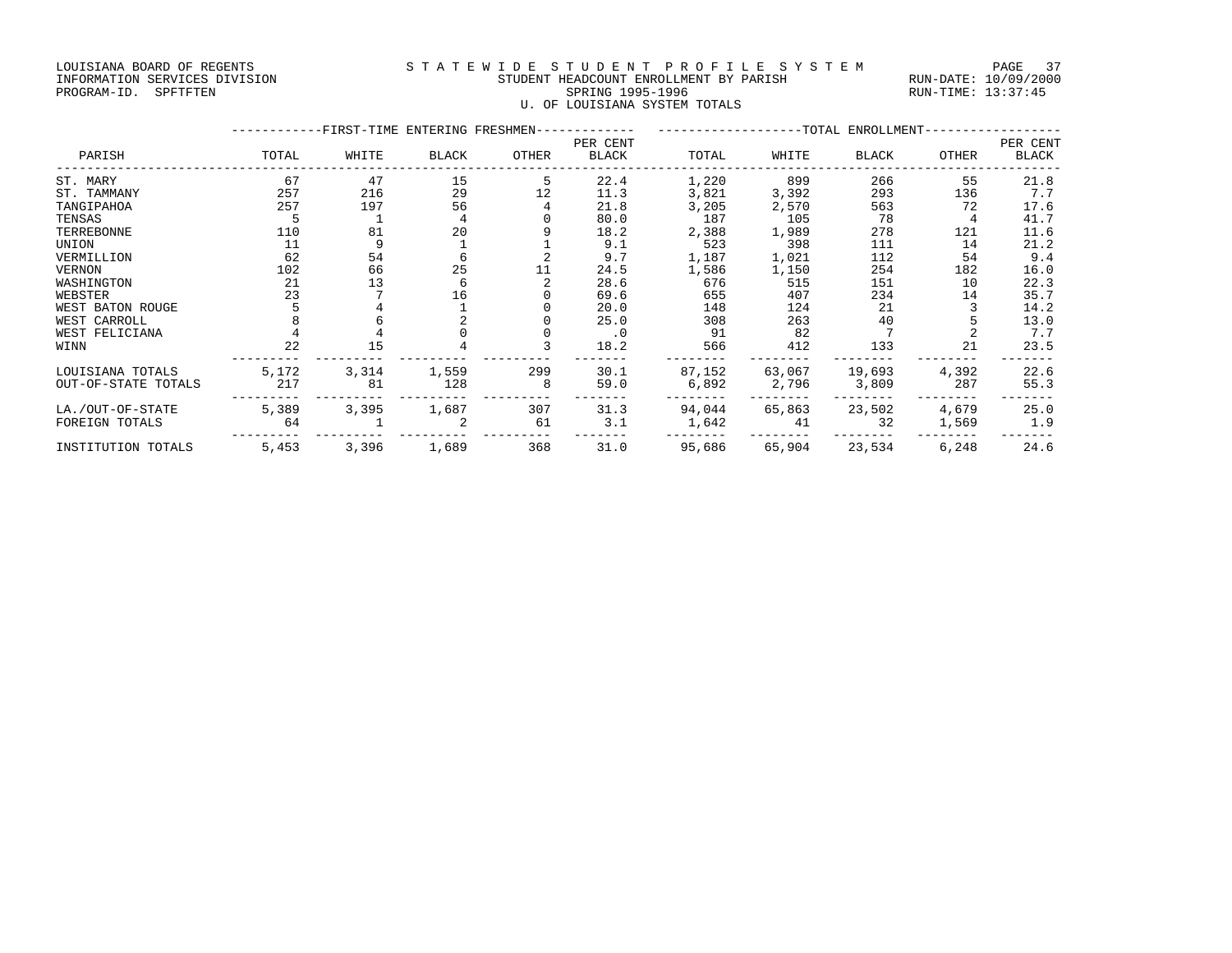#### LOUISIANA BOARD OF REGENTS STATEWIDE STUDENT PROFILE SYSTEM PAGE 37 INFORMATION SERVICES DIVISION STUDENT HEADCOUNT ENROLLMENT BY PARISH RUN-DATE: 10/09/2000 PROGRAM-ID. SPFTFTEN SARE SERING 1995-1996 SPRING 1995-1996 RUN-TIME: 13:37:45 U. OF LOUISIANA SYSTEM TOTALS

|                     |       | -FIRST-TIME ENTERING FRESHMEN-- |              |       | PER CENT     | ---------------TOTAL ENROLLMENT- |        |        |       |                          |
|---------------------|-------|---------------------------------|--------------|-------|--------------|----------------------------------|--------|--------|-------|--------------------------|
| PARISH              | TOTAL | WHITE                           | <b>BLACK</b> | OTHER | <b>BLACK</b> | TOTAL                            | WHITE  | BLACK  | OTHER | PER CENT<br><b>BLACK</b> |
| ST. MARY            | 67    | 47                              | 15           |       | 22.4         | 1,220                            | 899    | 266    | 55    | 21.8                     |
| ST. TAMMANY         | 257   | 216                             | 29           | 12    | 11.3         | 3,821                            | 3,392  | 293    | 136   | 7.7                      |
| TANGIPAHOA          | 257   | 197                             | 56           |       | 21.8         | 3,205                            | 2,570  | 563    | 72    | 17.6                     |
| TENSAS              |       |                                 |              |       | 80.0         | 187                              | 105    | 78     |       | 41.7                     |
| TERREBONNE          | 110   | 81                              | 20           |       | 18.2         | 2,388                            | 1,989  | 278    | 121   | 11.6                     |
| UNION               | 11    |                                 |              |       | 9.1          | 523                              | 398    | 111    | 14    | 21.2                     |
| VERMILLION          | 62    | 54                              |              |       | 9.7          | 1,187                            | 1,021  | 112    | 54    | 9.4                      |
| VERNON              | 102   | 66                              | 25           |       | 24.5         | 1,586                            | 1,150  | 254    | 182   | 16.0                     |
| WASHINGTON          | 21    | 13                              | 6            |       | 28.6         | 676                              | 515    | 151    | 10    | 22.3                     |
| WEBSTER             | 23    |                                 | 16           |       | 69.6         | 655                              | 407    | 234    | 14    | 35.7                     |
| WEST BATON ROUGE    |       |                                 |              |       | 20.0         | 148                              | 124    | 21     |       | 14.2                     |
| WEST CARROLL        |       |                                 |              |       | 25.0         | 308                              | 263    | 40     |       | 13.0                     |
| WEST FELICIANA      |       |                                 |              |       | $\cdot$ 0    | 91                               | 82     |        |       | 7.7                      |
| WINN                | 22    | 15                              |              |       | 18.2         | 566                              | 412    | 133    | 21    | 23.5                     |
| LOUISIANA TOTALS    | 5,172 | 3,314                           | 1,559        | 299   | 30.1         | 87,152                           | 63,067 | 19,693 | 4,392 | 22.6                     |
| OUT-OF-STATE TOTALS | 217   | 81                              | 128          | 8     | 59.0         | 6,892                            | 2,796  | 3,809  | 287   | 55.3                     |
| LA./OUT-OF-STATE    | 5,389 | 3,395                           | 1,687        | 307   | 31.3         | 94,044                           | 65,863 | 23,502 | 4,679 | 25.0                     |
| FOREIGN TOTALS      | 64    |                                 | 2            | 61    | 3.1          | 1,642                            | 41     | 32     | 1,569 | 1.9                      |
| INSTITUTION TOTALS  | 5,453 | 3,396                           | 1,689        | 368   | 31.0         | 95,686                           | 65,904 | 23,534 | 6,248 | 24.6                     |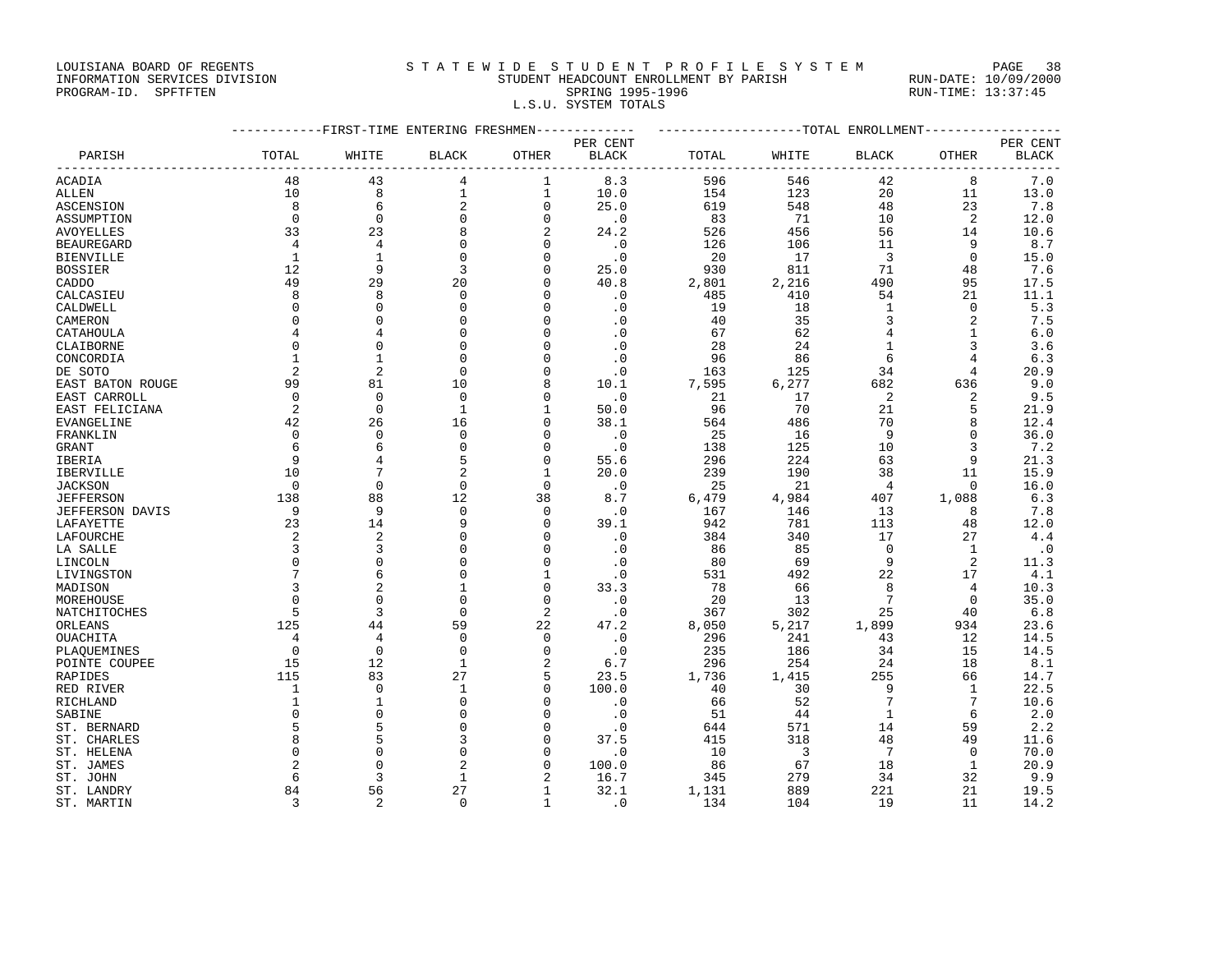LOUISIANA BOARD OF REGENTS STRTEWIDE STUDENT PROFILE SYSTEM PAGE 38

#### INFORMATION SERVICES DIVISION STUDENT HEADCOUNT ENROLLMENT BY PARISH RUN-DATE: 10/09/2000 PROGRAM-ID. SPFTFTEN SARE SERING 1995-1996 SPRING 1995-1996 RUN-TIME: 13:37:45 L.S.U. SYSTEM TOTALS

| PER CENT<br>TOTAL<br>$\operatorname{BLACK}$<br><b>OTHER</b><br>$_{\rm BLACK}$<br>TOTAL<br>WHITE<br>$\operatorname{BLACK}$<br>OTHER<br>PARISH<br>WHITE<br>-------<br>48<br>8.3<br>596<br>8<br>43<br>4<br>1<br>546<br>42<br>ACADIA<br>8<br>$\mathbf{1}$<br>$\mathbf{1}$<br>20<br>10<br>10.0<br>154<br>123<br>11<br>ALLEN<br>$\overline{2}$<br>8<br>6<br>$\mathbf 0$<br>25.0<br>619<br>548<br>48<br>23<br>ASCENSION<br>$\mathbf 0$<br>$\mathbf 0$<br>$\Omega$<br>$\mathbf 0$<br>$\cdot$ 0<br>83<br>71<br>10<br>2<br>ASSUMPTION<br>33<br>23<br>8<br>2<br>24.2<br>526<br>456<br>56<br>14<br>AVOYELLES<br>$\Omega$<br>4<br>4<br>$\cdot$ 0<br>126<br>106<br>11<br>9<br>BEAUREGARD<br>$\Omega$<br>$\Omega$<br>$\mathbf{1}$<br>$\mathbf{1}$<br>$\cdot$ 0<br>20<br>17<br>$\overline{3}$<br>$\mathbf 0$<br>BIENVILLE<br>$\Omega$<br>$\overline{3}$<br>71<br>12<br>9<br>25.0<br>930<br>811<br>BOSSIER<br>$\Omega$<br>48<br>49<br>20<br>29<br>40.8<br>2,801<br>2,216<br>490<br>95<br>CADDO<br>$\Omega$<br>8<br>8<br>$\Omega$<br>485<br>410<br>54<br>21<br>CALCASIEU<br>$\Omega$<br>. 0<br>CALDWELL<br>$\Omega$<br>$\Omega$<br>$\Omega$<br>$\Omega$<br>$\cdot$ 0<br>19<br>18<br>1<br>$\Omega$<br>$\mathbf 0$<br>3<br>CAMERON<br>0<br>$\Omega$<br>$\cdot$ 0<br>40<br>35<br>2<br>0<br>$\Omega$<br>$\cdot$ 0<br>62<br>CATAHOULA<br>4<br>$\Omega$<br>67<br>$\overline{4}$<br>$\mathbf{1}$<br>4 | ------------------TOTAL ENROLLMENT-------------- |  |  |  |  |
|------------------------------------------------------------------------------------------------------------------------------------------------------------------------------------------------------------------------------------------------------------------------------------------------------------------------------------------------------------------------------------------------------------------------------------------------------------------------------------------------------------------------------------------------------------------------------------------------------------------------------------------------------------------------------------------------------------------------------------------------------------------------------------------------------------------------------------------------------------------------------------------------------------------------------------------------------------------------------------------------------------------------------------------------------------------------------------------------------------------------------------------------------------------------------------------------------------------------------------------------------------------------------------------------------------------------------------------------------------------------------|--------------------------------------------------|--|--|--|--|
|                                                                                                                                                                                                                                                                                                                                                                                                                                                                                                                                                                                                                                                                                                                                                                                                                                                                                                                                                                                                                                                                                                                                                                                                                                                                                                                                                                              | PER CENT                                         |  |  |  |  |
|                                                                                                                                                                                                                                                                                                                                                                                                                                                                                                                                                                                                                                                                                                                                                                                                                                                                                                                                                                                                                                                                                                                                                                                                                                                                                                                                                                              | BLACK<br>$- - - -$                               |  |  |  |  |
|                                                                                                                                                                                                                                                                                                                                                                                                                                                                                                                                                                                                                                                                                                                                                                                                                                                                                                                                                                                                                                                                                                                                                                                                                                                                                                                                                                              | 7.0                                              |  |  |  |  |
|                                                                                                                                                                                                                                                                                                                                                                                                                                                                                                                                                                                                                                                                                                                                                                                                                                                                                                                                                                                                                                                                                                                                                                                                                                                                                                                                                                              | 13.0                                             |  |  |  |  |
|                                                                                                                                                                                                                                                                                                                                                                                                                                                                                                                                                                                                                                                                                                                                                                                                                                                                                                                                                                                                                                                                                                                                                                                                                                                                                                                                                                              | 7.8                                              |  |  |  |  |
|                                                                                                                                                                                                                                                                                                                                                                                                                                                                                                                                                                                                                                                                                                                                                                                                                                                                                                                                                                                                                                                                                                                                                                                                                                                                                                                                                                              | 12.0                                             |  |  |  |  |
|                                                                                                                                                                                                                                                                                                                                                                                                                                                                                                                                                                                                                                                                                                                                                                                                                                                                                                                                                                                                                                                                                                                                                                                                                                                                                                                                                                              | 10.6                                             |  |  |  |  |
|                                                                                                                                                                                                                                                                                                                                                                                                                                                                                                                                                                                                                                                                                                                                                                                                                                                                                                                                                                                                                                                                                                                                                                                                                                                                                                                                                                              | 8.7                                              |  |  |  |  |
|                                                                                                                                                                                                                                                                                                                                                                                                                                                                                                                                                                                                                                                                                                                                                                                                                                                                                                                                                                                                                                                                                                                                                                                                                                                                                                                                                                              | 15.0                                             |  |  |  |  |
|                                                                                                                                                                                                                                                                                                                                                                                                                                                                                                                                                                                                                                                                                                                                                                                                                                                                                                                                                                                                                                                                                                                                                                                                                                                                                                                                                                              | 7.6                                              |  |  |  |  |
|                                                                                                                                                                                                                                                                                                                                                                                                                                                                                                                                                                                                                                                                                                                                                                                                                                                                                                                                                                                                                                                                                                                                                                                                                                                                                                                                                                              | 17.5                                             |  |  |  |  |
|                                                                                                                                                                                                                                                                                                                                                                                                                                                                                                                                                                                                                                                                                                                                                                                                                                                                                                                                                                                                                                                                                                                                                                                                                                                                                                                                                                              | 11.1                                             |  |  |  |  |
|                                                                                                                                                                                                                                                                                                                                                                                                                                                                                                                                                                                                                                                                                                                                                                                                                                                                                                                                                                                                                                                                                                                                                                                                                                                                                                                                                                              | 5.3                                              |  |  |  |  |
|                                                                                                                                                                                                                                                                                                                                                                                                                                                                                                                                                                                                                                                                                                                                                                                                                                                                                                                                                                                                                                                                                                                                                                                                                                                                                                                                                                              | 7.5                                              |  |  |  |  |
|                                                                                                                                                                                                                                                                                                                                                                                                                                                                                                                                                                                                                                                                                                                                                                                                                                                                                                                                                                                                                                                                                                                                                                                                                                                                                                                                                                              | 6.0                                              |  |  |  |  |
| 0<br>$\Omega$<br>0<br>$\cdot$ 0<br>28<br>24<br>3<br>CLAIBORNE<br>$\Omega$<br>1                                                                                                                                                                                                                                                                                                                                                                                                                                                                                                                                                                                                                                                                                                                                                                                                                                                                                                                                                                                                                                                                                                                                                                                                                                                                                               | 3.6                                              |  |  |  |  |
| $\Omega$<br>$\mathbf{1}$<br>$\cdot$ 0<br>96<br>86<br>6<br>4<br>CONCORDIA<br>1<br>$\Omega$                                                                                                                                                                                                                                                                                                                                                                                                                                                                                                                                                                                                                                                                                                                                                                                                                                                                                                                                                                                                                                                                                                                                                                                                                                                                                    | 6.3                                              |  |  |  |  |
| 2<br>$\overline{2}$<br>$\Omega$<br>125<br>34<br>DE SOTO<br>$\Omega$<br>$\cdot$ 0<br>163<br>$\overline{4}$                                                                                                                                                                                                                                                                                                                                                                                                                                                                                                                                                                                                                                                                                                                                                                                                                                                                                                                                                                                                                                                                                                                                                                                                                                                                    | 20.9                                             |  |  |  |  |
| 99<br>10<br>7,595<br>6,277<br>636<br>EAST BATON ROUGE<br>81<br>8<br>10.1<br>682                                                                                                                                                                                                                                                                                                                                                                                                                                                                                                                                                                                                                                                                                                                                                                                                                                                                                                                                                                                                                                                                                                                                                                                                                                                                                              | 9.0                                              |  |  |  |  |
| $\Omega$<br>$\overline{2}$<br>EAST CARROLL<br>$\Omega$<br>$\Omega$<br>$\cdot$ 0<br>21<br>17<br>$\Omega$<br>2                                                                                                                                                                                                                                                                                                                                                                                                                                                                                                                                                                                                                                                                                                                                                                                                                                                                                                                                                                                                                                                                                                                                                                                                                                                                 | 9.5                                              |  |  |  |  |
| 70<br>21<br>5<br>EAST FELICIANA<br>2<br>$\mathbf 0$<br>$\mathbf{1}$<br>$\mathbf{1}$<br>50.0<br>96                                                                                                                                                                                                                                                                                                                                                                                                                                                                                                                                                                                                                                                                                                                                                                                                                                                                                                                                                                                                                                                                                                                                                                                                                                                                            | 21.9                                             |  |  |  |  |
| 42<br>26<br>16<br>38.1<br>486<br>70<br>8<br>EVANGELINE<br>$\Omega$<br>564                                                                                                                                                                                                                                                                                                                                                                                                                                                                                                                                                                                                                                                                                                                                                                                                                                                                                                                                                                                                                                                                                                                                                                                                                                                                                                    | 12.4                                             |  |  |  |  |
| $\Omega$<br>$\Omega$<br>$\cdot$ 0<br>9<br>$\Omega$<br>25<br>16<br>$\Omega$<br>FRANKLIN<br>O                                                                                                                                                                                                                                                                                                                                                                                                                                                                                                                                                                                                                                                                                                                                                                                                                                                                                                                                                                                                                                                                                                                                                                                                                                                                                  | 36.0                                             |  |  |  |  |
| 6<br>$\mathbf 0$<br>125<br>6<br>0<br>$\cdot$ 0<br>138<br>10<br>3<br>GRANT                                                                                                                                                                                                                                                                                                                                                                                                                                                                                                                                                                                                                                                                                                                                                                                                                                                                                                                                                                                                                                                                                                                                                                                                                                                                                                    | 7.2                                              |  |  |  |  |
| 5<br>55.6<br>9<br>$\mathbf 0$<br>296<br>224<br>63<br>9<br>IBERIA                                                                                                                                                                                                                                                                                                                                                                                                                                                                                                                                                                                                                                                                                                                                                                                                                                                                                                                                                                                                                                                                                                                                                                                                                                                                                                             | 21.3                                             |  |  |  |  |
| $\overline{2}$<br>239<br>10<br>$\mathbf{1}$<br>20.0<br>190<br>38<br>11<br>IBERVILLE                                                                                                                                                                                                                                                                                                                                                                                                                                                                                                                                                                                                                                                                                                                                                                                                                                                                                                                                                                                                                                                                                                                                                                                                                                                                                          | 15.9                                             |  |  |  |  |
| $\Omega$<br>$\Omega$<br>$\Omega$<br>$\Omega$<br>$\cdot$ 0<br>25<br>21<br>4<br>JACKSON<br>$\Omega$                                                                                                                                                                                                                                                                                                                                                                                                                                                                                                                                                                                                                                                                                                                                                                                                                                                                                                                                                                                                                                                                                                                                                                                                                                                                            | 16.0                                             |  |  |  |  |
| 12<br>38<br>1,088<br>138<br>88<br>6,479<br>4,984<br>407<br>JEFFERSON<br>8.7                                                                                                                                                                                                                                                                                                                                                                                                                                                                                                                                                                                                                                                                                                                                                                                                                                                                                                                                                                                                                                                                                                                                                                                                                                                                                                  | 6.3                                              |  |  |  |  |
| 9<br>9<br>$\Omega$<br>JEFFERSON DAVIS<br>$\Omega$<br>$\cdot$ 0<br>167<br>146<br>13<br>8                                                                                                                                                                                                                                                                                                                                                                                                                                                                                                                                                                                                                                                                                                                                                                                                                                                                                                                                                                                                                                                                                                                                                                                                                                                                                      | 7.8                                              |  |  |  |  |
| 23<br>14<br>9<br>39.1<br>781<br>113<br>48<br>LAFAYETTE<br>0<br>942                                                                                                                                                                                                                                                                                                                                                                                                                                                                                                                                                                                                                                                                                                                                                                                                                                                                                                                                                                                                                                                                                                                                                                                                                                                                                                           | 12.0                                             |  |  |  |  |
| $\overline{2}$<br>$\overline{2}$<br>$\mathbf 0$<br>$\cdot$ 0<br>340<br>17<br>27<br>LAFOURCHE<br>384<br>$\Omega$                                                                                                                                                                                                                                                                                                                                                                                                                                                                                                                                                                                                                                                                                                                                                                                                                                                                                                                                                                                                                                                                                                                                                                                                                                                              | 4.4                                              |  |  |  |  |
| 3<br>3<br>$\Omega$<br>$\cdot$ 0<br>0<br>$\Omega$<br>86<br>85<br>1<br>LA SALLE                                                                                                                                                                                                                                                                                                                                                                                                                                                                                                                                                                                                                                                                                                                                                                                                                                                                                                                                                                                                                                                                                                                                                                                                                                                                                                | $\cdot$ 0                                        |  |  |  |  |
| $\Omega$<br>$\mathbf 0$<br>LINCOLN<br>$\Omega$<br>$\cdot$ 0<br>80<br>69<br>9<br>2<br>$\Omega$                                                                                                                                                                                                                                                                                                                                                                                                                                                                                                                                                                                                                                                                                                                                                                                                                                                                                                                                                                                                                                                                                                                                                                                                                                                                                | 11.3                                             |  |  |  |  |
| $7\phantom{.0}$<br>6<br>$\Omega$<br>22<br>17<br>$\mathbf{1}$<br>$\cdot$ 0<br>531<br>492<br>LIVINGSTON                                                                                                                                                                                                                                                                                                                                                                                                                                                                                                                                                                                                                                                                                                                                                                                                                                                                                                                                                                                                                                                                                                                                                                                                                                                                        | 4.1                                              |  |  |  |  |
| 3<br>$\overline{2}$<br>33.3<br>78<br>8<br>1<br>$\mathbf 0$<br>66<br>$\overline{4}$<br>MADISON                                                                                                                                                                                                                                                                                                                                                                                                                                                                                                                                                                                                                                                                                                                                                                                                                                                                                                                                                                                                                                                                                                                                                                                                                                                                                | 10.3                                             |  |  |  |  |
| $7\phantom{.0}$<br>$\mathbf 0$<br>$\mathbf{0}$<br>$\mathbf 0$<br>$\cdot$ 0<br>20<br>13<br>MOREHOUSE<br>0<br>$\Omega$                                                                                                                                                                                                                                                                                                                                                                                                                                                                                                                                                                                                                                                                                                                                                                                                                                                                                                                                                                                                                                                                                                                                                                                                                                                         | 35.0                                             |  |  |  |  |
| $\Omega$<br>2<br>25<br>5<br>3<br>367<br>302<br>NATCHITOCHES<br>$\cdot$ 0<br>40                                                                                                                                                                                                                                                                                                                                                                                                                                                                                                                                                                                                                                                                                                                                                                                                                                                                                                                                                                                                                                                                                                                                                                                                                                                                                               | 6.8                                              |  |  |  |  |
| 125<br>59<br>22<br>5,217<br>1,899<br>44<br>47.2<br>8,050<br>934<br>ORLEANS                                                                                                                                                                                                                                                                                                                                                                                                                                                                                                                                                                                                                                                                                                                                                                                                                                                                                                                                                                                                                                                                                                                                                                                                                                                                                                   | 23.6                                             |  |  |  |  |
| 4<br>$\Omega$<br>$\cdot$ 0<br>296<br>241<br>43<br>12<br>OUACHITA<br>4<br>0                                                                                                                                                                                                                                                                                                                                                                                                                                                                                                                                                                                                                                                                                                                                                                                                                                                                                                                                                                                                                                                                                                                                                                                                                                                                                                   | 14.5                                             |  |  |  |  |
| $\mathbf 0$<br>$\Omega$<br>$\mathbf 0$<br>34<br>15<br>$\Omega$<br>$\cdot$ 0<br>235<br>186<br>PLAOUEMINES                                                                                                                                                                                                                                                                                                                                                                                                                                                                                                                                                                                                                                                                                                                                                                                                                                                                                                                                                                                                                                                                                                                                                                                                                                                                     | 14.5                                             |  |  |  |  |
| 15<br>12<br>$\mathbf{1}$<br>2<br>296<br>254<br>18<br>POINTE COUPEE<br>6.7<br>24                                                                                                                                                                                                                                                                                                                                                                                                                                                                                                                                                                                                                                                                                                                                                                                                                                                                                                                                                                                                                                                                                                                                                                                                                                                                                              | 8.1                                              |  |  |  |  |
| 27<br>115<br>83<br>5<br>23.5<br>1,736<br>255<br>RAPIDES<br>1,415<br>66                                                                                                                                                                                                                                                                                                                                                                                                                                                                                                                                                                                                                                                                                                                                                                                                                                                                                                                                                                                                                                                                                                                                                                                                                                                                                                       | 14.7                                             |  |  |  |  |
| 100.0<br>1<br>$\Omega$<br>1<br>$\Omega$<br>30<br>9<br>1<br>RED RIVER<br>40                                                                                                                                                                                                                                                                                                                                                                                                                                                                                                                                                                                                                                                                                                                                                                                                                                                                                                                                                                                                                                                                                                                                                                                                                                                                                                   | 22.5                                             |  |  |  |  |
| 7<br>$\Omega$<br>52<br>7<br>$\mathbf{1}$<br>$\mathbf{1}$<br>$\cdot$ 0<br>RICHLAND<br>$\Omega$<br>66                                                                                                                                                                                                                                                                                                                                                                                                                                                                                                                                                                                                                                                                                                                                                                                                                                                                                                                                                                                                                                                                                                                                                                                                                                                                          | 10.6                                             |  |  |  |  |
| $\mathbf 0$<br>$\mathbf 0$<br>$\Omega$<br>0<br>$\cdot$ 0<br>51<br>44<br>1<br>6<br>SABINE                                                                                                                                                                                                                                                                                                                                                                                                                                                                                                                                                                                                                                                                                                                                                                                                                                                                                                                                                                                                                                                                                                                                                                                                                                                                                     | 2.0                                              |  |  |  |  |
| 5<br>5<br>$\mathbf 0$<br>644<br>571<br>14<br>59<br>ST. BERNARD<br>$\mathbf 0$<br>$\cdot$ 0                                                                                                                                                                                                                                                                                                                                                                                                                                                                                                                                                                                                                                                                                                                                                                                                                                                                                                                                                                                                                                                                                                                                                                                                                                                                                   | 2.2                                              |  |  |  |  |
| 8<br>5<br>3<br>37.5<br>415<br>318<br>48<br>49<br>ST. CHARLES<br>$\Omega$                                                                                                                                                                                                                                                                                                                                                                                                                                                                                                                                                                                                                                                                                                                                                                                                                                                                                                                                                                                                                                                                                                                                                                                                                                                                                                     | 11.6                                             |  |  |  |  |
| $\mathbf 0$<br>7<br>$\Omega$<br>$\cdot$ 0<br>10<br>3<br>ST. HELENA<br>$\Omega$<br>O<br>$\Omega$                                                                                                                                                                                                                                                                                                                                                                                                                                                                                                                                                                                                                                                                                                                                                                                                                                                                                                                                                                                                                                                                                                                                                                                                                                                                              | 70.0                                             |  |  |  |  |
| $\overline{a}$<br>2<br>100.0<br>67<br>18<br>-1<br>ST. JAMES<br>$\Omega$<br>U<br>86                                                                                                                                                                                                                                                                                                                                                                                                                                                                                                                                                                                                                                                                                                                                                                                                                                                                                                                                                                                                                                                                                                                                                                                                                                                                                           | 20.9                                             |  |  |  |  |
| ST. JOHN<br>6<br>3<br>1<br>16.7<br>345<br>279<br>34<br>32                                                                                                                                                                                                                                                                                                                                                                                                                                                                                                                                                                                                                                                                                                                                                                                                                                                                                                                                                                                                                                                                                                                                                                                                                                                                                                                    | 9.9                                              |  |  |  |  |
| 27<br>84<br>56<br>32.1<br>889<br>221<br>ST. LANDRY<br>1,131<br>21<br>-1                                                                                                                                                                                                                                                                                                                                                                                                                                                                                                                                                                                                                                                                                                                                                                                                                                                                                                                                                                                                                                                                                                                                                                                                                                                                                                      | 19.5                                             |  |  |  |  |

ST. MARTIN 3 2 0 1 .0 134 104 19 11 14.2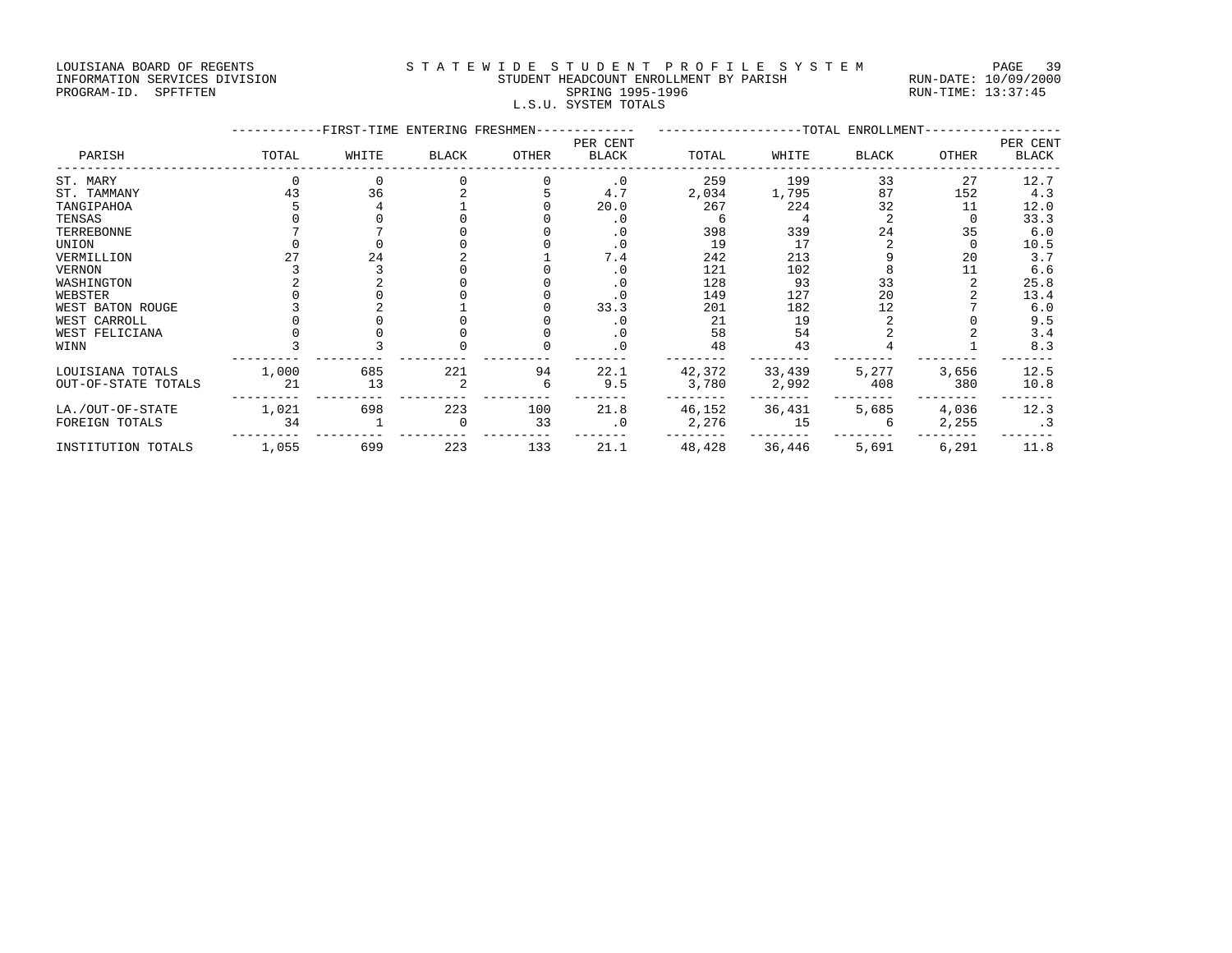LOUISIANA BOARD OF REGENTS STATEWIDE STUDENT PROFILE SYSTEM PAGE 39 INFORMATION SERVICES DIVISION STUDENT HEADCOUNT ENROLLMENT BY PARISH RUN-DATE: 10/09/2000 PROGRAM-ID. SPFTFTEN SARE SERING 1995-1996 SPRING 1995-1996 RUN-TIME: 13:37:45 L.S.U. SYSTEM TOTALS

|                     |       |       | --FIRST-TIME ENTERING FRESHMEN- |       |                   | -------------------TOTAL ENROLLMENT |        |       |       |                   |  |
|---------------------|-------|-------|---------------------------------|-------|-------------------|-------------------------------------|--------|-------|-------|-------------------|--|
| PARISH              | TOTAL | WHITE | <b>BLACK</b>                    | OTHER | PER CENT<br>BLACK | TOTAL                               | WHITE  | BLACK | OTHER | PER CENT<br>BLACK |  |
| ST. MARY            |       |       |                                 |       | $\cdot$ 0         | 259                                 | 199    | 33    | 27    | 12.7              |  |
| ST. TAMMANY         |       | 36    |                                 |       | 4.7               | 2,034                               | 1,795  | 87    | 152   | 4.3               |  |
| TANGIPAHOA          |       |       |                                 |       | 20.0              | 267                                 | 224    | 32    | 11    | 12.0              |  |
| TENSAS              |       |       |                                 |       | $\cdot$ 0         |                                     |        |       |       | 33.3              |  |
| TERREBONNE          |       |       |                                 |       | $\cdot$ 0         | 398                                 | 339    | 24    | 35    | 6.0               |  |
| UNION               |       |       |                                 |       | $\cdot$ 0         | 19                                  | 17     |       |       | 10.5              |  |
| VERMILLION          |       | 24    |                                 |       | 7.4               | 242                                 | 213    |       | 20    | 3.7               |  |
| VERNON              |       |       |                                 |       | $\cdot$ 0         | 121                                 | 102    |       | 11    | 6.6               |  |
| WASHINGTON          |       |       |                                 |       |                   | 128                                 | 93     | 33    |       | 25.8              |  |
| WEBSTER             |       |       |                                 |       |                   | 149                                 | 127    | 20    |       | 13.4              |  |
| WEST BATON ROUGE    |       |       |                                 |       | 33.3              | 201                                 | 182    |       |       | 6.0               |  |
| WEST CARROLL        |       |       |                                 |       |                   | 21                                  | 19     |       |       | 9.5               |  |
| WEST FELICIANA      |       |       |                                 |       | $\cdot$ 0         | 58                                  | 54     |       |       | 3.4               |  |
| WINN                |       |       |                                 |       | . 0               | 48                                  | 43     |       |       | 8.3               |  |
| LOUISIANA TOTALS    | 1,000 | 685   | 221                             | 94    | 22.1              | 42,372                              | 33,439 | 5,277 | 3,656 | 12.5              |  |
| OUT-OF-STATE TOTALS | -21   | 13    |                                 | 6     | 9.5               | 3,780                               | 2,992  | 408   | 380   | 10.8              |  |
| LA./OUT-OF-STATE    | 1,021 | 698   | 223                             | 100   | 21.8              | 46,152                              | 36,431 | 5,685 | 4,036 | 12.3              |  |
| FOREIGN TOTALS      | 34    |       |                                 | 33    | $\cdot$ 0         | 2,276                               | 15     |       | 2,255 | $\cdot$ 3         |  |
|                     |       |       |                                 |       |                   |                                     |        |       |       |                   |  |

INSTITUTION TOTALS 1,055 699 223 133 21.1 48,428 36,446 5,691 6,291 11.8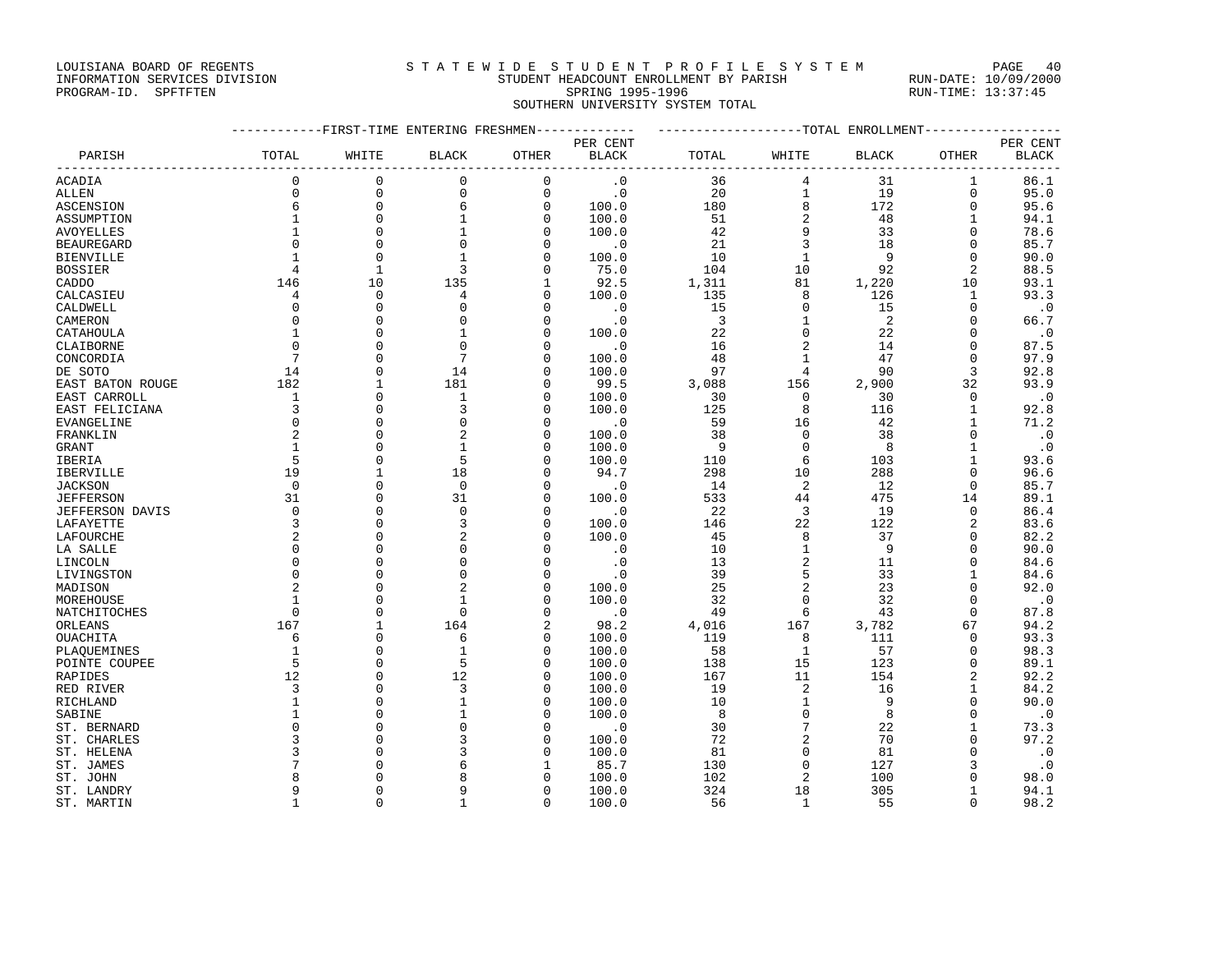#### LOUISIANA BOARD OF REGENTS STATEWIDE STUDENT PROFILE SYSTEM PAGE 40 INFORMATION SERVICES DIVISION STUDENT HEADCOUNT ENROLLMENT BY PARISH RUN-DATE: 10/09/2000 PAGE 40<br>
STUDENT HEADCOUNT ENRICE SO HE SISIEM RUN-DATE: 10/09/2000<br>PROGRAM-ID. SPFTFTEN SPRING 1995-1996 RUN-TIME: 13:37:45

SOUTHERN UNIVERSITY SYSTEM TOTAL

------------FIRST-TIME ENTERING FRESHMEN------------- -------------------TOTAL ENROLLMENT------------------ PER CENT PER CENT PARISH TOTAL WHITE BLACK OTHER BLACK TOTAL WHITE BLACK OTHER BLACK ------------------------------------------------------------------------------------------------------------------------------------ ACADIA 0 0 0 0 .0 36 4 31 1 86.1 ALLEN 0 0 0 0 .0 20 1 19 0 95.0 ASCENSION 6 0 6 0 100.0 180 8 172 0 95.6 ASSUMPTION 1 0 1 0 100.0 51 2 48 1 94.1 AVOYELLES 1 0 1 0 100.0 42 9 33 0 78.6 BEAUREGARD 0 0 0 0 .0 21 3 18 0 85.7 BIENVILLE 1 0 1 0 100.0 10 1 9 0 90.0 BOSSIER 4 1 3 0 75.0 104 10 92 2 88.5 CADDO 146 10 135 1 92.5 1,311 81 1,220 10 93.1 CALCASIEU 4 0 4 0 100.0 135 8 126 1 93.3 CALDWELL 0 0 0 0 .0 15 0 15 0 .0 CAMERON 0 0 0 0 .0 3 1 2 0 66.7 CATAHOULA 1 0 1 0 100.0 22 0 22 0 .0 CLAIBORNE 0 0 0 0 .0 16 2 14 0 87.5 CONCORDIA 7 0 7 0 100.0 48 1 47 0 97.9 DE SOTO 14 0 14 0 100.0 97 4 90 3 92.8 EAST BATON ROUGE 182 1 181 0 99.5 3,088 156 2,900 32 93.9 EAST CARROLL 1 0 1 0 100.0 30 0 30 0 .0 EAST FELICIANA 3 0 3 0 100.0 125 8 116 1 92.8 EVANGELINE 0 0 0 0 .0 59 16 42 1 71.2 FRANKLIN 2 0 2 0 100.0 38 0 38 0 .0 GRANT 1 0 1 0 100.0 9 0 8 1 .0 IBERIA 5 0 5 0 100.0 110 6 103 1 93.6 IBERVILLE 19 1 18 0 94.7 298 10 288 0 96.6 JACKSON 0 0 0 0 .0 14 2 12 0 85.7 JEFFERSON 31 0 31 0 100.0 533 44 475 14 89.1 JEFFERSON DAVIS 0 0 0 0 .0 22 3 19 0 86.4 LAFAYETTE 3 0 3 0 100.0 146 22 122 2 83.6 LAFOURCHE 2 0 2 0 100.0 45 8 37 0 82.2 LA SALLE 0 0 0 0 .0 10 1 9 0 90.0 LINCOLN 0 0 0 0 .0 13 2 11 0 84.6 LIVINGSTON 0 0 0 0 .0 39 5 33 1 84.6 MADISON 2 0 2 0 100.0 25 2 23 0 92.0 MOREHOUSE 1 0 1 0 100.0 32 0 32 0 .0 NATCHITOCHES 0 0 0 0 .0 49 6 43 0 87.8 ORLEANS 167 1 164 2 98.2 4,016 167 3,782 67 94.2 OUACHITA 6 0 6 0 100.0 119 8 111 0 93.3 PLAQUEMINES 1 0 1 0 100.0 58 1 57 0 98.3 POINTE COUPEE 5 5 0 5 0 100.0 138 15 123 0 89.1 RAPIDES 12 0 12 0 100.0 167 11 154 2 92.2 RED RIVER 3 0 3 0 100.0 19 2 16 1 84.2 RICHLAND 1 0 1 0 100.0 10 1 9 0 90.0 SABINE 1 0 1 0 100.0 8 0 8 0 .0 ST. BERNARD 0 0 0 0 .0 30 7 22 1 73.3 ST. CHARLES 3 0 3 0 100.0 72 2 70 0 97.2 ST. HELENA 3 0 3 0 100.0 81 0 81 0 .0 ST. JAMES 7 0 6 1 85.7 130 0 127 3 .0 ST. JOHN 8 0 8 0 100.0 102 2 100 0 98.0 ST. LANDRY 9 0 9 0 100.0 324 18 305 1 94.1 ST. MARTIN 1 0 1 0 100.0 56 1 55 0 98.2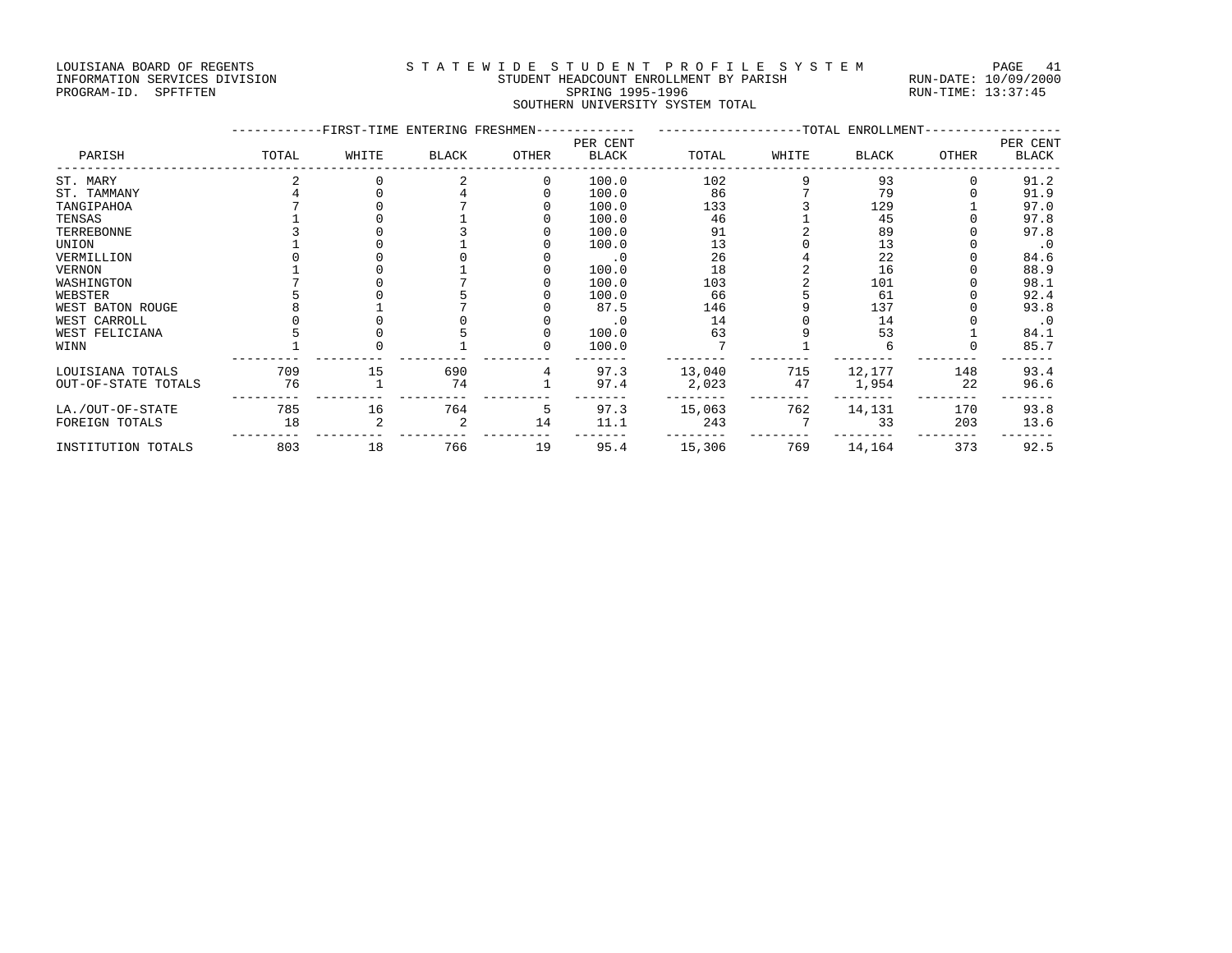### LOUISIANA BOARD OF REGENTS STATEWIDE STUDENT PROFILE SYSTEM PAGE 41 INFORMATION SERVICES DIVISION STUDENT HEADCOUNT ENROLLMENT BY PARISH RUN-DATE: 10/09/2000 SPRING 199<br>SOUTHERN UNIVERSI

| INFORMATION SERVICES DIVISION | STUDENT HEADCOUNT ENROLLMENT BY PARISH | RUN-DATE: 10/09/200 |
|-------------------------------|----------------------------------------|---------------------|
| PROGRAM-ID. SPFTFTEN          | SPRING 1995-1996                       | RUN-TIME: 13:37:45  |
|                               | SOUTHERN UNIVERSITY SYSTEM TOTAL       |                     |

|                     |       |       | -----------FIRST-TIME ENTERING FRESHMEN------------ ---------------------TOTAL ENROLLMENT-- |       |                   |        |       |        |       |                   |
|---------------------|-------|-------|---------------------------------------------------------------------------------------------|-------|-------------------|--------|-------|--------|-------|-------------------|
| PARISH              | TOTAL | WHITE | <b>BLACK</b>                                                                                | OTHER | PER CENT<br>BLACK | TOTAL  | WHITE | BLACK  | OTHER | PER CENT<br>BLACK |
| ST. MARY            |       |       |                                                                                             |       | 100.0             | 102    |       | 93     |       | 91.2              |
| ST. TAMMANY         |       |       |                                                                                             |       | 100.0             | 86     |       | 79     |       | 91.9              |
| TANGIPAHOA          |       |       |                                                                                             |       | 100.0             | 133    |       | 129    |       | 97.0              |
| TENSAS              |       |       |                                                                                             |       | 100.0             | 46     |       | 45     |       | 97.8              |
| TERREBONNE          |       |       |                                                                                             |       | 100.0             | 91     |       | 89     |       | 97.8              |
| UNION               |       |       |                                                                                             |       | 100.0             | 13     |       | 13     |       | $\cdot$ 0         |
| VERMILLION          |       |       |                                                                                             |       | $\cdot$ 0         | 26     |       | 22     |       | 84.6              |
| VERNON              |       |       |                                                                                             |       | 100.0             | 18     |       | 16     |       | 88.9              |
| WASHINGTON          |       |       |                                                                                             |       | 100.0             | 103    |       | 101    |       | 98.1              |
| WEBSTER             |       |       |                                                                                             |       | 100.0             | 66     |       | 61     |       | 92.4              |
| WEST BATON ROUGE    |       |       |                                                                                             |       | 87.5              | 146    |       | 137    |       | 93.8              |
| WEST CARROLL        |       |       |                                                                                             |       | $\cdot$ 0         | 14     |       | 14     |       | $\cdot$ 0         |
| WEST FELICIANA      |       |       |                                                                                             |       | 100.0             | 63     |       | 53     |       | 84.1              |
| WINN                |       |       |                                                                                             |       | 100.0             |        |       |        |       | 85.7              |
| LOUISIANA TOTALS    | 709   | 15    | 690                                                                                         | 4     | 97.3              | 13,040 | 715   | 12,177 | 148   | 93.4              |
| OUT-OF-STATE TOTALS | 76    |       | 74                                                                                          |       | 97.4              | 2,023  | 47    | 1,954  | 22    | 96.6              |
| LA./OUT-OF-STATE    | 785   | 16    | 764                                                                                         | 5     | 97.3              | 15,063 | 762   | 14,131 | 170   | 93.8              |
| FOREIGN TOTALS      | 18    |       |                                                                                             | 14    | 11.1              | 243    |       | 33     | 203   | 13.6              |
| INSTITUTION TOTALS  | 803   | 18    | 766                                                                                         | 19    | 95.4              | 15,306 | 769   | 14,164 | 373   | 92.5              |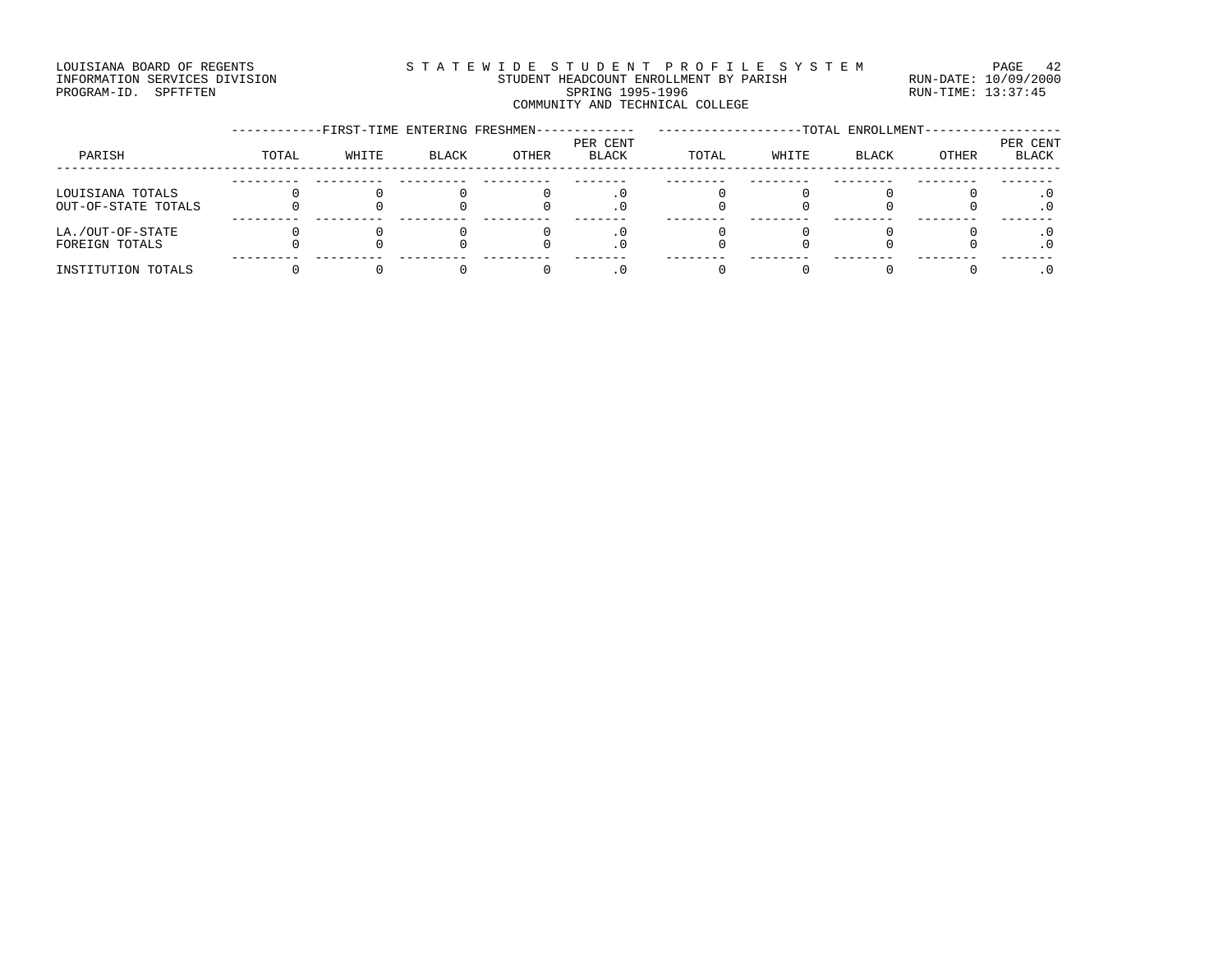#### LOUISIANA BOARD OF REGENTS STATEWIDE STUDENT PROFILE SYSTEM PAGE 42 INFORMATION SERVICES DIVISION STUDENT HEADCOUNT ENROLLMENT BY PARISH RUN-DATE: 10/09/2000 PROGRAM-ID. SPFTFTEN SARE SERING 1995-1996 SPRING 1995-1996 RUN-TIME: 13:37:45 COMMUNITY AND TECHNICAL COLLEGE

|                                         | -FIRST-TIME ENTERING FRESHMEN- |       |       |       |                   | -TOTAL ENROLLMENT- |       |       |       |                          |
|-----------------------------------------|--------------------------------|-------|-------|-------|-------------------|--------------------|-------|-------|-------|--------------------------|
| PARISH                                  | TOTAL                          | WHITE | BLACK | OTHER | PER CENT<br>BLACK | TOTAL              | WHITE | BLACK | OTHER | PER CENT<br><b>BLACK</b> |
| LOUISIANA TOTALS<br>OUT-OF-STATE TOTALS |                                |       |       |       |                   |                    |       |       |       |                          |
| LA./OUT-OF-STATE<br>FOREIGN TOTALS      |                                |       |       |       |                   |                    |       |       |       |                          |
| INSTITUTION TOTALS                      |                                |       |       |       |                   |                    |       |       |       |                          |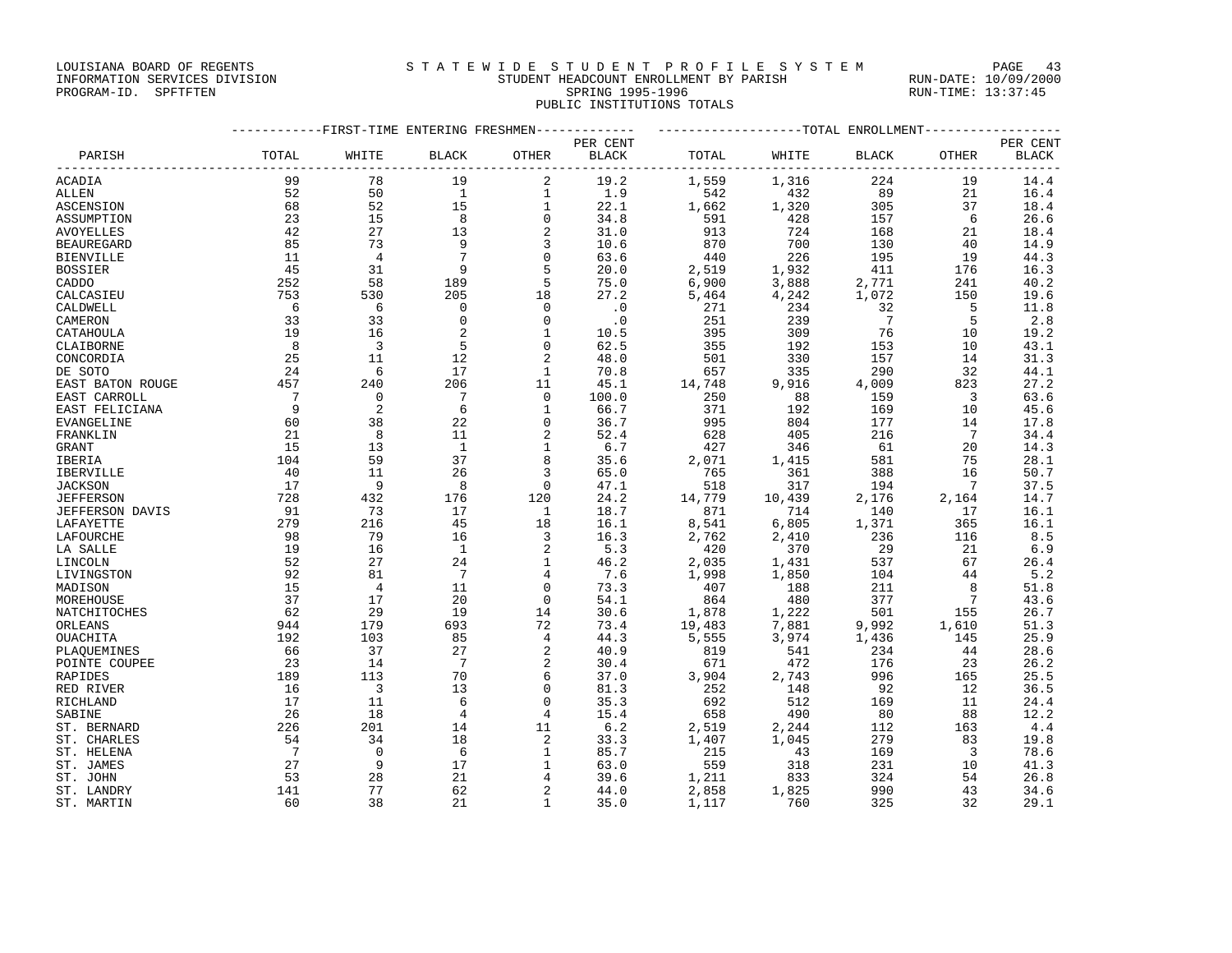# LOUISIANA BOARD OF REGENTS STATEWIDE STUDENT PROFILE SYSTEM PAGE 43

#### INFORMATION SERVICES DIVISION STUDENT HEADCOUNT ENROLLMENT BY PARISH RUN-DATE: 10/09/2000 PROGRAM-ID. SPFTFTEN SARE SERING 1995-1996 SPRING 1995-1996 RUN-TIME: 13:37:45 PUBLIC INSTITUTIONS TOTALS

|                           | -----------FIRST-TIME ENTERING FRESHMEN------------- | ------------------TOTAL ENROLLMENT---------------- |                     |               |              |              |            |                |                      |              |
|---------------------------|------------------------------------------------------|----------------------------------------------------|---------------------|---------------|--------------|--------------|------------|----------------|----------------------|--------------|
|                           |                                                      |                                                    |                     |               | PER CENT     |              |            |                |                      | PER CENT     |
| PARISH                    | TOTAL                                                | WHITE                                              | <b>BLACK</b>        | OTHER         | BLACK        | TOTAL        | WHITE      | <b>BLACK</b>   | OTHER                | <b>BLACK</b> |
| ACADIA                    | 99                                                   | 78                                                 | 19                  | 2             | 19.2         | 1,559        | 1,316      | 224            | 19                   | 14.4         |
| ALLEN                     | 52                                                   | 50                                                 | $\overline{1}$      | 1             | 1.9          | 542          | 432        | 89             | 21                   | 16.4         |
| ASCENSION                 | 68                                                   | 52                                                 | 15                  | $\mathbf{1}$  | 22.1         | 1,662        | 1,320      | 305            | 37                   | 18.4         |
| ASSUMPTION                | 23                                                   | 15                                                 | 8                   | $\mathbf{0}$  | 34.8         | 591          | 428        | 157            | 6                    | 26.6         |
| AVOYELLES                 | 42                                                   | 27                                                 | 13                  | 2             | 31.0         | 913          | 724        | 168            | 21                   | 18.4         |
| <b>BEAUREGARD</b>         | 85                                                   | 73                                                 | 9                   | 3             | 10.6         | 870          | 700        | 130            | 40                   | 14.9         |
| <b>BIENVILLE</b>          | 11                                                   | $\overline{4}$                                     | 7                   | $\mathbf{0}$  | 63.6         | 440          | 226        | 195            | 19                   | 44.3         |
| <b>BOSSIER</b>            | 45                                                   | 31                                                 | 9                   | 5             | 20.0         | 2,519        | 1,932      | 411            | 176                  | 16.3         |
| CADDO                     | 252                                                  | 58                                                 | 189                 | 5             | 75.0         | 6,900        | 3,888      | 2,771          | 241                  | 40.2         |
| CALCASIEU                 | 753                                                  | 530                                                | 205                 | 18            | 27.2         | 5,464        | 4,242      | 1,072          | 150                  | 19.6         |
| CALDWELL                  | 6                                                    | - 6                                                | $\mathbf 0$         | $\mathbf 0$   | $\cdot$ 0    | 271          | 234        | 32             | 5                    | 11.8         |
| CAMERON                   | 33                                                   | 33                                                 | $\Omega$            | $\Omega$      | $\cdot$ 0    | 251          | 239        | $\overline{7}$ | -5                   | 2.8          |
| CATAHOULA                 | 19                                                   | 16                                                 | $\overline{2}$      | $\mathbf{1}$  | 10.5         | 395          | 309        | 76             | 10                   | 19.2         |
| CLAIBORNE                 | 8                                                    | $\overline{\mathbf{3}}$                            | 5                   | $\Omega$      | 62.5         | 355          | 192        | 153            | 10                   | 43.1         |
| CONCORDIA                 | 25                                                   | 11                                                 | 12                  |               | 48.0         | 501          | 330        | 157            | 14                   | 31.3         |
| DE SOTO                   | 24                                                   | 6                                                  | 17                  | 1             | 70.8         | 657          | 335        | 290            | 32                   | 44.1         |
| EAST BATON ROUGE          | 457                                                  | 240                                                | 206                 | 11            | 45.1         | 14,748       | 9,916      | 4,009          | 823                  | 27.2         |
| EAST CARROLL              | $\overline{7}$                                       | $\Omega$                                           | -7                  | $\Omega$      | 100.0        | 250          | 88         | 159            | -3                   | 63.6         |
| EAST FELICIANA            | 9                                                    | 2                                                  | 6                   | 1             | 66.7         | 371          | 192        | 169            | 10                   | 45.6         |
| EVANGELINE                | 60                                                   | 38                                                 | 22                  | $\mathbf 0$   | 36.7         | 995          | 804        | 177            | 14                   | 17.8         |
| FRANKLIN                  | 21                                                   | 8                                                  | 11                  |               | 52.4         | 628          | 405        | 216            | $7\phantom{.0}$      | 34.4         |
| GRANT                     | 15                                                   | 13                                                 | $\overline{1}$      | 1             | 6.7          | 427          | 346        | 61             | 20                   | 14.3         |
| IBERIA                    | 104                                                  | 59                                                 | 37                  | 8             | 35.6         | 2,071        | 1,415      | 581            | 75                   | 28.1         |
| IBERVILLE                 | 40                                                   | 11                                                 | 26                  | 3             | 65.0         | 765          | 361        | 388            | 16                   | 50.7         |
| <b>JACKSON</b>            | 17                                                   | - 9                                                | 8                   | $\Omega$      | 47.1         | 518          | 317        | 194            | $7\phantom{.0}$      | 37.5         |
| <b>JEFFERSON</b>          | 728                                                  | 432                                                | 176                 | 120           | 24.2         | 14,779       | 10,439     | 2,176          | 2,164                | 14.7         |
| <b>JEFFERSON DAVIS</b>    | 91                                                   | 73                                                 | 17                  | $\mathbf{1}$  | 18.7         | 871          | 714        | 140            | 17                   | 16.1         |
| LAFAYETTE                 | 279                                                  | 216                                                | 45                  | 18            | 16.1         | 8,541        | 6,805      | 1,371          | 365                  | 16.1         |
| LAFOURCHE                 | 98                                                   | 79                                                 | 16                  | 3             | 16.3         | 2,762        | 2,410      | 236            | 116                  | 8.5          |
| LA SALLE                  | 19                                                   | 16                                                 | $\overline{1}$      | 2             | 5.3          | 420          | 370        | 29             | 21                   | 6.9          |
| LINCOLN                   | 52                                                   | 27                                                 | 24                  | $\mathbf{1}$  | 46.2         | 2,035        | 1,431      | 537            | 67                   | 26.4         |
| LIVINGSTON                | 92                                                   | 81                                                 | $7\phantom{.0}$     | 4             | 7.6          | 1,998        | 1,850      | 104            | 44                   | 5.2          |
| MADISON                   | 15                                                   | $\overline{4}$                                     | 11                  | $\Omega$      | 73.3         | 407          | 188        | 211            | 8                    | 51.8         |
| MOREHOUSE                 | 37                                                   | 17                                                 | 20                  | $\mathbf 0$   | 54.1         | 864          | 480        | 377            | $7\phantom{.0}$      | 43.6         |
| NATCHITOCHES              | 62                                                   | 29                                                 | 19                  | 14            | 30.6         | 1,878        | 1,222      | 501            | 155                  | 26.7         |
| ORLEANS                   | 944                                                  | 179                                                | 693                 | 72            | 73.4         | 19,483       | 7,881      | 9,992          | 1,610                | 51.3         |
| OUACHITA                  | 192                                                  | 103                                                | 85                  | 4             | 44.3         | 5,555        | 3,974      | 1,436          | 145                  | 25.9         |
| PLAOUEMINES               | 66                                                   | 37                                                 | 27                  |               | 40.9         | 819          | 541        | 234            | 44                   | 28.6         |
| POINTE COUPEE             | 23                                                   | 14                                                 | $7\phantom{.0}$     | 2             | 30.4         | 671          | 472        | 176            | 23                   | 26.2         |
| RAPIDES                   | 189                                                  | 113                                                | 70                  | 6             | 37.0         | 3,904        | 2,743      | 996            | 165                  | 25.5         |
| RED RIVER                 | 16                                                   | $\overline{\mathbf{3}}$                            | 13                  | $\mathbf{0}$  | 81.3         | 252          | 148        | 92             | 12                   | 36.5         |
| RICHLAND<br>SABINE        | 17<br>26                                             | 11<br>18                                           | 6<br>$\overline{4}$ | $\Omega$<br>4 | 35.3<br>15.4 | 692          | 512<br>490 | 169<br>80      | 11<br>88             | 24.4<br>12.2 |
| ST. BERNARD               | 226                                                  | 201                                                | 14                  | 11            | 6.2          | 658          | 2,244      | 112            | 163                  | 4.4          |
|                           | 54                                                   | 34                                                 | 18                  | 2             |              | 2,519        | 1,045      |                |                      |              |
| ST. CHARLES<br>ST. HELENA | $7^{\circ}$                                          | $\Omega$                                           | 6                   | $\mathbf{1}$  | 33.3<br>85.7 | 1,407<br>215 | 43         | 279<br>169     | 83<br>$\overline{3}$ | 19.8<br>78.6 |
| ST. JAMES                 | 27                                                   | 9                                                  | 17                  | 1             | 63.0         | 559          | 318        | 231            | 10                   | 41.3         |
| ST. JOHN                  | 53                                                   | 28                                                 | 21                  | 4             | 39.6         | 1,211        | 833        | 324            | 54                   | 26.8         |
| ST. LANDRY                | 141                                                  | 77                                                 | 62                  |               | 44.0         | 2,858        | 1,825      | 990            | 43                   | 34.6         |
| ST. MARTIN                | 60                                                   | 38                                                 | 21                  | $\mathbf{1}$  | 35.0         | 1,117        | 760        | 325            | 32                   | 29.1         |
|                           |                                                      |                                                    |                     |               |              |              |            |                |                      |              |